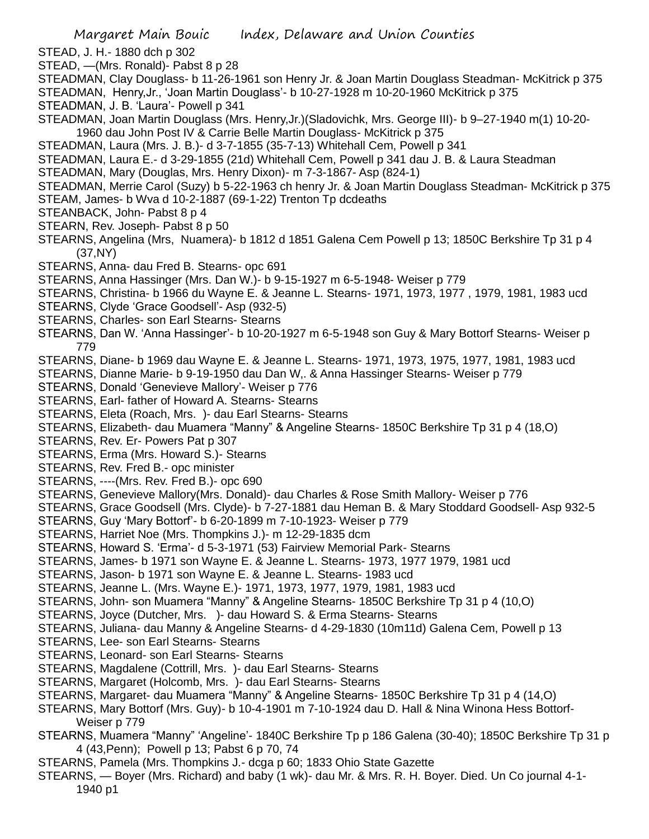- STEAD, J. H.- 1880 dch p 302
- STEAD, —(Mrs. Ronald)- Pabst 8 p 28
- STEADMAN, Clay Douglass- b 11-26-1961 son Henry Jr. & Joan Martin Douglass Steadman- McKitrick p 375 STEADMAN, Henry,Jr., 'Joan Martin Douglass'- b 10-27-1928 m 10-20-1960 McKitrick p 375
- STEADMAN, J. B. 'Laura'- Powell p 341
- STEADMAN, Joan Martin Douglass (Mrs. Henry,Jr.)(Sladovichk, Mrs. George III)- b 9–27-1940 m(1) 10-20- 1960 dau John Post IV & Carrie Belle Martin Douglass- McKitrick p 375
- STEADMAN, Laura (Mrs. J. B.)- d 3-7-1855 (35-7-13) Whitehall Cem, Powell p 341
- STEADMAN, Laura E.- d 3-29-1855 (21d) Whitehall Cem, Powell p 341 dau J. B. & Laura Steadman
- STEADMAN, Mary (Douglas, Mrs. Henry Dixon)- m 7-3-1867- Asp (824-1)
- STEADMAN, Merrie Carol (Suzy) b 5-22-1963 ch henry Jr. & Joan Martin Douglass Steadman- McKitrick p 375
- STEAM, James- b Wva d 10-2-1887 (69-1-22) Trenton Tp dcdeaths
- STEANBACK, John- Pabst 8 p 4
- STEARN, Rev. Joseph- Pabst 8 p 50
- STEARNS, Angelina (Mrs, Nuamera)- b 1812 d 1851 Galena Cem Powell p 13; 1850C Berkshire Tp 31 p 4 (37,NY)
- STEARNS, Anna- dau Fred B. Stearns- opc 691
- STEARNS, Anna Hassinger (Mrs. Dan W.)- b 9-15-1927 m 6-5-1948- Weiser p 779
- STEARNS, Christina- b 1966 du Wayne E. & Jeanne L. Stearns- 1971, 1973, 1977 , 1979, 1981, 1983 ucd
- STEARNS, Clyde 'Grace Goodsell'- Asp (932-5)
- STEARNS, Charles- son Earl Stearns- Stearns
- STEARNS, Dan W. 'Anna Hassinger'- b 10-20-1927 m 6-5-1948 son Guy & Mary Bottorf Stearns- Weiser p 779
- STEARNS, Diane- b 1969 dau Wayne E. & Jeanne L. Stearns- 1971, 1973, 1975, 1977, 1981, 1983 ucd
- STEARNS, Dianne Marie- b 9-19-1950 dau Dan W,. & Anna Hassinger Stearns- Weiser p 779
- STEARNS, Donald 'Genevieve Mallory'- Weiser p 776
- STEARNS, Earl- father of Howard A. Stearns- Stearns
- STEARNS, Eleta (Roach, Mrs. )- dau Earl Stearns- Stearns
- STEARNS, Elizabeth- dau Muamera "Manny" & Angeline Stearns- 1850C Berkshire Tp 31 p 4 (18,O)
- STEARNS, Rev. Er- Powers Pat p 307
- STEARNS, Erma (Mrs. Howard S.)- Stearns
- STEARNS, Rev. Fred B.- opc minister
- STEARNS, ----(Mrs. Rev. Fred B.)- opc 690
- STEARNS, Genevieve Mallory(Mrs. Donald)- dau Charles & Rose Smith Mallory- Weiser p 776
- STEARNS, Grace Goodsell (Mrs. Clyde)- b 7-27-1881 dau Heman B. & Mary Stoddard Goodsell- Asp 932-5
- STEARNS, Guy 'Mary Bottorf'- b 6-20-1899 m 7-10-1923- Weiser p 779
- STEARNS, Harriet Noe (Mrs. Thompkins J.)- m 12-29-1835 dcm
- STEARNS, Howard S. 'Erma'- d 5-3-1971 (53) Fairview Memorial Park- Stearns
- STEARNS, James- b 1971 son Wayne E. & Jeanne L. Stearns- 1973, 1977 1979, 1981 ucd
- STEARNS, Jason- b 1971 son Wayne E. & Jeanne L. Stearns- 1983 ucd
- STEARNS, Jeanne L. (Mrs. Wayne E.)- 1971, 1973, 1977, 1979, 1981, 1983 ucd
- STEARNS, John- son Muamera "Manny" & Angeline Stearns- 1850C Berkshire Tp 31 p 4 (10,O)
- STEARNS, Joyce (Dutcher, Mrs. )- dau Howard S. & Erma Stearns- Stearns
- STEARNS, Juliana- dau Manny & Angeline Stearns- d 4-29-1830 (10m11d) Galena Cem, Powell p 13
- STEARNS, Lee- son Earl Stearns- Stearns
- STEARNS, Leonard- son Earl Stearns- Stearns
- STEARNS, Magdalene (Cottrill, Mrs. )- dau Earl Stearns- Stearns
- STEARNS, Margaret (Holcomb, Mrs. )- dau Earl Stearns- Stearns
- STEARNS, Margaret- dau Muamera "Manny" & Angeline Stearns- 1850C Berkshire Tp 31 p 4 (14,O)
- STEARNS, Mary Bottorf (Mrs. Guy)- b 10-4-1901 m 7-10-1924 dau D. Hall & Nina Winona Hess Bottorf-Weiser p 779
- STEARNS, Muamera "Manny" 'Angeline'- 1840C Berkshire Tp p 186 Galena (30-40); 1850C Berkshire Tp 31 p 4 (43,Penn); Powell p 13; Pabst 6 p 70, 74
- STEARNS, Pamela (Mrs. Thompkins J.- dcga p 60; 1833 Ohio State Gazette
- STEARNS, Boyer (Mrs. Richard) and baby (1 wk)- dau Mr. & Mrs. R. H. Boyer. Died. Un Co journal 4-1- 1940 p1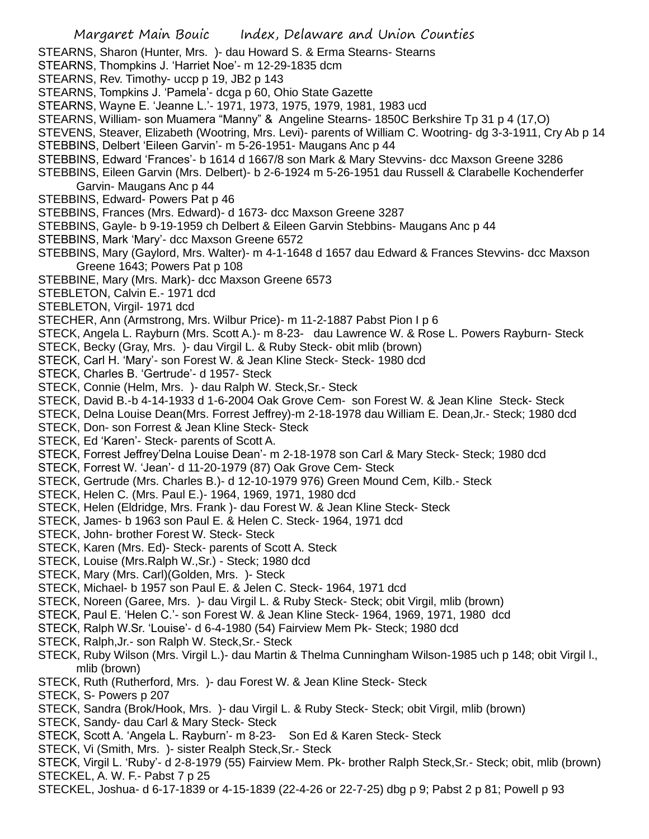STEARNS, Sharon (Hunter, Mrs. )- dau Howard S. & Erma Stearns- Stearns

- STEARNS, Thompkins J. 'Harriet Noe'- m 12-29-1835 dcm
- STEARNS, Rev. Timothy- uccp p 19, JB2 p 143
- STEARNS, Tompkins J. 'Pamela'- dcga p 60, Ohio State Gazette
- STEARNS, Wayne E. 'Jeanne L.'- 1971, 1973, 1975, 1979, 1981, 1983 ucd
- STEARNS, William- son Muamera "Manny" & Angeline Stearns- 1850C Berkshire Tp 31 p 4 (17,O)
- STEVENS, Steaver, Elizabeth (Wootring, Mrs. Levi)- parents of William C. Wootring- dg 3-3-1911, Cry Ab p 14
- STEBBINS, Delbert 'Eileen Garvin'- m 5-26-1951- Maugans Anc p 44
- STEBBINS, Edward 'Frances'- b 1614 d 1667/8 son Mark & Mary Stevvins- dcc Maxson Greene 3286
- STEBBINS, Eileen Garvin (Mrs. Delbert)- b 2-6-1924 m 5-26-1951 dau Russell & Clarabelle Kochenderfer Garvin- Maugans Anc p 44
- STEBBINS, Edward- Powers Pat p 46
- STEBBINS, Frances (Mrs. Edward)- d 1673- dcc Maxson Greene 3287
- STEBBINS, Gayle- b 9-19-1959 ch Delbert & Eileen Garvin Stebbins- Maugans Anc p 44
- STEBBINS, Mark 'Mary'- dcc Maxson Greene 6572
- STEBBINS, Mary (Gaylord, Mrs. Walter)- m 4-1-1648 d 1657 dau Edward & Frances Stevvins- dcc Maxson Greene 1643; Powers Pat p 108
- STEBBINE, Mary (Mrs. Mark)- dcc Maxson Greene 6573
- STEBLETON, Calvin E.- 1971 dcd
- STEBLETON, Virgil- 1971 dcd
- STECHER, Ann (Armstrong, Mrs. Wilbur Price)- m 11-2-1887 Pabst Pion I p 6
- STECK, Angela L. Rayburn (Mrs. Scott A.)- m 8-23- dau Lawrence W. & Rose L. Powers Rayburn- Steck
- STECK, Becky (Gray, Mrs. )- dau Virgil L. & Ruby Steck- obit mlib (brown)
- STECK, Carl H. 'Mary'- son Forest W. & Jean Kline Steck- Steck- 1980 dcd
- STECK, Charles B. 'Gertrude'- d 1957- Steck
- STECK, Connie (Helm, Mrs. )- dau Ralph W. Steck,Sr.- Steck
- STECK, David B.-b 4-14-1933 d 1-6-2004 Oak Grove Cem- son Forest W. & Jean Kline Steck- Steck
- STECK, Delna Louise Dean(Mrs. Forrest Jeffrey)-m 2-18-1978 dau William E. Dean,Jr.- Steck; 1980 dcd
- STECK, Don- son Forrest & Jean Kline Steck- Steck
- STECK, Ed 'Karen'- Steck- parents of Scott A.
- STECK, Forrest Jeffrey'Delna Louise Dean'- m 2-18-1978 son Carl & Mary Steck- Steck; 1980 dcd
- STECK, Forrest W. 'Jean'- d 11-20-1979 (87) Oak Grove Cem- Steck
- STECK, Gertrude (Mrs. Charles B.)- d 12-10-1979 976) Green Mound Cem, Kilb.- Steck
- STECK, Helen C. (Mrs. Paul E.)- 1964, 1969, 1971, 1980 dcd
- STECK, Helen (Eldridge, Mrs. Frank )- dau Forest W. & Jean Kline Steck- Steck
- STECK, James- b 1963 son Paul E. & Helen C. Steck- 1964, 1971 dcd
- STECK, John- brother Forest W. Steck- Steck
- STECK, Karen (Mrs. Ed)- Steck- parents of Scott A. Steck
- STECK, Louise (Mrs.Ralph W.,Sr.) Steck; 1980 dcd
- STECK, Mary (Mrs. Carl)(Golden, Mrs. )- Steck
- STECK, Michael- b 1957 son Paul E. & Jelen C. Steck- 1964, 1971 dcd
- STECK, Noreen (Garee, Mrs. )- dau Virgil L. & Ruby Steck- Steck; obit Virgil, mlib (brown)
- STECK, Paul E. 'Helen C.'- son Forest W. & Jean Kline Steck- 1964, 1969, 1971, 1980 dcd
- STECK, Ralph W.Sr. 'Louise'- d 6-4-1980 (54) Fairview Mem Pk- Steck; 1980 dcd
- STECK, Ralph,Jr.- son Ralph W. Steck,Sr.- Steck
- STECK, Ruby Wilson (Mrs. Virgil L.)- dau Martin & Thelma Cunningham Wilson-1985 uch p 148; obit Virgil l., mlib (brown)
- STECK, Ruth (Rutherford, Mrs. )- dau Forest W. & Jean Kline Steck- Steck
- STECK, S- Powers p 207
- STECK, Sandra (Brok/Hook, Mrs. )- dau Virgil L. & Ruby Steck- Steck; obit Virgil, mlib (brown)
- STECK, Sandy- dau Carl & Mary Steck- Steck
- STECK, Scott A. 'Angela L. Rayburn'- m 8-23- Son Ed & Karen Steck- Steck
- STECK, Vi (Smith, Mrs. )- sister Realph Steck,Sr.- Steck
- STECK, Virgil L. 'Ruby'- d 2-8-1979 (55) Fairview Mem. Pk- brother Ralph Steck,Sr.- Steck; obit, mlib (brown) STECKEL, A. W. F.- Pabst 7 p 25
- STECKEL, Joshua- d 6-17-1839 or 4-15-1839 (22-4-26 or 22-7-25) dbg p 9; Pabst 2 p 81; Powell p 93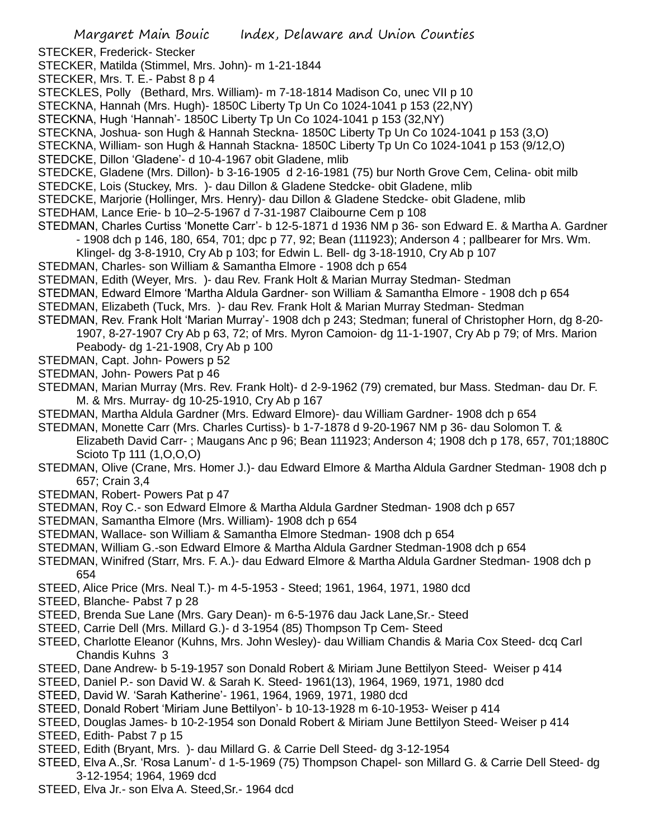STECKER, Frederick- Stecker

- STECKER, Matilda (Stimmel, Mrs. John)- m 1-21-1844
- STECKER, Mrs. T. E.- Pabst 8 p 4
- STECKLES, Polly (Bethard, Mrs. William)- m 7-18-1814 Madison Co, unec VII p 10
- STECKNA, Hannah (Mrs. Hugh)- 1850C Liberty Tp Un Co 1024-1041 p 153 (22,NY)
- STECKNA, Hugh 'Hannah'- 1850C Liberty Tp Un Co 1024-1041 p 153 (32,NY)
- STECKNA, Joshua- son Hugh & Hannah Steckna- 1850C Liberty Tp Un Co 1024-1041 p 153 (3,O)
- STECKNA, William- son Hugh & Hannah Stackna- 1850C Liberty Tp Un Co 1024-1041 p 153 (9/12,O)
- STEDCKE, Dillon 'Gladene'- d 10-4-1967 obit Gladene, mlib
- STEDCKE, Gladene (Mrs. Dillon)- b 3-16-1905 d 2-16-1981 (75) bur North Grove Cem, Celina- obit milb
- STEDCKE, Lois (Stuckey, Mrs. )- dau Dillon & Gladene Stedcke- obit Gladene, mlib
- STEDCKE, Marjorie (Hollinger, Mrs. Henry)- dau Dillon & Gladene Stedcke- obit Gladene, mlib
- STEDHAM, Lance Erie- b 10–2-5-1967 d 7-31-1987 Claibourne Cem p 108
- STEDMAN, Charles Curtiss 'Monette Carr'- b 12-5-1871 d 1936 NM p 36- son Edward E. & Martha A. Gardner - 1908 dch p 146, 180, 654, 701; dpc p 77, 92; Bean (111923); Anderson 4 ; pallbearer for Mrs. Wm.
	- Klingel- dg 3-8-1910, Cry Ab p 103; for Edwin L. Bell- dg 3-18-1910, Cry Ab p 107
- STEDMAN, Charles- son William & Samantha Elmore 1908 dch p 654
- STEDMAN, Edith (Weyer, Mrs. )- dau Rev. Frank Holt & Marian Murray Stedman- Stedman
- STEDMAN, Edward Elmore 'Martha Aldula Gardner- son William & Samantha Elmore 1908 dch p 654
- STEDMAN, Elizabeth (Tuck, Mrs. )- dau Rev. Frank Holt & Marian Murray Stedman- Stedman
- STEDMAN, Rev. Frank Holt 'Marian Murray'- 1908 dch p 243; Stedman; funeral of Christopher Horn, dg 8-20- 1907, 8-27-1907 Cry Ab p 63, 72; of Mrs. Myron Camoion- dg 11-1-1907, Cry Ab p 79; of Mrs. Marion Peabody- dg 1-21-1908, Cry Ab p 100
- STEDMAN, Capt. John- Powers p 52
- STEDMAN, John- Powers Pat p 46
- STEDMAN, Marian Murray (Mrs. Rev. Frank Holt)- d 2-9-1962 (79) cremated, bur Mass. Stedman- dau Dr. F. M. & Mrs. Murray- dg 10-25-1910, Cry Ab p 167
- STEDMAN, Martha Aldula Gardner (Mrs. Edward Elmore)- dau William Gardner- 1908 dch p 654
- STEDMAN, Monette Carr (Mrs. Charles Curtiss)- b 1-7-1878 d 9-20-1967 NM p 36- dau Solomon T. & Elizabeth David Carr- ; Maugans Anc p 96; Bean 111923; Anderson 4; 1908 dch p 178, 657, 701;1880C Scioto Tp 111 (1,O,O,O)
- STEDMAN, Olive (Crane, Mrs. Homer J.)- dau Edward Elmore & Martha Aldula Gardner Stedman- 1908 dch p 657; Crain 3,4
- STEDMAN, Robert- Powers Pat p 47
- STEDMAN, Roy C.- son Edward Elmore & Martha Aldula Gardner Stedman- 1908 dch p 657
- STEDMAN, Samantha Elmore (Mrs. William)- 1908 dch p 654
- STEDMAN, Wallace- son William & Samantha Elmore Stedman- 1908 dch p 654
- STEDMAN, William G.-son Edward Elmore & Martha Aldula Gardner Stedman-1908 dch p 654
- STEDMAN, Winifred (Starr, Mrs. F. A.)- dau Edward Elmore & Martha Aldula Gardner Stedman- 1908 dch p 654
- STEED, Alice Price (Mrs. Neal T.)- m 4-5-1953 Steed; 1961, 1964, 1971, 1980 dcd
- STEED, Blanche- Pabst 7 p 28
- STEED, Brenda Sue Lane (Mrs. Gary Dean)- m 6-5-1976 dau Jack Lane,Sr.- Steed
- STEED, Carrie Dell (Mrs. Millard G.)- d 3-1954 (85) Thompson Tp Cem- Steed
- STEED, Charlotte Eleanor (Kuhns, Mrs. John Wesley)- dau William Chandis & Maria Cox Steed- dcq Carl Chandis Kuhns 3
- STEED, Dane Andrew- b 5-19-1957 son Donald Robert & Miriam June Bettilyon Steed- Weiser p 414
- STEED, Daniel P.- son David W. & Sarah K. Steed- 1961(13), 1964, 1969, 1971, 1980 dcd
- STEED, David W. 'Sarah Katherine'- 1961, 1964, 1969, 1971, 1980 dcd
- STEED, Donald Robert 'Miriam June Bettilyon'- b 10-13-1928 m 6-10-1953- Weiser p 414
- STEED, Douglas James- b 10-2-1954 son Donald Robert & Miriam June Bettilyon Steed- Weiser p 414 STEED, Edith- Pabst 7 p 15
- STEED, Edith (Bryant, Mrs. )- dau Millard G. & Carrie Dell Steed- dg 3-12-1954
- STEED, Elva A.,Sr. 'Rosa Lanum'- d 1-5-1969 (75) Thompson Chapel- son Millard G. & Carrie Dell Steed- dg 3-12-1954; 1964, 1969 dcd
- STEED, Elva Jr.- son Elva A. Steed,Sr.- 1964 dcd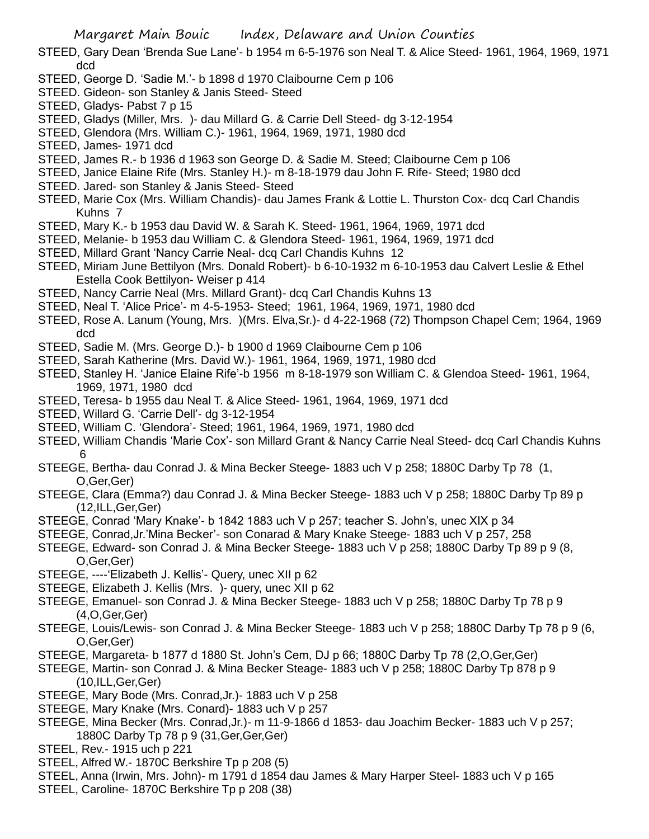Margaret Main Bouic Index, Delaware and Union Counties

- STEED, Gary Dean 'Brenda Sue Lane'- b 1954 m 6-5-1976 son Neal T. & Alice Steed- 1961, 1964, 1969, 1971 dcd
- STEED, George D. 'Sadie M.'- b 1898 d 1970 Claibourne Cem p 106
- STEED. Gideon- son Stanley & Janis Steed- Steed
- STEED, Gladys- Pabst 7 p 15
- STEED, Gladys (Miller, Mrs. )- dau Millard G. & Carrie Dell Steed- dg 3-12-1954
- STEED, Glendora (Mrs. William C.)- 1961, 1964, 1969, 1971, 1980 dcd
- STEED, James- 1971 dcd
- STEED, James R.- b 1936 d 1963 son George D. & Sadie M. Steed; Claibourne Cem p 106
- STEED, Janice Elaine Rife (Mrs. Stanley H.)- m 8-18-1979 dau John F. Rife- Steed; 1980 dcd
- STEED. Jared- son Stanley & Janis Steed- Steed
- STEED, Marie Cox (Mrs. William Chandis)- dau James Frank & Lottie L. Thurston Cox- dcq Carl Chandis Kuhns 7
- STEED, Mary K.- b 1953 dau David W. & Sarah K. Steed- 1961, 1964, 1969, 1971 dcd
- STEED, Melanie- b 1953 dau William C. & Glendora Steed- 1961, 1964, 1969, 1971 dcd
- STEED, Millard Grant 'Nancy Carrie Neal- dcq Carl Chandis Kuhns 12
- STEED, Miriam June Bettilyon (Mrs. Donald Robert)- b 6-10-1932 m 6-10-1953 dau Calvert Leslie & Ethel Estella Cook Bettilyon- Weiser p 414
- STEED, Nancy Carrie Neal (Mrs. Millard Grant)- dcq Carl Chandis Kuhns 13
- STEED, Neal T. 'Alice Price'- m 4-5-1953- Steed; 1961, 1964, 1969, 1971, 1980 dcd
- STEED, Rose A. Lanum (Young, Mrs. )(Mrs. Elva,Sr.)- d 4-22-1968 (72) Thompson Chapel Cem; 1964, 1969 dcd
- STEED, Sadie M. (Mrs. George D.)- b 1900 d 1969 Claibourne Cem p 106
- STEED, Sarah Katherine (Mrs. David W.)- 1961, 1964, 1969, 1971, 1980 dcd
- STEED, Stanley H. 'Janice Elaine Rife'-b 1956 m 8-18-1979 son William C. & Glendoa Steed- 1961, 1964, 1969, 1971, 1980 dcd
- STEED, Teresa- b 1955 dau Neal T. & Alice Steed- 1961, 1964, 1969, 1971 dcd
- STEED, Willard G. 'Carrie Dell'- dg 3-12-1954
- STEED, William C. 'Glendora'- Steed; 1961, 1964, 1969, 1971, 1980 dcd
- STEED, William Chandis 'Marie Cox'- son Millard Grant & Nancy Carrie Neal Steed- dcq Carl Chandis Kuhns 6
- STEEGE, Bertha- dau Conrad J. & Mina Becker Steege- 1883 uch V p 258; 1880C Darby Tp 78 (1, O,Ger,Ger)
- STEEGE, Clara (Emma?) dau Conrad J. & Mina Becker Steege- 1883 uch V p 258; 1880C Darby Tp 89 p (12,ILL,Ger,Ger)
- STEEGE, Conrad 'Mary Knake'- b 1842 1883 uch V p 257; teacher S. John's, unec XIX p 34
- STEEGE, Conrad,Jr.'Mina Becker'- son Conarad & Mary Knake Steege- 1883 uch V p 257, 258
- STEEGE, Edward- son Conrad J. & Mina Becker Steege- 1883 uch V p 258; 1880C Darby Tp 89 p 9 (8, O,Ger,Ger)
- STEEGE, ----'Elizabeth J. Kellis'- Query, unec XII p 62
- STEEGE, Elizabeth J. Kellis (Mrs. )- query, unec XII p 62
- STEEGE, Emanuel- son Conrad J. & Mina Becker Steege- 1883 uch V p 258; 1880C Darby Tp 78 p 9 (4,O,Ger,Ger)
- STEEGE, Louis/Lewis- son Conrad J. & Mina Becker Steege- 1883 uch V p 258; 1880C Darby Tp 78 p 9 (6, O,Ger,Ger)
- STEEGE, Margareta- b 1877 d 1880 St. John's Cem, DJ p 66; 1880C Darby Tp 78 (2,O,Ger,Ger)
- STEEGE, Martin- son Conrad J. & Mina Becker Steage- 1883 uch V p 258; 1880C Darby Tp 878 p 9 (10,ILL,Ger,Ger)
- STEEGE, Mary Bode (Mrs. Conrad,Jr.)- 1883 uch V p 258
- STEEGE, Mary Knake (Mrs. Conard)- 1883 uch V p 257
- STEEGE, Mina Becker (Mrs. Conrad,Jr.)- m 11-9-1866 d 1853- dau Joachim Becker- 1883 uch V p 257; 1880C Darby Tp 78 p 9 (31,Ger,Ger,Ger)
- STEEL, Rev.- 1915 uch p 221
- STEEL, Alfred W.- 1870C Berkshire Tp p 208 (5)
- STEEL, Anna (Irwin, Mrs. John)- m 1791 d 1854 dau James & Mary Harper Steel- 1883 uch V p 165
- STEEL, Caroline- 1870C Berkshire Tp p 208 (38)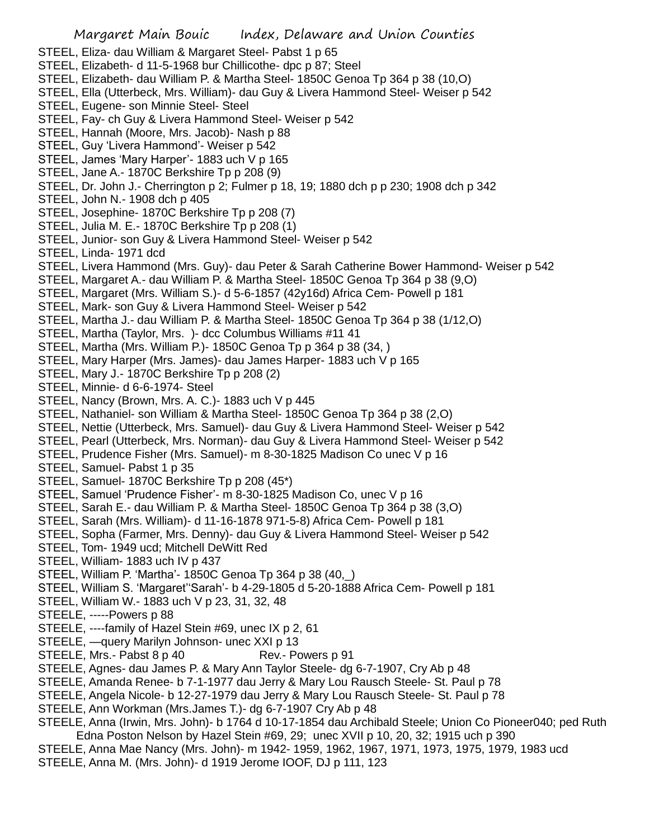- STEEL, Eliza- dau William & Margaret Steel- Pabst 1 p 65
- STEEL, Elizabeth- d 11-5-1968 bur Chillicothe- dpc p 87; Steel
- STEEL, Elizabeth- dau William P. & Martha Steel- 1850C Genoa Tp 364 p 38 (10,O)
- STEEL, Ella (Utterbeck, Mrs. William)- dau Guy & Livera Hammond Steel- Weiser p 542
- STEEL, Eugene- son Minnie Steel- Steel
- STEEL, Fay- ch Guy & Livera Hammond Steel- Weiser p 542
- STEEL, Hannah (Moore, Mrs. Jacob)- Nash p 88
- STEEL, Guy 'Livera Hammond'- Weiser p 542
- STEEL, James 'Mary Harper'- 1883 uch V p 165
- STEEL, Jane A.- 1870C Berkshire Tp p 208 (9)
- STEEL, Dr. John J.- Cherrington p 2; Fulmer p 18, 19; 1880 dch p p 230; 1908 dch p 342
- STEEL, John N.- 1908 dch p 405
- STEEL, Josephine- 1870C Berkshire Tp p 208 (7)
- STEEL, Julia M. E.- 1870C Berkshire Tp p 208 (1)
- STEEL, Junior- son Guy & Livera Hammond Steel- Weiser p 542
- STEEL, Linda- 1971 dcd
- STEEL, Livera Hammond (Mrs. Guy)- dau Peter & Sarah Catherine Bower Hammond- Weiser p 542
- STEEL, Margaret A.- dau William P. & Martha Steel- 1850C Genoa Tp 364 p 38 (9,O)
- STEEL, Margaret (Mrs. William S.)- d 5-6-1857 (42y16d) Africa Cem- Powell p 181
- STEEL, Mark- son Guy & Livera Hammond Steel- Weiser p 542
- STEEL, Martha J.- dau William P. & Martha Steel- 1850C Genoa Tp 364 p 38 (1/12,O)
- STEEL, Martha (Taylor, Mrs. )- dcc Columbus Williams #11 41
- STEEL, Martha (Mrs. William P.)- 1850C Genoa Tp p 364 p 38 (34, )
- STEEL, Mary Harper (Mrs. James)- dau James Harper- 1883 uch V p 165
- STEEL, Mary J.- 1870C Berkshire Tp p 208 (2)
- STEEL, Minnie- d 6-6-1974- Steel
- STEEL, Nancy (Brown, Mrs. A. C.)- 1883 uch V p 445
- STEEL, Nathaniel- son William & Martha Steel- 1850C Genoa Tp 364 p 38 (2,O)
- STEEL, Nettie (Utterbeck, Mrs. Samuel)- dau Guy & Livera Hammond Steel- Weiser p 542
- STEEL, Pearl (Utterbeck, Mrs. Norman)- dau Guy & Livera Hammond Steel- Weiser p 542
- STEEL, Prudence Fisher (Mrs. Samuel)- m 8-30-1825 Madison Co unec V p 16
- STEEL, Samuel- Pabst 1 p 35
- STEEL, Samuel- 1870C Berkshire Tp p 208 (45\*)
- STEEL, Samuel 'Prudence Fisher'- m 8-30-1825 Madison Co, unec V p 16
- STEEL, Sarah E.- dau William P. & Martha Steel- 1850C Genoa Tp 364 p 38 (3,O)
- STEEL, Sarah (Mrs. William)- d 11-16-1878 971-5-8) Africa Cem- Powell p 181
- STEEL, Sopha (Farmer, Mrs. Denny)- dau Guy & Livera Hammond Steel- Weiser p 542
- STEEL, Tom- 1949 ucd; Mitchell DeWitt Red
- STEEL, William- 1883 uch IV p 437
- STEEL, William P. 'Martha'- 1850C Genoa Tp 364 p 38 (40,\_)
- STEEL, William S. 'Margaret''Sarah'- b 4-29-1805 d 5-20-1888 Africa Cem- Powell p 181
- STEEL, William W.- 1883 uch V p 23, 31, 32, 48
- STEELE, -----Powers p 88
- STEELE, ----family of Hazel Stein #69, unec IX p 2, 61
- STEELE, —query Marilyn Johnson- unec XXI p 13
- STEELE, Mrs.- Pabst 8 p 40 Rev.- Powers p 91
- STEELE, Agnes- dau James P. & Mary Ann Taylor Steele- dg 6-7-1907, Cry Ab p 48
- STEELE, Amanda Renee- b 7-1-1977 dau Jerry & Mary Lou Rausch Steele- St. Paul p 78
- STEELE, Angela Nicole- b 12-27-1979 dau Jerry & Mary Lou Rausch Steele- St. Paul p 78
- STEELE, Ann Workman (Mrs.James T.)- dg 6-7-1907 Cry Ab p 48
- STEELE, Anna (Irwin, Mrs. John)- b 1764 d 10-17-1854 dau Archibald Steele; Union Co Pioneer040; ped Ruth Edna Poston Nelson by Hazel Stein #69, 29; unec XVII p 10, 20, 32; 1915 uch p 390
- STEELE, Anna Mae Nancy (Mrs. John)- m 1942- 1959, 1962, 1967, 1971, 1973, 1975, 1979, 1983 ucd
- STEELE, Anna M. (Mrs. John)- d 1919 Jerome IOOF, DJ p 111, 123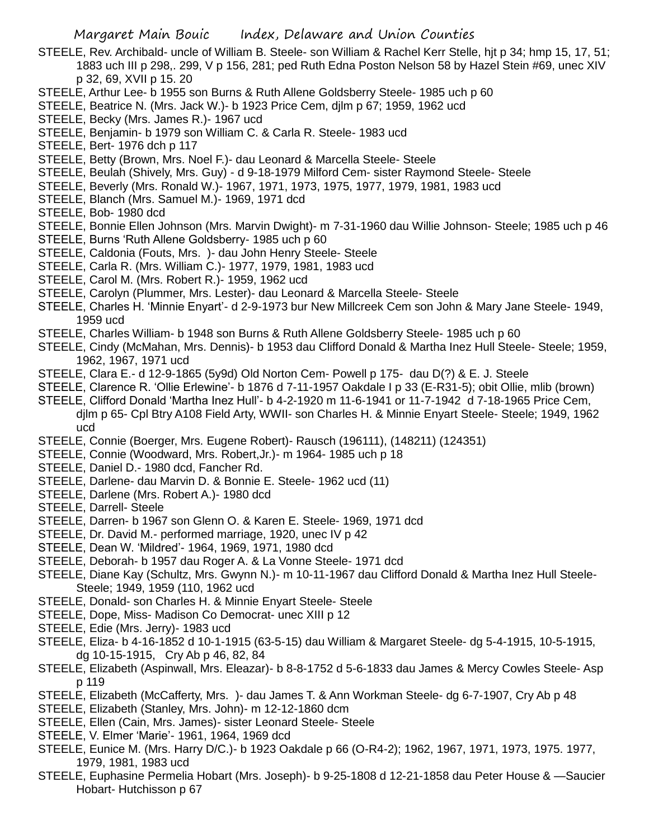- STEELE, Rev. Archibald- uncle of William B. Steele- son William & Rachel Kerr Stelle, hjt p 34; hmp 15, 17, 51; 1883 uch III p 298,. 299, V p 156, 281; ped Ruth Edna Poston Nelson 58 by Hazel Stein #69, unec XIV p 32, 69, XVII p 15. 20
- STEELE, Arthur Lee- b 1955 son Burns & Ruth Allene Goldsberry Steele- 1985 uch p 60
- STEELE, Beatrice N. (Mrs. Jack W.)- b 1923 Price Cem, djlm p 67; 1959, 1962 ucd
- STEELE, Becky (Mrs. James R.)- 1967 ucd
- STEELE, Benjamin- b 1979 son William C. & Carla R. Steele- 1983 ucd
- STEELE, Bert- 1976 dch p 117
- STEELE, Betty (Brown, Mrs. Noel F.)- dau Leonard & Marcella Steele- Steele
- STEELE, Beulah (Shively, Mrs. Guy) d 9-18-1979 Milford Cem- sister Raymond Steele- Steele
- STEELE, Beverly (Mrs. Ronald W.)- 1967, 1971, 1973, 1975, 1977, 1979, 1981, 1983 ucd
- STEELE, Blanch (Mrs. Samuel M.)- 1969, 1971 dcd
- STEELE, Bob- 1980 dcd
- STEELE, Bonnie Ellen Johnson (Mrs. Marvin Dwight)- m 7-31-1960 dau Willie Johnson- Steele; 1985 uch p 46
- STEELE, Burns 'Ruth Allene Goldsberry- 1985 uch p 60
- STEELE, Caldonia (Fouts, Mrs. )- dau John Henry Steele- Steele
- STEELE, Carla R. (Mrs. William C.)- 1977, 1979, 1981, 1983 ucd
- STEELE, Carol M. (Mrs. Robert R.)- 1959, 1962 ucd
- STEELE, Carolyn (Plummer, Mrs. Lester)- dau Leonard & Marcella Steele- Steele
- STEELE, Charles H. 'Minnie Enyart'- d 2-9-1973 bur New Millcreek Cem son John & Mary Jane Steele- 1949, 1959 ucd
- STEELE, Charles William- b 1948 son Burns & Ruth Allene Goldsberry Steele- 1985 uch p 60
- STEELE, Cindy (McMahan, Mrs. Dennis)- b 1953 dau Clifford Donald & Martha Inez Hull Steele- Steele; 1959, 1962, 1967, 1971 ucd
- STEELE, Clara E.- d 12-9-1865 (5y9d) Old Norton Cem- Powell p 175- dau D(?) & E. J. Steele
- STEELE, Clarence R. 'Ollie Erlewine'- b 1876 d 7-11-1957 Oakdale I p 33 (E-R31-5); obit Ollie, mlib (brown)
- STEELE, Clifford Donald 'Martha Inez Hull'- b 4-2-1920 m 11-6-1941 or 11-7-1942 d 7-18-1965 Price Cem, djlm p 65- Cpl Btry A108 Field Arty, WWII- son Charles H. & Minnie Enyart Steele- Steele; 1949, 1962 ucd
- STEELE, Connie (Boerger, Mrs. Eugene Robert)- Rausch (196111), (148211) (124351)
- STEELE, Connie (Woodward, Mrs. Robert,Jr.)- m 1964- 1985 uch p 18
- STEELE, Daniel D.- 1980 dcd, Fancher Rd.
- STEELE, Darlene- dau Marvin D. & Bonnie E. Steele- 1962 ucd (11)
- STEELE, Darlene (Mrs. Robert A.)- 1980 dcd
- STEELE, Darrell- Steele
- STEELE, Darren- b 1967 son Glenn O. & Karen E. Steele- 1969, 1971 dcd
- STEELE, Dr. David M.- performed marriage, 1920, unec IV p 42
- STEELE, Dean W. 'Mildred'- 1964, 1969, 1971, 1980 dcd
- STEELE, Deborah- b 1957 dau Roger A. & La Vonne Steele- 1971 dcd
- STEELE, Diane Kay (Schultz, Mrs. Gwynn N.)- m 10-11-1967 dau Clifford Donald & Martha Inez Hull Steele-Steele; 1949, 1959 (110, 1962 ucd
- STEELE, Donald- son Charles H. & Minnie Enyart Steele- Steele
- STEELE, Dope, Miss- Madison Co Democrat- unec XIII p 12
- STEELE, Edie (Mrs. Jerry)- 1983 ucd
- STEELE, Eliza- b 4-16-1852 d 10-1-1915 (63-5-15) dau William & Margaret Steele- dg 5-4-1915, 10-5-1915, dg 10-15-1915, Cry Ab p 46, 82, 84
- STEELE, Elizabeth (Aspinwall, Mrs. Eleazar)- b 8-8-1752 d 5-6-1833 dau James & Mercy Cowles Steele- Asp p 119
- STEELE, Elizabeth (McCafferty, Mrs. )- dau James T. & Ann Workman Steele- dg 6-7-1907, Cry Ab p 48
- STEELE, Elizabeth (Stanley, Mrs. John)- m 12-12-1860 dcm
- STEELE, Ellen (Cain, Mrs. James)- sister Leonard Steele- Steele
- STEELE, V. Elmer 'Marie'- 1961, 1964, 1969 dcd
- STEELE, Eunice M. (Mrs. Harry D/C.)- b 1923 Oakdale p 66 (O-R4-2); 1962, 1967, 1971, 1973, 1975. 1977, 1979, 1981, 1983 ucd
- STEELE, Euphasine Permelia Hobart (Mrs. Joseph)- b 9-25-1808 d 12-21-1858 dau Peter House & —Saucier Hobart- Hutchisson p 67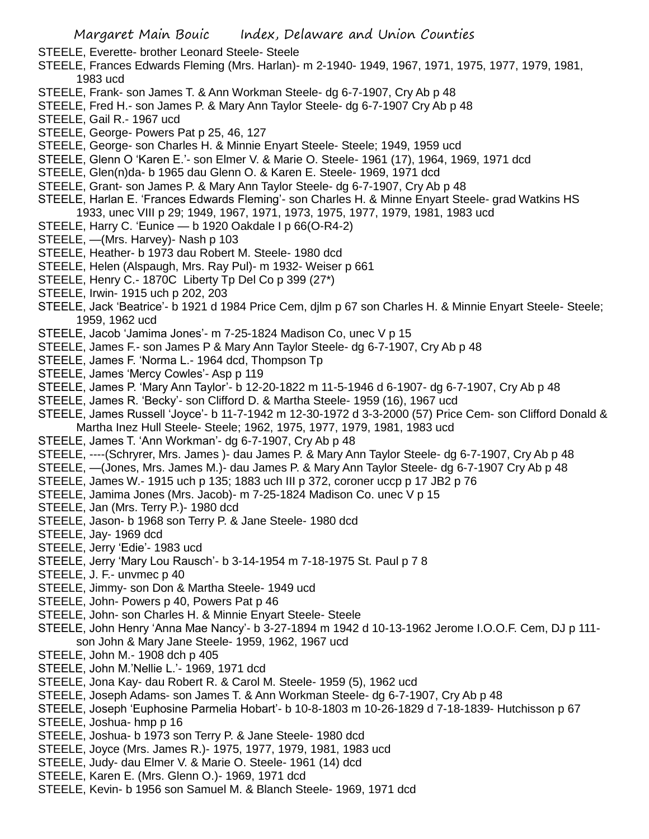STEELE, Everette- brother Leonard Steele- Steele

- STEELE, Frances Edwards Fleming (Mrs. Harlan)- m 2-1940- 1949, 1967, 1971, 1975, 1977, 1979, 1981, 1983 ucd
- STEELE, Frank- son James T. & Ann Workman Steele- dg 6-7-1907, Cry Ab p 48
- STEELE, Fred H.- son James P. & Mary Ann Taylor Steele- dg 6-7-1907 Cry Ab p 48
- STEELE, Gail R.- 1967 ucd
- STEELE, George- Powers Pat p 25, 46, 127
- STEELE, George- son Charles H. & Minnie Enyart Steele- Steele; 1949, 1959 ucd
- STEELE, Glenn O 'Karen E.'- son Elmer V. & Marie O. Steele- 1961 (17), 1964, 1969, 1971 dcd
- STEELE, Glen(n)da- b 1965 dau Glenn O. & Karen E. Steele- 1969, 1971 dcd
- STEELE, Grant- son James P. & Mary Ann Taylor Steele- dg 6-7-1907, Cry Ab p 48
- STEELE, Harlan E. 'Frances Edwards Fleming'- son Charles H. & Minne Enyart Steele- grad Watkins HS 1933, unec VIII p 29; 1949, 1967, 1971, 1973, 1975, 1977, 1979, 1981, 1983 ucd
- STEELE, Harry C. 'Eunice b 1920 Oakdale I p 66(O-R4-2)
- STEELE, —(Mrs. Harvey)- Nash p 103
- STEELE, Heather- b 1973 dau Robert M. Steele- 1980 dcd
- STEELE, Helen (Alspaugh, Mrs. Ray Pul)- m 1932- Weiser p 661
- STEELE, Henry C.- 1870C Liberty Tp Del Co p 399 (27\*)
- STEELE, Irwin- 1915 uch p 202, 203
- STEELE, Jack 'Beatrice'- b 1921 d 1984 Price Cem, djlm p 67 son Charles H. & Minnie Enyart Steele- Steele; 1959, 1962 ucd
- STEELE, Jacob 'Jamima Jones'- m 7-25-1824 Madison Co, unec V p 15
- STEELE, James F.- son James P & Mary Ann Taylor Steele- dg 6-7-1907, Cry Ab p 48
- STEELE, James F. 'Norma L.- 1964 dcd, Thompson Tp
- STEELE, James 'Mercy Cowles'- Asp p 119
- STEELE, James P. 'Mary Ann Taylor'- b 12-20-1822 m 11-5-1946 d 6-1907- dg 6-7-1907, Cry Ab p 48
- STEELE, James R. 'Becky'- son Clifford D. & Martha Steele- 1959 (16), 1967 ucd
- STEELE, James Russell 'Joyce'- b 11-7-1942 m 12-30-1972 d 3-3-2000 (57) Price Cem- son Clifford Donald & Martha Inez Hull Steele- Steele; 1962, 1975, 1977, 1979, 1981, 1983 ucd
- STEELE, James T. 'Ann Workman'- dg 6-7-1907, Cry Ab p 48
- STEELE, ----(Schryrer, Mrs. James )- dau James P. & Mary Ann Taylor Steele- dg 6-7-1907, Cry Ab p 48
- STEELE, —(Jones, Mrs. James M.)- dau James P. & Mary Ann Taylor Steele- dg 6-7-1907 Cry Ab p 48
- STEELE, James W.- 1915 uch p 135; 1883 uch III p 372, coroner uccp p 17 JB2 p 76
- STEELE, Jamima Jones (Mrs. Jacob)- m 7-25-1824 Madison Co. unec V p 15
- STEELE, Jan (Mrs. Terry P.)- 1980 dcd
- STEELE, Jason- b 1968 son Terry P. & Jane Steele- 1980 dcd
- STEELE, Jay- 1969 dcd
- STEELE, Jerry 'Edie'- 1983 ucd
- STEELE, Jerry 'Mary Lou Rausch'- b 3-14-1954 m 7-18-1975 St. Paul p 7 8
- STEELE, J. F.- unvmec p 40
- STEELE, Jimmy- son Don & Martha Steele- 1949 ucd
- STEELE, John- Powers p 40, Powers Pat p 46
- STEELE, John- son Charles H. & Minnie Enyart Steele- Steele
- STEELE, John Henry 'Anna Mae Nancy'- b 3-27-1894 m 1942 d 10-13-1962 Jerome I.O.O.F. Cem, DJ p 111 son John & Mary Jane Steele- 1959, 1962, 1967 ucd
- STEELE, John M.- 1908 dch p 405
- STEELE, John M.'Nellie L.'- 1969, 1971 dcd
- STEELE, Jona Kay- dau Robert R. & Carol M. Steele- 1959 (5), 1962 ucd
- STEELE, Joseph Adams- son James T. & Ann Workman Steele- dg 6-7-1907, Cry Ab p 48
- STEELE, Joseph 'Euphosine Parmelia Hobart'- b 10-8-1803 m 10-26-1829 d 7-18-1839- Hutchisson p 67
- STEELE, Joshua- hmp p 16
- STEELE, Joshua- b 1973 son Terry P. & Jane Steele- 1980 dcd
- STEELE, Joyce (Mrs. James R.)- 1975, 1977, 1979, 1981, 1983 ucd
- STEELE, Judy- dau Elmer V. & Marie O. Steele- 1961 (14) dcd
- STEELE, Karen E. (Mrs. Glenn O.)- 1969, 1971 dcd
- STEELE, Kevin- b 1956 son Samuel M. & Blanch Steele- 1969, 1971 dcd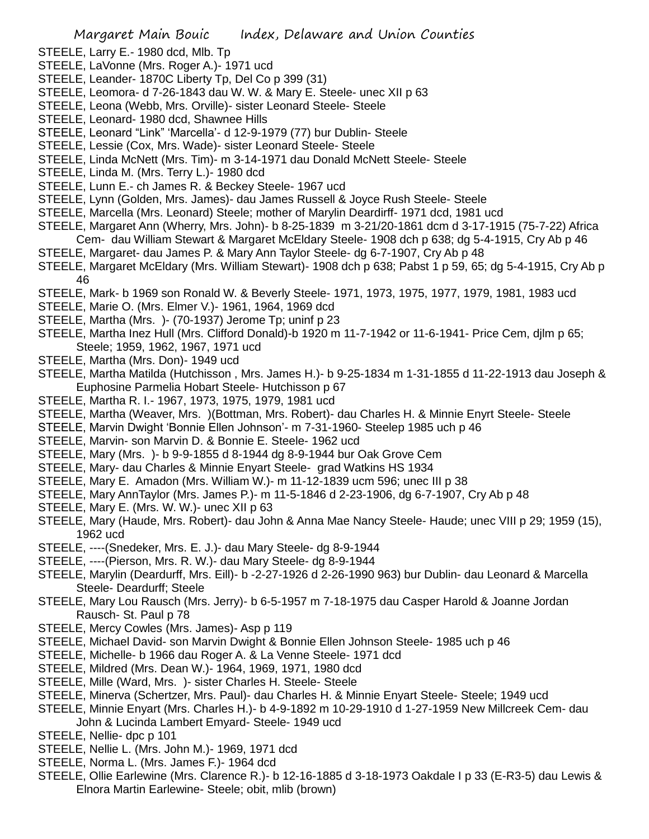- STEELE, Larry E.- 1980 dcd, Mlb. Tp
- STEELE, LaVonne (Mrs. Roger A.)- 1971 ucd
- STEELE, Leander- 1870C Liberty Tp, Del Co p 399 (31)
- STEELE, Leomora- d 7-26-1843 dau W. W. & Mary E. Steele- unec XII p 63
- STEELE, Leona (Webb, Mrs. Orville)- sister Leonard Steele- Steele
- STEELE, Leonard- 1980 dcd, Shawnee Hills
- STEELE, Leonard "Link" 'Marcella'- d 12-9-1979 (77) bur Dublin- Steele
- STEELE, Lessie (Cox, Mrs. Wade)- sister Leonard Steele- Steele
- STEELE, Linda McNett (Mrs. Tim)- m 3-14-1971 dau Donald McNett Steele- Steele
- STEELE, Linda M. (Mrs. Terry L.)- 1980 dcd
- STEELE, Lunn E.- ch James R. & Beckey Steele- 1967 ucd
- STEELE, Lynn (Golden, Mrs. James)- dau James Russell & Joyce Rush Steele- Steele
- STEELE, Marcella (Mrs. Leonard) Steele; mother of Marylin Deardirff- 1971 dcd, 1981 ucd
- STEELE, Margaret Ann (Wherry, Mrs. John)- b 8-25-1839 m 3-21/20-1861 dcm d 3-17-1915 (75-7-22) Africa
- Cem- dau William Stewart & Margaret McEldary Steele- 1908 dch p 638; dg 5-4-1915, Cry Ab p 46
- STEELE, Margaret- dau James P. & Mary Ann Taylor Steele- dg 6-7-1907, Cry Ab p 48 STEELE, Margaret McEldary (Mrs. William Stewart)- 1908 dch p 638; Pabst 1 p 59, 65; dg 5-4-1915, Cry Ab p
- 46
- STEELE, Mark- b 1969 son Ronald W. & Beverly Steele- 1971, 1973, 1975, 1977, 1979, 1981, 1983 ucd
- STEELE, Marie O. (Mrs. Elmer V.)- 1961, 1964, 1969 dcd
- STEELE, Martha (Mrs. )- (70-1937) Jerome Tp; uninf p 23
- STEELE, Martha Inez Hull (Mrs. Clifford Donald)-b 1920 m 11-7-1942 or 11-6-1941- Price Cem, djlm p 65; Steele; 1959, 1962, 1967, 1971 ucd
- STEELE, Martha (Mrs. Don)- 1949 ucd
- STEELE, Martha Matilda (Hutchisson , Mrs. James H.)- b 9-25-1834 m 1-31-1855 d 11-22-1913 dau Joseph & Euphosine Parmelia Hobart Steele- Hutchisson p 67
- STEELE, Martha R. I.- 1967, 1973, 1975, 1979, 1981 ucd
- STEELE, Martha (Weaver, Mrs. )(Bottman, Mrs. Robert)- dau Charles H. & Minnie Enyrt Steele- Steele
- STEELE, Marvin Dwight 'Bonnie Ellen Johnson'- m 7-31-1960- Steelep 1985 uch p 46
- STEELE, Marvin- son Marvin D. & Bonnie E. Steele- 1962 ucd
- STEELE, Mary (Mrs. )- b 9-9-1855 d 8-1944 dg 8-9-1944 bur Oak Grove Cem
- STEELE, Mary- dau Charles & Minnie Enyart Steele- grad Watkins HS 1934
- STEELE, Mary E. Amadon (Mrs. William W.)- m 11-12-1839 ucm 596; unec III p 38
- STEELE, Mary AnnTaylor (Mrs. James P.)- m 11-5-1846 d 2-23-1906, dg 6-7-1907, Cry Ab p 48
- STEELE, Mary E. (Mrs. W. W.)- unec XII p 63
- STEELE, Mary (Haude, Mrs. Robert)- dau John & Anna Mae Nancy Steele- Haude; unec VIII p 29; 1959 (15), 1962 ucd
- STEELE, ----(Snedeker, Mrs. E. J.)- dau Mary Steele- dg 8-9-1944
- STEELE, ----(Pierson, Mrs. R. W.)- dau Mary Steele- dg 8-9-1944
- STEELE, Marylin (Deardurff, Mrs. Eill)- b -2-27-1926 d 2-26-1990 963) bur Dublin- dau Leonard & Marcella Steele- Deardurff; Steele
- STEELE, Mary Lou Rausch (Mrs. Jerry)- b 6-5-1957 m 7-18-1975 dau Casper Harold & Joanne Jordan Rausch- St. Paul p 78
- STEELE, Mercy Cowles (Mrs. James)- Asp p 119
- STEELE, Michael David- son Marvin Dwight & Bonnie Ellen Johnson Steele- 1985 uch p 46
- STEELE, Michelle- b 1966 dau Roger A. & La Venne Steele- 1971 dcd
- STEELE, Mildred (Mrs. Dean W.)- 1964, 1969, 1971, 1980 dcd
- STEELE, Mille (Ward, Mrs. )- sister Charles H. Steele- Steele
- STEELE, Minerva (Schertzer, Mrs. Paul)- dau Charles H. & Minnie Enyart Steele- Steele; 1949 ucd
- STEELE, Minnie Enyart (Mrs. Charles H.)- b 4-9-1892 m 10-29-1910 d 1-27-1959 New Millcreek Cem- dau John & Lucinda Lambert Emyard- Steele- 1949 ucd
- STEELE, Nellie- dpc p 101
- STEELE, Nellie L. (Mrs. John M.)- 1969, 1971 dcd
- STEELE, Norma L. (Mrs. James F.)- 1964 dcd
- STEELE, Ollie Earlewine (Mrs. Clarence R.)- b 12-16-1885 d 3-18-1973 Oakdale I p 33 (E-R3-5) dau Lewis & Elnora Martin Earlewine- Steele; obit, mlib (brown)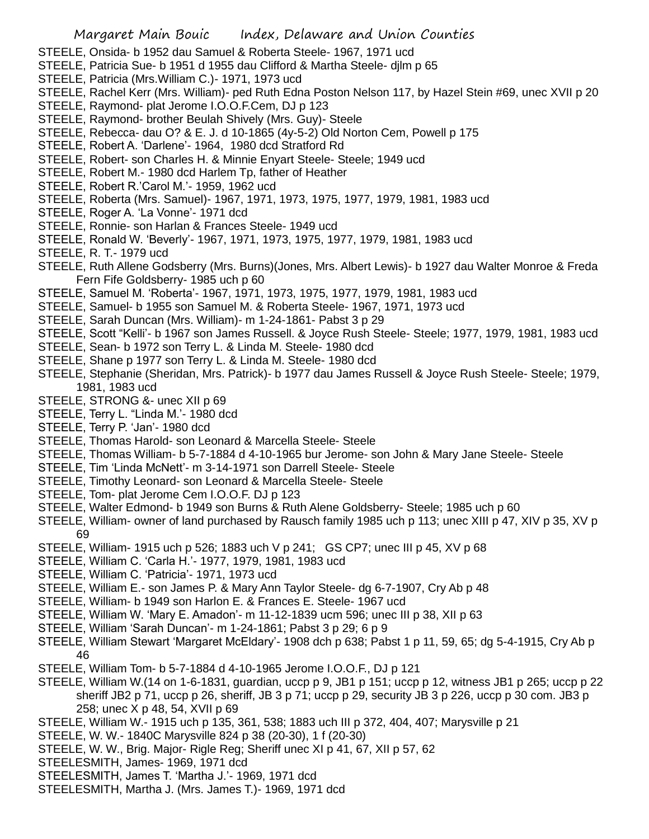- STEELE, Onsida- b 1952 dau Samuel & Roberta Steele- 1967, 1971 ucd
- STEELE, Patricia Sue- b 1951 d 1955 dau Clifford & Martha Steele- djlm p 65
- STEELE, Patricia (Mrs.William C.)- 1971, 1973 ucd
- STEELE, Rachel Kerr (Mrs. William)- ped Ruth Edna Poston Nelson 117, by Hazel Stein #69, unec XVII p 20
- STEELE, Raymond- plat Jerome I.O.O.F.Cem, DJ p 123
- STEELE, Raymond- brother Beulah Shively (Mrs. Guy)- Steele
- STEELE, Rebecca- dau O? & E. J. d 10-1865 (4y-5-2) Old Norton Cem, Powell p 175
- STEELE, Robert A. 'Darlene'- 1964, 1980 dcd Stratford Rd
- STEELE, Robert- son Charles H. & Minnie Enyart Steele- Steele; 1949 ucd
- STEELE, Robert M.- 1980 dcd Harlem Tp, father of Heather
- STEELE, Robert R.'Carol M.'- 1959, 1962 ucd
- STEELE, Roberta (Mrs. Samuel)- 1967, 1971, 1973, 1975, 1977, 1979, 1981, 1983 ucd
- STEELE, Roger A. 'La Vonne'- 1971 dcd
- STEELE, Ronnie- son Harlan & Frances Steele- 1949 ucd
- STEELE, Ronald W. 'Beverly'- 1967, 1971, 1973, 1975, 1977, 1979, 1981, 1983 ucd
- STEELE, R. T.- 1979 ucd
- STEELE, Ruth Allene Godsberry (Mrs. Burns)(Jones, Mrs. Albert Lewis)- b 1927 dau Walter Monroe & Freda Fern Fife Goldsberry- 1985 uch p 60
- STEELE, Samuel M. 'Roberta'- 1967, 1971, 1973, 1975, 1977, 1979, 1981, 1983 ucd
- STEELE, Samuel- b 1955 son Samuel M. & Roberta Steele- 1967, 1971, 1973 ucd
- STEELE, Sarah Duncan (Mrs. William)- m 1-24-1861- Pabst 3 p 29
- STEELE, Scott "Kelli'- b 1967 son James Russell. & Joyce Rush Steele- Steele; 1977, 1979, 1981, 1983 ucd
- STEELE, Sean- b 1972 son Terry L. & Linda M. Steele- 1980 dcd
- STEELE, Shane p 1977 son Terry L. & Linda M. Steele- 1980 dcd
- STEELE, Stephanie (Sheridan, Mrs. Patrick)- b 1977 dau James Russell & Joyce Rush Steele- Steele; 1979, 1981, 1983 ucd
- STEELE, STRONG &- unec XII p 69
- STEELE, Terry L. "Linda M.'- 1980 dcd
- STEELE, Terry P. 'Jan'- 1980 dcd
- STEELE, Thomas Harold- son Leonard & Marcella Steele- Steele
- STEELE, Thomas William- b 5-7-1884 d 4-10-1965 bur Jerome- son John & Mary Jane Steele- Steele
- STEELE, Tim 'Linda McNett'- m 3-14-1971 son Darrell Steele- Steele
- STEELE, Timothy Leonard- son Leonard & Marcella Steele- Steele
- STEELE, Tom- plat Jerome Cem I.O.O.F. DJ p 123
- STEELE, Walter Edmond- b 1949 son Burns & Ruth Alene Goldsberry- Steele; 1985 uch p 60
- STEELE, William- owner of land purchased by Rausch family 1985 uch p 113; unec XIII p 47, XIV p 35, XV p 69
- STEELE, William- 1915 uch p 526; 1883 uch V p 241; GS CP7; unec III p 45, XV p 68
- STEELE, William C. 'Carla H.'- 1977, 1979, 1981, 1983 ucd
- STEELE, William C. 'Patricia'- 1971, 1973 ucd
- STEELE, William E.- son James P. & Mary Ann Taylor Steele- dg 6-7-1907, Cry Ab p 48
- STEELE, William- b 1949 son Harlon E. & Frances E. Steele- 1967 ucd
- STEELE, William W. 'Mary E. Amadon'- m 11-12-1839 ucm 596; unec III p 38, XII p 63
- STEELE, William 'Sarah Duncan'- m 1-24-1861; Pabst 3 p 29; 6 p 9
- STEELE, William Stewart 'Margaret McEldary'- 1908 dch p 638; Pabst 1 p 11, 59, 65; dg 5-4-1915, Cry Ab p 46
- STEELE, William Tom- b 5-7-1884 d 4-10-1965 Jerome I.O.O.F., DJ p 121
- STEELE, William W.(14 on 1-6-1831, guardian, uccp p 9, JB1 p 151; uccp p 12, witness JB1 p 265; uccp p 22 sheriff JB2 p 71, uccp p 26, sheriff, JB 3 p 71; uccp p 29, security JB 3 p 226, uccp p 30 com. JB3 p 258; unec X p 48, 54, XVII p 69
- STEELE, William W.- 1915 uch p 135, 361, 538; 1883 uch III p 372, 404, 407; Marysville p 21
- STEELE, W. W.- 1840C Marysville 824 p 38 (20-30), 1 f (20-30)
- STEELE, W. W., Brig. Major- Rigle Reg; Sheriff unec XI p 41, 67, XII p 57, 62
- STEELESMITH, James- 1969, 1971 dcd
- STEELESMITH, James T. 'Martha J.'- 1969, 1971 dcd
- STEELESMITH, Martha J. (Mrs. James T.)- 1969, 1971 dcd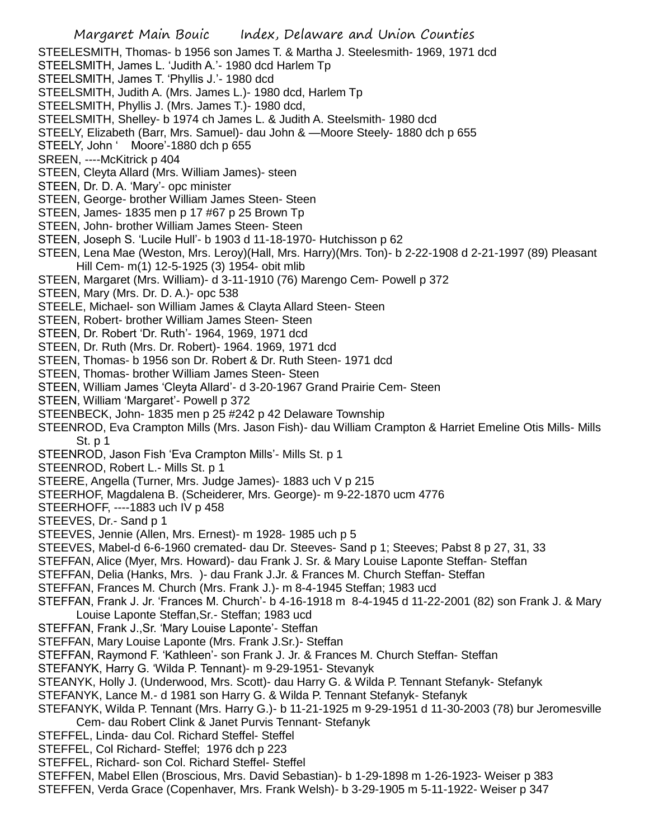- Margaret Main Bouic Index, Delaware and Union Counties STEELESMITH, Thomas- b 1956 son James T. & Martha J. Steelesmith- 1969, 1971 dcd STEELSMITH, James L. 'Judith A.'- 1980 dcd Harlem Tp STEELSMITH, James T. 'Phyllis J.'- 1980 dcd STEELSMITH, Judith A. (Mrs. James L.)- 1980 dcd, Harlem Tp STEELSMITH, Phyllis J. (Mrs. James T.)- 1980 dcd, STEELSMITH, Shelley- b 1974 ch James L. & Judith A. Steelsmith- 1980 dcd STEELY, Elizabeth (Barr, Mrs. Samuel)- dau John & —Moore Steely- 1880 dch p 655 STEELY, John ' Moore'-1880 dch p 655 SREEN, ----McKitrick p 404 STEEN, Cleyta Allard (Mrs. William James)- steen STEEN, Dr. D. A. 'Mary'- opc minister STEEN, George- brother William James Steen- Steen STEEN, James- 1835 men p 17 #67 p 25 Brown Tp STEEN, John- brother William James Steen- Steen STEEN, Joseph S. 'Lucile Hull'- b 1903 d 11-18-1970- Hutchisson p 62 STEEN, Lena Mae (Weston, Mrs. Leroy)(Hall, Mrs. Harry)(Mrs. Ton)- b 2-22-1908 d 2-21-1997 (89) Pleasant Hill Cem- m(1) 12-5-1925 (3) 1954- obit mlib STEEN, Margaret (Mrs. William)- d 3-11-1910 (76) Marengo Cem- Powell p 372 STEEN, Mary (Mrs. Dr. D. A.)- opc 538 STEELE, Michael- son William James & Clayta Allard Steen- Steen STEEN, Robert- brother William James Steen- Steen STEEN, Dr. Robert 'Dr. Ruth'- 1964, 1969, 1971 dcd STEEN, Dr. Ruth (Mrs. Dr. Robert)- 1964. 1969, 1971 dcd STEEN, Thomas- b 1956 son Dr. Robert & Dr. Ruth Steen- 1971 dcd STEEN, Thomas- brother William James Steen- Steen STEEN, William James 'Cleyta Allard'- d 3-20-1967 Grand Prairie Cem- Steen STEEN, William 'Margaret'- Powell p 372 STEENBECK, John- 1835 men p 25 #242 p 42 Delaware Township STEENROD, Eva Crampton Mills (Mrs. Jason Fish)- dau William Crampton & Harriet Emeline Otis Mills- Mills St. p 1 STEENROD, Jason Fish 'Eva Crampton Mills'- Mills St. p 1 STEENROD, Robert L.- Mills St. p 1 STEERE, Angella (Turner, Mrs. Judge James)- 1883 uch V p 215 STEERHOF, Magdalena B. (Scheiderer, Mrs. George)- m 9-22-1870 ucm 4776 STEERHOFF, ----1883 uch IV p 458 STEEVES, Dr.- Sand p 1 STEEVES, Jennie (Allen, Mrs. Ernest)- m 1928- 1985 uch p 5 STEEVES, Mabel-d 6-6-1960 cremated- dau Dr. Steeves- Sand p 1; Steeves; Pabst 8 p 27, 31, 33 STEFFAN, Alice (Myer, Mrs. Howard)- dau Frank J. Sr. & Mary Louise Laponte Steffan- Steffan STEFFAN, Delia (Hanks, Mrs. )- dau Frank J.Jr. & Frances M. Church Steffan- Steffan STEFFAN, Frances M. Church (Mrs. Frank J.)- m 8-4-1945 Steffan; 1983 ucd STEFFAN, Frank J. Jr. 'Frances M. Church'- b 4-16-1918 m 8-4-1945 d 11-22-2001 (82) son Frank J. & Mary Louise Laponte Steffan,Sr.- Steffan; 1983 ucd STEFFAN, Frank J.,Sr. 'Mary Louise Laponte'- Steffan STEFFAN, Mary Louise Laponte (Mrs. Frank J.Sr.)- Steffan STEFFAN, Raymond F. 'Kathleen'- son Frank J. Jr. & Frances M. Church Steffan- Steffan STEFANYK, Harry G. 'Wilda P. Tennant)- m 9-29-1951- Stevanyk STEANYK, Holly J. (Underwood, Mrs. Scott)- dau Harry G. & Wilda P. Tennant Stefanyk- Stefanyk STEFANYK, Lance M.- d 1981 son Harry G. & Wilda P. Tennant Stefanyk- Stefanyk STEFANYK, Wilda P. Tennant (Mrs. Harry G.)- b 11-21-1925 m 9-29-1951 d 11-30-2003 (78) bur Jeromesville Cem- dau Robert Clink & Janet Purvis Tennant- Stefanyk STEFFEL, Linda- dau Col. Richard Steffel- Steffel STEFFEL, Col Richard- Steffel; 1976 dch p 223 STEFFEL, Richard- son Col. Richard Steffel- Steffel
- 
- STEFFEN, Mabel Ellen (Broscious, Mrs. David Sebastian)- b 1-29-1898 m 1-26-1923- Weiser p 383
- STEFFEN, Verda Grace (Copenhaver, Mrs. Frank Welsh)- b 3-29-1905 m 5-11-1922- Weiser p 347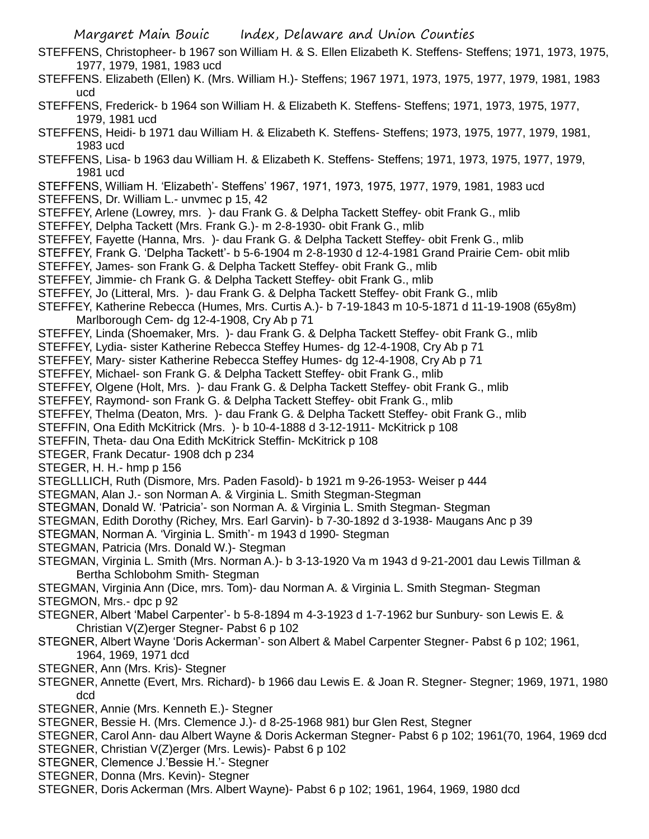- STEFFENS, Christopheer- b 1967 son William H. & S. Ellen Elizabeth K. Steffens- Steffens; 1971, 1973, 1975, 1977, 1979, 1981, 1983 ucd
- STEFFENS. Elizabeth (Ellen) K. (Mrs. William H.)- Steffens; 1967 1971, 1973, 1975, 1977, 1979, 1981, 1983 ucd
- STEFFENS, Frederick- b 1964 son William H. & Elizabeth K. Steffens- Steffens; 1971, 1973, 1975, 1977, 1979, 1981 ucd
- STEFFENS, Heidi- b 1971 dau William H. & Elizabeth K. Steffens- Steffens; 1973, 1975, 1977, 1979, 1981, 1983 ucd
- STEFFENS, Lisa- b 1963 dau William H. & Elizabeth K. Steffens- Steffens; 1971, 1973, 1975, 1977, 1979, 1981 ucd
- STEFFENS, William H. 'Elizabeth'- Steffens' 1967, 1971, 1973, 1975, 1977, 1979, 1981, 1983 ucd
- STEFFENS, Dr. William L.- unvmec p 15, 42
- STEFFEY, Arlene (Lowrey, mrs. )- dau Frank G. & Delpha Tackett Steffey- obit Frank G., mlib
- STEFFEY, Delpha Tackett (Mrs. Frank G.)- m 2-8-1930- obit Frank G., mlib
- STEFFEY, Fayette (Hanna, Mrs. )- dau Frank G. & Delpha Tackett Steffey- obit Frenk G., mlib
- STEFFEY, Frank G. 'Delpha Tackett'- b 5-6-1904 m 2-8-1930 d 12-4-1981 Grand Prairie Cem- obit mlib
- STEFFEY, James- son Frank G. & Delpha Tackett Steffey- obit Frank G., mlib
- STEFFEY, Jimmie- ch Frank G. & Delpha Tackett Steffey- obit Frank G., mlib
- STEFFEY, Jo (Litteral, Mrs. )- dau Frank G. & Delpha Tackett Steffey- obit Frank G., mlib
- STEFFEY, Katherine Rebecca (Humes, Mrs. Curtis A.)- b 7-19-1843 m 10-5-1871 d 11-19-1908 (65y8m) Marlborough Cem- dg 12-4-1908, Cry Ab p 71
- STEFFEY, Linda (Shoemaker, Mrs. )- dau Frank G. & Delpha Tackett Steffey- obit Frank G., mlib
- STEFFEY, Lydia- sister Katherine Rebecca Steffey Humes- dg 12-4-1908, Cry Ab p 71
- STEFFEY, Mary- sister Katherine Rebecca Steffey Humes- dg 12-4-1908, Cry Ab p 71
- STEFFEY, Michael- son Frank G. & Delpha Tackett Steffey- obit Frank G., mlib
- STEFFEY, Olgene (Holt, Mrs. )- dau Frank G. & Delpha Tackett Steffey- obit Frank G., mlib
- STEFFEY, Raymond- son Frank G. & Delpha Tackett Steffey- obit Frank G., mlib
- STEFFEY, Thelma (Deaton, Mrs. )- dau Frank G. & Delpha Tackett Steffey- obit Frank G., mlib
- STEFFIN, Ona Edith McKitrick (Mrs. )- b 10-4-1888 d 3-12-1911- McKitrick p 108
- STEFFIN, Theta- dau Ona Edith McKitrick Steffin- McKitrick p 108
- STEGER, Frank Decatur- 1908 dch p 234
- STEGER, H. H.- hmp p 156
- STEGLLLICH, Ruth (Dismore, Mrs. Paden Fasold)- b 1921 m 9-26-1953- Weiser p 444
- STEGMAN, Alan J.- son Norman A. & Virginia L. Smith Stegman-Stegman
- STEGMAN, Donald W. 'Patricia'- son Norman A. & Virginia L. Smith Stegman- Stegman
- STEGMAN, Edith Dorothy (Richey, Mrs. Earl Garvin)- b 7-30-1892 d 3-1938- Maugans Anc p 39
- STEGMAN, Norman A. 'Virginia L. Smith'- m 1943 d 1990- Stegman
- STEGMAN, Patricia (Mrs. Donald W.)- Stegman
- STEGMAN, Virginia L. Smith (Mrs. Norman A.)- b 3-13-1920 Va m 1943 d 9-21-2001 dau Lewis Tillman & Bertha Schlobohm Smith- Stegman
- STEGMAN, Virginia Ann (Dice, mrs. Tom)- dau Norman A. & Virginia L. Smith Stegman- Stegman STEGMON, Mrs.- dpc p 92
- STEGNER, Albert 'Mabel Carpenter'- b 5-8-1894 m 4-3-1923 d 1-7-1962 bur Sunbury- son Lewis E. & Christian V(Z)erger Stegner- Pabst 6 p 102
- STEGNER, Albert Wayne 'Doris Ackerman'- son Albert & Mabel Carpenter Stegner- Pabst 6 p 102; 1961, 1964, 1969, 1971 dcd
- STEGNER, Ann (Mrs. Kris)- Stegner
- STEGNER, Annette (Evert, Mrs. Richard)- b 1966 dau Lewis E. & Joan R. Stegner- Stegner; 1969, 1971, 1980 dcd
- STEGNER, Annie (Mrs. Kenneth E.)- Stegner
- STEGNER, Bessie H. (Mrs. Clemence J.)- d 8-25-1968 981) bur Glen Rest, Stegner
- STEGNER, Carol Ann- dau Albert Wayne & Doris Ackerman Stegner- Pabst 6 p 102; 1961(70, 1964, 1969 dcd
- STEGNER, Christian V(Z)erger (Mrs. Lewis)- Pabst 6 p 102
- STEGNER, Clemence J.'Bessie H.'- Stegner
- STEGNER, Donna (Mrs. Kevin)- Stegner
- STEGNER, Doris Ackerman (Mrs. Albert Wayne)- Pabst 6 p 102; 1961, 1964, 1969, 1980 dcd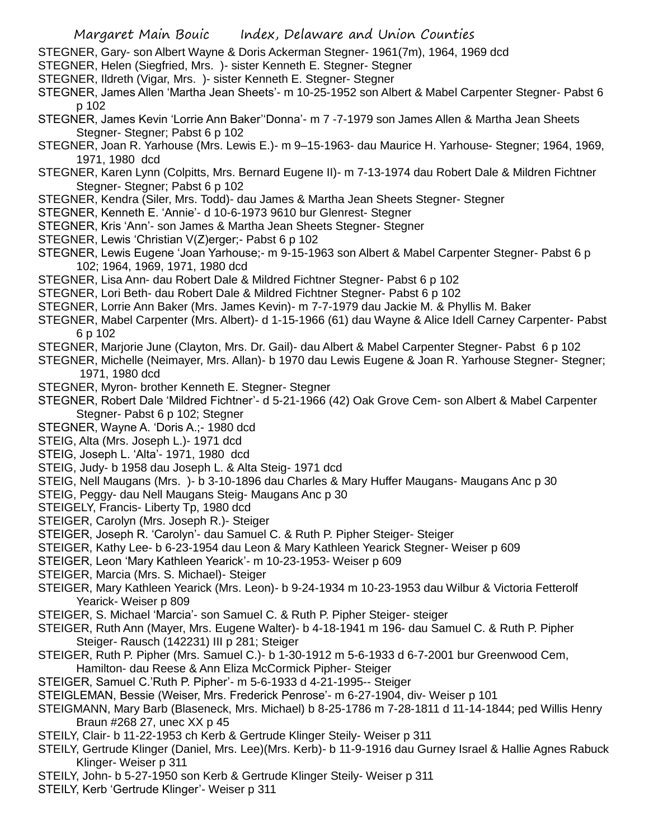- STEGNER, Gary- son Albert Wayne & Doris Ackerman Stegner- 1961(7m), 1964, 1969 dcd
- STEGNER, Helen (Siegfried, Mrs. )- sister Kenneth E. Stegner- Stegner
- STEGNER, Ildreth (Vigar, Mrs. )- sister Kenneth E. Stegner- Stegner
- STEGNER, James Allen 'Martha Jean Sheets'- m 10-25-1952 son Albert & Mabel Carpenter Stegner- Pabst 6 p 102
- STEGNER, James Kevin 'Lorrie Ann Baker''Donna'- m 7 -7-1979 son James Allen & Martha Jean Sheets Stegner- Stegner; Pabst 6 p 102
- STEGNER, Joan R. Yarhouse (Mrs. Lewis E.)- m 9–15-1963- dau Maurice H. Yarhouse- Stegner; 1964, 1969, 1971, 1980 dcd
- STEGNER, Karen Lynn (Colpitts, Mrs. Bernard Eugene II)- m 7-13-1974 dau Robert Dale & Mildren Fichtner Stegner- Stegner; Pabst 6 p 102
- STEGNER, Kendra (Siler, Mrs. Todd)- dau James & Martha Jean Sheets Stegner- Stegner
- STEGNER, Kenneth E. 'Annie'- d 10-6-1973 9610 bur Glenrest- Stegner
- STEGNER, Kris 'Ann'- son James & Martha Jean Sheets Stegner- Stegner
- STEGNER, Lewis 'Christian V(Z)erger;- Pabst 6 p 102
- STEGNER, Lewis Eugene 'Joan Yarhouse;- m 9-15-1963 son Albert & Mabel Carpenter Stegner- Pabst 6 p 102; 1964, 1969, 1971, 1980 dcd
- STEGNER, Lisa Ann- dau Robert Dale & Mildred Fichtner Stegner- Pabst 6 p 102
- STEGNER, Lori Beth- dau Robert Dale & Mildred Fichtner Stegner- Pabst 6 p 102
- STEGNER, Lorrie Ann Baker (Mrs. James Kevin)- m 7-7-1979 dau Jackie M. & Phyllis M. Baker
- STEGNER, Mabel Carpenter (Mrs. Albert)- d 1-15-1966 (61) dau Wayne & Alice Idell Carney Carpenter- Pabst 6 p 102
- STEGNER, Marjorie June (Clayton, Mrs. Dr. Gail)- dau Albert & Mabel Carpenter Stegner- Pabst 6 p 102
- STEGNER, Michelle (Neimayer, Mrs. Allan)- b 1970 dau Lewis Eugene & Joan R. Yarhouse Stegner- Stegner; 1971, 1980 dcd
- STEGNER, Myron- brother Kenneth E. Stegner- Stegner
- STEGNER, Robert Dale 'Mildred Fichtner'- d 5-21-1966 (42) Oak Grove Cem- son Albert & Mabel Carpenter Stegner- Pabst 6 p 102; Stegner
- STEGNER, Wayne A. 'Doris A.;- 1980 dcd
- STEIG, Alta (Mrs. Joseph L.)- 1971 dcd
- STEIG, Joseph L. 'Alta'- 1971, 1980 dcd
- STEIG, Judy- b 1958 dau Joseph L. & Alta Steig- 1971 dcd
- STEIG, Nell Maugans (Mrs. )- b 3-10-1896 dau Charles & Mary Huffer Maugans- Maugans Anc p 30
- STEIG, Peggy- dau Nell Maugans Steig- Maugans Anc p 30
- STEIGELY, Francis- Liberty Tp, 1980 dcd
- STEIGER, Carolyn (Mrs. Joseph R.)- Steiger
- STEIGER, Joseph R. 'Carolyn'- dau Samuel C. & Ruth P. Pipher Steiger- Steiger
- STEIGER, Kathy Lee- b 6-23-1954 dau Leon & Mary Kathleen Yearick Stegner- Weiser p 609
- STEIGER, Leon 'Mary Kathleen Yearick'- m 10-23-1953- Weiser p 609
- STEIGER, Marcia (Mrs. S. Michael)- Steiger
- STEIGER, Mary Kathleen Yearick (Mrs. Leon)- b 9-24-1934 m 10-23-1953 dau Wilbur & Victoria Fetterolf Yearick- Weiser p 809
- STEIGER, S. Michael 'Marcia'- son Samuel C. & Ruth P. Pipher Steiger- steiger
- STEIGER, Ruth Ann (Mayer, Mrs. Eugene Walter)- b 4-18-1941 m 196- dau Samuel C. & Ruth P. Pipher Steiger- Rausch (142231) III p 281; Steiger
- STEIGER, Ruth P. Pipher (Mrs. Samuel C.)- b 1-30-1912 m 5-6-1933 d 6-7-2001 bur Greenwood Cem,
- Hamilton- dau Reese & Ann Eliza McCormick Pipher- Steiger STEIGER, Samuel C.'Ruth P. Pipher'- m 5-6-1933 d 4-21-1995-- Steiger
- STEIGLEMAN, Bessie (Weiser, Mrs. Frederick Penrose'- m 6-27-1904, div- Weiser p 101
- STEIGMANN, Mary Barb (Blaseneck, Mrs. Michael) b 8-25-1786 m 7-28-1811 d 11-14-1844; ped Willis Henry Braun #268 27, unec XX p 45
- STEILY, Clair- b 11-22-1953 ch Kerb & Gertrude Klinger Steily- Weiser p 311
- STEILY, Gertrude Klinger (Daniel, Mrs. Lee)(Mrs. Kerb)- b 11-9-1916 dau Gurney Israel & Hallie Agnes Rabuck Klinger- Weiser p 311
- STEILY, John- b 5-27-1950 son Kerb & Gertrude Klinger Steily- Weiser p 311
- STEILY, Kerb 'Gertrude Klinger'- Weiser p 311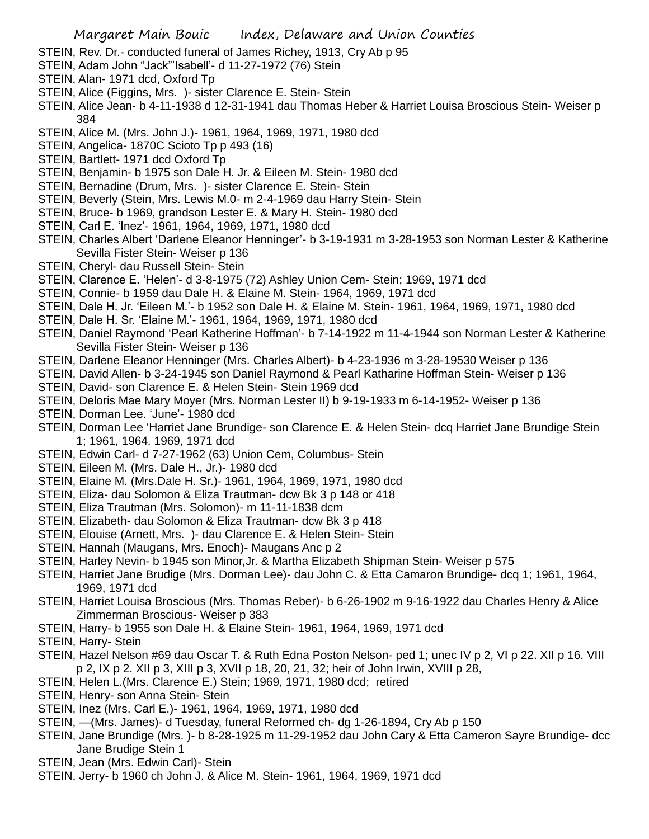- STEIN, Rev. Dr.- conducted funeral of James Richey, 1913, Cry Ab p 95
- STEIN, Adam John "Jack"'Isabell'- d 11-27-1972 (76) Stein
- STEIN, Alan- 1971 dcd, Oxford Tp
- STEIN, Alice (Figgins, Mrs. )- sister Clarence E. Stein- Stein
- STEIN, Alice Jean- b 4-11-1938 d 12-31-1941 dau Thomas Heber & Harriet Louisa Broscious Stein- Weiser p 384
- STEIN, Alice M. (Mrs. John J.)- 1961, 1964, 1969, 1971, 1980 dcd
- STEIN, Angelica- 1870C Scioto Tp p 493 (16)
- STEIN, Bartlett- 1971 dcd Oxford Tp
- STEIN, Benjamin- b 1975 son Dale H. Jr. & Eileen M. Stein- 1980 dcd
- STEIN, Bernadine (Drum, Mrs. )- sister Clarence E. Stein- Stein
- STEIN, Beverly (Stein, Mrs. Lewis M.0- m 2-4-1969 dau Harry Stein- Stein
- STEIN, Bruce- b 1969, grandson Lester E. & Mary H. Stein- 1980 dcd
- STEIN, Carl E. 'Inez'- 1961, 1964, 1969, 1971, 1980 dcd
- STEIN, Charles Albert 'Darlene Eleanor Henninger'- b 3-19-1931 m 3-28-1953 son Norman Lester & Katherine Sevilla Fister Stein- Weiser p 136
- STEIN, Cheryl- dau Russell Stein- Stein
- STEIN, Clarence E. 'Helen'- d 3-8-1975 (72) Ashley Union Cem- Stein; 1969, 1971 dcd
- STEIN, Connie- b 1959 dau Dale H. & Elaine M. Stein- 1964, 1969, 1971 dcd
- STEIN, Dale H. Jr. 'Eileen M.'- b 1952 son Dale H. & Elaine M. Stein- 1961, 1964, 1969, 1971, 1980 dcd
- STEIN, Dale H. Sr. 'Elaine M.'- 1961, 1964, 1969, 1971, 1980 dcd
- STEIN, Daniel Raymond 'Pearl Katherine Hoffman'- b 7-14-1922 m 11-4-1944 son Norman Lester & Katherine Sevilla Fister Stein- Weiser p 136
- STEIN, Darlene Eleanor Henninger (Mrs. Charles Albert)- b 4-23-1936 m 3-28-19530 Weiser p 136
- STEIN, David Allen- b 3-24-1945 son Daniel Raymond & Pearl Katharine Hoffman Stein- Weiser p 136
- STEIN, David- son Clarence E. & Helen Stein- Stein 1969 dcd
- STEIN, Deloris Mae Mary Moyer (Mrs. Norman Lester II) b 9-19-1933 m 6-14-1952- Weiser p 136
- STEIN, Dorman Lee. 'June'- 1980 dcd
- STEIN, Dorman Lee 'Harriet Jane Brundige- son Clarence E. & Helen Stein- dcq Harriet Jane Brundige Stein 1; 1961, 1964. 1969, 1971 dcd
- STEIN, Edwin Carl- d 7-27-1962 (63) Union Cem, Columbus- Stein
- STEIN, Eileen M. (Mrs. Dale H., Jr.)- 1980 dcd
- STEIN, Elaine M. (Mrs.Dale H. Sr.)- 1961, 1964, 1969, 1971, 1980 dcd
- STEIN, Eliza- dau Solomon & Eliza Trautman- dcw Bk 3 p 148 or 418
- STEIN, Eliza Trautman (Mrs. Solomon)- m 11-11-1838 dcm
- STEIN, Elizabeth- dau Solomon & Eliza Trautman- dcw Bk 3 p 418
- STEIN, Elouise (Arnett, Mrs. )- dau Clarence E. & Helen Stein- Stein
- STEIN, Hannah (Maugans, Mrs. Enoch)- Maugans Anc p 2
- STEIN, Harley Nevin- b 1945 son Minor,Jr. & Martha Elizabeth Shipman Stein- Weiser p 575
- STEIN, Harriet Jane Brudige (Mrs. Dorman Lee)- dau John C. & Etta Camaron Brundige- dcq 1; 1961, 1964, 1969, 1971 dcd
- STEIN, Harriet Louisa Broscious (Mrs. Thomas Reber)- b 6-26-1902 m 9-16-1922 dau Charles Henry & Alice Zimmerman Broscious- Weiser p 383
- STEIN, Harry- b 1955 son Dale H. & Elaine Stein- 1961, 1964, 1969, 1971 dcd
- STEIN, Harry- Stein
- STEIN, Hazel Nelson #69 dau Oscar T. & Ruth Edna Poston Nelson- ped 1; unec IV p 2, VI p 22. XII p 16. VIII p 2, IX p 2. XII p 3, XIII p 3, XVII p 18, 20, 21, 32; heir of John Irwin, XVIII p 28,
- STEIN, Helen L.(Mrs. Clarence E.) Stein; 1969, 1971, 1980 dcd; retired
- STEIN, Henry- son Anna Stein- Stein
- STEIN, Inez (Mrs. Carl E.)- 1961, 1964, 1969, 1971, 1980 dcd
- STEIN, —(Mrs. James)- d Tuesday, funeral Reformed ch- dg 1-26-1894, Cry Ab p 150
- STEIN, Jane Brundige (Mrs. )- b 8-28-1925 m 11-29-1952 dau John Cary & Etta Cameron Sayre Brundige- dcc Jane Brudige Stein 1
- STEIN, Jean (Mrs. Edwin Carl)- Stein
- STEIN, Jerry- b 1960 ch John J. & Alice M. Stein- 1961, 1964, 1969, 1971 dcd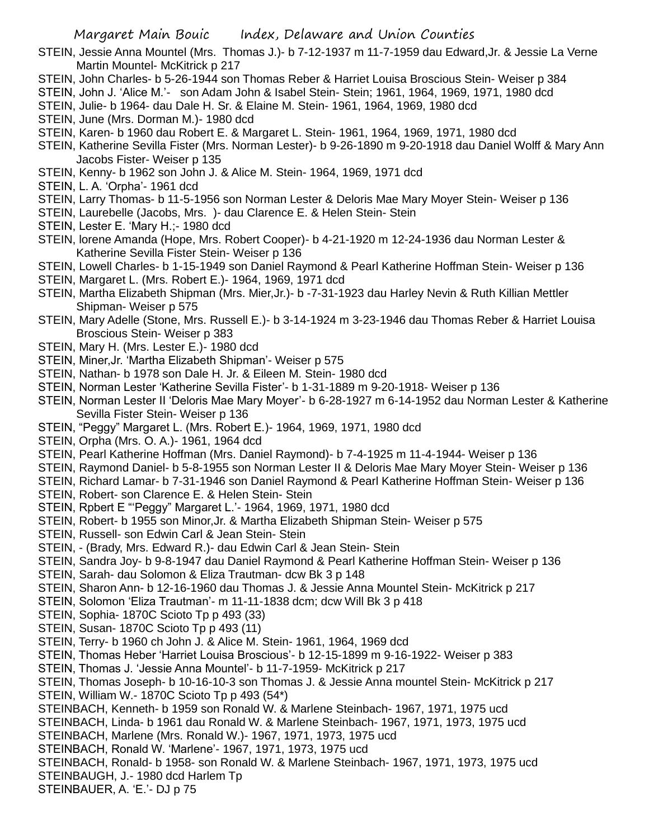STEIN, Jessie Anna Mountel (Mrs. Thomas J.)- b 7-12-1937 m 11-7-1959 dau Edward,Jr. & Jessie La Verne Martin Mountel- McKitrick p 217

- STEIN, John Charles- b 5-26-1944 son Thomas Reber & Harriet Louisa Broscious Stein- Weiser p 384
- STEIN, John J. 'Alice M.'- son Adam John & Isabel Stein- Stein; 1961, 1964, 1969, 1971, 1980 dcd
- STEIN, Julie- b 1964- dau Dale H. Sr. & Elaine M. Stein- 1961, 1964, 1969, 1980 dcd

STEIN, June (Mrs. Dorman M.)- 1980 dcd

- STEIN, Karen- b 1960 dau Robert E. & Margaret L. Stein- 1961, 1964, 1969, 1971, 1980 dcd
- STEIN, Katherine Sevilla Fister (Mrs. Norman Lester)- b 9-26-1890 m 9-20-1918 dau Daniel Wolff & Mary Ann Jacobs Fister- Weiser p 135
- STEIN, Kenny- b 1962 son John J. & Alice M. Stein- 1964, 1969, 1971 dcd
- STEIN, L. A. 'Orpha'- 1961 dcd
- STEIN, Larry Thomas- b 11-5-1956 son Norman Lester & Deloris Mae Mary Moyer Stein- Weiser p 136
- STEIN, Laurebelle (Jacobs, Mrs. )- dau Clarence E. & Helen Stein- Stein
- STEIN, Lester E. 'Mary H.;- 1980 dcd
- STEIN, lorene Amanda (Hope, Mrs. Robert Cooper)- b 4-21-1920 m 12-24-1936 dau Norman Lester & Katherine Sevilla Fister Stein- Weiser p 136
- STEIN, Lowell Charles- b 1-15-1949 son Daniel Raymond & Pearl Katherine Hoffman Stein- Weiser p 136
- STEIN, Margaret L. (Mrs. Robert E.)- 1964, 1969, 1971 dcd
- STEIN, Martha Elizabeth Shipman (Mrs. Mier,Jr.)- b -7-31-1923 dau Harley Nevin & Ruth Killian Mettler Shipman- Weiser p 575
- STEIN, Mary Adelle (Stone, Mrs. Russell E.)- b 3-14-1924 m 3-23-1946 dau Thomas Reber & Harriet Louisa Broscious Stein- Weiser p 383
- STEIN, Mary H. (Mrs. Lester E.)- 1980 dcd
- STEIN, Miner,Jr. 'Martha Elizabeth Shipman'- Weiser p 575
- STEIN, Nathan- b 1978 son Dale H. Jr. & Eileen M. Stein- 1980 dcd
- STEIN, Norman Lester 'Katherine Sevilla Fister'- b 1-31-1889 m 9-20-1918- Weiser p 136
- STEIN, Norman Lester II 'Deloris Mae Mary Moyer'- b 6-28-1927 m 6-14-1952 dau Norman Lester & Katherine Sevilla Fister Stein- Weiser p 136
- STEIN, "Peggy" Margaret L. (Mrs. Robert E.)- 1964, 1969, 1971, 1980 dcd
- STEIN, Orpha (Mrs. O. A.)- 1961, 1964 dcd
- STEIN, Pearl Katherine Hoffman (Mrs. Daniel Raymond)- b 7-4-1925 m 11-4-1944- Weiser p 136
- STEIN, Raymond Daniel- b 5-8-1955 son Norman Lester II & Deloris Mae Mary Moyer Stein- Weiser p 136
- STEIN, Richard Lamar- b 7-31-1946 son Daniel Raymond & Pearl Katherine Hoffman Stein- Weiser p 136
- STEIN, Robert- son Clarence E. & Helen Stein- Stein
- STEIN, Rpbert E "'Peggy" Margaret L.'- 1964, 1969, 1971, 1980 dcd
- STEIN, Robert- b 1955 son Minor,Jr. & Martha Elizabeth Shipman Stein- Weiser p 575
- STEIN, Russell- son Edwin Carl & Jean Stein- Stein
- STEIN, (Brady, Mrs. Edward R.)- dau Edwin Carl & Jean Stein- Stein
- STEIN, Sandra Joy- b 9-8-1947 dau Daniel Raymond & Pearl Katherine Hoffman Stein- Weiser p 136
- STEIN, Sarah- dau Solomon & Eliza Trautman- dcw Bk 3 p 148
- STEIN, Sharon Ann- b 12-16-1960 dau Thomas J. & Jessie Anna Mountel Stein- McKitrick p 217
- STEIN, Solomon 'Eliza Trautman'- m 11-11-1838 dcm; dcw Will Bk 3 p 418
- STEIN, Sophia- 1870C Scioto Tp p 493 (33)
- STEIN, Susan- 1870C Scioto Tp p 493 (11)
- STEIN, Terry- b 1960 ch John J. & Alice M. Stein- 1961, 1964, 1969 dcd
- STEIN, Thomas Heber 'Harriet Louisa Broscious'- b 12-15-1899 m 9-16-1922- Weiser p 383
- STEIN, Thomas J. 'Jessie Anna Mountel'- b 11-7-1959- McKitrick p 217
- STEIN, Thomas Joseph- b 10-16-10-3 son Thomas J. & Jessie Anna mountel Stein- McKitrick p 217 STEIN, William W.- 1870C Scioto Tp p 493 (54\*)
- STEINBACH, Kenneth- b 1959 son Ronald W. & Marlene Steinbach- 1967, 1971, 1975 ucd
- STEINBACH, Linda- b 1961 dau Ronald W. & Marlene Steinbach- 1967, 1971, 1973, 1975 ucd
- STEINBACH, Marlene (Mrs. Ronald W.)- 1967, 1971, 1973, 1975 ucd
- STEINBACH, Ronald W. 'Marlene'- 1967, 1971, 1973, 1975 ucd
- STEINBACH, Ronald- b 1958- son Ronald W. & Marlene Steinbach- 1967, 1971, 1973, 1975 ucd
- STEINBAUGH, J.- 1980 dcd Harlem Tp
- STEINBAUER, A. 'E.'- DJ p 75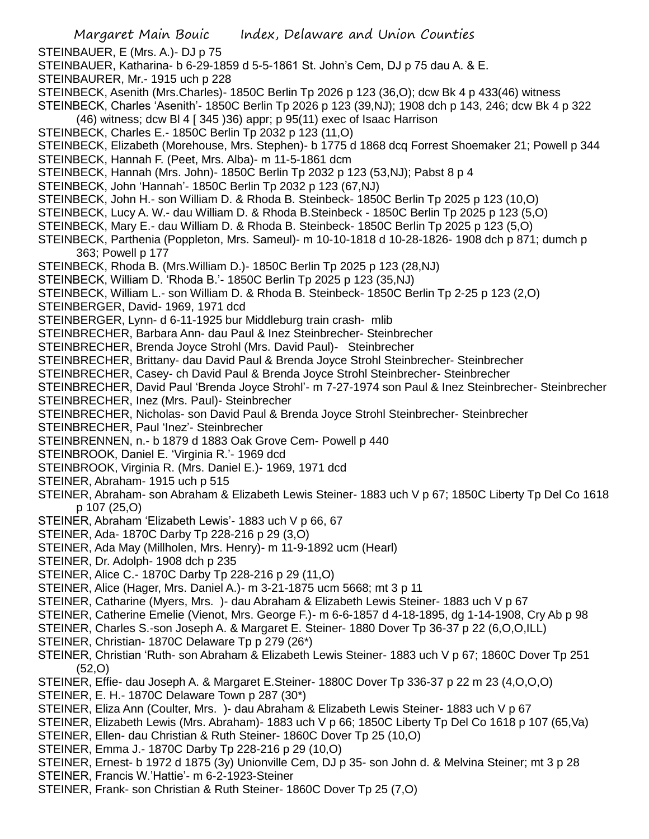STEINBAUER, E (Mrs. A.)- DJ p 75

STEINBAUER, Katharina- b 6-29-1859 d 5-5-1861 St. John's Cem, DJ p 75 dau A. & E.

STEINBAURER, Mr.- 1915 uch p 228

STEINBECK, Asenith (Mrs.Charles)- 1850C Berlin Tp 2026 p 123 (36,O); dcw Bk 4 p 433(46) witness

STEINBECK, Charles 'Asenith'- 1850C Berlin Tp 2026 p 123 (39,NJ); 1908 dch p 143, 246; dcw Bk 4 p 322  $(46)$  witness; dcw BI 4 [ 345 )36) appr; p 95(11) exec of Isaac Harrison

- STEINBECK, Charles E.- 1850C Berlin Tp 2032 p 123 (11,O)
- STEINBECK, Elizabeth (Morehouse, Mrs. Stephen)- b 1775 d 1868 dcq Forrest Shoemaker 21; Powell p 344
- STEINBECK, Hannah F. (Peet, Mrs. Alba)- m 11-5-1861 dcm
- STEINBECK, Hannah (Mrs. John)- 1850C Berlin Tp 2032 p 123 (53,NJ); Pabst 8 p 4
- STEINBECK, John 'Hannah'- 1850C Berlin Tp 2032 p 123 (67,NJ)
- STEINBECK, John H.- son William D. & Rhoda B. Steinbeck- 1850C Berlin Tp 2025 p 123 (10,O)
- STEINBECK, Lucy A. W.- dau William D. & Rhoda B.Steinbeck 1850C Berlin Tp 2025 p 123 (5,O)
- STEINBECK, Mary E.- dau William D. & Rhoda B. Steinbeck- 1850C Berlin Tp 2025 p 123 (5,O)
- STEINBECK, Parthenia (Poppleton, Mrs. Sameul)- m 10-10-1818 d 10-28-1826- 1908 dch p 871; dumch p 363; Powell p 177
- STEINBECK, Rhoda B. (Mrs.William D.)- 1850C Berlin Tp 2025 p 123 (28,NJ)
- STEINBECK, William D. 'Rhoda B.'- 1850C Berlin Tp 2025 p 123 (35,NJ)
- STEINBECK, William L.- son William D. & Rhoda B. Steinbeck- 1850C Berlin Tp 2-25 p 123 (2,O)
- STEINBERGER, David- 1969, 1971 dcd
- STEINBERGER, Lynn- d 6-11-1925 bur Middleburg train crash- mlib
- STEINBRECHER, Barbara Ann- dau Paul & Inez Steinbrecher- Steinbrecher
- STEINBRECHER, Brenda Joyce Strohl (Mrs. David Paul)- Steinbrecher
- STEINBRECHER, Brittany- dau David Paul & Brenda Joyce Strohl Steinbrecher- Steinbrecher
- STEINBRECHER, Casey- ch David Paul & Brenda Joyce Strohl Steinbrecher- Steinbrecher
- STEINBRECHER, David Paul 'Brenda Joyce Strohl'- m 7-27-1974 son Paul & Inez Steinbrecher- Steinbrecher
- STEINBRECHER, Inez (Mrs. Paul)- Steinbrecher
- STEINBRECHER, Nicholas- son David Paul & Brenda Joyce Strohl Steinbrecher- Steinbrecher
- STEINBRECHER, Paul 'Inez'- Steinbrecher
- STEINBRENNEN, n.- b 1879 d 1883 Oak Grove Cem- Powell p 440
- STEINBROOK, Daniel E. 'Virginia R.'- 1969 dcd
- STEINBROOK, Virginia R. (Mrs. Daniel E.)- 1969, 1971 dcd
- STEINER, Abraham- 1915 uch p 515
- STEINER, Abraham- son Abraham & Elizabeth Lewis Steiner- 1883 uch V p 67; 1850C Liberty Tp Del Co 1618 p 107 (25,O)
- STEINER, Abraham 'Elizabeth Lewis'- 1883 uch V p 66, 67
- STEINER, Ada- 1870C Darby Tp 228-216 p 29 (3,O)
- STEINER, Ada May (Millholen, Mrs. Henry)- m 11-9-1892 ucm (Hearl)
- STEINER, Dr. Adolph- 1908 dch p 235
- STEINER, Alice C.- 1870C Darby Tp 228-216 p 29 (11,O)
- STEINER, Alice (Hager, Mrs. Daniel A.)- m 3-21-1875 ucm 5668; mt 3 p 11
- STEINER, Catharine (Myers, Mrs. )- dau Abraham & Elizabeth Lewis Steiner- 1883 uch V p 67
- STEINER, Catherine Emelie (Vienot, Mrs. George F.)- m 6-6-1857 d 4-18-1895, dg 1-14-1908, Cry Ab p 98
- STEINER, Charles S.-son Joseph A. & Margaret E. Steiner- 1880 Dover Tp 36-37 p 22 (6,O,O,ILL)
- STEINER, Christian- 1870C Delaware Tp p 279 (26\*)
- STEINER, Christian 'Ruth- son Abraham & Elizabeth Lewis Steiner- 1883 uch V p 67; 1860C Dover Tp 251 (52,O)
- STEINER, Effie- dau Joseph A. & Margaret E.Steiner- 1880C Dover Tp 336-37 p 22 m 23 (4,O,O,O)
- STEINER, E. H.- 1870C Delaware Town p 287 (30\*)
- STEINER, Eliza Ann (Coulter, Mrs. )- dau Abraham & Elizabeth Lewis Steiner- 1883 uch V p 67
- STEINER, Elizabeth Lewis (Mrs. Abraham)- 1883 uch V p 66; 1850C Liberty Tp Del Co 1618 p 107 (65,Va)
- STEINER, Ellen- dau Christian & Ruth Steiner- 1860C Dover Tp 25 (10,O)
- STEINER, Emma J.- 1870C Darby Tp 228-216 p 29 (10,O)
- STEINER, Ernest- b 1972 d 1875 (3y) Unionville Cem, DJ p 35- son John d. & Melvina Steiner; mt 3 p 28
- STEINER, Francis W.'Hattie'- m 6-2-1923-Steiner
- STEINER, Frank- son Christian & Ruth Steiner- 1860C Dover Tp 25 (7,O)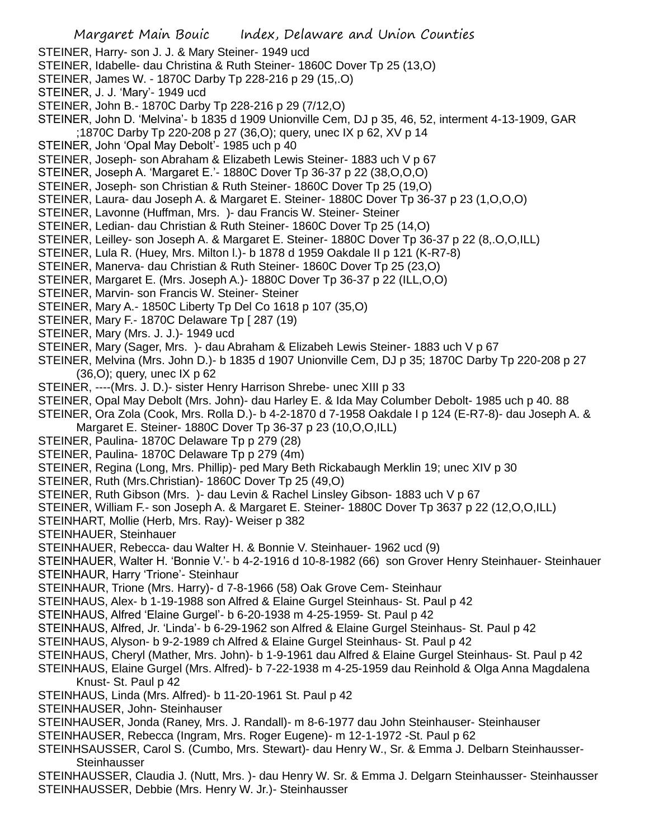STEINER, Harry- son J. J. & Mary Steiner- 1949 ucd

- STEINER, Idabelle- dau Christina & Ruth Steiner- 1860C Dover Tp 25 (13,O)
- STEINER, James W. 1870C Darby Tp 228-216 p 29 (15,.O)
- STEINER, J. J. 'Mary'- 1949 ucd
- STEINER, John B.- 1870C Darby Tp 228-216 p 29 (7/12,O)
- STEINER, John D. 'Melvina'- b 1835 d 1909 Unionville Cem, DJ p 35, 46, 52, interment 4-13-1909, GAR ;1870C Darby Tp 220-208 p 27 (36,O); query, unec IX p 62, XV p 14
- STEINER, John 'Opal May Debolt'- 1985 uch p 40
- STEINER, Joseph- son Abraham & Elizabeth Lewis Steiner- 1883 uch V p 67
- STEINER, Joseph A. 'Margaret E.'- 1880C Dover Tp 36-37 p 22 (38,O,O,O)
- STEINER, Joseph- son Christian & Ruth Steiner- 1860C Dover Tp 25 (19,O)
- STEINER, Laura- dau Joseph A. & Margaret E. Steiner- 1880C Dover Tp 36-37 p 23 (1,O,O,O)
- STEINER, Lavonne (Huffman, Mrs. )- dau Francis W. Steiner- Steiner
- STEINER, Ledian- dau Christian & Ruth Steiner- 1860C Dover Tp 25 (14,O)
- STEINER, Leilley- son Joseph A. & Margaret E. Steiner- 1880C Dover Tp 36-37 p 22 (8,.O,O,ILL)
- STEINER, Lula R. (Huey, Mrs. Milton l.)- b 1878 d 1959 Oakdale II p 121 (K-R7-8)
- STEINER, Manerva- dau Christian & Ruth Steiner- 1860C Dover Tp 25 (23,O)
- STEINER, Margaret E. (Mrs. Joseph A.)- 1880C Dover Tp 36-37 p 22 (ILL,O,O)
- STEINER, Marvin- son Francis W. Steiner- Steiner
- STEINER, Mary A.- 1850C Liberty Tp Del Co 1618 p 107 (35,O)
- STEINER, Mary F.- 1870C Delaware Tp [ 287 (19)
- STEINER, Mary (Mrs. J. J.)- 1949 ucd
- STEINER, Mary (Sager, Mrs. )- dau Abraham & Elizabeh Lewis Steiner- 1883 uch V p 67
- STEINER, Melvina (Mrs. John D.)- b 1835 d 1907 Unionville Cem, DJ p 35; 1870C Darby Tp 220-208 p 27 (36,O); query, unec IX p 62
- STEINER, ----(Mrs. J. D.)- sister Henry Harrison Shrebe- unec XIII p 33
- STEINER, Opal May Debolt (Mrs. John)- dau Harley E. & Ida May Columber Debolt- 1985 uch p 40. 88
- STEINER, Ora Zola (Cook, Mrs. Rolla D.)- b 4-2-1870 d 7-1958 Oakdale I p 124 (E-R7-8)- dau Joseph A. &
- Margaret E. Steiner- 1880C Dover Tp 36-37 p 23 (10,O,O,ILL)
- STEINER, Paulina- 1870C Delaware Tp p 279 (28)
- STEINER, Paulina- 1870C Delaware Tp p 279 (4m)
- STEINER, Regina (Long, Mrs. Phillip)- ped Mary Beth Rickabaugh Merklin 19; unec XIV p 30
- STEINER, Ruth (Mrs.Christian)- 1860C Dover Tp 25 (49,O)
- STEINER, Ruth Gibson (Mrs. )- dau Levin & Rachel Linsley Gibson- 1883 uch V p 67
- STEINER, William F.- son Joseph A. & Margaret E. Steiner- 1880C Dover Tp 3637 p 22 (12,O,O,ILL)
- STEINHART, Mollie (Herb, Mrs. Ray)- Weiser p 382
- STEINHAUER, Steinhauer
- STEINHAUER, Rebecca- dau Walter H. & Bonnie V. Steinhauer- 1962 ucd (9)
- STEINHAUER, Walter H. 'Bonnie V.'- b 4-2-1916 d 10-8-1982 (66) son Grover Henry Steinhauer- Steinhauer
- STEINHAUR, Harry 'Trione'- Steinhaur
- STEINHAUR, Trione (Mrs. Harry)- d 7-8-1966 (58) Oak Grove Cem- Steinhaur
- STEINHAUS, Alex- b 1-19-1988 son Alfred & Elaine Gurgel Steinhaus- St. Paul p 42
- STEINHAUS, Alfred 'Elaine Gurgel'- b 6-20-1938 m 4-25-1959- St. Paul p 42
- STEINHAUS, Alfred, Jr. 'Linda'- b 6-29-1962 son Alfred & Elaine Gurgel Steinhaus- St. Paul p 42
- STEINHAUS, Alyson- b 9-2-1989 ch Alfred & Elaine Gurgel Steinhaus- St. Paul p 42
- STEINHAUS, Cheryl (Mather, Mrs. John)- b 1-9-1961 dau Alfred & Elaine Gurgel Steinhaus- St. Paul p 42
- STEINHAUS, Elaine Gurgel (Mrs. Alfred)- b 7-22-1938 m 4-25-1959 dau Reinhold & Olga Anna Magdalena Knust- St. Paul p 42
- STEINHAUS, Linda (Mrs. Alfred)- b 11-20-1961 St. Paul p 42
- STEINHAUSER, John- Steinhauser
- STEINHAUSER, Jonda (Raney, Mrs. J. Randall)- m 8-6-1977 dau John Steinhauser- Steinhauser
- STEINHAUSER, Rebecca (Ingram, Mrs. Roger Eugene)- m 12-1-1972 -St. Paul p 62
- STEINHSAUSSER, Carol S. (Cumbo, Mrs. Stewart)- dau Henry W., Sr. & Emma J. Delbarn Steinhausser-**Steinhausser**
- STEINHAUSSER, Claudia J. (Nutt, Mrs. )- dau Henry W. Sr. & Emma J. Delgarn Steinhausser- Steinhausser STEINHAUSSER, Debbie (Mrs. Henry W. Jr.)- Steinhausser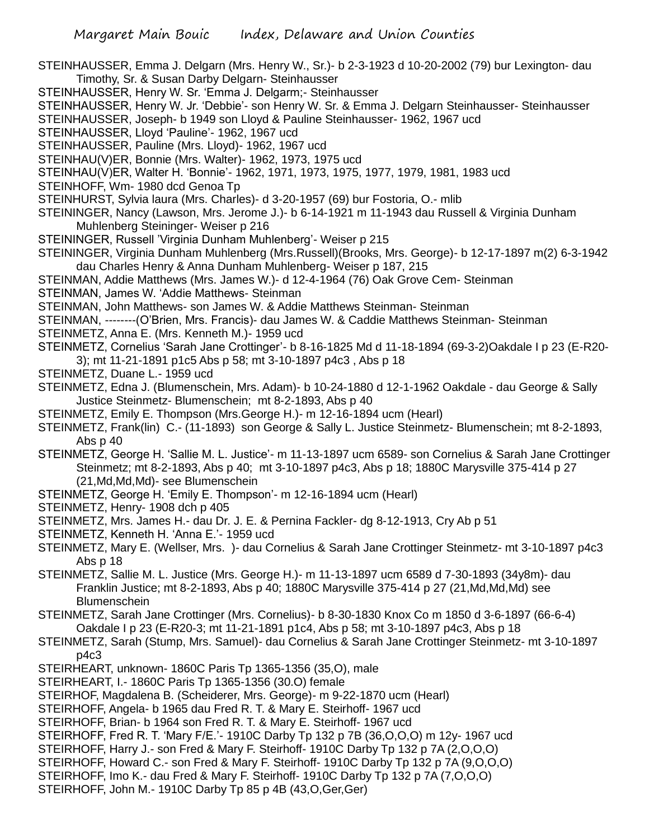- STEINHAUSSER, Emma J. Delgarn (Mrs. Henry W., Sr.)- b 2-3-1923 d 10-20-2002 (79) bur Lexington- dau Timothy, Sr. & Susan Darby Delgarn- Steinhausser
- STEINHAUSSER, Henry W. Sr. 'Emma J. Delgarm;- Steinhausser
- STEINHAUSSER, Henry W. Jr. 'Debbie'- son Henry W. Sr. & Emma J. Delgarn Steinhausser- Steinhausser
- STEINHAUSSER, Joseph- b 1949 son Lloyd & Pauline Steinhausser- 1962, 1967 ucd
- STEINHAUSSER, Lloyd 'Pauline'- 1962, 1967 ucd
- STEINHAUSSER, Pauline (Mrs. Lloyd)- 1962, 1967 ucd
- STEINHAU(V)ER, Bonnie (Mrs. Walter)- 1962, 1973, 1975 ucd
- STEINHAU(V)ER, Walter H. 'Bonnie'- 1962, 1971, 1973, 1975, 1977, 1979, 1981, 1983 ucd
- STEINHOFF, Wm- 1980 dcd Genoa Tp
- STEINHURST, Sylvia laura (Mrs. Charles)- d 3-20-1957 (69) bur Fostoria, O.- mlib
- STEININGER, Nancy (Lawson, Mrs. Jerome J.)- b 6-14-1921 m 11-1943 dau Russell & Virginia Dunham Muhlenberg Steininger- Weiser p 216
- STEININGER, Russell 'Virginia Dunham Muhlenberg'- Weiser p 215
- STEININGER, Virginia Dunham Muhlenberg (Mrs.Russell)(Brooks, Mrs. George)- b 12-17-1897 m(2) 6-3-1942 dau Charles Henry & Anna Dunham Muhlenberg- Weiser p 187, 215
- STEINMAN, Addie Matthews (Mrs. James W.)- d 12-4-1964 (76) Oak Grove Cem- Steinman
- STEINMAN, James W. 'Addie Matthews- Steinman
- STEINMAN, John Matthews- son James W. & Addie Matthews Steinman- Steinman
- STEINMAN, --------(O'Brien, Mrs. Francis)- dau James W. & Caddie Matthews Steinman- Steinman
- STEINMETZ, Anna E. (Mrs. Kenneth M.)- 1959 ucd
- STEINMETZ, Cornelius 'Sarah Jane Crottinger'- b 8-16-1825 Md d 11-18-1894 (69-3-2)Oakdale I p 23 (E-R20- 3); mt 11-21-1891 p1c5 Abs p 58; mt 3-10-1897 p4c3 , Abs p 18
- STEINMETZ, Duane L.- 1959 ucd
- STEINMETZ, Edna J. (Blumenschein, Mrs. Adam)- b 10-24-1880 d 12-1-1962 Oakdale dau George & Sally Justice Steinmetz- Blumenschein; mt 8-2-1893, Abs p 40
- STEINMETZ, Emily E. Thompson (Mrs.George H.)- m 12-16-1894 ucm (Hearl)
- STEINMETZ, Frank(lin) C.- (11-1893) son George & Sally L. Justice Steinmetz- Blumenschein; mt 8-2-1893, Abs p 40
- STEINMETZ, George H. 'Sallie M. L. Justice'- m 11-13-1897 ucm 6589- son Cornelius & Sarah Jane Crottinger Steinmetz; mt 8-2-1893, Abs p 40; mt 3-10-1897 p4c3, Abs p 18; 1880C Marysville 375-414 p 27 (21,Md,Md,Md)- see Blumenschein
- STEINMETZ, George H. 'Emily E. Thompson'- m 12-16-1894 ucm (Hearl)
- STEINMETZ, Henry- 1908 dch p 405
- STEINMETZ, Mrs. James H.- dau Dr. J. E. & Pernina Fackler- dg 8-12-1913, Cry Ab p 51
- STEINMETZ, Kenneth H. 'Anna E.'- 1959 ucd
- STEINMETZ, Mary E. (Wellser, Mrs. )- dau Cornelius & Sarah Jane Crottinger Steinmetz- mt 3-10-1897 p4c3 Abs p 18
- STEINMETZ, Sallie M. L. Justice (Mrs. George H.)- m 11-13-1897 ucm 6589 d 7-30-1893 (34y8m)- dau Franklin Justice; mt 8-2-1893, Abs p 40; 1880C Marysville 375-414 p 27 (21,Md,Md,Md) see **Blumenschein**
- STEINMETZ, Sarah Jane Crottinger (Mrs. Cornelius)- b 8-30-1830 Knox Co m 1850 d 3-6-1897 (66-6-4) Oakdale I p 23 (E-R20-3; mt 11-21-1891 p1c4, Abs p 58; mt 3-10-1897 p4c3, Abs p 18
- STEINMETZ, Sarah (Stump, Mrs. Samuel)- dau Cornelius & Sarah Jane Crottinger Steinmetz- mt 3-10-1897 p4c3
- STEIRHEART, unknown- 1860C Paris Tp 1365-1356 (35,O), male
- STEIRHEART, I.- 1860C Paris Tp 1365-1356 (30.O) female
- STEIRHOF, Magdalena B. (Scheiderer, Mrs. George)- m 9-22-1870 ucm (Hearl)
- STEIRHOFF, Angela- b 1965 dau Fred R. T. & Mary E. Steirhoff- 1967 ucd
- STEIRHOFF, Brian- b 1964 son Fred R. T. & Mary E. Steirhoff- 1967 ucd
- STEIRHOFF, Fred R. T. 'Mary F/E.'- 1910C Darby Tp 132 p 7B (36,O,O,O) m 12y- 1967 ucd
- STEIRHOFF, Harry J.- son Fred & Mary F. Steirhoff- 1910C Darby Tp 132 p 7A (2,O,O,O)
- STEIRHOFF, Howard C.- son Fred & Mary F. Steirhoff- 1910C Darby Tp 132 p 7A (9,O,O,O)
- STEIRHOFF, Imo K.- dau Fred & Mary F. Steirhoff- 1910C Darby Tp 132 p 7A (7,O,O,O)
- STEIRHOFF, John M.- 1910C Darby Tp 85 p 4B (43,O,Ger,Ger)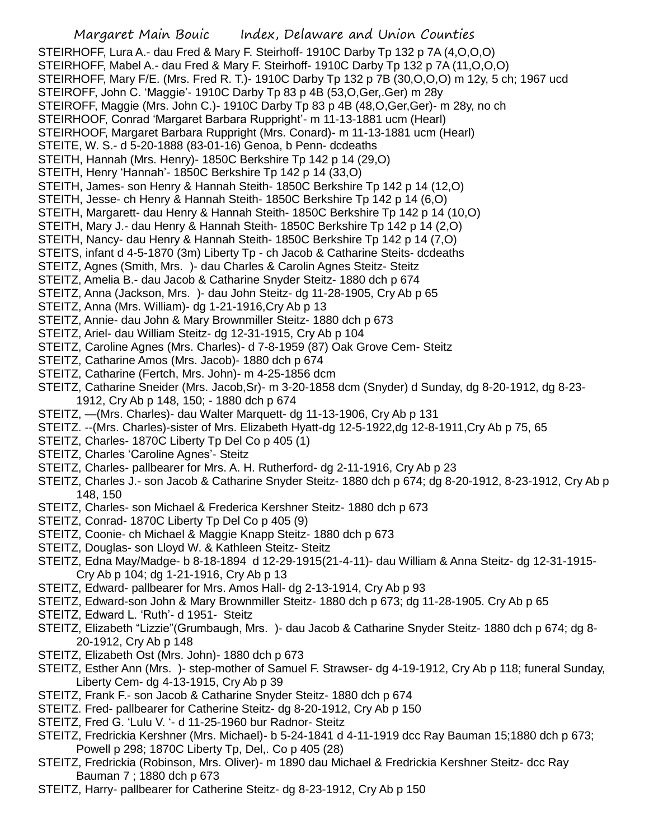Margaret Main Bouic Index, Delaware and Union Counties STEIRHOFF, Lura A.- dau Fred & Mary F. Steirhoff- 1910C Darby Tp 132 p 7A (4,O,O,O) STEIRHOFF, Mabel A.- dau Fred & Mary F. Steirhoff- 1910C Darby Tp 132 p 7A (11,O,O,O)

- STEIRHOFF, Mary F/E. (Mrs. Fred R. T.)- 1910C Darby Tp 132 p 7B (30,O,O,O) m 12y, 5 ch; 1967 ucd
- STEIROFF, John C. 'Maggie'- 1910C Darby Tp 83 p 4B (53,O,Ger,.Ger) m 28y
- STEIROFF, Maggie (Mrs. John C.)- 1910C Darby Tp 83 p 4B (48,O,Ger,Ger)- m 28y, no ch
- STEIRHOOF, Conrad 'Margaret Barbara Ruppright'- m 11-13-1881 ucm (Hearl)
- STEIRHOOF, Margaret Barbara Ruppright (Mrs. Conard)- m 11-13-1881 ucm (Hearl)
- STEITE, W. S.- d 5-20-1888 (83-01-16) Genoa, b Penn- dcdeaths
- STEITH, Hannah (Mrs. Henry)- 1850C Berkshire Tp 142 p 14 (29,O)
- STEITH, Henry 'Hannah'- 1850C Berkshire Tp 142 p 14 (33,O)
- STEITH, James- son Henry & Hannah Steith- 1850C Berkshire Tp 142 p 14 (12,O)
- STEITH, Jesse- ch Henry & Hannah Steith- 1850C Berkshire Tp 142 p 14 (6,O)
- STEITH, Margarett- dau Henry & Hannah Steith- 1850C Berkshire Tp 142 p 14 (10,O)
- STEITH, Mary J.- dau Henry & Hannah Steith- 1850C Berkshire Tp 142 p 14 (2,O)
- STEITH, Nancy- dau Henry & Hannah Steith- 1850C Berkshire Tp 142 p 14 (7,O)
- STEITS, infant d 4-5-1870 (3m) Liberty Tp ch Jacob & Catharine Steits- dcdeaths
- STEITZ, Agnes (Smith, Mrs. )- dau Charles & Carolin Agnes Steitz- Steitz
- STEITZ, Amelia B.- dau Jacob & Catharine Snyder Steitz- 1880 dch p 674
- STEITZ, Anna (Jackson, Mrs. )- dau John Steitz- dg 11-28-1905, Cry Ab p 65
- STEITZ, Anna (Mrs. William)- dg 1-21-1916,Cry Ab p 13
- STEITZ, Annie- dau John & Mary Brownmiller Steitz- 1880 dch p 673
- STEITZ, Ariel- dau William Steitz- dg 12-31-1915, Cry Ab p 104
- STEITZ, Caroline Agnes (Mrs. Charles)- d 7-8-1959 (87) Oak Grove Cem- Steitz
- STEITZ, Catharine Amos (Mrs. Jacob)- 1880 dch p 674
- STEITZ, Catharine (Fertch, Mrs. John)- m 4-25-1856 dcm
- STEITZ, Catharine Sneider (Mrs. Jacob,Sr)- m 3-20-1858 dcm (Snyder) d Sunday, dg 8-20-1912, dg 8-23- 1912, Cry Ab p 148, 150; - 1880 dch p 674
- STEITZ, —(Mrs. Charles)- dau Walter Marquett- dg 11-13-1906, Cry Ab p 131
- STEITZ. --(Mrs. Charles)-sister of Mrs. Elizabeth Hyatt-dg 12-5-1922,dg 12-8-1911,Cry Ab p 75, 65
- STEITZ, Charles- 1870C Liberty Tp Del Co p 405 (1)
- STEITZ, Charles 'Caroline Agnes'- Steitz
- STEITZ, Charles- pallbearer for Mrs. A. H. Rutherford- dg 2-11-1916, Cry Ab p 23
- STEITZ, Charles J.- son Jacob & Catharine Snyder Steitz- 1880 dch p 674; dg 8-20-1912, 8-23-1912, Cry Ab p 148, 150
- STEITZ, Charles- son Michael & Frederica Kershner Steitz- 1880 dch p 673
- STEITZ, Conrad- 1870C Liberty Tp Del Co p 405 (9)
- STEITZ, Coonie- ch Michael & Maggie Knapp Steitz- 1880 dch p 673
- STEITZ, Douglas- son Lloyd W. & Kathleen Steitz- Steitz
- STEITZ, Edna May/Madge- b 8-18-1894 d 12-29-1915(21-4-11)- dau William & Anna Steitz- dg 12-31-1915- Cry Ab p 104; dg 1-21-1916, Cry Ab p 13
- STEITZ, Edward- pallbearer for Mrs. Amos Hall- dg 2-13-1914, Cry Ab p 93
- STEITZ, Edward-son John & Mary Brownmiller Steitz- 1880 dch p 673; dg 11-28-1905. Cry Ab p 65
- STEITZ, Edward L. 'Ruth'- d 1951- Steitz
- STEITZ, Elizabeth "Lizzie"(Grumbaugh, Mrs. )- dau Jacob & Catharine Snyder Steitz- 1880 dch p 674; dg 8- 20-1912, Cry Ab p 148
- STEITZ, Elizabeth Ost (Mrs. John)- 1880 dch p 673
- STEITZ, Esther Ann (Mrs. )- step-mother of Samuel F. Strawser- dg 4-19-1912, Cry Ab p 118; funeral Sunday, Liberty Cem- dg 4-13-1915, Cry Ab p 39
- STEITZ, Frank F.- son Jacob & Catharine Snyder Steitz- 1880 dch p 674
- STEITZ. Fred- pallbearer for Catherine Steitz- dg 8-20-1912, Cry Ab p 150
- STEITZ, Fred G. 'Lulu V. '- d 11-25-1960 bur Radnor- Steitz
- STEITZ, Fredrickia Kershner (Mrs. Michael)- b 5-24-1841 d 4-11-1919 dcc Ray Bauman 15;1880 dch p 673; Powell p 298; 1870C Liberty Tp, Del,. Co p 405 (28)
- STEITZ, Fredrickia (Robinson, Mrs. Oliver)- m 1890 dau Michael & Fredrickia Kershner Steitz- dcc Ray Bauman 7 ; 1880 dch p 673
- STEITZ, Harry- pallbearer for Catherine Steitz- dg 8-23-1912, Cry Ab p 150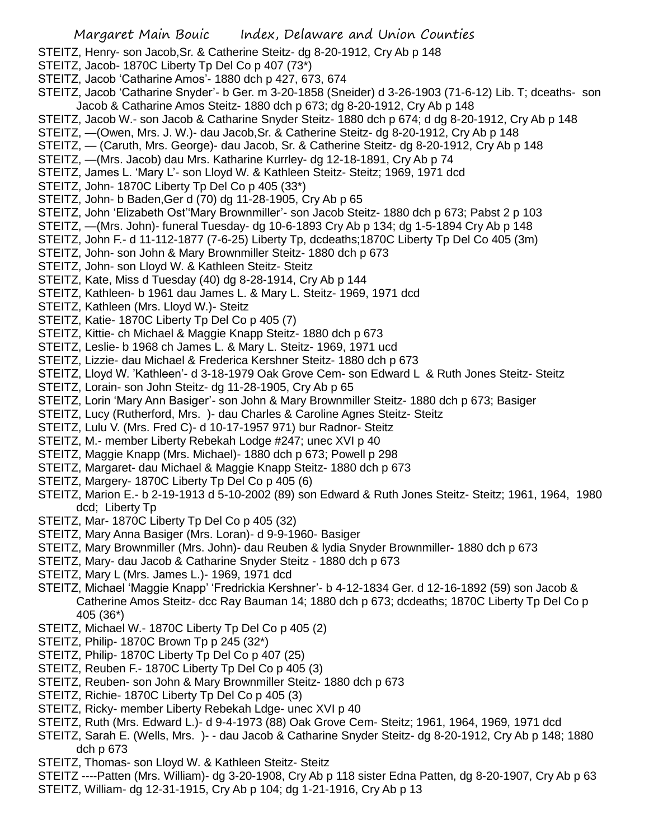- STEITZ, Henry- son Jacob,Sr. & Catherine Steitz- dg 8-20-1912, Cry Ab p 148
- STEITZ, Jacob- 1870C Liberty Tp Del Co p 407 (73\*)
- STEITZ, Jacob 'Catharine Amos'- 1880 dch p 427, 673, 674
- STEITZ, Jacob 'Catharine Snyder'- b Ger. m 3-20-1858 (Sneider) d 3-26-1903 (71-6-12) Lib. T; dceaths- son Jacob & Catharine Amos Steitz- 1880 dch p 673; dg 8-20-1912, Cry Ab p 148
- STEITZ, Jacob W.- son Jacob & Catharine Snyder Steitz- 1880 dch p 674; d dg 8-20-1912, Cry Ab p 148
- STEITZ, —(Owen, Mrs. J. W.)- dau Jacob,Sr. & Catherine Steitz- dg 8-20-1912, Cry Ab p 148
- STEITZ, (Caruth, Mrs. George)- dau Jacob, Sr. & Catherine Steitz- dg 8-20-1912, Cry Ab p 148
- STEITZ, —(Mrs. Jacob) dau Mrs. Katharine Kurrley- dg 12-18-1891, Cry Ab p 74
- STEITZ, James L. 'Mary L'- son Lloyd W. & Kathleen Steitz- Steitz; 1969, 1971 dcd
- STEITZ, John- 1870C Liberty Tp Del Co p 405 (33\*)
- STEITZ, John- b Baden,Ger d (70) dg 11-28-1905, Cry Ab p 65
- STEITZ, John 'Elizabeth Ost''Mary Brownmiller'- son Jacob Steitz- 1880 dch p 673; Pabst 2 p 103
- STEITZ, —(Mrs. John)- funeral Tuesday- dg 10-6-1893 Cry Ab p 134; dg 1-5-1894 Cry Ab p 148
- STEITZ, John F.- d 11-112-1877 (7-6-25) Liberty Tp, dcdeaths;1870C Liberty Tp Del Co 405 (3m)
- STEITZ, John- son John & Mary Brownmiller Steitz- 1880 dch p 673
- STEITZ, John- son Lloyd W. & Kathleen Steitz- Steitz
- STEITZ, Kate, Miss d Tuesday (40) dg 8-28-1914, Cry Ab p 144
- STEITZ, Kathleen- b 1961 dau James L. & Mary L. Steitz- 1969, 1971 dcd
- STEITZ, Kathleen (Mrs. Lloyd W.)- Steitz
- STEITZ, Katie- 1870C Liberty Tp Del Co p 405 (7)
- STEITZ, Kittie- ch Michael & Maggie Knapp Steitz- 1880 dch p 673
- STEITZ, Leslie- b 1968 ch James L. & Mary L. Steitz- 1969, 1971 ucd
- STEITZ, Lizzie- dau Michael & Frederica Kershner Steitz- 1880 dch p 673
- STEITZ, Lloyd W. 'Kathleen'- d 3-18-1979 Oak Grove Cem- son Edward L & Ruth Jones Steitz- Steitz
- STEITZ, Lorain- son John Steitz- dg 11-28-1905, Cry Ab p 65
- STEITZ, Lorin 'Mary Ann Basiger'- son John & Mary Brownmiller Steitz- 1880 dch p 673; Basiger
- STEITZ, Lucy (Rutherford, Mrs. )- dau Charles & Caroline Agnes Steitz- Steitz
- STEITZ, Lulu V. (Mrs. Fred C)- d 10-17-1957 971) bur Radnor- Steitz
- STEITZ, M.- member Liberty Rebekah Lodge #247; unec XVI p 40
- STEITZ, Maggie Knapp (Mrs. Michael)- 1880 dch p 673; Powell p 298
- STEITZ, Margaret- dau Michael & Maggie Knapp Steitz- 1880 dch p 673
- STEITZ, Margery- 1870C Liberty Tp Del Co p 405 (6)
- STEITZ, Marion E.- b 2-19-1913 d 5-10-2002 (89) son Edward & Ruth Jones Steitz- Steitz; 1961, 1964, 1980 dcd; Liberty Tp
- STEITZ, Mar- 1870C Liberty Tp Del Co p 405 (32)
- STEITZ, Mary Anna Basiger (Mrs. Loran)- d 9-9-1960- Basiger
- STEITZ, Mary Brownmiller (Mrs. John)- dau Reuben & lydia Snyder Brownmiller- 1880 dch p 673
- STEITZ, Mary- dau Jacob & Catharine Snyder Steitz 1880 dch p 673
- STEITZ, Mary L (Mrs. James L.)- 1969, 1971 dcd
- STEITZ, Michael 'Maggie Knapp' 'Fredrickia Kershner'- b 4-12-1834 Ger. d 12-16-1892 (59) son Jacob & Catherine Amos Steitz- dcc Ray Bauman 14; 1880 dch p 673; dcdeaths; 1870C Liberty Tp Del Co p 405 (36\*)
- STEITZ, Michael W.- 1870C Liberty Tp Del Co p 405 (2)
- STEITZ, Philip- 1870C Brown Tp p 245 (32\*)
- STEITZ, Philip- 1870C Liberty Tp Del Co p 407 (25)
- STEITZ, Reuben F.- 1870C Liberty Tp Del Co p 405 (3)
- STEITZ, Reuben- son John & Mary Brownmiller Steitz- 1880 dch p 673
- STEITZ, Richie- 1870C Liberty Tp Del Co p 405 (3)
- STEITZ, Ricky- member Liberty Rebekah Ldge- unec XVI p 40
- STEITZ, Ruth (Mrs. Edward L.)- d 9-4-1973 (88) Oak Grove Cem- Steitz; 1961, 1964, 1969, 1971 dcd
- STEITZ, Sarah E. (Wells, Mrs. )- dau Jacob & Catharine Snyder Steitz- dg 8-20-1912, Cry Ab p 148; 1880 dch p 673
- STEITZ, Thomas- son Lloyd W. & Kathleen Steitz- Steitz
- STEITZ ----Patten (Mrs. William)- dg 3-20-1908, Cry Ab p 118 sister Edna Patten, dg 8-20-1907, Cry Ab p 63
- STEITZ, William- dg 12-31-1915, Cry Ab p 104; dg 1-21-1916, Cry Ab p 13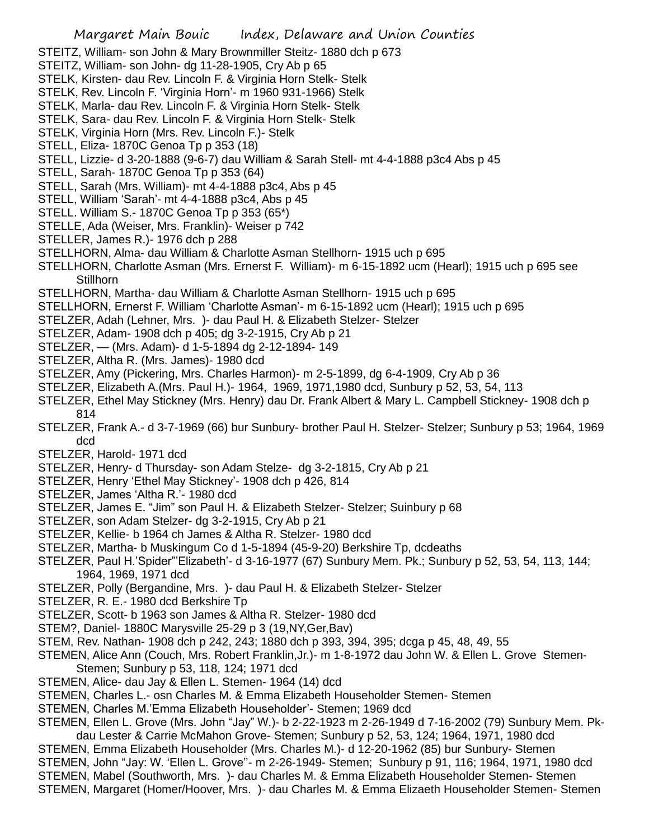- STEITZ, William- son John & Mary Brownmiller Steitz- 1880 dch p 673
- STEITZ, William- son John- dg 11-28-1905, Cry Ab p 65
- STELK, Kirsten- dau Rev. Lincoln F. & Virginia Horn Stelk- Stelk
- STELK, Rev. Lincoln F. 'Virginia Horn'- m 1960 931-1966) Stelk
- STELK, Marla- dau Rev. Lincoln F. & Virginia Horn Stelk- Stelk
- STELK, Sara- dau Rev. Lincoln F. & Virginia Horn Stelk- Stelk
- STELK, Virginia Horn (Mrs. Rev. Lincoln F.)- Stelk
- STELL, Eliza- 1870C Genoa Tp p 353 (18)
- STELL, Lizzie- d 3-20-1888 (9-6-7) dau William & Sarah Stell- mt 4-4-1888 p3c4 Abs p 45
- STELL, Sarah- 1870C Genoa Tp p 353 (64)
- STELL, Sarah (Mrs. William)- mt 4-4-1888 p3c4, Abs p 45
- STELL, William 'Sarah'- mt 4-4-1888 p3c4, Abs p 45
- STELL. William S.- 1870C Genoa Tp p 353 (65\*)
- STELLE, Ada (Weiser, Mrs. Franklin)- Weiser p 742
- STELLER, James R.)- 1976 dch p 288
- STELLHORN, Alma- dau William & Charlotte Asman Stellhorn- 1915 uch p 695
- STELLHORN, Charlotte Asman (Mrs. Ernerst F. William)- m 6-15-1892 ucm (Hearl); 1915 uch p 695 see **Stillhorn**
- STELLHORN, Martha- dau William & Charlotte Asman Stellhorn- 1915 uch p 695
- STELLHORN, Ernerst F. William 'Charlotte Asman'- m 6-15-1892 ucm (Hearl); 1915 uch p 695
- STELZER, Adah (Lehner, Mrs. )- dau Paul H. & Elizabeth Stelzer- Stelzer
- STELZER, Adam- 1908 dch p 405; dg 3-2-1915, Cry Ab p 21
- STELZER, (Mrs. Adam)- d 1-5-1894 dg 2-12-1894- 149
- STELZER, Altha R. (Mrs. James)- 1980 dcd
- STELZER, Amy (Pickering, Mrs. Charles Harmon)- m 2-5-1899, dg 6-4-1909, Cry Ab p 36
- STELZER, Elizabeth A.(Mrs. Paul H.)- 1964, 1969, 1971,1980 dcd, Sunbury p 52, 53, 54, 113
- STELZER, Ethel May Stickney (Mrs. Henry) dau Dr. Frank Albert & Mary L. Campbell Stickney- 1908 dch p 814
- STELZER, Frank A.- d 3-7-1969 (66) bur Sunbury- brother Paul H. Stelzer- Stelzer; Sunbury p 53; 1964, 1969 dcd
- STELZER, Harold- 1971 dcd
- STELZER, Henry- d Thursday- son Adam Stelze- dg 3-2-1815, Cry Ab p 21
- STELZER, Henry 'Ethel May Stickney'- 1908 dch p 426, 814
- STELZER, James 'Altha R.'- 1980 dcd
- STELZER, James E. "Jim" son Paul H. & Elizabeth Stelzer- Stelzer; Suinbury p 68
- STELZER, son Adam Stelzer- dg 3-2-1915, Cry Ab p 21
- STELZER, Kellie- b 1964 ch James & Altha R. Stelzer- 1980 dcd
- STELZER, Martha- b Muskingum Co d 1-5-1894 (45-9-20) Berkshire Tp, dcdeaths
- STELZER, Paul H.'Spider"'Elizabeth'- d 3-16-1977 (67) Sunbury Mem. Pk.; Sunbury p 52, 53, 54, 113, 144; 1964, 1969, 1971 dcd
- STELZER, Polly (Bergandine, Mrs. )- dau Paul H. & Elizabeth Stelzer- Stelzer
- STELZER, R. E.- 1980 dcd Berkshire Tp
- STELZER, Scott- b 1963 son James & Altha R. Stelzer- 1980 dcd
- STEM?, Daniel- 1880C Marysville 25-29 p 3 (19,NY,Ger,Bav)
- STEM, Rev. Nathan- 1908 dch p 242, 243; 1880 dch p 393, 394, 395; dcga p 45, 48, 49, 55
- STEMEN, Alice Ann (Couch, Mrs. Robert Franklin,Jr.)- m 1-8-1972 dau John W. & Ellen L. Grove Stemen-Stemen; Sunbury p 53, 118, 124; 1971 dcd
- STEMEN, Alice- dau Jay & Ellen L. Stemen- 1964 (14) dcd
- STEMEN, Charles L.- osn Charles M. & Emma Elizabeth Householder Stemen- Stemen
- STEMEN, Charles M.'Emma Elizabeth Householder'- Stemen; 1969 dcd

STEMEN, Ellen L. Grove (Mrs. John "Jay" W.)- b 2-22-1923 m 2-26-1949 d 7-16-2002 (79) Sunbury Mem. Pkdau Lester & Carrie McMahon Grove- Stemen; Sunbury p 52, 53, 124; 1964, 1971, 1980 dcd STEMEN, Emma Elizabeth Householder (Mrs. Charles M.)- d 12-20-1962 (85) bur Sunbury- Stemen

STEMEN, John "Jay: W. 'Ellen L. Grove''- m 2-26-1949- Stemen; Sunbury p 91, 116; 1964, 1971, 1980 dcd STEMEN, Mabel (Southworth, Mrs. )- dau Charles M. & Emma Elizabeth Householder Stemen- Stemen

STEMEN, Margaret (Homer/Hoover, Mrs. )- dau Charles M. & Emma Elizaeth Householder Stemen- Stemen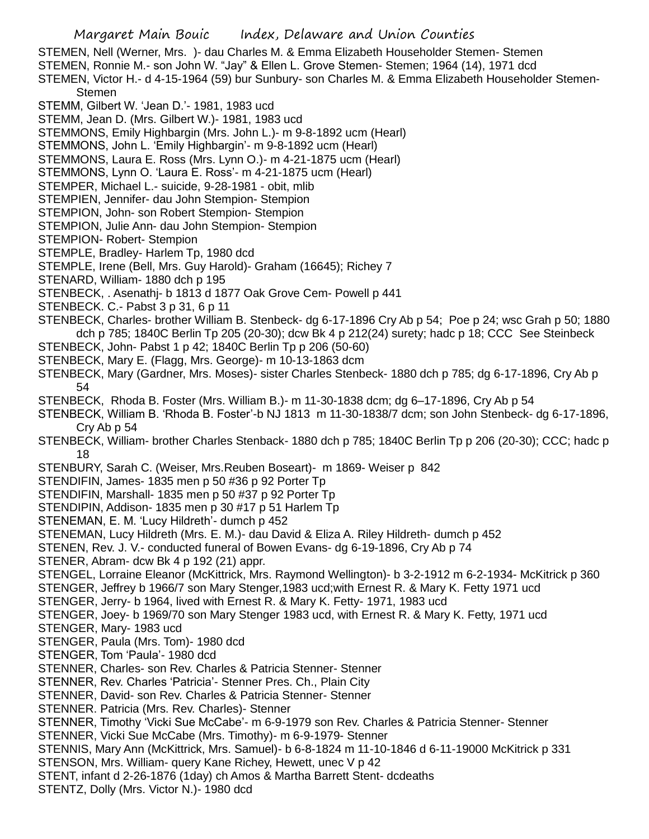Margaret Main Bouic Index, Delaware and Union Counties STEMEN, Nell (Werner, Mrs. )- dau Charles M. & Emma Elizabeth Householder Stemen- Stemen STEMEN, Ronnie M.- son John W. "Jay" & Ellen L. Grove Stemen- Stemen; 1964 (14), 1971 dcd STEMEN, Victor H.- d 4-15-1964 (59) bur Sunbury- son Charles M. & Emma Elizabeth Householder Stemen-**Stemen** STEMM, Gilbert W. 'Jean D.'- 1981, 1983 ucd STEMM, Jean D. (Mrs. Gilbert W.)- 1981, 1983 ucd STEMMONS, Emily Highbargin (Mrs. John L.)- m 9-8-1892 ucm (Hearl) STEMMONS, John L. 'Emily Highbargin'- m 9-8-1892 ucm (Hearl) STEMMONS, Laura E. Ross (Mrs. Lynn O.)- m 4-21-1875 ucm (Hearl) STEMMONS, Lynn O. 'Laura E. Ross'- m 4-21-1875 ucm (Hearl) STEMPER, Michael L.- suicide, 9-28-1981 - obit, mlib STEMPIEN, Jennifer- dau John Stempion- Stempion STEMPION, John- son Robert Stempion- Stempion STEMPION, Julie Ann- dau John Stempion- Stempion STEMPION- Robert- Stempion STEMPLE, Bradley- Harlem Tp, 1980 dcd STEMPLE, Irene (Bell, Mrs. Guy Harold)- Graham (16645); Richey 7 STENARD, William- 1880 dch p 195 STENBECK, . Asenathj- b 1813 d 1877 Oak Grove Cem- Powell p 441 STENBECK. C.- Pabst 3 p 31, 6 p 11 STENBECK, Charles- brother William B. Stenbeck- dg 6-17-1896 Cry Ab p 54; Poe p 24; wsc Grah p 50; 1880 dch p 785; 1840C Berlin Tp 205 (20-30); dcw Bk 4 p 212(24) surety; hadc p 18; CCC See Steinbeck STENBECK, John- Pabst 1 p 42; 1840C Berlin Tp p 206 (50-60) STENBECK, Mary E. (Flagg, Mrs. George)- m 10-13-1863 dcm STENBECK, Mary (Gardner, Mrs. Moses)- sister Charles Stenbeck- 1880 dch p 785; dg 6-17-1896, Cry Ab p 54 STENBECK, Rhoda B. Foster (Mrs. William B.)- m 11-30-1838 dcm; dg 6–17-1896, Cry Ab p 54 STENBECK, William B. 'Rhoda B. Foster'-b NJ 1813 m 11-30-1838/7 dcm; son John Stenbeck- dg 6-17-1896, Cry Ab p 54 STENBECK, William- brother Charles Stenback- 1880 dch p 785; 1840C Berlin Tp p 206 (20-30); CCC; hadc p 18 STENBURY, Sarah C. (Weiser, Mrs.Reuben Boseart)- m 1869- Weiser p 842 STENDIFIN, James- 1835 men p 50 #36 p 92 Porter Tp STENDIFIN, Marshall- 1835 men p 50 #37 p 92 Porter Tp STENDIPIN, Addison- 1835 men p 30 #17 p 51 Harlem Tp STENEMAN, E. M. 'Lucy Hildreth'- dumch p 452 STENEMAN, Lucy Hildreth (Mrs. E. M.)- dau David & Eliza A. Riley Hildreth- dumch p 452 STENEN, Rev. J. V.- conducted funeral of Bowen Evans- dg 6-19-1896, Cry Ab p 74 STENER, Abram- dcw Bk 4 p 192 (21) appr. STENGEL, Lorraine Eleanor (McKittrick, Mrs. Raymond Wellington)- b 3-2-1912 m 6-2-1934- McKitrick p 360 STENGER, Jeffrey b 1966/7 son Mary Stenger,1983 ucd;with Ernest R. & Mary K. Fetty 1971 ucd STENGER, Jerry- b 1964, lived with Ernest R. & Mary K. Fetty- 1971, 1983 ucd STENGER, Joey- b 1969/70 son Mary Stenger 1983 ucd, with Ernest R. & Mary K. Fetty, 1971 ucd STENGER, Mary- 1983 ucd STENGER, Paula (Mrs. Tom)- 1980 dcd STENGER, Tom 'Paula'- 1980 dcd STENNER, Charles- son Rev. Charles & Patricia Stenner- Stenner STENNER, Rev. Charles 'Patricia'- Stenner Pres. Ch., Plain City STENNER, David- son Rev. Charles & Patricia Stenner- Stenner STENNER. Patricia (Mrs. Rev. Charles)- Stenner STENNER, Timothy 'Vicki Sue McCabe'- m 6-9-1979 son Rev. Charles & Patricia Stenner- Stenner STENNER, Vicki Sue McCabe (Mrs. Timothy)- m 6-9-1979- Stenner STENNIS, Mary Ann (McKittrick, Mrs. Samuel)- b 6-8-1824 m 11-10-1846 d 6-11-19000 McKitrick p 331 STENSON, Mrs. William- query Kane Richey, Hewett, unec V p 42 STENT, infant d 2-26-1876 (1day) ch Amos & Martha Barrett Stent- dcdeaths STENTZ, Dolly (Mrs. Victor N.)- 1980 dcd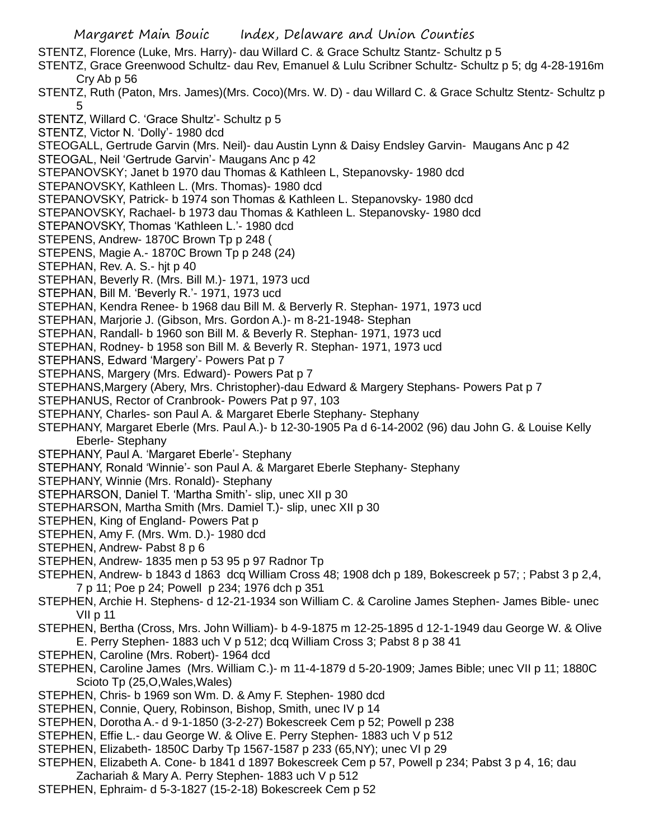- Margaret Main Bouic Index, Delaware and Union Counties STENTZ, Florence (Luke, Mrs. Harry)- dau Willard C. & Grace Schultz Stantz- Schultz p 5 STENTZ, Grace Greenwood Schultz- dau Rev, Emanuel & Lulu Scribner Schultz- Schultz p 5; dg 4-28-1916m Cry Ab p 56 STENTZ, Ruth (Paton, Mrs. James)(Mrs. Coco)(Mrs. W. D) - dau Willard C. & Grace Schultz Stentz- Schultz p 5 STENTZ, Willard C. 'Grace Shultz'- Schultz p 5 STENTZ, Victor N. 'Dolly'- 1980 dcd STEOGALL, Gertrude Garvin (Mrs. Neil)- dau Austin Lynn & Daisy Endsley Garvin- Maugans Anc p 42 STEOGAL, Neil 'Gertrude Garvin'- Maugans Anc p 42 STEPANOVSKY; Janet b 1970 dau Thomas & Kathleen L, Stepanovsky- 1980 dcd STEPANOVSKY, Kathleen L. (Mrs. Thomas)- 1980 dcd STEPANOVSKY, Patrick- b 1974 son Thomas & Kathleen L. Stepanovsky- 1980 dcd STEPANOVSKY, Rachael- b 1973 dau Thomas & Kathleen L. Stepanovsky- 1980 dcd STEPANOVSKY, Thomas 'Kathleen L.'- 1980 dcd STEPENS, Andrew- 1870C Brown Tp p 248 ( STEPENS, Magie A.- 1870C Brown Tp p 248 (24) STEPHAN, Rev. A. S.- hjt p 40 STEPHAN, Beverly R. (Mrs. Bill M.)- 1971, 1973 ucd STEPHAN, Bill M. 'Beverly R.'- 1971, 1973 ucd STEPHAN, Kendra Renee- b 1968 dau Bill M. & Berverly R. Stephan- 1971, 1973 ucd STEPHAN, Marjorie J. (Gibson, Mrs. Gordon A.)- m 8-21-1948- Stephan STEPHAN, Randall- b 1960 son Bill M. & Beverly R. Stephan- 1971, 1973 ucd STEPHAN, Rodney- b 1958 son Bill M. & Beverly R. Stephan- 1971, 1973 ucd STEPHANS, Edward 'Margery'- Powers Pat p 7 STEPHANS, Margery (Mrs. Edward)- Powers Pat p 7 STEPHANS,Margery (Abery, Mrs. Christopher)-dau Edward & Margery Stephans- Powers Pat p 7 STEPHANUS, Rector of Cranbrook- Powers Pat p 97, 103 STEPHANY, Charles- son Paul A. & Margaret Eberle Stephany- Stephany STEPHANY, Margaret Eberle (Mrs. Paul A.)- b 12-30-1905 Pa d 6-14-2002 (96) dau John G. & Louise Kelly Eberle- Stephany STEPHANY, Paul A. 'Margaret Eberle'- Stephany STEPHANY, Ronald 'Winnie'- son Paul A. & Margaret Eberle Stephany- Stephany STEPHANY, Winnie (Mrs. Ronald)- Stephany STEPHARSON, Daniel T. 'Martha Smith'- slip, unec XII p 30 STEPHARSON, Martha Smith (Mrs. Damiel T.)- slip, unec XII p 30 STEPHEN, King of England- Powers Pat p STEPHEN, Amy F. (Mrs. Wm. D.)- 1980 dcd STEPHEN, Andrew- Pabst 8 p 6 STEPHEN, Andrew- 1835 men p 53 95 p 97 Radnor Tp STEPHEN, Andrew- b 1843 d 1863 dcq William Cross 48; 1908 dch p 189, Bokescreek p 57; ; Pabst 3 p 2,4, 7 p 11; Poe p 24; Powell p 234; 1976 dch p 351 STEPHEN, Archie H. Stephens- d 12-21-1934 son William C. & Caroline James Stephen- James Bible- unec VII p 11 STEPHEN, Bertha (Cross, Mrs. John William)- b 4-9-1875 m 12-25-1895 d 12-1-1949 dau George W. & Olive E. Perry Stephen- 1883 uch V p 512; dcq William Cross 3; Pabst 8 p 38 41 STEPHEN, Caroline (Mrs. Robert)- 1964 dcd STEPHEN, Caroline James (Mrs. William C.)- m 11-4-1879 d 5-20-1909; James Bible; unec VII p 11; 1880C Scioto Tp (25,O,Wales,Wales) STEPHEN, Chris- b 1969 son Wm. D. & Amy F. Stephen- 1980 dcd STEPHEN, Connie, Query, Robinson, Bishop, Smith, unec IV p 14 STEPHEN, Dorotha A.- d 9-1-1850 (3-2-27) Bokescreek Cem p 52; Powell p 238 STEPHEN, Effie L.- dau George W. & Olive E. Perry Stephen- 1883 uch V p 512
- STEPHEN, Elizabeth- 1850C Darby Tp 1567-1587 p 233 (65,NY); unec VI p 29
- STEPHEN, Elizabeth A. Cone- b 1841 d 1897 Bokescreek Cem p 57, Powell p 234; Pabst 3 p 4, 16; dau Zachariah & Mary A. Perry Stephen- 1883 uch V p 512
- STEPHEN, Ephraim- d 5-3-1827 (15-2-18) Bokescreek Cem p 52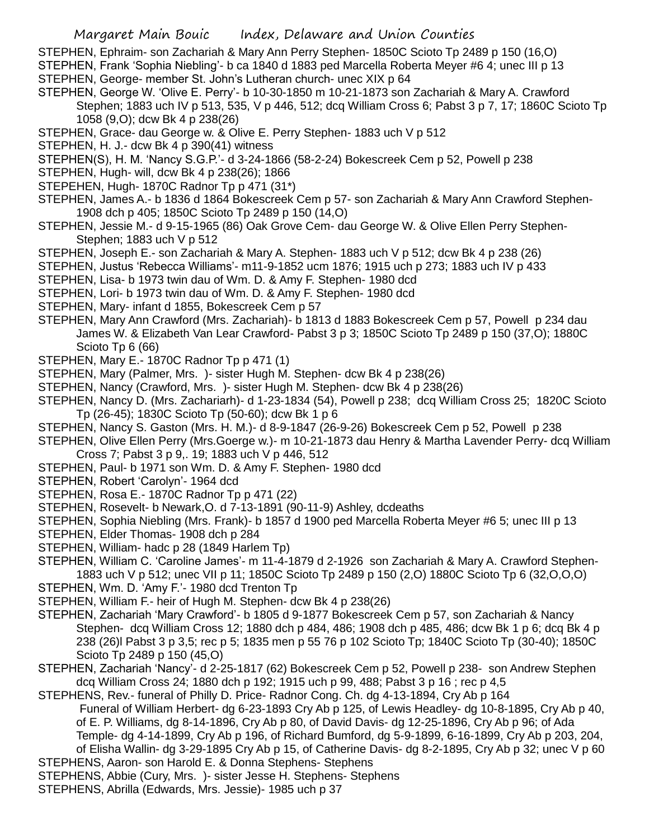STEPHEN, Ephraim- son Zachariah & Mary Ann Perry Stephen- 1850C Scioto Tp 2489 p 150 (16,O) STEPHEN, Frank 'Sophia Niebling'- b ca 1840 d 1883 ped Marcella Roberta Meyer #6 4; unec III p 13 STEPHEN, George- member St. John's Lutheran church- unec XIX p 64

- STEPHEN, George W. 'Olive E. Perry'- b 10-30-1850 m 10-21-1873 son Zachariah & Mary A. Crawford Stephen; 1883 uch IV p 513, 535, V p 446, 512; dcq William Cross 6; Pabst 3 p 7, 17; 1860C Scioto Tp 1058 (9,O); dcw Bk 4 p 238(26)
- STEPHEN, Grace- dau George w. & Olive E. Perry Stephen- 1883 uch V p 512
- STEPHEN, H. J.- dcw Bk 4 p 390(41) witness
- STEPHEN(S), H. M. 'Nancy S.G.P.'- d 3-24-1866 (58-2-24) Bokescreek Cem p 52, Powell p 238
- STEPHEN, Hugh- will, dcw Bk 4 p 238(26); 1866
- STEPEHEN, Hugh- 1870C Radnor Tp p 471 (31\*)
- STEPHEN, James A.- b 1836 d 1864 Bokescreek Cem p 57- son Zachariah & Mary Ann Crawford Stephen-1908 dch p 405; 1850C Scioto Tp 2489 p 150 (14,O)
- STEPHEN, Jessie M.- d 9-15-1965 (86) Oak Grove Cem- dau George W. & Olive Ellen Perry Stephen-Stephen; 1883 uch V p 512
- STEPHEN, Joseph E.- son Zachariah & Mary A. Stephen- 1883 uch V p 512; dcw Bk 4 p 238 (26)
- STEPHEN, Justus 'Rebecca Williams'- m11-9-1852 ucm 1876; 1915 uch p 273; 1883 uch IV p 433
- STEPHEN, Lisa- b 1973 twin dau of Wm. D. & Amy F. Stephen- 1980 dcd
- STEPHEN, Lori- b 1973 twin dau of Wm. D. & Amy F. Stephen- 1980 dcd
- STEPHEN, Mary- infant d 1855, Bokescreek Cem p 57
- STEPHEN, Mary Ann Crawford (Mrs. Zachariah)- b 1813 d 1883 Bokescreek Cem p 57, Powell p 234 dau James W. & Elizabeth Van Lear Crawford- Pabst 3 p 3; 1850C Scioto Tp 2489 p 150 (37,O); 1880C Scioto Tp 6 (66)
- STEPHEN, Mary E.- 1870C Radnor Tp p 471 (1)
- STEPHEN, Mary (Palmer, Mrs. )- sister Hugh M. Stephen- dcw Bk 4 p 238(26)
- STEPHEN, Nancy (Crawford, Mrs. )- sister Hugh M. Stephen- dcw Bk 4 p 238(26)
- STEPHEN, Nancy D. (Mrs. Zachariarh)- d 1-23-1834 (54), Powell p 238; dcq William Cross 25; 1820C Scioto Tp (26-45); 1830C Scioto Tp (50-60); dcw Bk 1 p 6
- STEPHEN, Nancy S. Gaston (Mrs. H. M.)- d 8-9-1847 (26-9-26) Bokescreek Cem p 52, Powell p 238
- STEPHEN, Olive Ellen Perry (Mrs.Goerge w.)- m 10-21-1873 dau Henry & Martha Lavender Perry- dcq William Cross 7; Pabst 3 p 9,. 19; 1883 uch V p 446, 512
- STEPHEN, Paul- b 1971 son Wm. D. & Amy F. Stephen- 1980 dcd
- STEPHEN, Robert 'Carolyn'- 1964 dcd
- STEPHEN, Rosa E.- 1870C Radnor Tp p 471 (22)
- STEPHEN, Rosevelt- b Newark,O. d 7-13-1891 (90-11-9) Ashley, dcdeaths
- STEPHEN, Sophia Niebling (Mrs. Frank)- b 1857 d 1900 ped Marcella Roberta Meyer #6 5; unec III p 13
- STEPHEN, Elder Thomas- 1908 dch p 284
- STEPHEN, William- hadc p 28 (1849 Harlem Tp)
- STEPHEN, William C. 'Caroline James'- m 11-4-1879 d 2-1926 son Zachariah & Mary A. Crawford Stephen-1883 uch V p 512; unec VII p 11; 1850C Scioto Tp 2489 p 150 (2,O) 1880C Scioto Tp 6 (32,O,O,O)
- STEPHEN, Wm. D. 'Amy F.'- 1980 dcd Trenton Tp
- STEPHEN, William F.- heir of Hugh M. Stephen- dcw Bk 4 p 238(26)
- STEPHEN, Zachariah 'Mary Crawford'- b 1805 d 9-1877 Bokescreek Cem p 57, son Zachariah & Nancy Stephen- dcq William Cross 12; 1880 dch p 484, 486; 1908 dch p 485, 486; dcw Bk 1 p 6; dcq Bk 4 p 238 (26)l Pabst 3 p 3,5; rec p 5; 1835 men p 55 76 p 102 Scioto Tp; 1840C Scioto Tp (30-40); 1850C Scioto Tp 2489 p 150 (45,O)
- STEPHEN, Zachariah 'Nancy'- d 2-25-1817 (62) Bokescreek Cem p 52, Powell p 238- son Andrew Stephen dcq William Cross 24; 1880 dch p 192; 1915 uch p 99, 488; Pabst 3 p 16 ; rec p 4,5
- STEPHENS, Rev.- funeral of Philly D. Price- Radnor Cong. Ch. dg 4-13-1894, Cry Ab p 164 Funeral of William Herbert- dg 6-23-1893 Cry Ab p 125, of Lewis Headley- dg 10-8-1895, Cry Ab p 40, of E. P. Williams, dg 8-14-1896, Cry Ab p 80, of David Davis- dg 12-25-1896, Cry Ab p 96; of Ada Temple- dg 4-14-1899, Cry Ab p 196, of Richard Bumford, dg 5-9-1899, 6-16-1899, Cry Ab p 203, 204, of Elisha Wallin- dg 3-29-1895 Cry Ab p 15, of Catherine Davis- dg 8-2-1895, Cry Ab p 32; unec V p 60
- STEPHENS, Aaron- son Harold E. & Donna Stephens- Stephens
- STEPHENS, Abbie (Cury, Mrs. )- sister Jesse H. Stephens- Stephens
- STEPHENS, Abrilla (Edwards, Mrs. Jessie)- 1985 uch p 37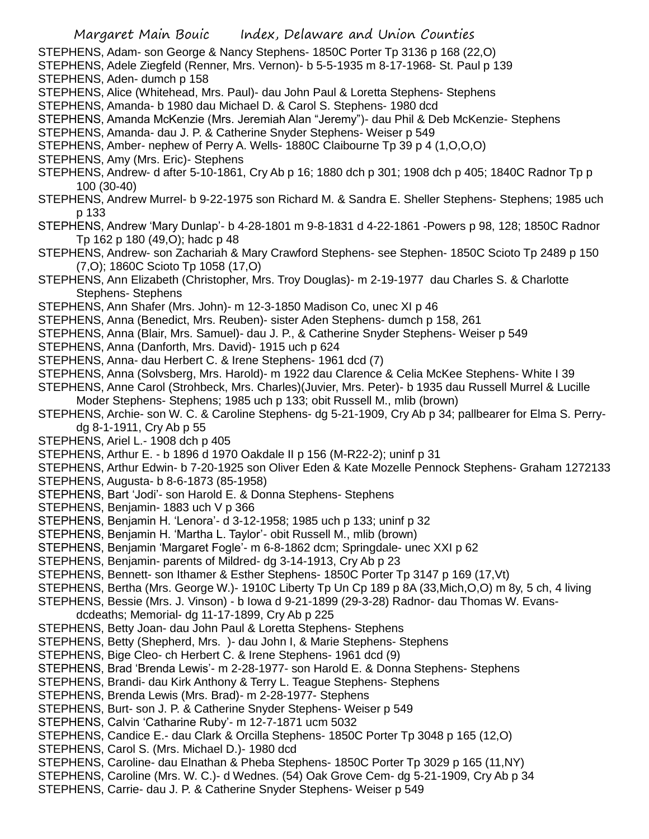- STEPHENS, Adam- son George & Nancy Stephens- 1850C Porter Tp 3136 p 168 (22,O)
- STEPHENS, Adele Ziegfeld (Renner, Mrs. Vernon)- b 5-5-1935 m 8-17-1968- St. Paul p 139

STEPHENS, Aden- dumch p 158

- STEPHENS, Alice (Whitehead, Mrs. Paul)- dau John Paul & Loretta Stephens- Stephens
- STEPHENS, Amanda- b 1980 dau Michael D. & Carol S. Stephens- 1980 dcd
- STEPHENS, Amanda McKenzie (Mrs. Jeremiah Alan "Jeremy")- dau Phil & Deb McKenzie- Stephens
- STEPHENS, Amanda- dau J. P. & Catherine Snyder Stephens- Weiser p 549
- STEPHENS, Amber- nephew of Perry A. Wells- 1880C Claibourne Tp 39 p 4 (1,O,O,O)
- STEPHENS, Amy (Mrs. Eric)- Stephens
- STEPHENS, Andrew- d after 5-10-1861, Cry Ab p 16; 1880 dch p 301; 1908 dch p 405; 1840C Radnor Tp p 100 (30-40)
- STEPHENS, Andrew Murrel- b 9-22-1975 son Richard M. & Sandra E. Sheller Stephens- Stephens; 1985 uch p 133
- STEPHENS, Andrew 'Mary Dunlap'- b 4-28-1801 m 9-8-1831 d 4-22-1861 -Powers p 98, 128; 1850C Radnor Tp 162 p 180 (49,O); hadc p 48
- STEPHENS, Andrew- son Zachariah & Mary Crawford Stephens- see Stephen- 1850C Scioto Tp 2489 p 150 (7,O); 1860C Scioto Tp 1058 (17,O)
- STEPHENS, Ann Elizabeth (Christopher, Mrs. Troy Douglas)- m 2-19-1977 dau Charles S. & Charlotte Stephens- Stephens
- STEPHENS, Ann Shafer (Mrs. John)- m 12-3-1850 Madison Co, unec XI p 46
- STEPHENS, Anna (Benedict, Mrs. Reuben)- sister Aden Stephens- dumch p 158, 261
- STEPHENS, Anna (Blair, Mrs. Samuel)- dau J. P., & Catherine Snyder Stephens- Weiser p 549
- STEPHENS, Anna (Danforth, Mrs. David)- 1915 uch p 624
- STEPHENS, Anna- dau Herbert C. & Irene Stephens- 1961 dcd (7)
- STEPHENS, Anna (Solvsberg, Mrs. Harold)- m 1922 dau Clarence & Celia McKee Stephens- White I 39
- STEPHENS, Anne Carol (Strohbeck, Mrs. Charles)(Juvier, Mrs. Peter)- b 1935 dau Russell Murrel & Lucille Moder Stephens- Stephens; 1985 uch p 133; obit Russell M., mlib (brown)
- STEPHENS, Archie- son W. C. & Caroline Stephens- dg 5-21-1909, Cry Ab p 34; pallbearer for Elma S. Perrydg 8-1-1911, Cry Ab p 55
- STEPHENS, Ariel L.- 1908 dch p 405
- STEPHENS, Arthur E. b 1896 d 1970 Oakdale II p 156 (M-R22-2); uninf p 31
- STEPHENS, Arthur Edwin- b 7-20-1925 son Oliver Eden & Kate Mozelle Pennock Stephens- Graham 1272133
- STEPHENS, Augusta- b 8-6-1873 (85-1958)
- STEPHENS, Bart 'Jodi'- son Harold E. & Donna Stephens- Stephens
- STEPHENS, Benjamin- 1883 uch V p 366
- STEPHENS, Benjamin H. 'Lenora'- d 3-12-1958; 1985 uch p 133; uninf p 32
- STEPHENS, Benjamin H. 'Martha L. Taylor'- obit Russell M., mlib (brown)
- STEPHENS, Benjamin 'Margaret Fogle'- m 6-8-1862 dcm; Springdale- unec XXI p 62
- STEPHENS, Benjamin- parents of Mildred- dg 3-14-1913, Cry Ab p 23
- STEPHENS, Bennett- son Ithamer & Esther Stephens- 1850C Porter Tp 3147 p 169 (17,Vt)
- STEPHENS, Bertha (Mrs. George W.)- 1910C Liberty Tp Un Cp 189 p 8A (33,Mich,O,O) m 8y, 5 ch, 4 living
- STEPHENS, Bessie (Mrs. J. Vinson) b Iowa d 9-21-1899 (29-3-28) Radnor- dau Thomas W. Evansdcdeaths; Memorial- dg 11-17-1899, Cry Ab p 225
- STEPHENS, Betty Joan- dau John Paul & Loretta Stephens- Stephens
- STEPHENS, Betty (Shepherd, Mrs. )- dau John I, & Marie Stephens- Stephens
- STEPHENS, Bige Cleo- ch Herbert C. & Irene Stephens- 1961 dcd (9)
- STEPHENS, Brad 'Brenda Lewis'- m 2-28-1977- son Harold E. & Donna Stephens- Stephens
- STEPHENS, Brandi- dau Kirk Anthony & Terry L. Teague Stephens- Stephens
- STEPHENS, Brenda Lewis (Mrs. Brad)- m 2-28-1977- Stephens
- STEPHENS, Burt- son J. P. & Catherine Snyder Stephens- Weiser p 549
- STEPHENS, Calvin 'Catharine Ruby'- m 12-7-1871 ucm 5032
- STEPHENS, Candice E.- dau Clark & Orcilla Stephens- 1850C Porter Tp 3048 p 165 (12,O)
- STEPHENS, Carol S. (Mrs. Michael D.)- 1980 dcd
- STEPHENS, Caroline- dau Elnathan & Pheba Stephens- 1850C Porter Tp 3029 p 165 (11,NY)
- STEPHENS, Caroline (Mrs. W. C.)- d Wednes. (54) Oak Grove Cem- dg 5-21-1909, Cry Ab p 34
- STEPHENS, Carrie- dau J. P. & Catherine Snyder Stephens- Weiser p 549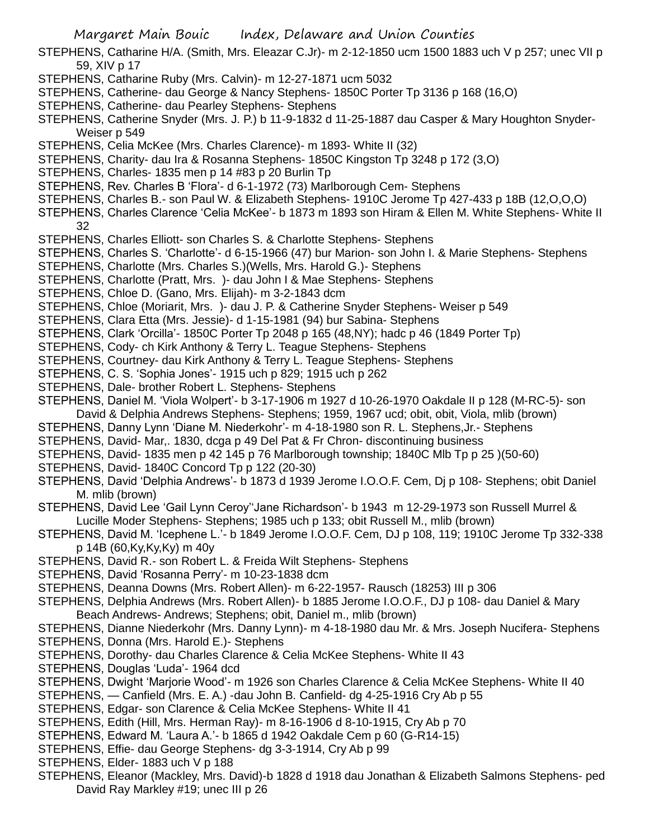- STEPHENS, Catharine H/A. (Smith, Mrs. Eleazar C.Jr)- m 2-12-1850 ucm 1500 1883 uch V p 257; unec VII p 59, XIV p 17
- STEPHENS, Catharine Ruby (Mrs. Calvin)- m 12-27-1871 ucm 5032
- STEPHENS, Catherine- dau George & Nancy Stephens- 1850C Porter Tp 3136 p 168 (16,O)
- STEPHENS, Catherine- dau Pearley Stephens- Stephens
- STEPHENS, Catherine Snyder (Mrs. J. P.) b 11-9-1832 d 11-25-1887 dau Casper & Mary Houghton Snyder-Weiser p 549
- STEPHENS, Celia McKee (Mrs. Charles Clarence)- m 1893- White II (32)
- STEPHENS, Charity- dau Ira & Rosanna Stephens- 1850C Kingston Tp 3248 p 172 (3,O)
- STEPHENS, Charles- 1835 men p 14 #83 p 20 Burlin Tp
- STEPHENS, Rev. Charles B 'Flora'- d 6-1-1972 (73) Marlborough Cem- Stephens
- STEPHENS, Charles B.- son Paul W. & Elizabeth Stephens- 1910C Jerome Tp 427-433 p 18B (12,O,O,O)
- STEPHENS, Charles Clarence 'Celia McKee'- b 1873 m 1893 son Hiram & Ellen M. White Stephens- White II 32
- STEPHENS, Charles Elliott- son Charles S. & Charlotte Stephens- Stephens
- STEPHENS, Charles S. 'Charlotte'- d 6-15-1966 (47) bur Marion- son John I. & Marie Stephens- Stephens
- STEPHENS, Charlotte (Mrs. Charles S.)(Wells, Mrs. Harold G.)- Stephens
- STEPHENS, Charlotte (Pratt, Mrs. )- dau John I & Mae Stephens- Stephens
- STEPHENS, Chloe D. (Gano, Mrs. Elijah)- m 3-2-1843 dcm
- STEPHENS, Chloe (Moriarit, Mrs. )- dau J. P. & Catherine Snyder Stephens- Weiser p 549
- STEPHENS, Clara Etta (Mrs. Jessie)- d 1-15-1981 (94) bur Sabina- Stephens
- STEPHENS, Clark 'Orcilla'- 1850C Porter Tp 2048 p 165 (48,NY); hadc p 46 (1849 Porter Tp)
- STEPHENS, Cody- ch Kirk Anthony & Terry L. Teague Stephens- Stephens
- STEPHENS, Courtney- dau Kirk Anthony & Terry L. Teague Stephens- Stephens
- STEPHENS, C. S. 'Sophia Jones'- 1915 uch p 829; 1915 uch p 262
- STEPHENS, Dale- brother Robert L. Stephens- Stephens
- STEPHENS, Daniel M. 'Viola Wolpert'- b 3-17-1906 m 1927 d 10-26-1970 Oakdale II p 128 (M-RC-5)- son
- David & Delphia Andrews Stephens- Stephens; 1959, 1967 ucd; obit, obit, Viola, mlib (brown)
- STEPHENS, Danny Lynn 'Diane M. Niederkohr'- m 4-18-1980 son R. L. Stephens,Jr.- Stephens
- STEPHENS, David- Mar,. 1830, dcga p 49 Del Pat & Fr Chron- discontinuing business
- STEPHENS, David- 1835 men p 42 145 p 76 Marlborough township; 1840C Mlb Tp p 25 )(50-60)
- STEPHENS, David- 1840C Concord Tp p 122 (20-30)
- STEPHENS, David 'Delphia Andrews'- b 1873 d 1939 Jerome I.O.O.F. Cem, Dj p 108- Stephens; obit Daniel M. mlib (brown)
- STEPHENS, David Lee 'Gail Lynn Ceroy''Jane Richardson'- b 1943 m 12-29-1973 son Russell Murrel & Lucille Moder Stephens- Stephens; 1985 uch p 133; obit Russell M., mlib (brown)
- STEPHENS, David M. 'Icephene L.'- b 1849 Jerome I.O.O.F. Cem, DJ p 108, 119; 1910C Jerome Tp 332-338 p 14B (60,Ky,Ky,Ky) m 40y
- STEPHENS, David R.- son Robert L. & Freida Wilt Stephens- Stephens
- STEPHENS, David 'Rosanna Perry'- m 10-23-1838 dcm
- STEPHENS, Deanna Downs (Mrs. Robert Allen)- m 6-22-1957- Rausch (18253) III p 306
- STEPHENS, Delphia Andrews (Mrs. Robert Allen)- b 1885 Jerome I.O.O.F., DJ p 108- dau Daniel & Mary Beach Andrews- Andrews; Stephens; obit, Daniel m., mlib (brown)
- STEPHENS, Dianne Niederkohr (Mrs. Danny Lynn)- m 4-18-1980 dau Mr. & Mrs. Joseph Nucifera- Stephens
- STEPHENS, Donna (Mrs. Harold E.)- Stephens
- STEPHENS, Dorothy- dau Charles Clarence & Celia McKee Stephens- White II 43
- STEPHENS, Douglas 'Luda'- 1964 dcd
- STEPHENS, Dwight 'Marjorie Wood'- m 1926 son Charles Clarence & Celia McKee Stephens- White II 40
- STEPHENS, Canfield (Mrs. E. A.) -dau John B. Canfield- dg 4-25-1916 Cry Ab p 55
- STEPHENS, Edgar- son Clarence & Celia McKee Stephens- White II 41
- STEPHENS, Edith (Hill, Mrs. Herman Ray)- m 8-16-1906 d 8-10-1915, Cry Ab p 70
- STEPHENS, Edward M. 'Laura A.'- b 1865 d 1942 Oakdale Cem p 60 (G-R14-15)
- STEPHENS, Effie- dau George Stephens- dg 3-3-1914, Cry Ab p 99
- STEPHENS, Elder- 1883 uch V p 188
- STEPHENS, Eleanor (Mackley, Mrs. David)-b 1828 d 1918 dau Jonathan & Elizabeth Salmons Stephens- ped David Ray Markley #19; unec III p 26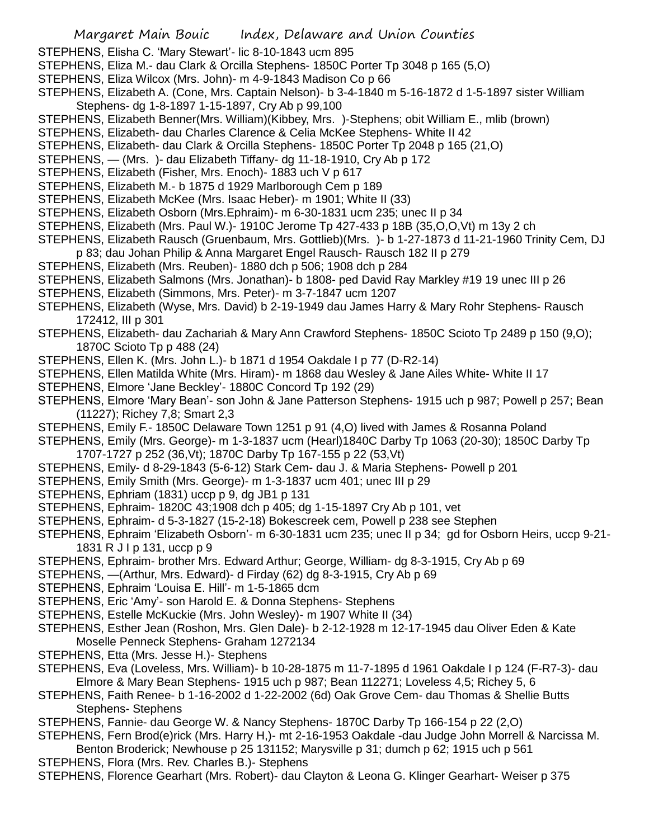- STEPHENS, Elisha C. 'Mary Stewart'- lic 8-10-1843 ucm 895
- STEPHENS, Eliza M.- dau Clark & Orcilla Stephens- 1850C Porter Tp 3048 p 165 (5,O)
- STEPHENS, Eliza Wilcox (Mrs. John)- m 4-9-1843 Madison Co p 66
- STEPHENS, Elizabeth A. (Cone, Mrs. Captain Nelson)- b 3-4-1840 m 5-16-1872 d 1-5-1897 sister William Stephens- dg 1-8-1897 1-15-1897, Cry Ab p 99,100
- STEPHENS, Elizabeth Benner(Mrs. William)(Kibbey, Mrs. )-Stephens; obit William E., mlib (brown)
- STEPHENS, Elizabeth- dau Charles Clarence & Celia McKee Stephens- White II 42
- STEPHENS, Elizabeth- dau Clark & Orcilla Stephens- 1850C Porter Tp 2048 p 165 (21,O)
- STEPHENS, (Mrs. )- dau Elizabeth Tiffany- dg 11-18-1910, Cry Ab p 172
- STEPHENS, Elizabeth (Fisher, Mrs. Enoch)- 1883 uch V p 617
- STEPHENS, Elizabeth M.- b 1875 d 1929 Marlborough Cem p 189
- STEPHENS, Elizabeth McKee (Mrs. Isaac Heber)- m 1901; White II (33)
- STEPHENS, Elizabeth Osborn (Mrs.Ephraim)- m 6-30-1831 ucm 235; unec II p 34
- STEPHENS, Elizabeth (Mrs. Paul W.)- 1910C Jerome Tp 427-433 p 18B (35,O,O,Vt) m 13y 2 ch
- STEPHENS, Elizabeth Rausch (Gruenbaum, Mrs. Gottlieb)(Mrs. )- b 1-27-1873 d 11-21-1960 Trinity Cem, DJ
- p 83; dau Johan Philip & Anna Margaret Engel Rausch- Rausch 182 II p 279
- STEPHENS, Elizabeth (Mrs. Reuben)- 1880 dch p 506; 1908 dch p 284
- STEPHENS, Elizabeth Salmons (Mrs. Jonathan)- b 1808- ped David Ray Markley #19 19 unec III p 26
- STEPHENS, Elizabeth (Simmons, Mrs. Peter)- m 3-7-1847 ucm 1207
- STEPHENS, Elizabeth (Wyse, Mrs. David) b 2-19-1949 dau James Harry & Mary Rohr Stephens- Rausch 172412, III p 301
- STEPHENS, Elizabeth- dau Zachariah & Mary Ann Crawford Stephens- 1850C Scioto Tp 2489 p 150 (9,O); 1870C Scioto Tp p 488 (24)
- STEPHENS, Ellen K. (Mrs. John L.)- b 1871 d 1954 Oakdale I p 77 (D-R2-14)
- STEPHENS, Ellen Matilda White (Mrs. Hiram)- m 1868 dau Wesley & Jane Ailes White- White II 17
- STEPHENS, Elmore 'Jane Beckley'- 1880C Concord Tp 192 (29)
- STEPHENS, Elmore 'Mary Bean'- son John & Jane Patterson Stephens- 1915 uch p 987; Powell p 257; Bean (11227); Richey 7,8; Smart 2,3
- STEPHENS, Emily F.- 1850C Delaware Town 1251 p 91 (4,O) lived with James & Rosanna Poland
- STEPHENS, Emily (Mrs. George)- m 1-3-1837 ucm (Hearl)1840C Darby Tp 1063 (20-30); 1850C Darby Tp 1707-1727 p 252 (36,Vt); 1870C Darby Tp 167-155 p 22 (53,Vt)
- STEPHENS, Emily- d 8-29-1843 (5-6-12) Stark Cem- dau J. & Maria Stephens- Powell p 201
- STEPHENS, Emily Smith (Mrs. George)- m 1-3-1837 ucm 401; unec III p 29
- STEPHENS, Ephriam (1831) uccp p 9, dg JB1 p 131
- STEPHENS, Ephraim- 1820C 43;1908 dch p 405; dg 1-15-1897 Cry Ab p 101, vet
- STEPHENS, Ephraim- d 5-3-1827 (15-2-18) Bokescreek cem, Powell p 238 see Stephen
- STEPHENS, Ephraim 'Elizabeth Osborn'- m 6-30-1831 ucm 235; unec II p 34; gd for Osborn Heirs, uccp 9-21- 1831 R J I p 131, uccp p 9
- STEPHENS, Ephraim- brother Mrs. Edward Arthur; George, William- dg 8-3-1915, Cry Ab p 69
- STEPHENS, —(Arthur, Mrs. Edward)- d Firday (62) dg 8-3-1915, Cry Ab p 69
- STEPHENS, Ephraim 'Louisa E. Hill'- m 1-5-1865 dcm
- STEPHENS, Eric 'Amy'- son Harold E. & Donna Stephens- Stephens
- STEPHENS, Estelle McKuckie (Mrs. John Wesley)- m 1907 White II (34)
- STEPHENS, Esther Jean (Roshon, Mrs. Glen Dale)- b 2-12-1928 m 12-17-1945 dau Oliver Eden & Kate Moselle Penneck Stephens- Graham 1272134
- STEPHENS, Etta (Mrs. Jesse H.)- Stephens
- STEPHENS, Eva (Loveless, Mrs. William)- b 10-28-1875 m 11-7-1895 d 1961 Oakdale I p 124 (F-R7-3)- dau Elmore & Mary Bean Stephens- 1915 uch p 987; Bean 112271; Loveless 4,5; Richey 5, 6
- STEPHENS, Faith Renee- b 1-16-2002 d 1-22-2002 (6d) Oak Grove Cem- dau Thomas & Shellie Butts Stephens- Stephens
- STEPHENS, Fannie- dau George W. & Nancy Stephens- 1870C Darby Tp 166-154 p 22 (2,O)
- STEPHENS, Fern Brod(e)rick (Mrs. Harry H,)- mt 2-16-1953 Oakdale -dau Judge John Morrell & Narcissa M. Benton Broderick; Newhouse p 25 131152; Marysville p 31; dumch p 62; 1915 uch p 561
- STEPHENS, Flora (Mrs. Rev. Charles B.)- Stephens
- STEPHENS, Florence Gearhart (Mrs. Robert)- dau Clayton & Leona G. Klinger Gearhart- Weiser p 375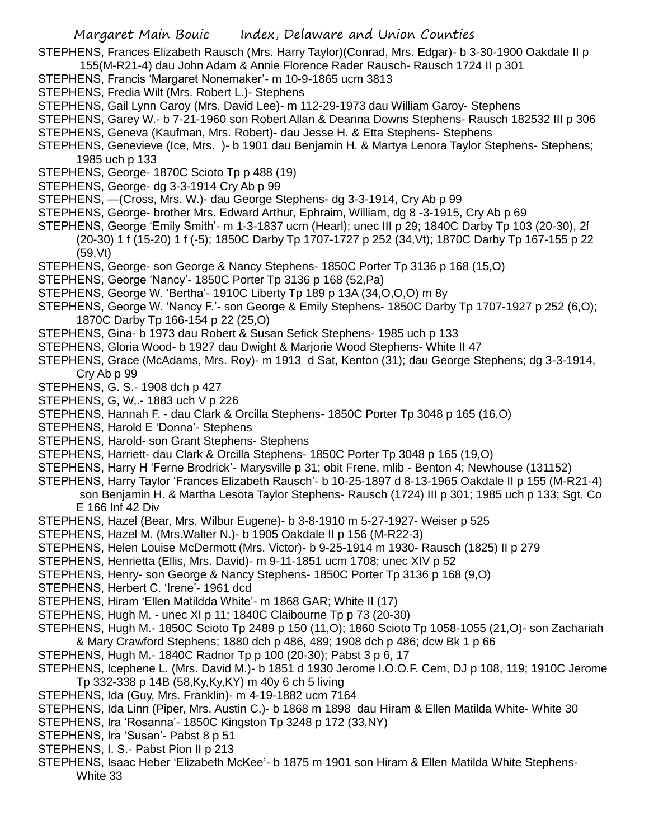STEPHENS, Frances Elizabeth Rausch (Mrs. Harry Taylor)(Conrad, Mrs. Edgar)- b 3-30-1900 Oakdale II p 155(M-R21-4) dau John Adam & Annie Florence Rader Rausch- Rausch 1724 II p 301

- STEPHENS, Francis 'Margaret Nonemaker'- m 10-9-1865 ucm 3813
- STEPHENS, Fredia Wilt (Mrs. Robert L.)- Stephens
- STEPHENS, Gail Lynn Caroy (Mrs. David Lee)- m 112-29-1973 dau William Garoy- Stephens
- STEPHENS, Garey W.- b 7-21-1960 son Robert Allan & Deanna Downs Stephens- Rausch 182532 III p 306
- STEPHENS, Geneva (Kaufman, Mrs. Robert)- dau Jesse H. & Etta Stephens- Stephens
- STEPHENS, Genevieve (Ice, Mrs. )- b 1901 dau Benjamin H. & Martya Lenora Taylor Stephens- Stephens; 1985 uch p 133
- STEPHENS, George- 1870C Scioto Tp p 488 (19)
- STEPHENS, George- dg 3-3-1914 Cry Ab p 99
- STEPHENS, —(Cross, Mrs. W.)- dau George Stephens- dg 3-3-1914, Cry Ab p 99
- STEPHENS, George- brother Mrs. Edward Arthur, Ephraim, William, dg 8 -3-1915, Cry Ab p 69
- STEPHENS, George 'Emily Smith'- m 1-3-1837 ucm (Hearl); unec III p 29; 1840C Darby Tp 103 (20-30), 2f (20-30) 1 f (15-20) 1 f (-5); 1850C Darby Tp 1707-1727 p 252 (34,Vt); 1870C Darby Tp 167-155 p 22 (59,Vt)
- STEPHENS, George- son George & Nancy Stephens- 1850C Porter Tp 3136 p 168 (15,O)
- STEPHENS, George 'Nancy'- 1850C Porter Tp 3136 p 168 (52,Pa)
- STEPHENS, George W. 'Bertha'- 1910C Liberty Tp 189 p 13A (34,O,O,O) m 8y
- STEPHENS, George W. 'Nancy F.'- son George & Emily Stephens- 1850C Darby Tp 1707-1927 p 252 (6,O); 1870C Darby Tp 166-154 p 22 (25,O)
- STEPHENS, Gina- b 1973 dau Robert & Susan Sefick Stephens- 1985 uch p 133
- STEPHENS, Gloria Wood- b 1927 dau Dwight & Marjorie Wood Stephens- White II 47
- STEPHENS, Grace (McAdams, Mrs. Roy)- m 1913 d Sat, Kenton (31); dau George Stephens; dg 3-3-1914, Cry Ab p 99
- STEPHENS, G. S.- 1908 dch p 427
- STEPHENS, G, W,.- 1883 uch V p 226
- STEPHENS, Hannah F. dau Clark & Orcilla Stephens- 1850C Porter Tp 3048 p 165 (16,O)
- STEPHENS, Harold E 'Donna'- Stephens
- STEPHENS, Harold- son Grant Stephens- Stephens
- STEPHENS, Harriett- dau Clark & Orcilla Stephens- 1850C Porter Tp 3048 p 165 (19,O)
- STEPHENS, Harry H 'Ferne Brodrick'- Marysville p 31; obit Frene, mlib Benton 4; Newhouse (131152)
- STEPHENS, Harry Taylor 'Frances Elizabeth Rausch'- b 10-25-1897 d 8-13-1965 Oakdale II p 155 (M-R21-4) son Benjamin H. & Martha Lesota Taylor Stephens- Rausch (1724) III p 301; 1985 uch p 133; Sgt. Co E 166 Inf 42 Div
- STEPHENS, Hazel (Bear, Mrs. Wilbur Eugene)- b 3-8-1910 m 5-27-1927- Weiser p 525
- STEPHENS, Hazel M. (Mrs.Walter N.)- b 1905 Oakdale II p 156 (M-R22-3)
- STEPHENS, Helen Louise McDermott (Mrs. Victor)- b 9-25-1914 m 1930- Rausch (1825) II p 279
- STEPHENS, Henrietta (Ellis, Mrs. David)- m 9-11-1851 ucm 1708; unec XIV p 52
- STEPHENS, Henry- son George & Nancy Stephens- 1850C Porter Tp 3136 p 168 (9,O)
- STEPHENS, Herbert C. 'Irene'- 1961 dcd
- STEPHENS, Hiram 'Ellen Matildda White'- m 1868 GAR; White II (17)
- STEPHENS, Hugh M. unec XI p 11; 1840C Claibourne Tp p 73 (20-30)
- STEPHENS, Hugh M.- 1850C Scioto Tp 2489 p 150 (11,O); 1860 Scioto Tp 1058-1055 (21,O)- son Zachariah & Mary Crawford Stephens; 1880 dch p 486, 489; 1908 dch p 486; dcw Bk 1 p 66
- STEPHENS, Hugh M.- 1840C Radnor Tp p 100 (20-30); Pabst 3 p 6, 17
- STEPHENS, Icephene L. (Mrs. David M.)- b 1851 d 1930 Jerome I.O.O.F. Cem, DJ p 108, 119; 1910C Jerome Tp 332-338 p 14B (58,Ky,Ky,KY) m 40y 6 ch 5 living
- STEPHENS, Ida (Guy, Mrs. Franklin)- m 4-19-1882 ucm 7164
- STEPHENS, Ida Linn (Piper, Mrs. Austin C.)- b 1868 m 1898 dau Hiram & Ellen Matilda White- White 30
- STEPHENS, Ira 'Rosanna'- 1850C Kingston Tp 3248 p 172 (33,NY)
- STEPHENS, Ira 'Susan'- Pabst 8 p 51
- STEPHENS, I. S.- Pabst Pion II p 213
- STEPHENS, Isaac Heber 'Elizabeth McKee'- b 1875 m 1901 son Hiram & Ellen Matilda White Stephens-White 33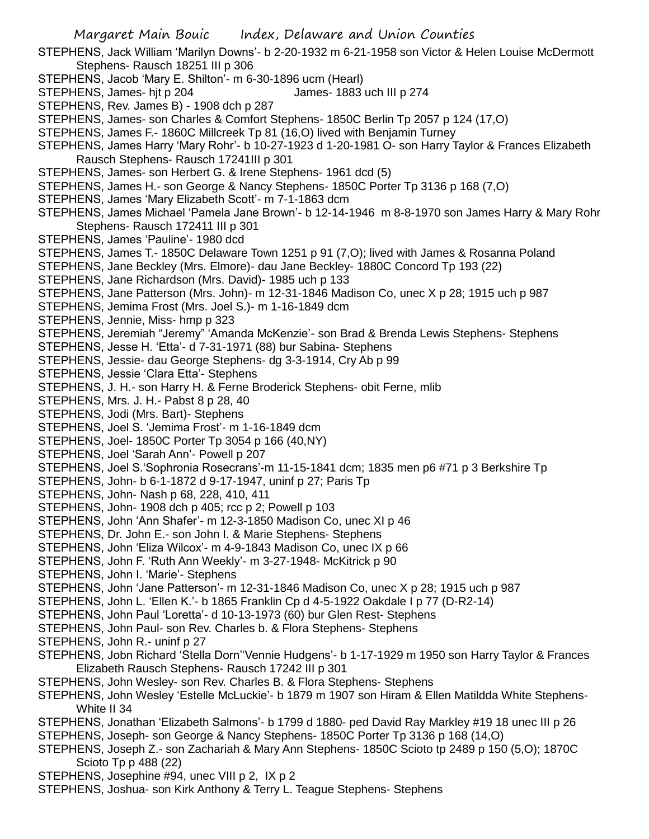Margaret Main Bouic Index, Delaware and Union Counties STEPHENS, Jack William 'Marilyn Downs'- b 2-20-1932 m 6-21-1958 son Victor & Helen Louise McDermott Stephens- Rausch 18251 III p 306 STEPHENS, Jacob 'Mary E. Shilton'- m 6-30-1896 ucm (Hearl) STEPHENS, James- hjt p 204 James- 1883 uch III p 274 STEPHENS, Rev. James B) - 1908 dch p 287 STEPHENS, James- son Charles & Comfort Stephens- 1850C Berlin Tp 2057 p 124 (17,O) STEPHENS, James F.- 1860C Millcreek Tp 81 (16,O) lived with Benjamin Turney STEPHENS, James Harry 'Mary Rohr'- b 10-27-1923 d 1-20-1981 O- son Harry Taylor & Frances Elizabeth Rausch Stephens- Rausch 17241III p 301 STEPHENS, James- son Herbert G. & Irene Stephens- 1961 dcd (5) STEPHENS, James H.- son George & Nancy Stephens- 1850C Porter Tp 3136 p 168 (7,O) STEPHENS, James 'Mary Elizabeth Scott'- m 7-1-1863 dcm STEPHENS, James Michael 'Pamela Jane Brown'- b 12-14-1946 m 8-8-1970 son James Harry & Mary Rohr Stephens- Rausch 172411 III p 301 STEPHENS, James 'Pauline'- 1980 dcd STEPHENS, James T.- 1850C Delaware Town 1251 p 91 (7,O); lived with James & Rosanna Poland STEPHENS, Jane Beckley (Mrs. Elmore)- dau Jane Beckley- 1880C Concord Tp 193 (22) STEPHENS, Jane Richardson (Mrs. David)- 1985 uch p 133 STEPHENS, Jane Patterson (Mrs. John)- m 12-31-1846 Madison Co, unec X p 28; 1915 uch p 987 STEPHENS, Jemima Frost (Mrs. Joel S.)- m 1-16-1849 dcm STEPHENS, Jennie, Miss- hmp p 323 STEPHENS, Jeremiah "Jeremy" 'Amanda McKenzie'- son Brad & Brenda Lewis Stephens- Stephens STEPHENS, Jesse H. 'Etta'- d 7-31-1971 (88) bur Sabina- Stephens STEPHENS, Jessie- dau George Stephens- dg 3-3-1914, Cry Ab p 99 STEPHENS, Jessie 'Clara Etta'- Stephens STEPHENS, J. H.- son Harry H. & Ferne Broderick Stephens- obit Ferne, mlib STEPHENS, Mrs. J. H.- Pabst 8 p 28, 40 STEPHENS, Jodi (Mrs. Bart)- Stephens STEPHENS, Joel S. 'Jemima Frost'- m 1-16-1849 dcm STEPHENS, Joel- 1850C Porter Tp 3054 p 166 (40,NY) STEPHENS, Joel 'Sarah Ann'- Powell p 207 STEPHENS, Joel S.'Sophronia Rosecrans'-m 11-15-1841 dcm; 1835 men p6 #71 p 3 Berkshire Tp STEPHENS, John- b 6-1-1872 d 9-17-1947, uninf p 27; Paris Tp STEPHENS, John- Nash p 68, 228, 410, 411 STEPHENS, John- 1908 dch p 405; rcc p 2; Powell p 103 STEPHENS, John 'Ann Shafer'- m 12-3-1850 Madison Co, unec XI p 46 STEPHENS, Dr. John E.- son John I. & Marie Stephens- Stephens STEPHENS, John 'Eliza Wilcox'- m 4-9-1843 Madison Co, unec IX p 66 STEPHENS, John F. 'Ruth Ann Weekly'- m 3-27-1948- McKitrick p 90 STEPHENS, John I. 'Marie'- Stephens STEPHENS, John 'Jane Patterson'- m 12-31-1846 Madison Co, unec X p 28; 1915 uch p 987 STEPHENS, John L. 'Ellen K.'- b 1865 Franklin Cp d 4-5-1922 Oakdale I p 77 (D-R2-14) STEPHENS, John Paul 'Loretta'- d 10-13-1973 (60) bur Glen Rest- Stephens STEPHENS, John Paul- son Rev. Charles b. & Flora Stephens- Stephens STEPHENS, John R.- uninf p 27 STEPHENS, Jobn Richard 'Stella Dorn''Vennie Hudgens'- b 1-17-1929 m 1950 son Harry Taylor & Frances Elizabeth Rausch Stephens- Rausch 17242 III p 301 STEPHENS, John Wesley- son Rev. Charles B. & Flora Stephens- Stephens STEPHENS, John Wesley 'Estelle McLuckie'- b 1879 m 1907 son Hiram & Ellen Matildda White Stephens-White II 34 STEPHENS, Jonathan 'Elizabeth Salmons'- b 1799 d 1880- ped David Ray Markley #19 18 unec III p 26 STEPHENS, Joseph- son George & Nancy Stephens- 1850C Porter Tp 3136 p 168 (14,O) STEPHENS, Joseph Z.- son Zachariah & Mary Ann Stephens- 1850C Scioto tp 2489 p 150 (5,O); 1870C Scioto Tp p 488 (22)

- STEPHENS, Josephine #94, unec VIII p 2, IX p 2
- STEPHENS, Joshua- son Kirk Anthony & Terry L. Teague Stephens- Stephens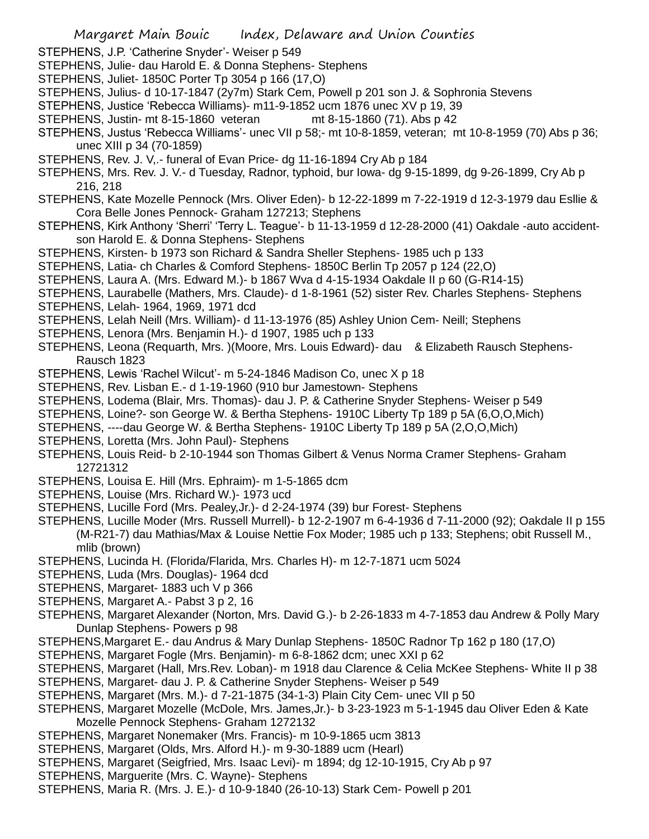- STEPHENS, Julius- d 10-17-1847 (2y7m) Stark Cem, Powell p 201 son J. & Sophronia Stevens
- STEPHENS, Justice 'Rebecca Williams)- m11-9-1852 ucm 1876 unec XV p 19, 39
- STEPHENS, Justin- mt 8-15-1860 veteran mt 8-15-1860 (71). Abs p 42
- STEPHENS, Justus 'Rebecca Williams'- unec VII p 58;- mt 10-8-1859, veteran; mt 10-8-1959 (70) Abs p 36; unec XIII p 34 (70-1859)
- STEPHENS, Rev. J. V,.- funeral of Evan Price- dg 11-16-1894 Cry Ab p 184
- STEPHENS, Mrs. Rev. J. V.- d Tuesday, Radnor, typhoid, bur Iowa- dg 9-15-1899, dg 9-26-1899, Cry Ab p 216, 218
- STEPHENS, Kate Mozelle Pennock (Mrs. Oliver Eden)- b 12-22-1899 m 7-22-1919 d 12-3-1979 dau Esllie & Cora Belle Jones Pennock- Graham 127213; Stephens
- STEPHENS, Kirk Anthony 'Sherri' 'Terry L. Teague'- b 11-13-1959 d 12-28-2000 (41) Oakdale -auto accidentson Harold E. & Donna Stephens- Stephens
- STEPHENS, Kirsten- b 1973 son Richard & Sandra Sheller Stephens- 1985 uch p 133
- STEPHENS, Latia- ch Charles & Comford Stephens- 1850C Berlin Tp 2057 p 124 (22,O)
- STEPHENS, Laura A. (Mrs. Edward M.)- b 1867 Wva d 4-15-1934 Oakdale II p 60 (G-R14-15)
- STEPHENS, Laurabelle (Mathers, Mrs. Claude)- d 1-8-1961 (52) sister Rev. Charles Stephens- Stephens
- STEPHENS, Lelah- 1964, 1969, 1971 dcd
- STEPHENS, Lelah Neill (Mrs. William)- d 11-13-1976 (85) Ashley Union Cem- Neill; Stephens
- STEPHENS, Lenora (Mrs. Benjamin H.)- d 1907, 1985 uch p 133
- STEPHENS, Leona (Requarth, Mrs. )(Moore, Mrs. Louis Edward)- dau & Elizabeth Rausch Stephens-Rausch 1823
- STEPHENS, Lewis 'Rachel Wilcut'- m 5-24-1846 Madison Co, unec X p 18
- STEPHENS, Rev. Lisban E.- d 1-19-1960 (910 bur Jamestown- Stephens
- STEPHENS, Lodema (Blair, Mrs. Thomas)- dau J. P. & Catherine Snyder Stephens- Weiser p 549
- STEPHENS, Loine?- son George W. & Bertha Stephens- 1910C Liberty Tp 189 p 5A (6,O,O,Mich)
- STEPHENS, ----dau George W. & Bertha Stephens- 1910C Liberty Tp 189 p 5A (2,O,O,Mich)
- STEPHENS, Loretta (Mrs. John Paul)- Stephens
- STEPHENS, Louis Reid- b 2-10-1944 son Thomas Gilbert & Venus Norma Cramer Stephens- Graham 12721312
- STEPHENS, Louisa E. Hill (Mrs. Ephraim)- m 1-5-1865 dcm
- STEPHENS, Louise (Mrs. Richard W.)- 1973 ucd
- STEPHENS, Lucille Ford (Mrs. Pealey,Jr.)- d 2-24-1974 (39) bur Forest- Stephens
- STEPHENS, Lucille Moder (Mrs. Russell Murrell)- b 12-2-1907 m 6-4-1936 d 7-11-2000 (92); Oakdale II p 155 (M-R21-7) dau Mathias/Max & Louise Nettie Fox Moder; 1985 uch p 133; Stephens; obit Russell M., mlib (brown)
- STEPHENS, Lucinda H. (Florida/Flarida, Mrs. Charles H)- m 12-7-1871 ucm 5024
- STEPHENS, Luda (Mrs. Douglas)- 1964 dcd
- STEPHENS, Margaret- 1883 uch V p 366
- STEPHENS, Margaret A.- Pabst 3 p 2, 16
- STEPHENS, Margaret Alexander (Norton, Mrs. David G.)- b 2-26-1833 m 4-7-1853 dau Andrew & Polly Mary Dunlap Stephens- Powers p 98
- STEPHENS,Margaret E.- dau Andrus & Mary Dunlap Stephens- 1850C Radnor Tp 162 p 180 (17,O)
- STEPHENS, Margaret Fogle (Mrs. Benjamin)- m 6-8-1862 dcm; unec XXI p 62
- STEPHENS, Margaret (Hall, Mrs.Rev. Loban)- m 1918 dau Clarence & Celia McKee Stephens- White II p 38
- STEPHENS, Margaret- dau J. P. & Catherine Snyder Stephens- Weiser p 549
- STEPHENS, Margaret (Mrs. M.)- d 7-21-1875 (34-1-3) Plain City Cem- unec VII p 50
- STEPHENS, Margaret Mozelle (McDole, Mrs. James,Jr.)- b 3-23-1923 m 5-1-1945 dau Oliver Eden & Kate Mozelle Pennock Stephens- Graham 1272132
- STEPHENS, Margaret Nonemaker (Mrs. Francis)- m 10-9-1865 ucm 3813
- STEPHENS, Margaret (Olds, Mrs. Alford H.)- m 9-30-1889 ucm (Hearl)
- STEPHENS, Margaret (Seigfried, Mrs. Isaac Levi)- m 1894; dg 12-10-1915, Cry Ab p 97
- STEPHENS, Marguerite (Mrs. C. Wayne)- Stephens
- STEPHENS, Maria R. (Mrs. J. E.)- d 10-9-1840 (26-10-13) Stark Cem- Powell p 201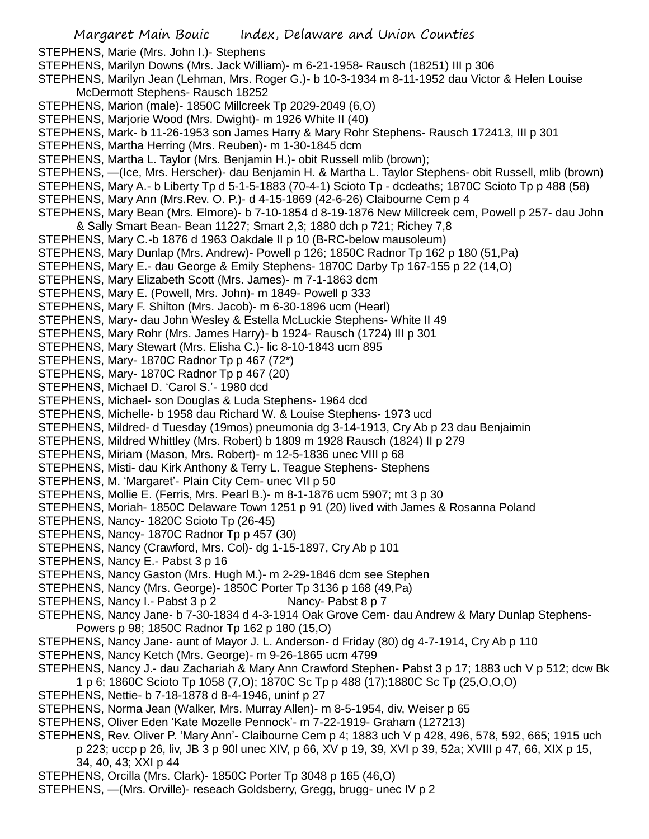- STEPHENS, Marion (male)- 1850C Millcreek Tp 2029-2049 (6,O)
- STEPHENS, Marjorie Wood (Mrs. Dwight)- m 1926 White II (40)
- STEPHENS, Mark- b 11-26-1953 son James Harry & Mary Rohr Stephens- Rausch 172413, III p 301
- STEPHENS, Martha Herring (Mrs. Reuben)- m 1-30-1845 dcm
- STEPHENS, Martha L. Taylor (Mrs. Benjamin H.)- obit Russell mlib (brown);
- STEPHENS, —(Ice, Mrs. Herscher)- dau Benjamin H. & Martha L. Taylor Stephens- obit Russell, mlib (brown)
- STEPHENS, Mary A.- b Liberty Tp d 5-1-5-1883 (70-4-1) Scioto Tp dcdeaths; 1870C Scioto Tp p 488 (58)
- STEPHENS, Mary Ann (Mrs.Rev. O. P.)- d 4-15-1869 (42-6-26) Claibourne Cem p 4
- STEPHENS, Mary Bean (Mrs. Elmore)- b 7-10-1854 d 8-19-1876 New Millcreek cem, Powell p 257- dau John & Sally Smart Bean- Bean 11227; Smart 2,3; 1880 dch p 721; Richey 7,8
- STEPHENS, Mary C.-b 1876 d 1963 Oakdale II p 10 (B-RC-below mausoleum)
- STEPHENS, Mary Dunlap (Mrs. Andrew)- Powell p 126; 1850C Radnor Tp 162 p 180 (51,Pa)
- STEPHENS, Mary E.- dau George & Emily Stephens- 1870C Darby Tp 167-155 p 22 (14,O)
- STEPHENS, Mary Elizabeth Scott (Mrs. James)- m 7-1-1863 dcm
- STEPHENS, Mary E. (Powell, Mrs. John)- m 1849- Powell p 333
- STEPHENS, Mary F. Shilton (Mrs. Jacob)- m 6-30-1896 ucm (Hearl)
- STEPHENS, Mary- dau John Wesley & Estella McLuckie Stephens- White II 49
- STEPHENS, Mary Rohr (Mrs. James Harry)- b 1924- Rausch (1724) III p 301
- STEPHENS, Mary Stewart (Mrs. Elisha C.)- lic 8-10-1843 ucm 895
- STEPHENS, Mary- 1870C Radnor Tp p 467 (72\*)
- STEPHENS, Mary-1870C Radnor Tp p 467 (20)
- STEPHENS, Michael D. 'Carol S.'- 1980 dcd
- STEPHENS, Michael- son Douglas & Luda Stephens- 1964 dcd
- STEPHENS, Michelle- b 1958 dau Richard W. & Louise Stephens- 1973 ucd
- STEPHENS, Mildred- d Tuesday (19mos) pneumonia dg 3-14-1913, Cry Ab p 23 dau Benjaimin
- STEPHENS, Mildred Whittley (Mrs. Robert) b 1809 m 1928 Rausch (1824) II p 279
- STEPHENS, Miriam (Mason, Mrs. Robert)- m 12-5-1836 unec VIII p 68
- STEPHENS, Misti- dau Kirk Anthony & Terry L. Teague Stephens- Stephens
- STEPHENS, M. 'Margaret'- Plain City Cem- unec VII p 50
- STEPHENS, Mollie E. (Ferris, Mrs. Pearl B.)- m 8-1-1876 ucm 5907; mt 3 p 30
- STEPHENS, Moriah- 1850C Delaware Town 1251 p 91 (20) lived with James & Rosanna Poland
- STEPHENS, Nancy- 1820C Scioto Tp (26-45)
- STEPHENS, Nancy- 1870C Radnor Tp p 457 (30)
- STEPHENS, Nancy (Crawford, Mrs. Col)- dg 1-15-1897, Cry Ab p 101
- STEPHENS, Nancy E.- Pabst 3 p 16
- STEPHENS, Nancy Gaston (Mrs. Hugh M.)- m 2-29-1846 dcm see Stephen
- STEPHENS, Nancy (Mrs. George)- 1850C Porter Tp 3136 p 168 (49,Pa)
- STEPHENS, Nancy I.- Pabst 3 p 2 Nancy- Pabst 8 p 7
- STEPHENS, Nancy Jane- b 7-30-1834 d 4-3-1914 Oak Grove Cem- dau Andrew & Mary Dunlap Stephens-Powers p 98; 1850C Radnor Tp 162 p 180 (15,O)
- STEPHENS, Nancy Jane- aunt of Mayor J. L. Anderson- d Friday (80) dg 4-7-1914, Cry Ab p 110
- STEPHENS, Nancy Ketch (Mrs. George)- m 9-26-1865 ucm 4799
- STEPHENS, Nancy J.- dau Zachariah & Mary Ann Crawford Stephen- Pabst 3 p 17; 1883 uch V p 512; dcw Bk 1 p 6; 1860C Scioto Tp 1058 (7,O); 1870C Sc Tp p 488 (17);1880C Sc Tp (25,O,O,O)
- STEPHENS, Nettie- b 7-18-1878 d 8-4-1946, uninf p 27
- STEPHENS, Norma Jean (Walker, Mrs. Murray Allen)- m 8-5-1954, div, Weiser p 65
- STEPHENS, Oliver Eden 'Kate Mozelle Pennock'- m 7-22-1919- Graham (127213)
- STEPHENS, Rev. Oliver P. 'Mary Ann'- Claibourne Cem p 4; 1883 uch V p 428, 496, 578, 592, 665; 1915 uch p 223; uccp p 26, liv, JB 3 p 90l unec XIV, p 66, XV p 19, 39, XVI p 39, 52a; XVIII p 47, 66, XIX p 15, 34, 40, 43; XXI p 44
- STEPHENS, Orcilla (Mrs. Clark)- 1850C Porter Tp 3048 p 165 (46,O)
- STEPHENS, —(Mrs. Orville)- reseach Goldsberry, Gregg, brugg- unec IV p 2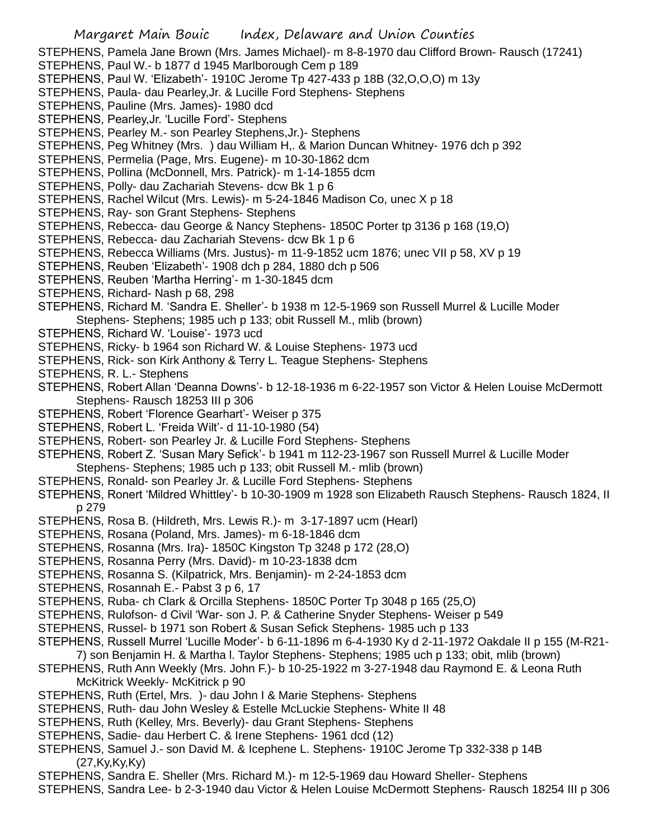Margaret Main Bouic Index, Delaware and Union Counties STEPHENS, Pamela Jane Brown (Mrs. James Michael)- m 8-8-1970 dau Clifford Brown- Rausch (17241) STEPHENS, Paul W.- b 1877 d 1945 Marlborough Cem p 189 STEPHENS, Paul W. 'Elizabeth'- 1910C Jerome Tp 427-433 p 18B (32,O,O,O) m 13y STEPHENS, Paula- dau Pearley,Jr. & Lucille Ford Stephens- Stephens STEPHENS, Pauline (Mrs. James)- 1980 dcd STEPHENS, Pearley,Jr. 'Lucille Ford'- Stephens STEPHENS, Pearley M.- son Pearley Stephens,Jr.)- Stephens STEPHENS, Peg Whitney (Mrs. ) dau William H,. & Marion Duncan Whitney- 1976 dch p 392 STEPHENS, Permelia (Page, Mrs. Eugene)- m 10-30-1862 dcm STEPHENS, Pollina (McDonnell, Mrs. Patrick)- m 1-14-1855 dcm STEPHENS, Polly- dau Zachariah Stevens- dcw Bk 1 p 6 STEPHENS, Rachel Wilcut (Mrs. Lewis)- m 5-24-1846 Madison Co, unec X p 18 STEPHENS, Ray- son Grant Stephens- Stephens STEPHENS, Rebecca- dau George & Nancy Stephens- 1850C Porter tp 3136 p 168 (19,O) STEPHENS, Rebecca- dau Zachariah Stevens- dcw Bk 1 p 6 STEPHENS, Rebecca Williams (Mrs. Justus)- m 11-9-1852 ucm 1876; unec VII p 58, XV p 19 STEPHENS, Reuben 'Elizabeth'- 1908 dch p 284, 1880 dch p 506 STEPHENS, Reuben 'Martha Herring'- m 1-30-1845 dcm STEPHENS, Richard- Nash p 68, 298 STEPHENS, Richard M. 'Sandra E. Sheller'- b 1938 m 12-5-1969 son Russell Murrel & Lucille Moder Stephens- Stephens; 1985 uch p 133; obit Russell M., mlib (brown) STEPHENS, Richard W. 'Louise'- 1973 ucd STEPHENS, Ricky- b 1964 son Richard W. & Louise Stephens- 1973 ucd STEPHENS, Rick- son Kirk Anthony & Terry L. Teague Stephens- Stephens STEPHENS, R. L.- Stephens STEPHENS, Robert Allan 'Deanna Downs'- b 12-18-1936 m 6-22-1957 son Victor & Helen Louise McDermott Stephens- Rausch 18253 III p 306 STEPHENS, Robert 'Florence Gearhart'- Weiser p 375 STEPHENS, Robert L. 'Freida Wilt'- d 11-10-1980 (54) STEPHENS, Robert- son Pearley Jr. & Lucille Ford Stephens- Stephens STEPHENS, Robert Z. 'Susan Mary Sefick'- b 1941 m 112-23-1967 son Russell Murrel & Lucille Moder Stephens- Stephens; 1985 uch p 133; obit Russell M.- mlib (brown) STEPHENS, Ronald- son Pearley Jr. & Lucille Ford Stephens- Stephens STEPHENS, Ronert 'Mildred Whittley'- b 10-30-1909 m 1928 son Elizabeth Rausch Stephens- Rausch 1824, II p 279 STEPHENS, Rosa B. (Hildreth, Mrs. Lewis R.)- m 3-17-1897 ucm (Hearl) STEPHENS, Rosana (Poland, Mrs. James)- m 6-18-1846 dcm STEPHENS, Rosanna (Mrs. Ira)- 1850C Kingston Tp 3248 p 172 (28,O) STEPHENS, Rosanna Perry (Mrs. David)- m 10-23-1838 dcm STEPHENS, Rosanna S. (Kilpatrick, Mrs. Benjamin)- m 2-24-1853 dcm STEPHENS, Rosannah E.- Pabst 3 p 6, 17 STEPHENS, Ruba- ch Clark & Orcilla Stephens- 1850C Porter Tp 3048 p 165 (25,O) STEPHENS, Rulofson- d Civil 'War- son J. P. & Catherine Snyder Stephens- Weiser p 549 STEPHENS, Russel- b 1971 son Robert & Susan Sefick Stephens- 1985 uch p 133

- STEPHENS, Russell Murrel 'Lucille Moder'- b 6-11-1896 m 6-4-1930 Ky d 2-11-1972 Oakdale II p 155 (M-R21-
- 7) son Benjamin H. & Martha l. Taylor Stephens- Stephens; 1985 uch p 133; obit, mlib (brown)
- STEPHENS, Ruth Ann Weekly (Mrs. John F.)- b 10-25-1922 m 3-27-1948 dau Raymond E. & Leona Ruth McKitrick Weekly- McKitrick p 90
- STEPHENS, Ruth (Ertel, Mrs. )- dau John I & Marie Stephens- Stephens
- STEPHENS, Ruth- dau John Wesley & Estelle McLuckie Stephens- White II 48
- STEPHENS, Ruth (Kelley, Mrs. Beverly)- dau Grant Stephens- Stephens
- STEPHENS, Sadie- dau Herbert C. & Irene Stephens- 1961 dcd (12)
- STEPHENS, Samuel J.- son David M. & Icephene L. Stephens- 1910C Jerome Tp 332-338 p 14B (27,Ky,Ky,Ky)
- STEPHENS, Sandra E. Sheller (Mrs. Richard M.)- m 12-5-1969 dau Howard Sheller- Stephens

STEPHENS, Sandra Lee- b 2-3-1940 dau Victor & Helen Louise McDermott Stephens- Rausch 18254 III p 306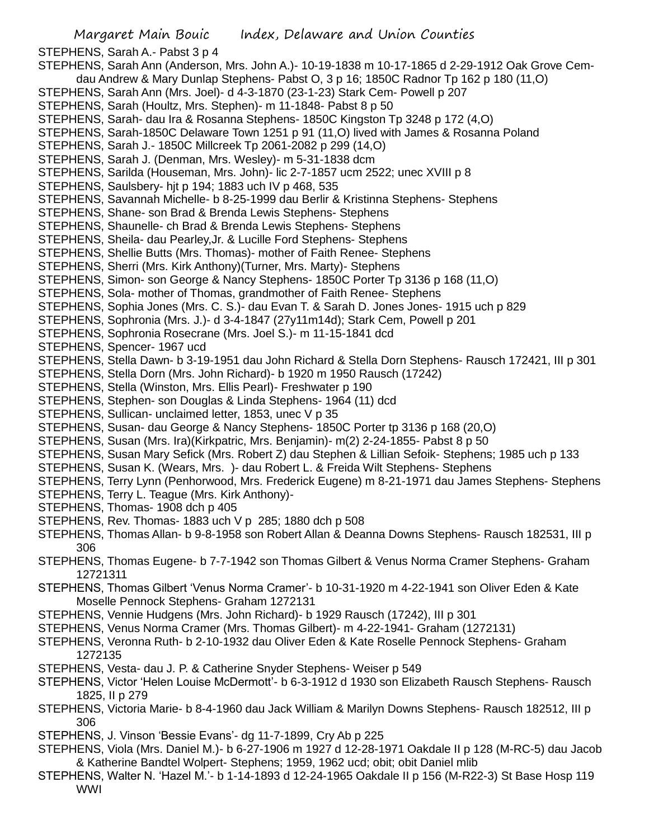- STEPHENS, Sarah- dau Ira & Rosanna Stephens- 1850C Kingston Tp 3248 p 172 (4,O)
- STEPHENS, Sarah-1850C Delaware Town 1251 p 91 (11,O) lived with James & Rosanna Poland
- STEPHENS, Sarah J.- 1850C Millcreek Tp 2061-2082 p 299 (14,O)
- STEPHENS, Sarah J. (Denman, Mrs. Wesley)- m 5-31-1838 dcm
- STEPHENS, Sarilda (Houseman, Mrs. John)- lic 2-7-1857 ucm 2522; unec XVIII p 8
- STEPHENS, Saulsbery- hjt p 194; 1883 uch IV p 468, 535
- STEPHENS, Savannah Michelle- b 8-25-1999 dau Berlir & Kristinna Stephens- Stephens
- STEPHENS, Shane- son Brad & Brenda Lewis Stephens- Stephens
- STEPHENS, Shaunelle- ch Brad & Brenda Lewis Stephens- Stephens
- STEPHENS, Sheila- dau Pearley,Jr. & Lucille Ford Stephens- Stephens
- STEPHENS, Shellie Butts (Mrs. Thomas)- mother of Faith Renee- Stephens
- STEPHENS, Sherri (Mrs. Kirk Anthony)(Turner, Mrs. Marty)- Stephens
- STEPHENS, Simon- son George & Nancy Stephens- 1850C Porter Tp 3136 p 168 (11,O)
- STEPHENS, Sola- mother of Thomas, grandmother of Faith Renee- Stephens
- STEPHENS, Sophia Jones (Mrs. C. S.)- dau Evan T. & Sarah D. Jones Jones- 1915 uch p 829
- STEPHENS, Sophronia (Mrs. J.)- d 3-4-1847 (27y11m14d); Stark Cem, Powell p 201
- STEPHENS, Sophronia Rosecrane (Mrs. Joel S.)- m 11-15-1841 dcd
- STEPHENS, Spencer- 1967 ucd
- STEPHENS, Stella Dawn- b 3-19-1951 dau John Richard & Stella Dorn Stephens- Rausch 172421, III p 301
- STEPHENS, Stella Dorn (Mrs. John Richard)- b 1920 m 1950 Rausch (17242)
- STEPHENS, Stella (Winston, Mrs. Ellis Pearl)- Freshwater p 190
- STEPHENS, Stephen- son Douglas & Linda Stephens- 1964 (11) dcd
- STEPHENS, Sullican- unclaimed letter, 1853, unec V p 35
- STEPHENS, Susan- dau George & Nancy Stephens- 1850C Porter tp 3136 p 168 (20,O)
- STEPHENS, Susan (Mrs. Ira)(Kirkpatric, Mrs. Benjamin)- m(2) 2-24-1855- Pabst 8 p 50
- STEPHENS, Susan Mary Sefick (Mrs. Robert Z) dau Stephen & Lillian Sefoik- Stephens; 1985 uch p 133
- STEPHENS, Susan K. (Wears, Mrs. )- dau Robert L. & Freida Wilt Stephens- Stephens
- STEPHENS, Terry Lynn (Penhorwood, Mrs. Frederick Eugene) m 8-21-1971 dau James Stephens- Stephens
- STEPHENS, Terry L. Teague (Mrs. Kirk Anthony)-
- STEPHENS, Thomas- 1908 dch p 405
- STEPHENS, Rev. Thomas- 1883 uch V p 285; 1880 dch p 508
- STEPHENS, Thomas Allan- b 9-8-1958 son Robert Allan & Deanna Downs Stephens- Rausch 182531, III p 306
- STEPHENS, Thomas Eugene- b 7-7-1942 son Thomas Gilbert & Venus Norma Cramer Stephens- Graham 12721311
- STEPHENS, Thomas Gilbert 'Venus Norma Cramer'- b 10-31-1920 m 4-22-1941 son Oliver Eden & Kate Moselle Pennock Stephens- Graham 1272131
- STEPHENS, Vennie Hudgens (Mrs. John Richard)- b 1929 Rausch (17242), III p 301
- STEPHENS, Venus Norma Cramer (Mrs. Thomas Gilbert)- m 4-22-1941- Graham (1272131)
- STEPHENS, Veronna Ruth- b 2-10-1932 dau Oliver Eden & Kate Roselle Pennock Stephens- Graham 1272135
- STEPHENS, Vesta- dau J. P. & Catherine Snyder Stephens- Weiser p 549
- STEPHENS, Victor 'Helen Louise McDermott'- b 6-3-1912 d 1930 son Elizabeth Rausch Stephens- Rausch 1825, II p 279
- STEPHENS, Victoria Marie- b 8-4-1960 dau Jack William & Marilyn Downs Stephens- Rausch 182512, III p 306
- STEPHENS, J. Vinson 'Bessie Evans'- dg 11-7-1899, Cry Ab p 225
- STEPHENS, Viola (Mrs. Daniel M.)- b 6-27-1906 m 1927 d 12-28-1971 Oakdale II p 128 (M-RC-5) dau Jacob & Katherine Bandtel Wolpert- Stephens; 1959, 1962 ucd; obit; obit Daniel mlib
- STEPHENS, Walter N. 'Hazel M.'- b 1-14-1893 d 12-24-1965 Oakdale II p 156 (M-R22-3) St Base Hosp 119 WWI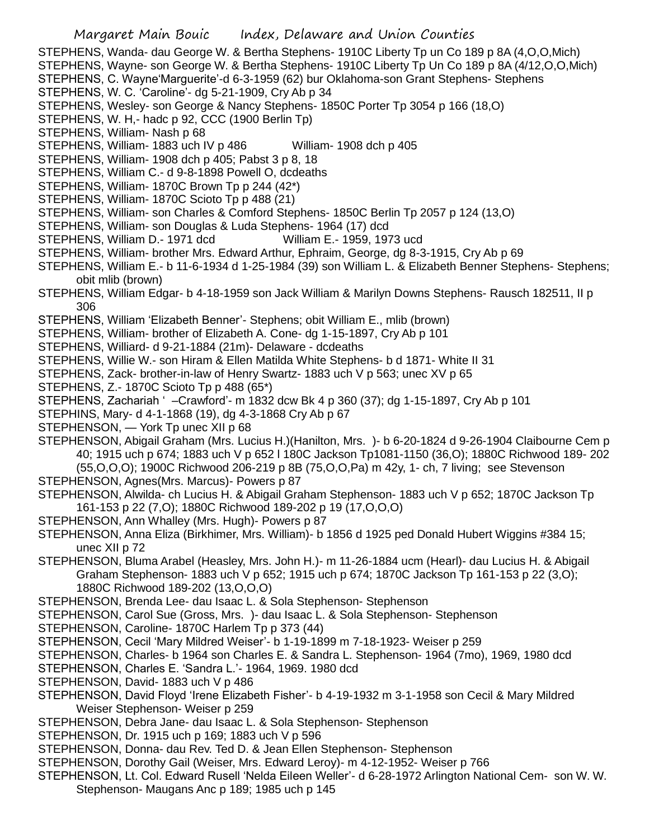STEPHENS, Wanda- dau George W. & Bertha Stephens- 1910C Liberty Tp un Co 189 p 8A (4,O,O,Mich)

STEPHENS, Wayne- son George W. & Bertha Stephens- 1910C Liberty Tp Un Co 189 p 8A (4/12,O,O,Mich)

- STEPHENS, C. Wayne'Marguerite'-d 6-3-1959 (62) bur Oklahoma-son Grant Stephens- Stephens
- STEPHENS, W. C. 'Caroline'- dg 5-21-1909, Cry Ab p 34
- STEPHENS, Wesley- son George & Nancy Stephens- 1850C Porter Tp 3054 p 166 (18,O)
- STEPHENS, W. H,- hadc p 92, CCC (1900 Berlin Tp)
- STEPHENS, William- Nash p 68
- STEPHENS, William- 1883 uch IV p 486 William- 1908 dch p 405
- STEPHENS, William- 1908 dch p 405; Pabst 3 p 8, 18
- STEPHENS, William C.- d 9-8-1898 Powell O, dcdeaths
- STEPHENS, William- 1870C Brown Tp p 244 (42\*)
- STEPHENS, William- 1870C Scioto Tp p 488 (21)
- STEPHENS, William- son Charles & Comford Stephens- 1850C Berlin Tp 2057 p 124 (13,O)
- STEPHENS, William- son Douglas & Luda Stephens- 1964 (17) dcd
- STEPHENS, William D.- 1971 dcd William E.- 1959, 1973 ucd
- STEPHENS, William- brother Mrs. Edward Arthur, Ephraim, George, dg 8-3-1915, Cry Ab p 69
- STEPHENS, William E.- b 11-6-1934 d 1-25-1984 (39) son William L. & Elizabeth Benner Stephens- Stephens; obit mlib (brown)
- STEPHENS, William Edgar- b 4-18-1959 son Jack William & Marilyn Downs Stephens- Rausch 182511, II p 306
- STEPHENS, William 'Elizabeth Benner'- Stephens; obit William E., mlib (brown)
- STEPHENS, William- brother of Elizabeth A. Cone- dg 1-15-1897, Cry Ab p 101
- STEPHENS, Williard- d 9-21-1884 (21m)- Delaware dcdeaths
- STEPHENS, Willie W.- son Hiram & Ellen Matilda White Stephens- b d 1871- White II 31
- STEPHENS, Zack- brother-in-law of Henry Swartz- 1883 uch V p 563; unec XV p 65
- STEPHENS, Z.- 1870C Scioto Tp p 488 (65\*)
- STEPHENS, Zachariah ' –Crawford'- m 1832 dcw Bk 4 p 360 (37); dg 1-15-1897, Cry Ab p 101
- STEPHINS, Mary- d 4-1-1868 (19), dg 4-3-1868 Cry Ab p 67
- STEPHENSON, York Tp unec XII p 68
- STEPHENSON, Abigail Graham (Mrs. Lucius H.)(Hanilton, Mrs. )- b 6-20-1824 d 9-26-1904 Claibourne Cem p 40; 1915 uch p 674; 1883 uch V p 652 l 180C Jackson Tp1081-1150 (36,O); 1880C Richwood 189- 202 (55,O,O,O); 1900C Richwood 206-219 p 8B (75,O,O,Pa) m 42y, 1- ch, 7 living; see Stevenson
- STEPHENSON, Agnes(Mrs. Marcus)- Powers p 87
- STEPHENSON, Alwilda- ch Lucius H. & Abigail Graham Stephenson- 1883 uch V p 652; 1870C Jackson Tp 161-153 p 22 (7,O); 1880C Richwood 189-202 p 19 (17,O,O,O)
- STEPHENSON, Ann Whalley (Mrs. Hugh)- Powers p 87
- STEPHENSON, Anna Eliza (Birkhimer, Mrs. William)- b 1856 d 1925 ped Donald Hubert Wiggins #384 15; unec XII p 72
- STEPHENSON, Bluma Arabel (Heasley, Mrs. John H.)- m 11-26-1884 ucm (Hearl)- dau Lucius H. & Abigail Graham Stephenson- 1883 uch V p 652; 1915 uch p 674; 1870C Jackson Tp 161-153 p 22 (3,O); 1880C Richwood 189-202 (13,O,O,O)
- STEPHENSON, Brenda Lee- dau Isaac L. & Sola Stephenson- Stephenson
- STEPHENSON, Carol Sue (Gross, Mrs. )- dau Isaac L. & Sola Stephenson- Stephenson
- STEPHENSON, Caroline- 1870C Harlem Tp p 373 (44)
- STEPHENSON, Cecil 'Mary Mildred Weiser'- b 1-19-1899 m 7-18-1923- Weiser p 259
- STEPHENSON, Charles- b 1964 son Charles E. & Sandra L. Stephenson- 1964 (7mo), 1969, 1980 dcd
- STEPHENSON, Charles E. 'Sandra L.'- 1964, 1969. 1980 dcd
- STEPHENSON, David- 1883 uch V p 486
- STEPHENSON, David Floyd 'Irene Elizabeth Fisher'- b 4-19-1932 m 3-1-1958 son Cecil & Mary Mildred Weiser Stephenson- Weiser p 259
- STEPHENSON, Debra Jane- dau Isaac L. & Sola Stephenson- Stephenson
- STEPHENSON, Dr. 1915 uch p 169; 1883 uch V p 596
- STEPHENSON, Donna- dau Rev. Ted D. & Jean Ellen Stephenson- Stephenson
- STEPHENSON, Dorothy Gail (Weiser, Mrs. Edward Leroy)- m 4-12-1952- Weiser p 766
- STEPHENSON, Lt. Col. Edward Rusell 'Nelda Eileen Weller'- d 6-28-1972 Arlington National Cem- son W. W. Stephenson- Maugans Anc p 189; 1985 uch p 145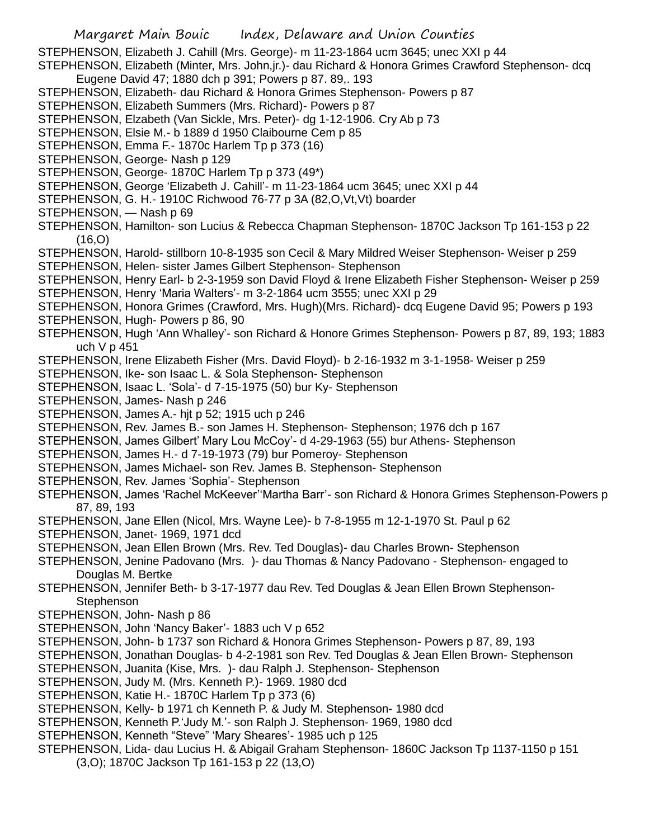Margaret Main Bouic Index, Delaware and Union Counties STEPHENSON, Elizabeth J. Cahill (Mrs. George)- m 11-23-1864 ucm 3645; unec XXI p 44 STEPHENSON, Elizabeth (Minter, Mrs. John,jr.)- dau Richard & Honora Grimes Crawford Stephenson- dcq Eugene David 47; 1880 dch p 391; Powers p 87. 89,. 193 STEPHENSON, Elizabeth- dau Richard & Honora Grimes Stephenson- Powers p 87 STEPHENSON, Elizabeth Summers (Mrs. Richard)- Powers p 87 STEPHENSON, Elzabeth (Van Sickle, Mrs. Peter)- dg 1-12-1906. Cry Ab p 73 STEPHENSON, Elsie M.- b 1889 d 1950 Claibourne Cem p 85 STEPHENSON, Emma F.- 1870c Harlem Tp p 373 (16) STEPHENSON, George- Nash p 129 STEPHENSON, George- 1870C Harlem Tp p 373 (49\*) STEPHENSON, George 'Elizabeth J. Cahill'- m 11-23-1864 ucm 3645; unec XXI p 44 STEPHENSON, G. H.- 1910C Richwood 76-77 p 3A (82,O,Vt,Vt) boarder STEPHENSON, — Nash p 69 STEPHENSON, Hamilton- son Lucius & Rebecca Chapman Stephenson- 1870C Jackson Tp 161-153 p 22 (16,O) STEPHENSON, Harold- stillborn 10-8-1935 son Cecil & Mary Mildred Weiser Stephenson- Weiser p 259 STEPHENSON, Helen- sister James Gilbert Stephenson- Stephenson STEPHENSON, Henry Earl- b 2-3-1959 son David Floyd & Irene Elizabeth Fisher Stephenson- Weiser p 259 STEPHENSON, Henry 'Maria Walters'- m 3-2-1864 ucm 3555; unec XXI p 29 STEPHENSON, Honora Grimes (Crawford, Mrs. Hugh)(Mrs. Richard)- dcq Eugene David 95; Powers p 193 STEPHENSON, Hugh- Powers p 86, 90 STEPHENSON, Hugh 'Ann Whalley'- son Richard & Honore Grimes Stephenson- Powers p 87, 89, 193; 1883 uch V p 451 STEPHENSON, Irene Elizabeth Fisher (Mrs. David Floyd)- b 2-16-1932 m 3-1-1958- Weiser p 259 STEPHENSON, Ike- son Isaac L. & Sola Stephenson- Stephenson STEPHENSON, Isaac L. 'Sola'- d 7-15-1975 (50) bur Ky- Stephenson STEPHENSON, James- Nash p 246 STEPHENSON, James A.- hjt p 52; 1915 uch p 246 STEPHENSON, Rev. James B.- son James H. Stephenson- Stephenson; 1976 dch p 167 STEPHENSON, James Gilbert' Mary Lou McCoy'- d 4-29-1963 (55) bur Athens- Stephenson STEPHENSON, James H.- d 7-19-1973 (79) bur Pomeroy- Stephenson STEPHENSON, James Michael- son Rev. James B. Stephenson- Stephenson STEPHENSON, Rev. James 'Sophia'- Stephenson STEPHENSON, James 'Rachel McKeever''Martha Barr'- son Richard & Honora Grimes Stephenson-Powers p 87, 89, 193 STEPHENSON, Jane Ellen (Nicol, Mrs. Wayne Lee)- b 7-8-1955 m 12-1-1970 St. Paul p 62 STEPHENSON, Janet- 1969, 1971 dcd STEPHENSON, Jean Ellen Brown (Mrs. Rev. Ted Douglas)- dau Charles Brown- Stephenson STEPHENSON, Jenine Padovano (Mrs. )- dau Thomas & Nancy Padovano - Stephenson- engaged to Douglas M. Bertke STEPHENSON, Jennifer Beth- b 3-17-1977 dau Rev. Ted Douglas & Jean Ellen Brown Stephenson-**Stephenson** STEPHENSON, John- Nash p 86 STEPHENSON, John 'Nancy Baker'- 1883 uch V p 652 STEPHENSON, John- b 1737 son Richard & Honora Grimes Stephenson- Powers p 87, 89, 193 STEPHENSON, Jonathan Douglas- b 4-2-1981 son Rev. Ted Douglas & Jean Ellen Brown- Stephenson STEPHENSON, Juanita (Kise, Mrs. )- dau Ralph J. Stephenson- Stephenson STEPHENSON, Judy M. (Mrs. Kenneth P.)- 1969. 1980 dcd STEPHENSON, Katie H.- 1870C Harlem Tp p 373 (6) STEPHENSON, Kelly- b 1971 ch Kenneth P. & Judy M. Stephenson- 1980 dcd STEPHENSON, Kenneth P.'Judy M.'- son Ralph J. Stephenson- 1969, 1980 dcd STEPHENSON, Kenneth "Steve" 'Mary Sheares'- 1985 uch p 125 STEPHENSON, Lida- dau Lucius H. & Abigail Graham Stephenson- 1860C Jackson Tp 1137-1150 p 151 (3,O); 1870C Jackson Tp 161-153 p 22 (13,O)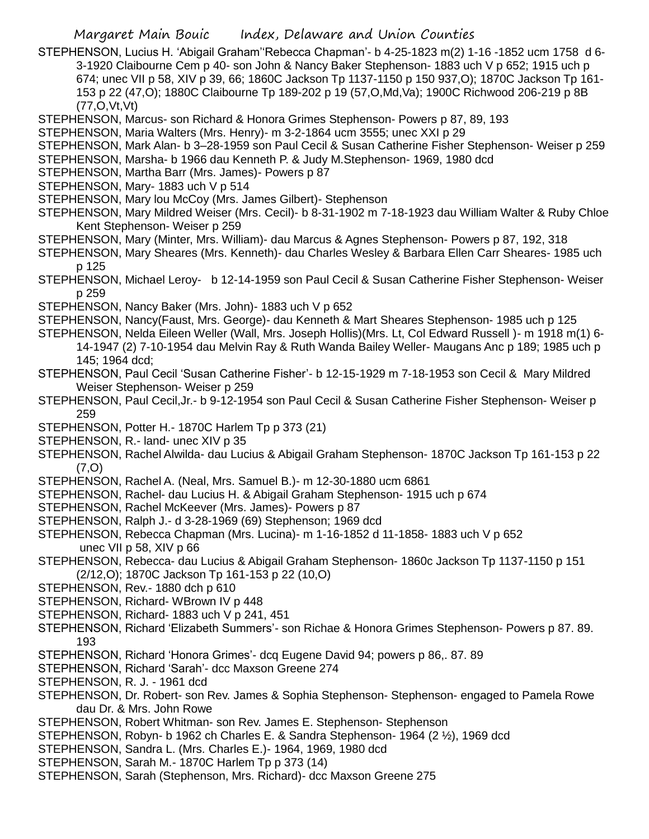Margaret Main Bouic Index, Delaware and Union Counties

STEPHENSON, Lucius H. 'Abigail Graham''Rebecca Chapman'- b 4-25-1823 m(2) 1-16 -1852 ucm 1758 d 6- 3-1920 Claibourne Cem p 40- son John & Nancy Baker Stephenson- 1883 uch V p 652; 1915 uch p 674; unec VII p 58, XIV p 39, 66; 1860C Jackson Tp 1137-1150 p 150 937,O); 1870C Jackson Tp 161- 153 p 22 (47,O); 1880C Claibourne Tp 189-202 p 19 (57,O,Md,Va); 1900C Richwood 206-219 p 8B (77,O,Vt,Vt)

STEPHENSON, Marcus- son Richard & Honora Grimes Stephenson- Powers p 87, 89, 193

STEPHENSON, Maria Walters (Mrs. Henry)- m 3-2-1864 ucm 3555; unec XXI p 29

- STEPHENSON, Mark Alan- b 3–28-1959 son Paul Cecil & Susan Catherine Fisher Stephenson- Weiser p 259
- STEPHENSON, Marsha- b 1966 dau Kenneth P. & Judy M.Stephenson- 1969, 1980 dcd
- STEPHENSON, Martha Barr (Mrs. James)- Powers p 87
- STEPHENSON, Mary- 1883 uch V p 514
- STEPHENSON, Mary lou McCoy (Mrs. James Gilbert)- Stephenson
- STEPHENSON, Mary Mildred Weiser (Mrs. Cecil)- b 8-31-1902 m 7-18-1923 dau William Walter & Ruby Chloe Kent Stephenson- Weiser p 259
- STEPHENSON, Mary (Minter, Mrs. William)- dau Marcus & Agnes Stephenson- Powers p 87, 192, 318
- STEPHENSON, Mary Sheares (Mrs. Kenneth)- dau Charles Wesley & Barbara Ellen Carr Sheares- 1985 uch p 125
- STEPHENSON, Michael Leroy- b 12-14-1959 son Paul Cecil & Susan Catherine Fisher Stephenson- Weiser p 259
- STEPHENSON, Nancy Baker (Mrs. John)- 1883 uch V p 652
- STEPHENSON, Nancy(Faust, Mrs. George)- dau Kenneth & Mart Sheares Stephenson- 1985 uch p 125
- STEPHENSON, Nelda Eileen Weller (Wall, Mrs. Joseph Hollis)(Mrs. Lt, Col Edward Russell )- m 1918 m(1) 6- 14-1947 (2) 7-10-1954 dau Melvin Ray & Ruth Wanda Bailey Weller- Maugans Anc p 189; 1985 uch p 145; 1964 dcd;
- STEPHENSON, Paul Cecil 'Susan Catherine Fisher'- b 12-15-1929 m 7-18-1953 son Cecil & Mary Mildred Weiser Stephenson- Weiser p 259
- STEPHENSON, Paul Cecil,Jr.- b 9-12-1954 son Paul Cecil & Susan Catherine Fisher Stephenson- Weiser p 259
- STEPHENSON, Potter H.-1870C Harlem Tp p 373 (21)
- STEPHENSON, R.- land- unec XIV p 35
- STEPHENSON, Rachel Alwilda- dau Lucius & Abigail Graham Stephenson- 1870C Jackson Tp 161-153 p 22 (7,O)
- STEPHENSON, Rachel A. (Neal, Mrs. Samuel B.)- m 12-30-1880 ucm 6861
- STEPHENSON, Rachel- dau Lucius H. & Abigail Graham Stephenson- 1915 uch p 674
- STEPHENSON, Rachel McKeever (Mrs. James)- Powers p 87
- STEPHENSON, Ralph J.- d 3-28-1969 (69) Stephenson; 1969 dcd
- STEPHENSON, Rebecca Chapman (Mrs. Lucina)- m 1-16-1852 d 11-1858- 1883 uch V p 652 unec VII p 58, XIV p 66
- STEPHENSON, Rebecca- dau Lucius & Abigail Graham Stephenson- 1860c Jackson Tp 1137-1150 p 151 (2/12,O); 1870C Jackson Tp 161-153 p 22 (10,O)
- STEPHENSON, Rev.- 1880 dch p 610
- STEPHENSON, Richard- WBrown IV p 448
- STEPHENSON, Richard- 1883 uch V p 241, 451
- STEPHENSON, Richard 'Elizabeth Summers'- son Richae & Honora Grimes Stephenson- Powers p 87. 89. 193
- STEPHENSON, Richard 'Honora Grimes'- dcq Eugene David 94; powers p 86,. 87. 89
- STEPHENSON, Richard 'Sarah'- dcc Maxson Greene 274
- STEPHENSON, R. J. 1961 dcd
- STEPHENSON, Dr. Robert- son Rev. James & Sophia Stephenson- Stephenson- engaged to Pamela Rowe dau Dr. & Mrs. John Rowe
- STEPHENSON, Robert Whitman- son Rev. James E. Stephenson- Stephenson
- STEPHENSON, Robyn- b 1962 ch Charles E. & Sandra Stephenson- 1964 (2 ½), 1969 dcd
- STEPHENSON, Sandra L. (Mrs. Charles E.)- 1964, 1969, 1980 dcd
- STEPHENSON, Sarah M.- 1870C Harlem Tp p 373 (14)
- STEPHENSON, Sarah (Stephenson, Mrs. Richard)- dcc Maxson Greene 275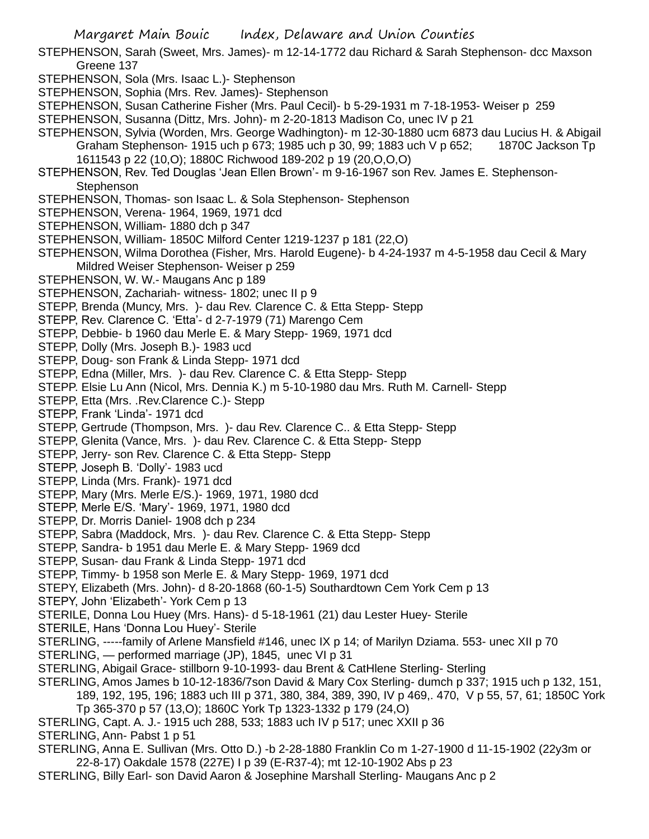Margaret Main Bouic Index, Delaware and Union Counties

- STEPHENSON, Sarah (Sweet, Mrs. James)- m 12-14-1772 dau Richard & Sarah Stephenson- dcc Maxson Greene 137
- STEPHENSON, Sola (Mrs. Isaac L.)- Stephenson
- STEPHENSON, Sophia (Mrs. Rev. James)- Stephenson
- STEPHENSON, Susan Catherine Fisher (Mrs. Paul Cecil)- b 5-29-1931 m 7-18-1953- Weiser p 259
- STEPHENSON, Susanna (Dittz, Mrs. John)- m 2-20-1813 Madison Co, unec IV p 21
- STEPHENSON, Sylvia (Worden, Mrs. George Wadhington)- m 12-30-1880 ucm 6873 dau Lucius H. & Abigail Graham Stephenson- 1915 uch p 673; 1985 uch p 30, 99; 1883 uch V p 652; 1870C Jackson Tp 1611543 p 22 (10,O); 1880C Richwood 189-202 p 19 (20,O,O,O)
- STEPHENSON, Rev. Ted Douglas 'Jean Ellen Brown'- m 9-16-1967 son Rev. James E. Stephenson-**Stephenson**
- STEPHENSON, Thomas- son Isaac L. & Sola Stephenson- Stephenson
- STEPHENSON, Verena- 1964, 1969, 1971 dcd
- STEPHENSON, William- 1880 dch p 347
- STEPHENSON, William- 1850C Milford Center 1219-1237 p 181 (22,O)
- STEPHENSON, Wilma Dorothea (Fisher, Mrs. Harold Eugene)- b 4-24-1937 m 4-5-1958 dau Cecil & Mary Mildred Weiser Stephenson- Weiser p 259
- STEPHENSON, W. W.- Maugans Anc p 189
- STEPHENSON, Zachariah- witness- 1802; unec II p 9
- STEPP, Brenda (Muncy, Mrs. )- dau Rev. Clarence C. & Etta Stepp- Stepp
- STEPP, Rev. Clarence C. 'Etta'- d 2-7-1979 (71) Marengo Cem
- STEPP, Debbie- b 1960 dau Merle E. & Mary Stepp- 1969, 1971 dcd
- STEPP, Dolly (Mrs. Joseph B.)- 1983 ucd
- STEPP, Doug- son Frank & Linda Stepp- 1971 dcd
- STEPP, Edna (Miller, Mrs. )- dau Rev. Clarence C. & Etta Stepp- Stepp
- STEPP. Elsie Lu Ann (Nicol, Mrs. Dennia K.) m 5-10-1980 dau Mrs. Ruth M. Carnell- Stepp
- STEPP, Etta (Mrs. .Rev.Clarence C.)- Stepp
- STEPP, Frank 'Linda'- 1971 dcd
- STEPP, Gertrude (Thompson, Mrs. )- dau Rev. Clarence C.. & Etta Stepp- Stepp
- STEPP, Glenita (Vance, Mrs. )- dau Rev. Clarence C. & Etta Stepp- Stepp
- STEPP, Jerry- son Rev. Clarence C. & Etta Stepp- Stepp
- STEPP, Joseph B. 'Dolly'- 1983 ucd
- STEPP, Linda (Mrs. Frank)- 1971 dcd
- STEPP, Mary (Mrs. Merle E/S.)- 1969, 1971, 1980 dcd
- STEPP, Merle E/S. 'Mary'- 1969, 1971, 1980 dcd
- STEPP, Dr. Morris Daniel- 1908 dch p 234
- STEPP, Sabra (Maddock, Mrs. )- dau Rev. Clarence C. & Etta Stepp- Stepp
- STEPP, Sandra- b 1951 dau Merle E. & Mary Stepp- 1969 dcd
- STEPP, Susan- dau Frank & Linda Stepp- 1971 dcd
- STEPP, Timmy- b 1958 son Merle E. & Mary Stepp- 1969, 1971 dcd
- STEPY, Elizabeth (Mrs. John)- d 8-20-1868 (60-1-5) Southardtown Cem York Cem p 13
- STEPY, John 'Elizabeth'- York Cem p 13
- STERILE, Donna Lou Huey (Mrs. Hans)- d 5-18-1961 (21) dau Lester Huey- Sterile
- STERILE, Hans 'Donna Lou Huey'- Sterile
- STERLING, -----family of Arlene Mansfield #146, unec IX p 14; of Marilyn Dziama. 553- unec XII p 70
- STERLING, performed marriage (JP), 1845, unec VI p 31
- STERLING, Abigail Grace- stillborn 9-10-1993- dau Brent & CatHlene Sterling- Sterling
- STERLING, Amos James b 10-12-1836/7son David & Mary Cox Sterling- dumch p 337; 1915 uch p 132, 151,
	- 189, 192, 195, 196; 1883 uch III p 371, 380, 384, 389, 390, IV p 469,. 470, V p 55, 57, 61; 1850C York
		- Tp 365-370 p 57 (13,O); 1860C York Tp 1323-1332 p 179 (24,O)
- STERLING, Capt. A. J.- 1915 uch 288, 533; 1883 uch IV p 517; unec XXII p 36
- STERLING, Ann- Pabst 1 p 51
- STERLING, Anna E. Sullivan (Mrs. Otto D.) -b 2-28-1880 Franklin Co m 1-27-1900 d 11-15-1902 (22y3m or 22-8-17) Oakdale 1578 (227E) I p 39 (E-R37-4); mt 12-10-1902 Abs p 23
- STERLING, Billy Earl- son David Aaron & Josephine Marshall Sterling- Maugans Anc p 2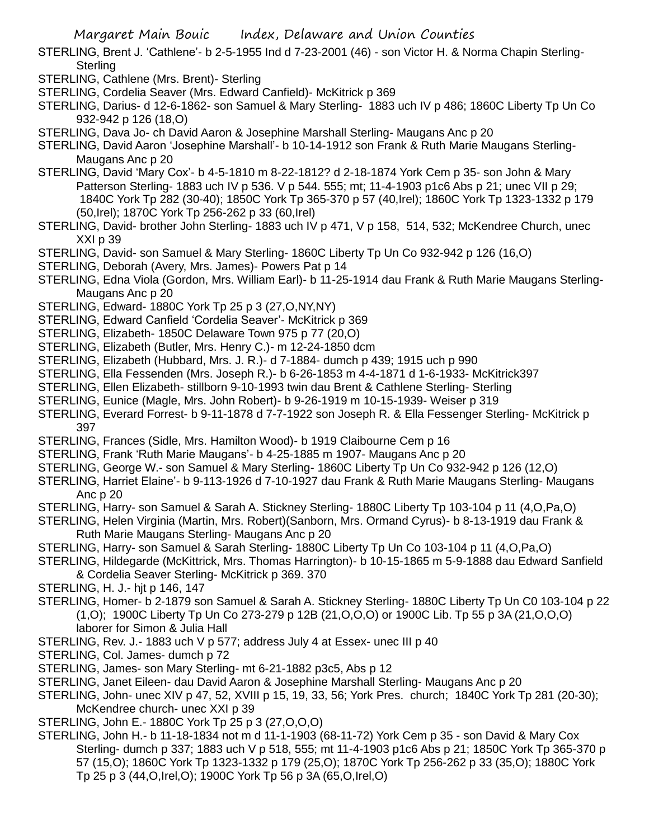- STERLING, Brent J. 'Cathlene'- b 2-5-1955 Ind d 7-23-2001 (46) son Victor H. & Norma Chapin Sterling-**Sterling**
- STERLING, Cathlene (Mrs. Brent)- Sterling
- STERLING, Cordelia Seaver (Mrs. Edward Canfield)- McKitrick p 369
- STERLING, Darius- d 12-6-1862- son Samuel & Mary Sterling- 1883 uch IV p 486; 1860C Liberty Tp Un Co 932-942 p 126 (18,O)
- STERLING, Dava Jo- ch David Aaron & Josephine Marshall Sterling- Maugans Anc p 20
- STERLING, David Aaron 'Josephine Marshall'- b 10-14-1912 son Frank & Ruth Marie Maugans Sterling-Maugans Anc p 20
- STERLING, David 'Mary Cox'- b 4-5-1810 m 8-22-1812? d 2-18-1874 York Cem p 35- son John & Mary Patterson Sterling- 1883 uch IV p 536. V p 544. 555; mt; 11-4-1903 p1c6 Abs p 21; unec VII p 29; 1840C York Tp 282 (30-40); 1850C York Tp 365-370 p 57 (40,Irel); 1860C York Tp 1323-1332 p 179 (50,Irel); 1870C York Tp 256-262 p 33 (60,Irel)
- STERLING, David- brother John Sterling- 1883 uch IV p 471, V p 158, 514, 532; McKendree Church, unec XXI p 39
- STERLING, David- son Samuel & Mary Sterling- 1860C Liberty Tp Un Co 932-942 p 126 (16,O)
- STERLING, Deborah (Avery, Mrs. James)- Powers Pat p 14
- STERLING, Edna Viola (Gordon, Mrs. William Earl)- b 11-25-1914 dau Frank & Ruth Marie Maugans Sterling-Maugans Anc p 20
- STERLING, Edward- 1880C York Tp 25 p 3 (27,O,NY,NY)
- STERLING, Edward Canfield 'Cordelia Seaver'- McKitrick p 369
- STERLING, Elizabeth- 1850C Delaware Town 975 p 77 (20,O)
- STERLING, Elizabeth (Butler, Mrs. Henry C.)- m 12-24-1850 dcm
- STERLING, Elizabeth (Hubbard, Mrs. J. R.)- d 7-1884- dumch p 439; 1915 uch p 990
- STERLING, Ella Fessenden (Mrs. Joseph R.)- b 6-26-1853 m 4-4-1871 d 1-6-1933- McKitrick397
- STERLING, Ellen Elizabeth- stillborn 9-10-1993 twin dau Brent & Cathlene Sterling- Sterling
- STERLING, Eunice (Magle, Mrs. John Robert)- b 9-26-1919 m 10-15-1939- Weiser p 319
- STERLING, Everard Forrest- b 9-11-1878 d 7-7-1922 son Joseph R. & Ella Fessenger Sterling- McKitrick p 397
- STERLING, Frances (Sidle, Mrs. Hamilton Wood)- b 1919 Claibourne Cem p 16
- STERLING, Frank 'Ruth Marie Maugans'- b 4-25-1885 m 1907- Maugans Anc p 20
- STERLING, George W.- son Samuel & Mary Sterling- 1860C Liberty Tp Un Co 932-942 p 126 (12,O)
- STERLING, Harriet Elaine'- b 9-113-1926 d 7-10-1927 dau Frank & Ruth Marie Maugans Sterling- Maugans Anc p 20
- STERLING, Harry- son Samuel & Sarah A. Stickney Sterling- 1880C Liberty Tp 103-104 p 11 (4,O,Pa,O)
- STERLING, Helen Virginia (Martin, Mrs. Robert)(Sanborn, Mrs. Ormand Cyrus)- b 8-13-1919 dau Frank & Ruth Marie Maugans Sterling- Maugans Anc p 20
- STERLING, Harry- son Samuel & Sarah Sterling- 1880C Liberty Tp Un Co 103-104 p 11 (4,O,Pa,O)
- STERLING, Hildegarde (McKittrick, Mrs. Thomas Harrington)- b 10-15-1865 m 5-9-1888 dau Edward Sanfield & Cordelia Seaver Sterling- McKitrick p 369. 370
- STERLING, H. J.- hjt p 146, 147
- STERLING, Homer- b 2-1879 son Samuel & Sarah A. Stickney Sterling- 1880C Liberty Tp Un C0 103-104 p 22 (1,O); 1900C Liberty Tp Un Co 273-279 p 12B (21,O,O,O) or 1900C Lib. Tp 55 p 3A (21,O,O,O) laborer for Simon & Julia Hall
- STERLING, Rev. J.- 1883 uch V p 577; address July 4 at Essex- unec III p 40
- STERLING, Col. James- dumch p 72
- STERLING, James- son Mary Sterling- mt 6-21-1882 p3c5, Abs p 12
- STERLING, Janet Eileen- dau David Aaron & Josephine Marshall Sterling- Maugans Anc p 20
- STERLING, John- unec XIV p 47, 52, XVIII p 15, 19, 33, 56; York Pres. church; 1840C York Tp 281 (20-30); McKendree church- unec XXI p 39
- STERLING, John E.- 1880C York Tp 25 p 3 (27,O,O,O)
- STERLING, John H.- b 11-18-1834 not m d 11-1-1903 (68-11-72) York Cem p 35 son David & Mary Cox Sterling- dumch p 337; 1883 uch V p 518, 555; mt 11-4-1903 p1c6 Abs p 21; 1850C York Tp 365-370 p 57 (15,O); 1860C York Tp 1323-1332 p 179 (25,O); 1870C York Tp 256-262 p 33 (35,O); 1880C York Tp 25 p 3 (44,O,Irel,O); 1900C York Tp 56 p 3A (65,O,Irel,O)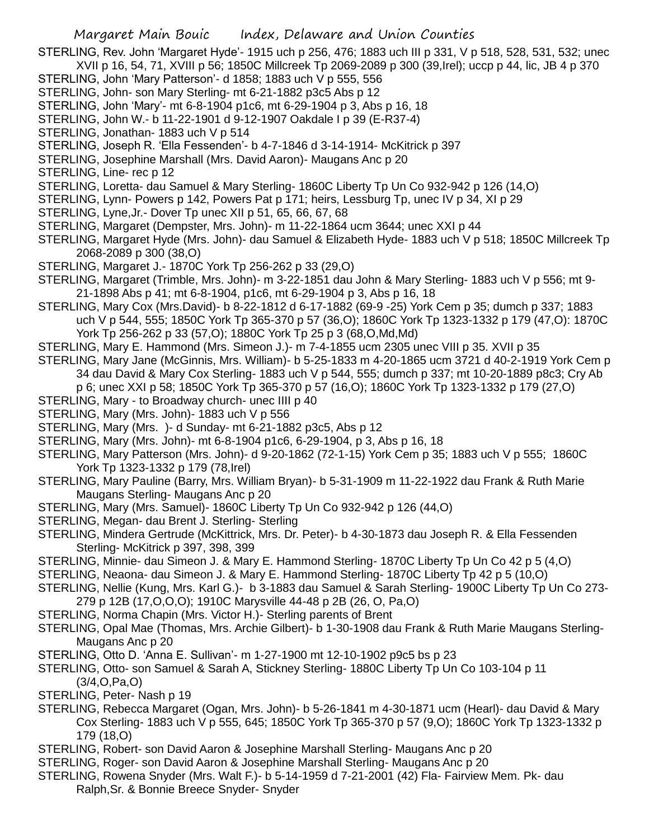STERLING, Rev. John 'Margaret Hyde'- 1915 uch p 256, 476; 1883 uch III p 331, V p 518, 528, 531, 532; unec XVII p 16, 54, 71, XVIII p 56; 1850C Millcreek Tp 2069-2089 p 300 (39,Irel); uccp p 44, lic, JB 4 p 370

- STERLING, John 'Mary Patterson'- d 1858; 1883 uch V p 555, 556
- STERLING, John- son Mary Sterling- mt 6-21-1882 p3c5 Abs p 12
- STERLING, John 'Mary'- mt 6-8-1904 p1c6, mt 6-29-1904 p 3, Abs p 16, 18
- STERLING, John W.- b 11-22-1901 d 9-12-1907 Oakdale I p 39 (E-R37-4)
- STERLING, Jonathan- 1883 uch V p 514
- STERLING, Joseph R. 'Ella Fessenden'- b 4-7-1846 d 3-14-1914- McKitrick p 397
- STERLING, Josephine Marshall (Mrs. David Aaron)- Maugans Anc p 20
- STERLING, Line- rec p 12
- STERLING, Loretta- dau Samuel & Mary Sterling- 1860C Liberty Tp Un Co 932-942 p 126 (14,O)
- STERLING, Lynn- Powers p 142, Powers Pat p 171; heirs, Lessburg Tp, unec IV p 34, XI p 29
- STERLING, Lyne,Jr.- Dover Tp unec XII p 51, 65, 66, 67, 68
- STERLING, Margaret (Dempster, Mrs. John)- m 11-22-1864 ucm 3644; unec XXI p 44
- STERLING, Margaret Hyde (Mrs. John)- dau Samuel & Elizabeth Hyde- 1883 uch V p 518; 1850C Millcreek Tp 2068-2089 p 300 (38,O)
- STERLING, Margaret J.- 1870C York Tp 256-262 p 33 (29,O)
- STERLING, Margaret (Trimble, Mrs. John)- m 3-22-1851 dau John & Mary Sterling- 1883 uch V p 556; mt 9- 21-1898 Abs p 41; mt 6-8-1904, p1c6, mt 6-29-1904 p 3, Abs p 16, 18
- STERLING, Mary Cox (Mrs.David)- b 8-22-1812 d 6-17-1882 (69-9 -25) York Cem p 35; dumch p 337; 1883 uch V p 544, 555; 1850C York Tp 365-370 p 57 (36,O); 1860C York Tp 1323-1332 p 179 (47,O): 1870C York Tp 256-262 p 33 (57,O); 1880C York Tp 25 p 3 (68,O,Md,Md)
- STERLING, Mary E. Hammond (Mrs. Simeon J.)- m 7-4-1855 ucm 2305 unec VIII p 35. XVII p 35
- STERLING, Mary Jane (McGinnis, Mrs. William)- b 5-25-1833 m 4-20-1865 ucm 3721 d 40-2-1919 York Cem p 34 dau David & Mary Cox Sterling- 1883 uch V p 544, 555; dumch p 337; mt 10-20-1889 p8c3; Cry Ab p 6; unec XXI p 58; 1850C York Tp 365-370 p 57 (16,O); 1860C York Tp 1323-1332 p 179 (27,O)
- STERLING, Mary to Broadway church- unec IIII p 40
- STERLING, Mary (Mrs. John)- 1883 uch V p 556
- STERLING, Mary (Mrs. )- d Sunday- mt 6-21-1882 p3c5, Abs p 12
- STERLING, Mary (Mrs. John)- mt 6-8-1904 p1c6, 6-29-1904, p 3, Abs p 16, 18
- STERLING, Mary Patterson (Mrs. John)- d 9-20-1862 (72-1-15) York Cem p 35; 1883 uch V p 555; 1860C York Tp 1323-1332 p 179 (78,Irel)
- STERLING, Mary Pauline (Barry, Mrs. William Bryan)- b 5-31-1909 m 11-22-1922 dau Frank & Ruth Marie Maugans Sterling- Maugans Anc p 20
- STERLING, Mary (Mrs. Samuel)- 1860C Liberty Tp Un Co 932-942 p 126 (44,O)
- STERLING, Megan- dau Brent J. Sterling- Sterling
- STERLING, Mindera Gertrude (McKittrick, Mrs. Dr. Peter)- b 4-30-1873 dau Joseph R. & Ella Fessenden Sterling- McKitrick p 397, 398, 399
- STERLING, Minnie- dau Simeon J. & Mary E. Hammond Sterling- 1870C Liberty Tp Un Co 42 p 5 (4,O)
- STERLING, Neaona- dau Simeon J. & Mary E. Hammond Sterling- 1870C Liberty Tp 42 p 5 (10,O)
- STERLING, Nellie (Kung, Mrs. Karl G.)- b 3-1883 dau Samuel & Sarah Sterling- 1900C Liberty Tp Un Co 273- 279 p 12B (17,O,O,O); 1910C Marysville 44-48 p 2B (26, O, Pa,O)
- STERLING, Norma Chapin (Mrs. Victor H.)- Sterling parents of Brent
- STERLING, Opal Mae (Thomas, Mrs. Archie Gilbert)- b 1-30-1908 dau Frank & Ruth Marie Maugans Sterling-Maugans Anc p 20
- STERLING, Otto D. 'Anna E. Sullivan'- m 1-27-1900 mt 12-10-1902 p9c5 bs p 23
- STERLING, Otto- son Samuel & Sarah A, Stickney Sterling- 1880C Liberty Tp Un Co 103-104 p 11 (3/4,O,Pa,O)
- STERLING, Peter- Nash p 19
- STERLING, Rebecca Margaret (Ogan, Mrs. John)- b 5-26-1841 m 4-30-1871 ucm (Hearl)- dau David & Mary Cox Sterling- 1883 uch V p 555, 645; 1850C York Tp 365-370 p 57 (9,O); 1860C York Tp 1323-1332 p 179 (18,O)
- STERLING, Robert- son David Aaron & Josephine Marshall Sterling- Maugans Anc p 20
- STERLING, Roger- son David Aaron & Josephine Marshall Sterling- Maugans Anc p 20
- STERLING, Rowena Snyder (Mrs. Walt F.)- b 5-14-1959 d 7-21-2001 (42) Fla- Fairview Mem. Pk- dau Ralph,Sr. & Bonnie Breece Snyder- Snyder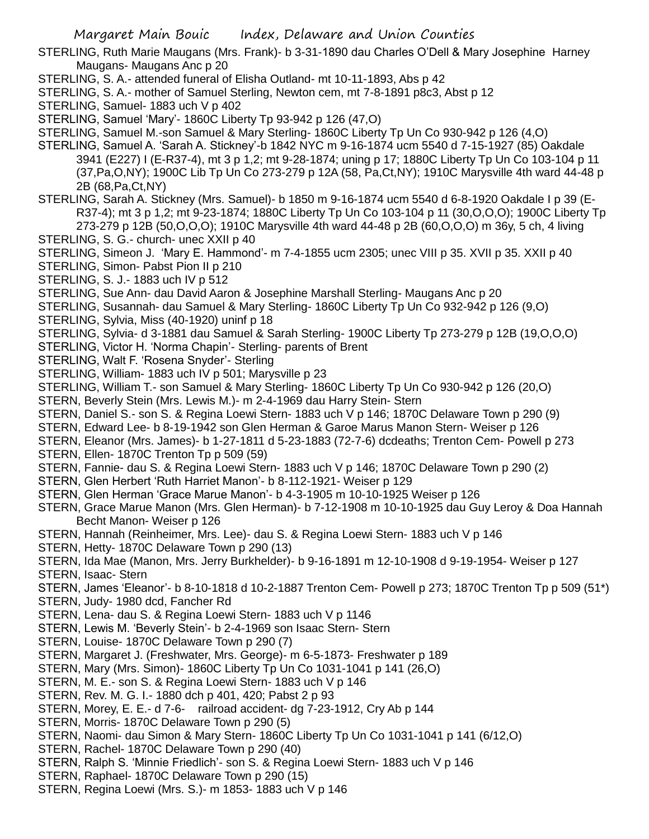STERLING, Ruth Marie Maugans (Mrs. Frank)- b 3-31-1890 dau Charles O'Dell & Mary Josephine Harney Maugans- Maugans Anc p 20

- STERLING, S. A.- attended funeral of Elisha Outland- mt 10-11-1893, Abs p 42
- STERLING, S. A.- mother of Samuel Sterling, Newton cem, mt 7-8-1891 p8c3, Abst p 12
- STERLING, Samuel- 1883 uch V p 402
- STERLING, Samuel 'Mary'- 1860C Liberty Tp 93-942 p 126 (47,O)
- STERLING, Samuel M.-son Samuel & Mary Sterling- 1860C Liberty Tp Un Co 930-942 p 126 (4,O)
- STERLING, Samuel A. 'Sarah A. Stickney'-b 1842 NYC m 9-16-1874 ucm 5540 d 7-15-1927 (85) Oakdale 3941 (E227) I (E-R37-4), mt 3 p 1,2; mt 9-28-1874; uning p 17; 1880C Liberty Tp Un Co 103-104 p 11 (37,Pa,O,NY); 1900C Lib Tp Un Co 273-279 p 12A (58, Pa,Ct,NY); 1910C Marysville 4th ward 44-48 p 2B (68,Pa,Ct,NY)
- STERLING, Sarah A. Stickney (Mrs. Samuel)- b 1850 m 9-16-1874 ucm 5540 d 6-8-1920 Oakdale I p 39 (E-R37-4); mt 3 p 1,2; mt 9-23-1874; 1880C Liberty Tp Un Co 103-104 p 11 (30,O,O,O); 1900C Liberty Tp 273-279 p 12B (50,O,O,O); 1910C Marysville 4th ward 44-48 p 2B (60,O,O,O) m 36y, 5 ch, 4 living
- STERLING, S. G.- church- unec XXII p 40
- STERLING, Simeon J. 'Mary E. Hammond'- m 7-4-1855 ucm 2305; unec VIII p 35. XVII p 35. XXII p 40
- STERLING, Simon- Pabst Pion II p 210
- STERLING, S. J.- 1883 uch IV p 512
- STERLING, Sue Ann- dau David Aaron & Josephine Marshall Sterling- Maugans Anc p 20
- STERLING, Susannah- dau Samuel & Mary Sterling- 1860C Liberty Tp Un Co 932-942 p 126 (9,O)
- STERLING, Sylvia, Miss (40-1920) uninf p 18
- STERLING, Sylvia- d 3-1881 dau Samuel & Sarah Sterling- 1900C Liberty Tp 273-279 p 12B (19,O,O,O)
- STERLING, Victor H. 'Norma Chapin'- Sterling- parents of Brent
- STERLING, Walt F. 'Rosena Snyder'- Sterling
- STERLING, William- 1883 uch IV p 501; Marysville p 23
- STERLING, William T.- son Samuel & Mary Sterling- 1860C Liberty Tp Un Co 930-942 p 126 (20,O)
- STERN, Beverly Stein (Mrs. Lewis M.)- m 2-4-1969 dau Harry Stein- Stern
- STERN, Daniel S.- son S. & Regina Loewi Stern- 1883 uch V p 146; 1870C Delaware Town p 290 (9)
- STERN, Edward Lee- b 8-19-1942 son Glen Herman & Garoe Marus Manon Stern- Weiser p 126
- STERN, Eleanor (Mrs. James)- b 1-27-1811 d 5-23-1883 (72-7-6) dcdeaths; Trenton Cem- Powell p 273
- STERN, Ellen- 1870C Trenton Tp p 509 (59)
- STERN, Fannie- dau S. & Regina Loewi Stern- 1883 uch V p 146; 1870C Delaware Town p 290 (2)
- STERN, Glen Herbert 'Ruth Harriet Manon'- b 8-112-1921- Weiser p 129
- STERN, Glen Herman 'Grace Marue Manon'- b 4-3-1905 m 10-10-1925 Weiser p 126
- STERN, Grace Marue Manon (Mrs. Glen Herman)- b 7-12-1908 m 10-10-1925 dau Guy Leroy & Doa Hannah Becht Manon- Weiser p 126
- STERN, Hannah (Reinheimer, Mrs. Lee)- dau S. & Regina Loewi Stern- 1883 uch V p 146
- STERN, Hetty- 1870C Delaware Town p 290 (13)
- STERN, Ida Mae (Manon, Mrs. Jerry Burkhelder)- b 9-16-1891 m 12-10-1908 d 9-19-1954- Weiser p 127
- STERN, Isaac- Stern
- STERN, James 'Eleanor'- b 8-10-1818 d 10-2-1887 Trenton Cem- Powell p 273; 1870C Trenton Tp p 509 (51\*)
- STERN, Judy- 1980 dcd, Fancher Rd
- STERN, Lena- dau S. & Regina Loewi Stern- 1883 uch V p 1146
- STERN, Lewis M. 'Beverly Stein'- b 2-4-1969 son Isaac Stern- Stern
- STERN, Louise- 1870C Delaware Town p 290 (7)
- STERN, Margaret J. (Freshwater, Mrs. George)- m 6-5-1873- Freshwater p 189
- STERN, Mary (Mrs. Simon)- 1860C Liberty Tp Un Co 1031-1041 p 141 (26,O)
- STERN, M. E.- son S. & Regina Loewi Stern- 1883 uch V p 146
- STERN, Rev. M. G. I.- 1880 dch p 401, 420; Pabst 2 p 93
- STERN, Morey, E. E.- d 7-6- railroad accident- dg 7-23-1912, Cry Ab p 144
- STERN, Morris- 1870C Delaware Town p 290 (5)
- STERN, Naomi- dau Simon & Mary Stern- 1860C Liberty Tp Un Co 1031-1041 p 141 (6/12,O)
- STERN, Rachel- 1870C Delaware Town p 290 (40)
- STERN, Ralph S. 'Minnie Friedlich'- son S. & Regina Loewi Stern- 1883 uch V p 146
- STERN, Raphael- 1870C Delaware Town p 290 (15)
- STERN, Regina Loewi (Mrs. S.)- m 1853- 1883 uch V p 146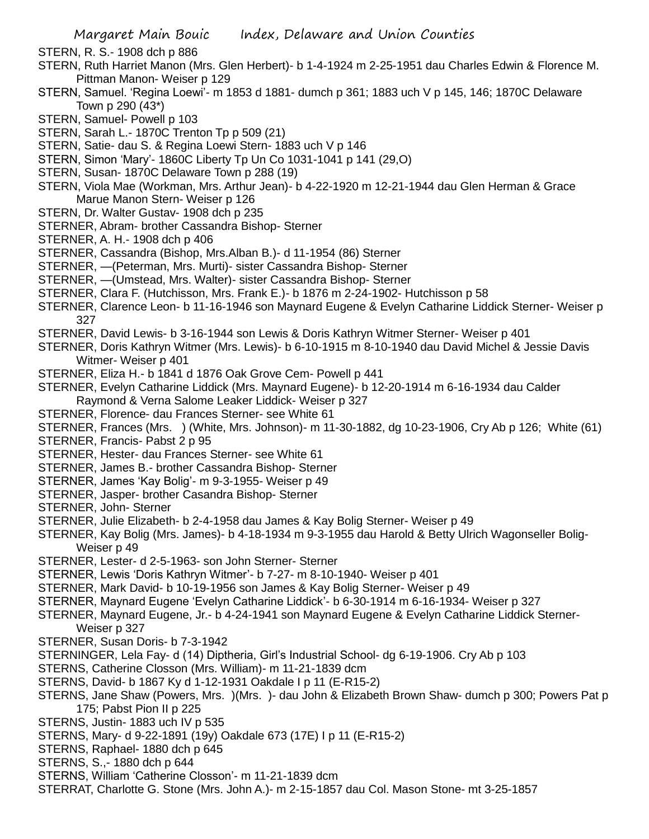- STERN, R. S.- 1908 dch p 886
- STERN, Ruth Harriet Manon (Mrs. Glen Herbert)- b 1-4-1924 m 2-25-1951 dau Charles Edwin & Florence M. Pittman Manon- Weiser p 129
- STERN, Samuel. 'Regina Loewi'- m 1853 d 1881- dumch p 361; 1883 uch V p 145, 146; 1870C Delaware Town p 290 (43\*)
- STERN, Samuel- Powell p 103
- STERN, Sarah L.- 1870C Trenton Tp p 509 (21)
- STERN, Satie- dau S. & Regina Loewi Stern- 1883 uch V p 146
- STERN, Simon 'Mary'- 1860C Liberty Tp Un Co 1031-1041 p 141 (29,O)
- STERN, Susan- 1870C Delaware Town p 288 (19)
- STERN, Viola Mae (Workman, Mrs. Arthur Jean)- b 4-22-1920 m 12-21-1944 dau Glen Herman & Grace Marue Manon Stern- Weiser p 126
- STERN, Dr. Walter Gustav- 1908 dch p 235
- STERNER, Abram- brother Cassandra Bishop- Sterner
- STERNER, A. H.- 1908 dch p 406
- STERNER, Cassandra (Bishop, Mrs.Alban B.)- d 11-1954 (86) Sterner
- STERNER, —(Peterman, Mrs. Murti)- sister Cassandra Bishop- Sterner
- STERNER, —(Umstead, Mrs. Walter)- sister Cassandra Bishop- Sterner
- STERNER, Clara F. (Hutchisson, Mrs. Frank E.)- b 1876 m 2-24-1902- Hutchisson p 58
- STERNER, Clarence Leon- b 11-16-1946 son Maynard Eugene & Evelyn Catharine Liddick Sterner- Weiser p 327
- STERNER, David Lewis- b 3-16-1944 son Lewis & Doris Kathryn Witmer Sterner- Weiser p 401
- STERNER, Doris Kathryn Witmer (Mrs. Lewis)- b 6-10-1915 m 8-10-1940 dau David Michel & Jessie Davis Witmer- Weiser p 401
- STERNER, Eliza H.- b 1841 d 1876 Oak Grove Cem- Powell p 441
- STERNER, Evelyn Catharine Liddick (Mrs. Maynard Eugene)- b 12-20-1914 m 6-16-1934 dau Calder Raymond & Verna Salome Leaker Liddick- Weiser p 327
- STERNER, Florence- dau Frances Sterner- see White 61
- STERNER, Frances (Mrs. ) (White, Mrs. Johnson)- m 11-30-1882, dg 10-23-1906, Cry Ab p 126; White (61)
- STERNER, Francis- Pabst 2 p 95
- STERNER, Hester- dau Frances Sterner- see White 61
- STERNER, James B.- brother Cassandra Bishop- Sterner
- STERNER, James 'Kay Bolig'- m 9-3-1955- Weiser p 49
- STERNER, Jasper- brother Casandra Bishop- Sterner
- STERNER, John- Sterner
- STERNER, Julie Elizabeth- b 2-4-1958 dau James & Kay Bolig Sterner- Weiser p 49
- STERNER, Kay Bolig (Mrs. James)- b 4-18-1934 m 9-3-1955 dau Harold & Betty Ulrich Wagonseller Bolig-Weiser p 49
- STERNER, Lester- d 2-5-1963- son John Sterner- Sterner
- STERNER, Lewis 'Doris Kathryn Witmer'- b 7-27- m 8-10-1940- Weiser p 401
- STERNER, Mark David- b 10-19-1956 son James & Kay Bolig Sterner- Weiser p 49
- STERNER, Maynard Eugene 'Evelyn Catharine Liddick'- b 6-30-1914 m 6-16-1934- Weiser p 327
- STERNER, Maynard Eugene, Jr.- b 4-24-1941 son Maynard Eugene & Evelyn Catharine Liddick Sterner-Weiser p 327
- STERNER, Susan Doris- b 7-3-1942
- STERNINGER, Lela Fay- d (14) Diptheria, Girl's Industrial School- dg 6-19-1906. Cry Ab p 103
- STERNS, Catherine Closson (Mrs. William)- m 11-21-1839 dcm
- STERNS, David- b 1867 Ky d 1-12-1931 Oakdale I p 11 (E-R15-2)
- STERNS, Jane Shaw (Powers, Mrs. )(Mrs. )- dau John & Elizabeth Brown Shaw- dumch p 300; Powers Pat p 175; Pabst Pion II p 225
- STERNS, Justin- 1883 uch IV p 535
- STERNS, Mary- d 9-22-1891 (19y) Oakdale 673 (17E) I p 11 (E-R15-2)
- STERNS, Raphael- 1880 dch p 645
- STERNS, S.,- 1880 dch p 644
- STERNS, William 'Catherine Closson'- m 11-21-1839 dcm
- STERRAT, Charlotte G. Stone (Mrs. John A.)- m 2-15-1857 dau Col. Mason Stone- mt 3-25-1857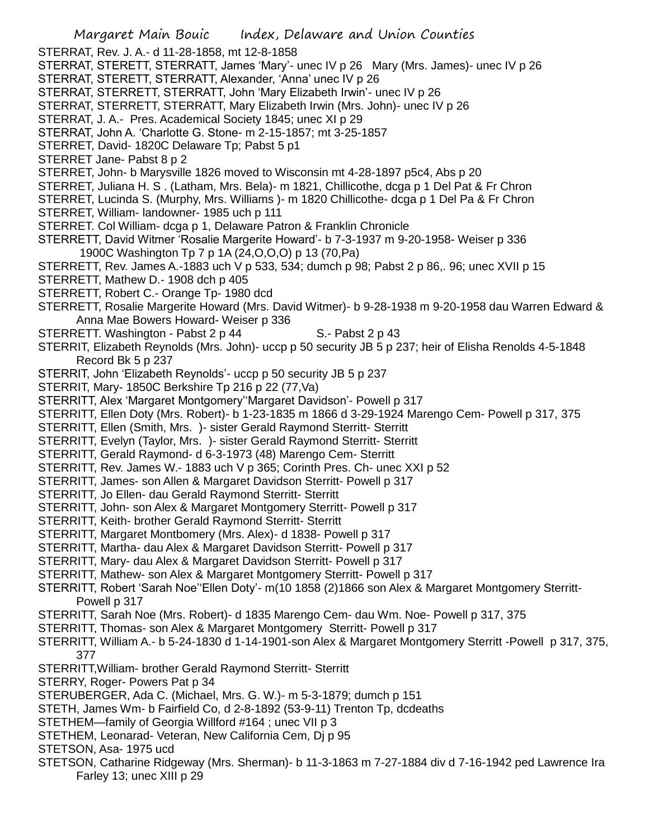- Margaret Main Bouic Index, Delaware and Union Counties
- STERRAT, Rev. J. A.- d 11-28-1858, mt 12-8-1858
- STERRAT, STERETT, STERRATT, James 'Mary'- unec IV p 26 Mary (Mrs. James)- unec IV p 26
- STERRAT, STERETT, STERRATT, Alexander, 'Anna' unec IV p 26
- STERRAT, STERRETT, STERRATT, John 'Mary Elizabeth Irwin'- unec IV p 26
- STERRAT, STERRETT, STERRATT, Mary Elizabeth Irwin (Mrs. John)- unec IV p 26
- STERRAT, J. A.- Pres. Academical Society 1845; unec XI p 29
- STERRAT, John A. 'Charlotte G. Stone- m 2-15-1857; mt 3-25-1857
- STERRET, David- 1820C Delaware Tp; Pabst 5 p1
- STERRET Jane- Pabst 8 p 2
- STERRET, John- b Marysville 1826 moved to Wisconsin mt 4-28-1897 p5c4, Abs p 20
- STERRET, Juliana H. S . (Latham, Mrs. Bela)- m 1821, Chillicothe, dcga p 1 Del Pat & Fr Chron
- STERRET, Lucinda S. (Murphy, Mrs. Williams )- m 1820 Chillicothe- dcga p 1 Del Pa & Fr Chron
- STERRET, William- landowner- 1985 uch p 111
- STERRET. Col William- dcga p 1, Delaware Patron & Franklin Chronicle
- STERRETT, David Witmer 'Rosalie Margerite Howard'- b 7-3-1937 m 9-20-1958- Weiser p 336 1900C Washington Tp 7 p 1A (24,O,O,O) p 13 (70,Pa)
- STERRETT, Rev. James A.-1883 uch V p 533, 534; dumch p 98; Pabst 2 p 86,. 96; unec XVII p 15
- STERRETT, Mathew D.- 1908 dch p 405
- STERRETT, Robert C.- Orange Tp- 1980 dcd
- STERRETT, Rosalie Margerite Howard (Mrs. David Witmer)- b 9-28-1938 m 9-20-1958 dau Warren Edward & Anna Mae Bowers Howard- Weiser p 336
- STERRETT. Washington Pabst 2 p 44 S.- Pabst 2 p 43
- STERRIT, Elizabeth Reynolds (Mrs. John)- uccp p 50 security JB 5 p 237; heir of Elisha Renolds 4-5-1848 Record Bk 5 p 237
- STERRIT, John 'Elizabeth Reynolds'- uccp p 50 security JB 5 p 237
- STERRIT, Mary- 1850C Berkshire Tp 216 p 22 (77,Va)
- STERRITT, Alex 'Margaret Montgomery''Margaret Davidson'- Powell p 317
- STERRITT, Ellen Doty (Mrs. Robert)- b 1-23-1835 m 1866 d 3-29-1924 Marengo Cem- Powell p 317, 375
- STERRITT, Ellen (Smith, Mrs. )- sister Gerald Raymond Sterritt- Sterritt
- STERRITT, Evelyn (Taylor, Mrs. )- sister Gerald Raymond Sterritt- Sterritt
- STERRITT, Gerald Raymond- d 6-3-1973 (48) Marengo Cem- Sterritt
- STERRITT, Rev. James W.- 1883 uch V p 365; Corinth Pres. Ch- unec XXI p 52
- STERRITT, James- son Allen & Margaret Davidson Sterritt- Powell p 317
- STERRITT, Jo Ellen- dau Gerald Raymond Sterritt- Sterritt
- STERRITT, John- son Alex & Margaret Montgomery Sterritt- Powell p 317
- STERRITT, Keith- brother Gerald Raymond Sterritt- Sterritt
- STERRITT, Margaret Montbomery (Mrs. Alex)- d 1838- Powell p 317
- STERRITT, Martha- dau Alex & Margaret Davidson Sterritt- Powell p 317
- STERRITT, Mary- dau Alex & Margaret Davidson Sterritt- Powell p 317
- STERRITT, Mathew- son Alex & Margaret Montgomery Sterritt- Powell p 317
- STERRITT, Robert 'Sarah Noe''Ellen Doty'- m(10 1858 (2)1866 son Alex & Margaret Montgomery Sterritt-Powell p 317
- STERRITT, Sarah Noe (Mrs. Robert)- d 1835 Marengo Cem- dau Wm. Noe- Powell p 317, 375
- STERRITT, Thomas- son Alex & Margaret Montgomery Sterritt- Powell p 317
- STERRITT, William A.- b 5-24-1830 d 1-14-1901-son Alex & Margaret Montgomery Sterritt -Powell p 317, 375, 377
- STERRITT,William- brother Gerald Raymond Sterritt- Sterritt
- STERRY, Roger- Powers Pat p 34
- STERUBERGER, Ada C. (Michael, Mrs. G. W.)- m 5-3-1879; dumch p 151
- STETH, James Wm- b Fairfield Co, d 2-8-1892 (53-9-11) Trenton Tp, dcdeaths
- STETHEM—family of Georgia Willford #164 ; unec VII p 3
- STETHEM, Leonarad- Veteran, New California Cem, Dj p 95
- STETSON, Asa- 1975 ucd
- STETSON, Catharine Ridgeway (Mrs. Sherman)- b 11-3-1863 m 7-27-1884 div d 7-16-1942 ped Lawrence Ira Farley 13; unec XIII p 29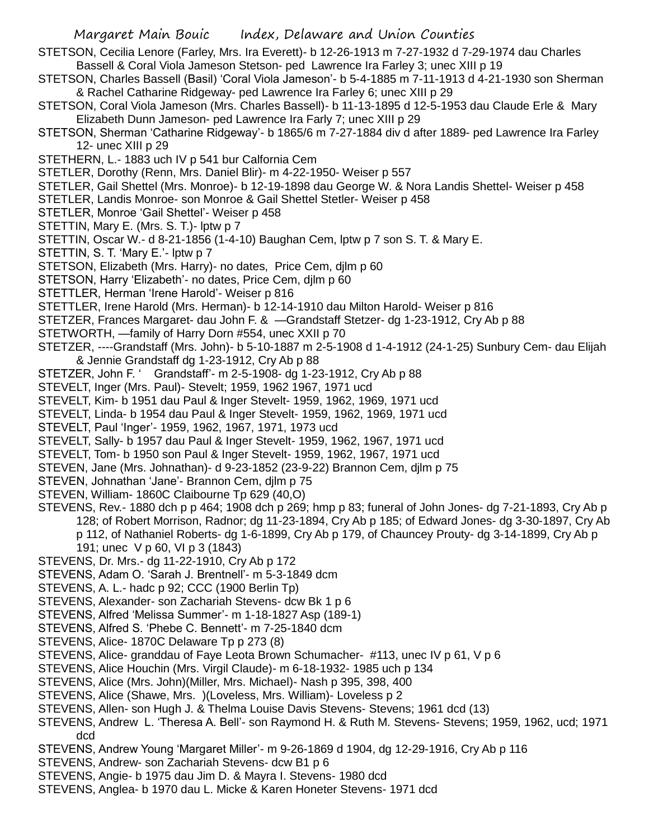STETSON, Cecilia Lenore (Farley, Mrs. Ira Everett)- b 12-26-1913 m 7-27-1932 d 7-29-1974 dau Charles Bassell & Coral Viola Jameson Stetson- ped Lawrence Ira Farley 3; unec XIII p 19

- STETSON, Charles Bassell (Basil) 'Coral Viola Jameson'- b 5-4-1885 m 7-11-1913 d 4-21-1930 son Sherman & Rachel Catharine Ridgeway- ped Lawrence Ira Farley 6; unec XIII p 29
- STETSON, Coral Viola Jameson (Mrs. Charles Bassell)- b 11-13-1895 d 12-5-1953 dau Claude Erle & Mary Elizabeth Dunn Jameson- ped Lawrence Ira Farly 7; unec XIII p 29
- STETSON, Sherman 'Catharine Ridgeway'- b 1865/6 m 7-27-1884 div d after 1889- ped Lawrence Ira Farley 12- unec XIII p 29
- STETHERN, L.- 1883 uch IV p 541 bur Calfornia Cem

STETLER, Dorothy (Renn, Mrs. Daniel Blir)- m 4-22-1950- Weiser p 557

STETLER, Gail Shettel (Mrs. Monroe)- b 12-19-1898 dau George W. & Nora Landis Shettel- Weiser p 458

- STETLER, Landis Monroe- son Monroe & Gail Shettel Stetler- Weiser p 458
- STETLER, Monroe 'Gail Shettel'- Weiser p 458
- STETTIN, Mary E. (Mrs. S. T.)- lptw p 7
- STETTIN, Oscar W.- d 8-21-1856 (1-4-10) Baughan Cem, lptw p 7 son S. T. & Mary E.
- STETTIN, S. T. 'Mary E.'- lptw p 7
- STETSON, Elizabeth (Mrs. Harry)- no dates, Price Cem, djlm p 60
- STETSON, Harry 'Elizabeth'- no dates, Price Cem, djlm p 60
- STETTLER, Herman 'Irene Harold'- Weiser p 816
- STETTLER, Irene Harold (Mrs. Herman)- b 12-14-1910 dau Milton Harold- Weiser p 816
- STETZER, Frances Margaret- dau John F. & —Grandstaff Stetzer- dg 1-23-1912, Cry Ab p 88
- STETWORTH, —family of Harry Dorn #554, unec XXII p 70
- STETZER, ----Grandstaff (Mrs. John)- b 5-10-1887 m 2-5-1908 d 1-4-1912 (24-1-25) Sunbury Cem- dau Elijah & Jennie Grandstaff dg 1-23-1912, Cry Ab p 88
- STETZER, John F. ' Grandstaff'- m 2-5-1908- dg 1-23-1912, Cry Ab p 88
- STEVELT, Inger (Mrs. Paul)- Stevelt; 1959, 1962 1967, 1971 ucd
- STEVELT, Kim- b 1951 dau Paul & Inger Stevelt- 1959, 1962, 1969, 1971 ucd
- STEVELT, Linda- b 1954 dau Paul & Inger Stevelt- 1959, 1962, 1969, 1971 ucd
- STEVELT, Paul 'Inger'- 1959, 1962, 1967, 1971, 1973 ucd
- STEVELT, Sally- b 1957 dau Paul & Inger Stevelt- 1959, 1962, 1967, 1971 ucd
- STEVELT, Tom- b 1950 son Paul & Inger Stevelt- 1959, 1962, 1967, 1971 ucd
- STEVEN, Jane (Mrs. Johnathan)- d 9-23-1852 (23-9-22) Brannon Cem, djlm p 75
- STEVEN, Johnathan 'Jane'- Brannon Cem, djlm p 75
- STEVEN, William- 1860C Claibourne Tp 629 (40,O)
- STEVENS, Rev.- 1880 dch p p 464; 1908 dch p 269; hmp p 83; funeral of John Jones- dg 7-21-1893, Cry Ab p 128; of Robert Morrison, Radnor; dg 11-23-1894, Cry Ab p 185; of Edward Jones- dg 3-30-1897, Cry Ab
	- p 112, of Nathaniel Roberts- dg 1-6-1899, Cry Ab p 179, of Chauncey Prouty- dg 3-14-1899, Cry Ab p 191; unec V p 60, VI p 3 (1843)
- STEVENS, Dr. Mrs.- dg 11-22-1910, Cry Ab p 172
- STEVENS, Adam O. 'Sarah J. Brentnell'- m 5-3-1849 dcm
- STEVENS, A. L.- hadc p 92; CCC (1900 Berlin Tp)
- STEVENS, Alexander- son Zachariah Stevens- dcw Bk 1 p 6
- STEVENS, Alfred 'Melissa Summer'- m 1-18-1827 Asp (189-1)
- STEVENS, Alfred S. 'Phebe C. Bennett'- m 7-25-1840 dcm
- STEVENS, Alice- 1870C Delaware Tp p 273 (8)
- STEVENS, Alice- granddau of Faye Leota Brown Schumacher- #113, unec IV p 61, V p 6
- STEVENS, Alice Houchin (Mrs. Virgil Claude)- m 6-18-1932- 1985 uch p 134
- STEVENS, Alice (Mrs. John)(Miller, Mrs. Michael)- Nash p 395, 398, 400
- STEVENS, Alice (Shawe, Mrs. )(Loveless, Mrs. William)- Loveless p 2
- STEVENS, Allen- son Hugh J. & Thelma Louise Davis Stevens- Stevens; 1961 dcd (13)
- STEVENS, Andrew L. 'Theresa A. Bell'- son Raymond H. & Ruth M. Stevens- Stevens; 1959, 1962, ucd; 1971 dcd
- STEVENS, Andrew Young 'Margaret Miller'- m 9-26-1869 d 1904, dg 12-29-1916, Cry Ab p 116
- STEVENS, Andrew- son Zachariah Stevens- dcw B1 p 6
- STEVENS, Angie- b 1975 dau Jim D. & Mayra I. Stevens- 1980 dcd
- STEVENS, Anglea- b 1970 dau L. Micke & Karen Honeter Stevens- 1971 dcd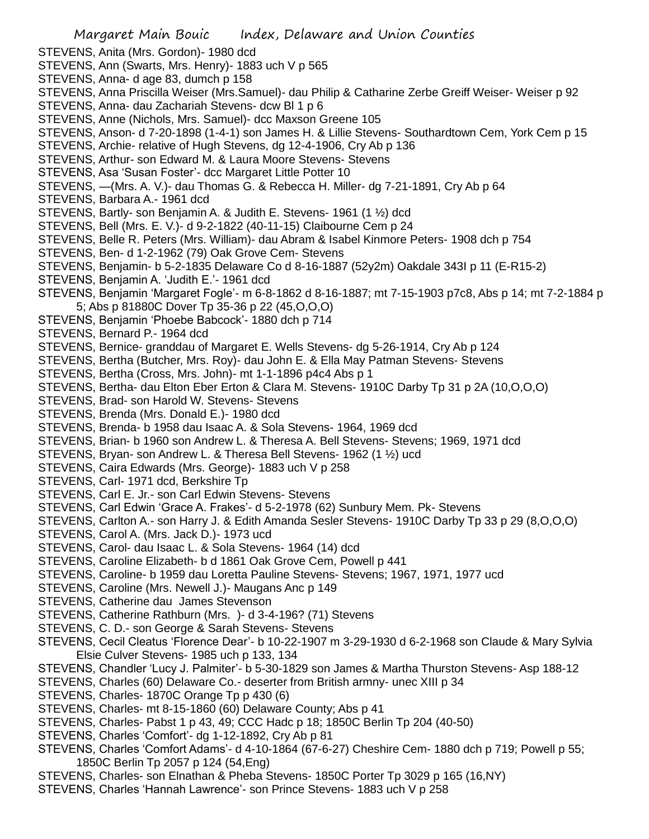- STEVENS, Anita (Mrs. Gordon)- 1980 dcd
- STEVENS, Ann (Swarts, Mrs. Henry)- 1883 uch V p 565
- STEVENS, Anna- d age 83, dumch p 158
- STEVENS, Anna Priscilla Weiser (Mrs.Samuel)- dau Philip & Catharine Zerbe Greiff Weiser- Weiser p 92
- STEVENS, Anna- dau Zachariah Stevens- dcw Bl 1 p 6
- STEVENS, Anne (Nichols, Mrs. Samuel)- dcc Maxson Greene 105
- STEVENS, Anson- d 7-20-1898 (1-4-1) son James H. & Lillie Stevens- Southardtown Cem, York Cem p 15
- STEVENS, Archie- relative of Hugh Stevens, dg 12-4-1906, Cry Ab p 136
- STEVENS, Arthur- son Edward M. & Laura Moore Stevens- Stevens
- STEVENS, Asa 'Susan Foster'- dcc Margaret Little Potter 10
- STEVENS, —(Mrs. A. V.)- dau Thomas G. & Rebecca H. Miller- dg 7-21-1891, Cry Ab p 64
- STEVENS, Barbara A.- 1961 dcd
- STEVENS, Bartly- son Benjamin A. & Judith E. Stevens- 1961 (1 ½) dcd
- STEVENS, Bell (Mrs. E. V.)- d 9-2-1822 (40-11-15) Claibourne Cem p 24
- STEVENS, Belle R. Peters (Mrs. William)- dau Abram & Isabel Kinmore Peters- 1908 dch p 754
- STEVENS, Ben- d 1-2-1962 (79) Oak Grove Cem- Stevens
- STEVENS, Benjamin- b 5-2-1835 Delaware Co d 8-16-1887 (52y2m) Oakdale 343I p 11 (E-R15-2)
- STEVENS, Benjamin A. 'Judith E.'- 1961 dcd
- STEVENS, Benjamin 'Margaret Fogle'- m 6-8-1862 d 8-16-1887; mt 7-15-1903 p7c8, Abs p 14; mt 7-2-1884 p 5; Abs p 81880C Dover Tp 35-36 p 22 (45,O,O,O)
- STEVENS, Benjamin 'Phoebe Babcock'- 1880 dch p 714
- STEVENS, Bernard P.- 1964 dcd
- STEVENS, Bernice- granddau of Margaret E. Wells Stevens- dg 5-26-1914, Cry Ab p 124
- STEVENS, Bertha (Butcher, Mrs. Roy)- dau John E. & Ella May Patman Stevens- Stevens
- STEVENS, Bertha (Cross, Mrs. John)- mt 1-1-1896 p4c4 Abs p 1
- STEVENS, Bertha- dau Elton Eber Erton & Clara M. Stevens- 1910C Darby Tp 31 p 2A (10,O,O,O)
- STEVENS, Brad- son Harold W. Stevens- Stevens
- STEVENS, Brenda (Mrs. Donald E.)- 1980 dcd
- STEVENS, Brenda- b 1958 dau Isaac A. & Sola Stevens- 1964, 1969 dcd
- STEVENS, Brian- b 1960 son Andrew L. & Theresa A. Bell Stevens- Stevens; 1969, 1971 dcd
- STEVENS, Bryan- son Andrew L. & Theresa Bell Stevens- 1962 (1 ½) ucd
- STEVENS, Caira Edwards (Mrs. George)- 1883 uch V p 258
- STEVENS, Carl- 1971 dcd, Berkshire Tp
- STEVENS, Carl E. Jr.- son Carl Edwin Stevens- Stevens
- STEVENS, Carl Edwin 'Grace A. Frakes'- d 5-2-1978 (62) Sunbury Mem. Pk- Stevens
- STEVENS, Carlton A.- son Harry J. & Edith Amanda Sesler Stevens- 1910C Darby Tp 33 p 29 (8,O,O,O)
- STEVENS, Carol A. (Mrs. Jack D.)- 1973 ucd
- STEVENS, Carol- dau Isaac L. & Sola Stevens- 1964 (14) dcd
- STEVENS, Caroline Elizabeth- b d 1861 Oak Grove Cem, Powell p 441
- STEVENS, Caroline- b 1959 dau Loretta Pauline Stevens- Stevens; 1967, 1971, 1977 ucd
- STEVENS, Caroline (Mrs. Newell J.)- Maugans Anc p 149
- STEVENS, Catherine dau James Stevenson
- STEVENS, Catherine Rathburn (Mrs. )- d 3-4-196? (71) Stevens
- STEVENS, C. D.- son George & Sarah Stevens- Stevens
- STEVENS, Cecil Cleatus 'Florence Dear'- b 10-22-1907 m 3-29-1930 d 6-2-1968 son Claude & Mary Sylvia Elsie Culver Stevens- 1985 uch p 133, 134
- STEVENS, Chandler 'Lucy J. Palmiter'- b 5-30-1829 son James & Martha Thurston Stevens- Asp 188-12
- STEVENS, Charles (60) Delaware Co.- deserter from British armny- unec XIII p 34
- STEVENS, Charles-1870C Orange Tp p 430 (6)
- STEVENS, Charles- mt 8-15-1860 (60) Delaware County; Abs p 41
- STEVENS, Charles- Pabst 1 p 43, 49; CCC Hadc p 18; 1850C Berlin Tp 204 (40-50)
- STEVENS, Charles 'Comfort'- dg 1-12-1892, Cry Ab p 81
- STEVENS, Charles 'Comfort Adams'- d 4-10-1864 (67-6-27) Cheshire Cem- 1880 dch p 719; Powell p 55; 1850C Berlin Tp 2057 p 124 (54,Eng)
- STEVENS, Charles- son Elnathan & Pheba Stevens- 1850C Porter Tp 3029 p 165 (16,NY)
- STEVENS, Charles 'Hannah Lawrence'- son Prince Stevens- 1883 uch V p 258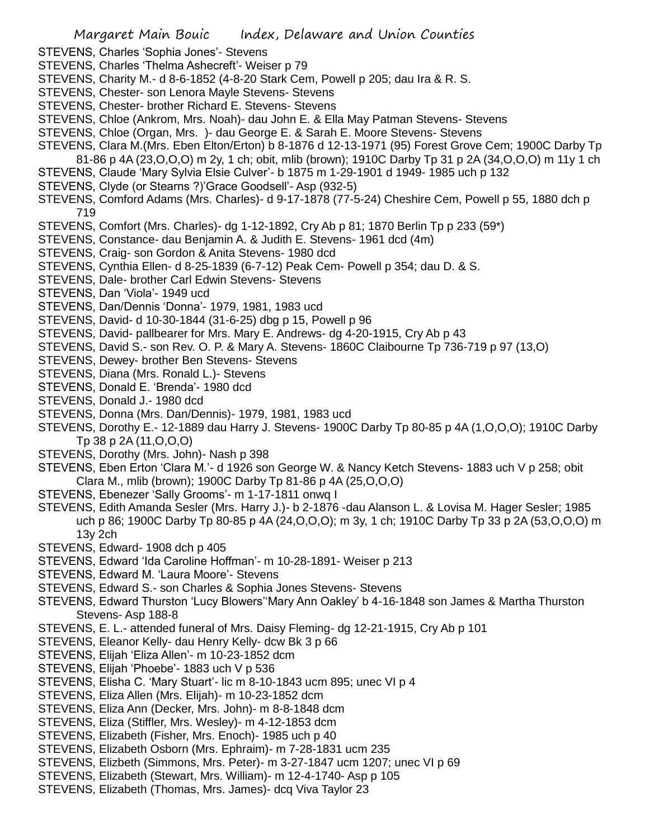- STEVENS, Charles 'Sophia Jones'- Stevens
- STEVENS, Charles 'Thelma Ashecreft'- Weiser p 79
- STEVENS, Charity M.- d 8-6-1852 (4-8-20 Stark Cem, Powell p 205; dau Ira & R. S.
- STEVENS, Chester- son Lenora Mayle Stevens- Stevens
- STEVENS, Chester- brother Richard E. Stevens- Stevens
- STEVENS, Chloe (Ankrom, Mrs. Noah)- dau John E. & Ella May Patman Stevens- Stevens
- STEVENS, Chloe (Organ, Mrs. )- dau George E. & Sarah E. Moore Stevens- Stevens
- STEVENS, Clara M.(Mrs. Eben Elton/Erton) b 8-1876 d 12-13-1971 (95) Forest Grove Cem; 1900C Darby Tp 81-86 p 4A (23,O,O,O) m 2y, 1 ch; obit, mlib (brown); 1910C Darby Tp 31 p 2A (34,O,O,O) m 11y 1 ch
- STEVENS, Claude 'Mary Sylvia Elsie Culver'- b 1875 m 1-29-1901 d 1949- 1985 uch p 132
- STEVENS, Clyde (or Stearns ?)'Grace Goodsell'- Asp (932-5)
- STEVENS, Comford Adams (Mrs. Charles)- d 9-17-1878 (77-5-24) Cheshire Cem, Powell p 55, 1880 dch p 719
- STEVENS, Comfort (Mrs. Charles)- dg 1-12-1892, Cry Ab p 81; 1870 Berlin Tp p 233 (59\*)
- STEVENS, Constance- dau Benjamin A. & Judith E. Stevens- 1961 dcd (4m)
- STEVENS, Craig- son Gordon & Anita Stevens- 1980 dcd
- STEVENS, Cynthia Ellen- d 8-25-1839 (6-7-12) Peak Cem- Powell p 354; dau D. & S.
- STEVENS, Dale- brother Carl Edwin Stevens- Stevens
- STEVENS, Dan 'Viola'- 1949 ucd
- STEVENS, Dan/Dennis 'Donna'- 1979, 1981, 1983 ucd
- STEVENS, David- d 10-30-1844 (31-6-25) dbg p 15, Powell p 96
- STEVENS, David- pallbearer for Mrs. Mary E. Andrews- dg 4-20-1915, Cry Ab p 43
- STEVENS, David S.- son Rev. O. P. & Mary A. Stevens- 1860C Claibourne Tp 736-719 p 97 (13,O)
- STEVENS, Dewey- brother Ben Stevens- Stevens
- STEVENS, Diana (Mrs. Ronald L.)- Stevens
- STEVENS, Donald E. 'Brenda'- 1980 dcd
- STEVENS, Donald J.- 1980 dcd
- STEVENS, Donna (Mrs. Dan/Dennis)- 1979, 1981, 1983 ucd
- STEVENS, Dorothy E.- 12-1889 dau Harry J. Stevens- 1900C Darby Tp 80-85 p 4A (1,O,O,O); 1910C Darby Tp 38 p 2A (11,O,O,O)
- STEVENS, Dorothy (Mrs. John)- Nash p 398
- STEVENS, Eben Erton 'Clara M.'- d 1926 son George W. & Nancy Ketch Stevens- 1883 uch V p 258; obit Clara M., mlib (brown); 1900C Darby Tp 81-86 p 4A (25,O,O,O)
- STEVENS, Ebenezer 'Sally Grooms'- m 1-17-1811 onwq I
- STEVENS, Edith Amanda Sesler (Mrs. Harry J.)- b 2-1876 -dau Alanson L. & Lovisa M. Hager Sesler; 1985 uch p 86; 1900C Darby Tp 80-85 p 4A (24,O,O,O); m 3y, 1 ch; 1910C Darby Tp 33 p 2A (53,O,O,O) m 13y 2ch
- STEVENS, Edward- 1908 dch p 405
- STEVENS, Edward 'Ida Caroline Hoffman'- m 10-28-1891- Weiser p 213
- STEVENS, Edward M. 'Laura Moore'- Stevens
- STEVENS, Edward S.- son Charles & Sophia Jones Stevens- Stevens
- STEVENS, Edward Thurston 'Lucy Blowers''Mary Ann Oakley' b 4-16-1848 son James & Martha Thurston Stevens- Asp 188-8
- STEVENS, E. L.- attended funeral of Mrs. Daisy Fleming- dg 12-21-1915, Cry Ab p 101
- STEVENS, Eleanor Kelly- dau Henry Kelly- dcw Bk 3 p 66
- STEVENS, Elijah 'Eliza Allen'- m 10-23-1852 dcm
- STEVENS, Elijah 'Phoebe'- 1883 uch V p 536
- STEVENS, Elisha C. 'Mary Stuart'- lic m 8-10-1843 ucm 895; unec VI p 4
- STEVENS, Eliza Allen (Mrs. Elijah)- m 10-23-1852 dcm
- STEVENS, Eliza Ann (Decker, Mrs. John)- m 8-8-1848 dcm
- STEVENS, Eliza (Stiffler, Mrs. Wesley)- m 4-12-1853 dcm
- STEVENS, Elizabeth (Fisher, Mrs. Enoch)- 1985 uch p 40
- STEVENS, Elizabeth Osborn (Mrs. Ephraim)- m 7-28-1831 ucm 235
- STEVENS, Elizbeth (Simmons, Mrs. Peter)- m 3-27-1847 ucm 1207; unec VI p 69
- STEVENS, Elizabeth (Stewart, Mrs. William)- m 12-4-1740- Asp p 105
- STEVENS, Elizabeth (Thomas, Mrs. James)- dcq Viva Taylor 23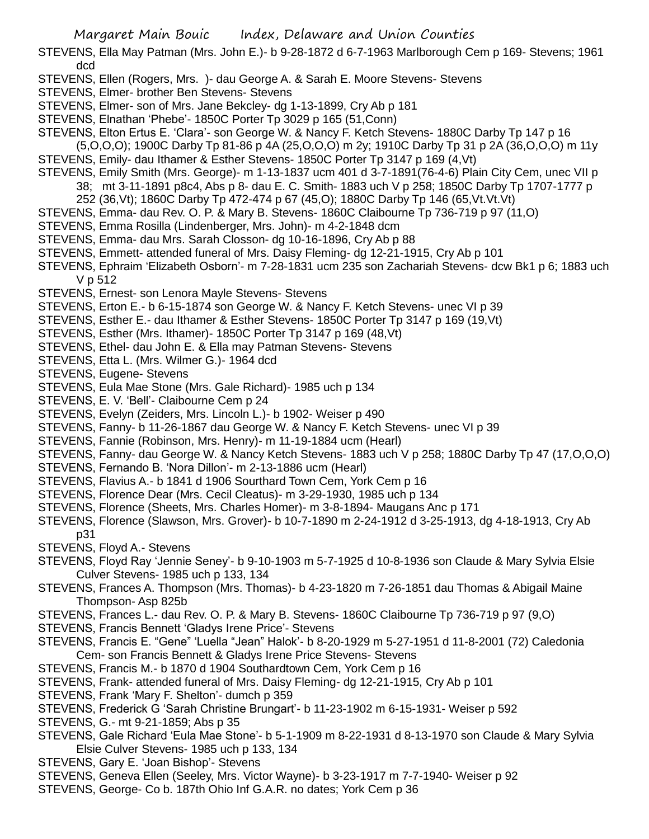- STEVENS, Ella May Patman (Mrs. John E.)- b 9-28-1872 d 6-7-1963 Marlborough Cem p 169- Stevens; 1961 dcd
- STEVENS, Ellen (Rogers, Mrs. )- dau George A. & Sarah E. Moore Stevens- Stevens
- STEVENS, Elmer- brother Ben Stevens- Stevens
- STEVENS, Elmer- son of Mrs. Jane Bekcley- dg 1-13-1899, Cry Ab p 181
- STEVENS, Elnathan 'Phebe'- 1850C Porter Tp 3029 p 165 (51,Conn)
- STEVENS, Elton Ertus E. 'Clara'- son George W. & Nancy F. Ketch Stevens- 1880C Darby Tp 147 p 16
- (5,O,O,O); 1900C Darby Tp 81-86 p 4A (25,O,O,O) m 2y; 1910C Darby Tp 31 p 2A (36,O,O,O) m 11y STEVENS, Emily- dau Ithamer & Esther Stevens- 1850C Porter Tp 3147 p 169 (4,Vt)
- STEVENS, Emily Smith (Mrs. George)- m 1-13-1837 ucm 401 d 3-7-1891(76-4-6) Plain City Cem, unec VII p 38; mt 3-11-1891 p8c4, Abs p 8- dau E. C. Smith- 1883 uch V p 258; 1850C Darby Tp 1707-1777 p 252 (36,Vt); 1860C Darby Tp 472-474 p 67 (45,O); 1880C Darby Tp 146 (65,Vt.Vt.Vt)
- STEVENS, Emma- dau Rev. O. P. & Mary B. Stevens- 1860C Claibourne Tp 736-719 p 97 (11,O)
- STEVENS, Emma Rosilla (Lindenberger, Mrs. John)- m 4-2-1848 dcm
- STEVENS, Emma- dau Mrs. Sarah Closson- dg 10-16-1896, Cry Ab p 88
- STEVENS, Emmett- attended funeral of Mrs. Daisy Fleming- dg 12-21-1915, Cry Ab p 101
- STEVENS, Ephraim 'Elizabeth Osborn'- m 7-28-1831 ucm 235 son Zachariah Stevens- dcw Bk1 p 6; 1883 uch V p 512
- STEVENS, Ernest- son Lenora Mayle Stevens- Stevens
- STEVENS, Erton E.- b 6-15-1874 son George W. & Nancy F. Ketch Stevens- unec VI p 39
- STEVENS, Esther E.- dau Ithamer & Esther Stevens- 1850C Porter Tp 3147 p 169 (19,Vt)
- STEVENS, Esther (Mrs. Ithamer)- 1850C Porter Tp 3147 p 169 (48,Vt)
- STEVENS, Ethel- dau John E. & Ella may Patman Stevens- Stevens
- STEVENS, Etta L. (Mrs. Wilmer G.)- 1964 dcd
- STEVENS, Eugene- Stevens
- STEVENS, Eula Mae Stone (Mrs. Gale Richard)- 1985 uch p 134
- STEVENS, E. V. 'Bell'- Claibourne Cem p 24
- STEVENS, Evelyn (Zeiders, Mrs. Lincoln L.)- b 1902- Weiser p 490
- STEVENS, Fanny- b 11-26-1867 dau George W. & Nancy F. Ketch Stevens- unec VI p 39
- STEVENS, Fannie (Robinson, Mrs. Henry)- m 11-19-1884 ucm (Hearl)
- STEVENS, Fanny- dau George W. & Nancy Ketch Stevens- 1883 uch V p 258; 1880C Darby Tp 47 (17,O,O,O)
- STEVENS, Fernando B. 'Nora Dillon'- m 2-13-1886 ucm (Hearl)
- STEVENS, Flavius A.- b 1841 d 1906 Sourthard Town Cem, York Cem p 16
- STEVENS, Florence Dear (Mrs. Cecil Cleatus)- m 3-29-1930, 1985 uch p 134
- STEVENS, Florence (Sheets, Mrs. Charles Homer)- m 3-8-1894- Maugans Anc p 171
- STEVENS, Florence (Slawson, Mrs. Grover)- b 10-7-1890 m 2-24-1912 d 3-25-1913, dg 4-18-1913, Cry Ab p31
- STEVENS, Floyd A.- Stevens
- STEVENS, Floyd Ray 'Jennie Seney'- b 9-10-1903 m 5-7-1925 d 10-8-1936 son Claude & Mary Sylvia Elsie Culver Stevens- 1985 uch p 133, 134
- STEVENS, Frances A. Thompson (Mrs. Thomas)- b 4-23-1820 m 7-26-1851 dau Thomas & Abigail Maine Thompson- Asp 825b
- STEVENS, Frances L.- dau Rev. O. P. & Mary B. Stevens- 1860C Claibourne Tp 736-719 p 97 (9,O)
- STEVENS, Francis Bennett 'Gladys Irene Price'- Stevens
- STEVENS, Francis E. "Gene" 'Luella "Jean" Halok'- b 8-20-1929 m 5-27-1951 d 11-8-2001 (72) Caledonia Cem- son Francis Bennett & Gladys Irene Price Stevens- Stevens
- STEVENS, Francis M.- b 1870 d 1904 Southardtown Cem, York Cem p 16
- STEVENS, Frank- attended funeral of Mrs. Daisy Fleming- dg 12-21-1915, Cry Ab p 101
- STEVENS, Frank 'Mary F. Shelton'- dumch p 359
- STEVENS, Frederick G 'Sarah Christine Brungart'- b 11-23-1902 m 6-15-1931- Weiser p 592
- STEVENS, G.- mt 9-21-1859; Abs p 35
- STEVENS, Gale Richard 'Eula Mae Stone'- b 5-1-1909 m 8-22-1931 d 8-13-1970 son Claude & Mary Sylvia Elsie Culver Stevens- 1985 uch p 133, 134
- STEVENS, Gary E. 'Joan Bishop'- Stevens
- STEVENS, Geneva Ellen (Seeley, Mrs. Victor Wayne)- b 3-23-1917 m 7-7-1940- Weiser p 92
- STEVENS, George- Co b. 187th Ohio Inf G.A.R. no dates; York Cem p 36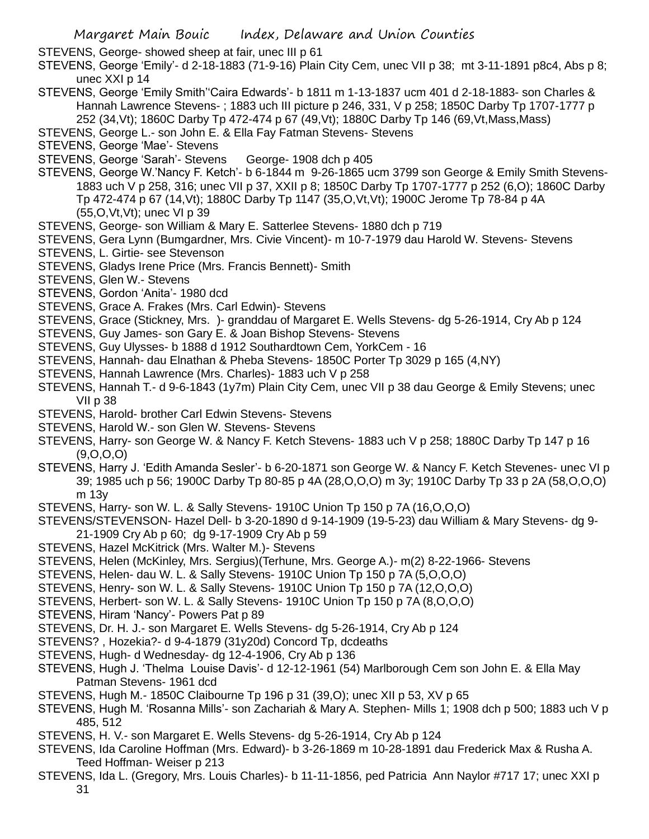STEVENS, George- showed sheep at fair, unec III p 61

STEVENS, George 'Emily'- d 2-18-1883 (71-9-16) Plain City Cem, unec VII p 38; mt 3-11-1891 p8c4, Abs p 8; unec XXI p 14

- STEVENS, George 'Emily Smith''Caira Edwards'- b 1811 m 1-13-1837 ucm 401 d 2-18-1883- son Charles & Hannah Lawrence Stevens-; 1883 uch III picture p 246, 331, V p 258; 1850C Darby Tp 1707-1777 p 252 (34,Vt); 1860C Darby Tp 472-474 p 67 (49,Vt); 1880C Darby Tp 146 (69,Vt,Mass,Mass)
- STEVENS, George L.- son John E. & Ella Fay Fatman Stevens- Stevens
- STEVENS, George 'Mae'- Stevens
- STEVENS, George 'Sarah'- Stevens George- 1908 dch p 405
- STEVENS, George W.'Nancy F. Ketch'- b 6-1844 m 9-26-1865 ucm 3799 son George & Emily Smith Stevens-1883 uch V p 258, 316; unec VII p 37, XXII p 8; 1850C Darby Tp 1707-1777 p 252 (6,O); 1860C Darby Tp 472-474 p 67 (14,Vt); 1880C Darby Tp 1147 (35,O,Vt,Vt); 1900C Jerome Tp 78-84 p 4A (55,O,Vt,Vt); unec VI p 39
- STEVENS, George- son William & Mary E. Satterlee Stevens- 1880 dch p 719
- STEVENS, Gera Lynn (Bumgardner, Mrs. Civie Vincent)- m 10-7-1979 dau Harold W. Stevens- Stevens STEVENS, L. Girtie- see Stevenson
- STEVENS, Gladys Irene Price (Mrs. Francis Bennett)- Smith
- STEVENS, Glen W.- Stevens
- STEVENS, Gordon 'Anita'- 1980 dcd
- STEVENS, Grace A. Frakes (Mrs. Carl Edwin)- Stevens
- STEVENS, Grace (Stickney, Mrs. )- granddau of Margaret E. Wells Stevens- dg 5-26-1914, Cry Ab p 124
- STEVENS, Guy James- son Gary E. & Joan Bishop Stevens- Stevens
- STEVENS, Guy Ulysses- b 1888 d 1912 Southardtown Cem, YorkCem 16
- STEVENS, Hannah- dau Elnathan & Pheba Stevens- 1850C Porter Tp 3029 p 165 (4,NY)
- STEVENS, Hannah Lawrence (Mrs. Charles)- 1883 uch V p 258
- STEVENS, Hannah T.- d 9-6-1843 (1y7m) Plain City Cem, unec VII p 38 dau George & Emily Stevens; unec VII p 38
- STEVENS, Harold- brother Carl Edwin Stevens- Stevens
- STEVENS, Harold W.- son Glen W. Stevens- Stevens
- STEVENS, Harry- son George W. & Nancy F. Ketch Stevens- 1883 uch V p 258; 1880C Darby Tp 147 p 16 (9,O,O,O)
- STEVENS, Harry J. 'Edith Amanda Sesler'- b 6-20-1871 son George W. & Nancy F. Ketch Stevenes- unec VI p 39; 1985 uch p 56; 1900C Darby Tp 80-85 p 4A (28,O,O,O) m 3y; 1910C Darby Tp 33 p 2A (58,O,O,O) m 13y
- STEVENS, Harry- son W. L. & Sally Stevens- 1910C Union Tp 150 p 7A (16,O,O,O)
- STEVENS/STEVENSON- Hazel Dell- b 3-20-1890 d 9-14-1909 (19-5-23) dau William & Mary Stevens- dg 9- 21-1909 Cry Ab p 60; dg 9-17-1909 Cry Ab p 59
- STEVENS, Hazel McKitrick (Mrs. Walter M.)- Stevens
- STEVENS, Helen (McKinley, Mrs. Sergius)(Terhune, Mrs. George A.)- m(2) 8-22-1966- Stevens
- STEVENS, Helen- dau W. L. & Sally Stevens- 1910C Union Tp 150 p 7A (5,O,O,O)
- STEVENS, Henry- son W. L. & Sally Stevens- 1910C Union Tp 150 p 7A (12,O,O,O)
- STEVENS, Herbert- son W. L. & Sally Stevens- 1910C Union Tp 150 p 7A (8,O,O,O)
- STEVENS, Hiram 'Nancy'- Powers Pat p 89
- STEVENS, Dr. H. J.- son Margaret E. Wells Stevens- dg 5-26-1914, Cry Ab p 124
- STEVENS? , Hozekia?- d 9-4-1879 (31y20d) Concord Tp, dcdeaths
- STEVENS, Hugh- d Wednesday- dg 12-4-1906, Cry Ab p 136
- STEVENS, Hugh J. 'Thelma Louise Davis'- d 12-12-1961 (54) Marlborough Cem son John E. & Ella May Patman Stevens- 1961 dcd
- STEVENS, Hugh M.- 1850C Claibourne Tp 196 p 31 (39,O); unec XII p 53, XV p 65
- STEVENS, Hugh M. 'Rosanna Mills'- son Zachariah & Mary A. Stephen- Mills 1; 1908 dch p 500; 1883 uch V p 485, 512
- STEVENS, H. V.- son Margaret E. Wells Stevens- dg 5-26-1914, Cry Ab p 124
- STEVENS, Ida Caroline Hoffman (Mrs. Edward)- b 3-26-1869 m 10-28-1891 dau Frederick Max & Rusha A. Teed Hoffman- Weiser p 213
- STEVENS, Ida L. (Gregory, Mrs. Louis Charles)- b 11-11-1856, ped Patricia Ann Naylor #717 17; unec XXI p 31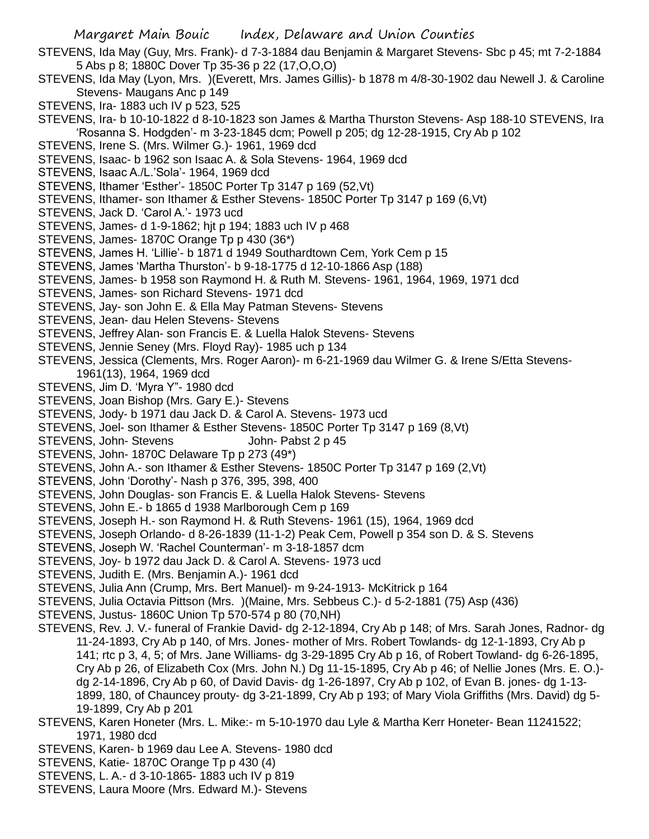- STEVENS, Ida May (Guy, Mrs. Frank)- d 7-3-1884 dau Benjamin & Margaret Stevens- Sbc p 45; mt 7-2-1884 5 Abs p 8; 1880C Dover Tp 35-36 p 22 (17,O,O,O)
- STEVENS, Ida May (Lyon, Mrs. )(Everett, Mrs. James Gillis)- b 1878 m 4/8-30-1902 dau Newell J. & Caroline Stevens- Maugans Anc p 149
- STEVENS, Ira- 1883 uch IV p 523, 525
- STEVENS, Ira- b 10-10-1822 d 8-10-1823 son James & Martha Thurston Stevens- Asp 188-10 STEVENS, Ira 'Rosanna S. Hodgden'- m 3-23-1845 dcm; Powell p 205; dg 12-28-1915, Cry Ab p 102
- STEVENS, Irene S. (Mrs. Wilmer G.)- 1961, 1969 dcd
- STEVENS, Isaac- b 1962 son Isaac A. & Sola Stevens- 1964, 1969 dcd
- STEVENS, Isaac A./L.'Sola'- 1964, 1969 dcd
- STEVENS, Ithamer 'Esther'- 1850C Porter Tp 3147 p 169 (52,Vt)
- STEVENS, Ithamer- son Ithamer & Esther Stevens- 1850C Porter Tp 3147 p 169 (6,Vt)
- STEVENS, Jack D. 'Carol A.'- 1973 ucd
- STEVENS, James- d 1-9-1862; hjt p 194; 1883 uch IV p 468
- STEVENS, James- 1870C Orange Tp p 430 (36\*)
- STEVENS, James H. 'Lillie'- b 1871 d 1949 Southardtown Cem, York Cem p 15
- STEVENS, James 'Martha Thurston'- b 9-18-1775 d 12-10-1866 Asp (188)
- STEVENS, James- b 1958 son Raymond H. & Ruth M. Stevens- 1961, 1964, 1969, 1971 dcd
- STEVENS, James- son Richard Stevens- 1971 dcd
- STEVENS, Jay- son John E. & Ella May Patman Stevens- Stevens
- STEVENS, Jean- dau Helen Stevens- Stevens
- STEVENS, Jeffrey Alan- son Francis E. & Luella Halok Stevens- Stevens
- STEVENS, Jennie Seney (Mrs. Floyd Ray)- 1985 uch p 134
- STEVENS, Jessica (Clements, Mrs. Roger Aaron)- m 6-21-1969 dau Wilmer G. & Irene S/Etta Stevens-1961(13), 1964, 1969 dcd
- STEVENS, Jim D. 'Myra Y"- 1980 dcd
- STEVENS, Joan Bishop (Mrs. Gary E.)- Stevens
- STEVENS, Jody- b 1971 dau Jack D. & Carol A. Stevens- 1973 ucd
- STEVENS, Joel- son Ithamer & Esther Stevens- 1850C Porter Tp 3147 p 169 (8,Vt)
- STEVENS, John-Stevens John-Pabst 2 p 45
- STEVENS, John- 1870C Delaware Tp p 273 (49\*)
- STEVENS, John A.- son Ithamer & Esther Stevens- 1850C Porter Tp 3147 p 169 (2,Vt)
- STEVENS, John 'Dorothy'- Nash p 376, 395, 398, 400
- STEVENS, John Douglas- son Francis E. & Luella Halok Stevens- Stevens
- STEVENS, John E.- b 1865 d 1938 Marlborough Cem p 169
- STEVENS, Joseph H.- son Raymond H. & Ruth Stevens- 1961 (15), 1964, 1969 dcd
- STEVENS, Joseph Orlando- d 8-26-1839 (11-1-2) Peak Cem, Powell p 354 son D. & S. Stevens
- STEVENS, Joseph W. 'Rachel Counterman'- m 3-18-1857 dcm
- STEVENS, Joy- b 1972 dau Jack D. & Carol A. Stevens- 1973 ucd
- STEVENS, Judith E. (Mrs. Benjamin A.)- 1961 dcd
- STEVENS, Julia Ann (Crump, Mrs. Bert Manuel)- m 9-24-1913- McKitrick p 164
- STEVENS, Julia Octavia Pittson (Mrs. )(Maine, Mrs. Sebbeus C.)- d 5-2-1881 (75) Asp (436)
- STEVENS, Justus- 1860C Union Tp 570-574 p 80 (70,NH)
- STEVENS, Rev. J. V.- funeral of Frankie David- dg 2-12-1894, Cry Ab p 148; of Mrs. Sarah Jones, Radnor- dg 11-24-1893, Cry Ab p 140, of Mrs. Jones- mother of Mrs. Robert Towlands- dg 12-1-1893, Cry Ab p 141; rtc p 3, 4, 5; of Mrs. Jane Williams- dg 3-29-1895 Cry Ab p 16, of Robert Towland- dg 6-26-1895, Cry Ab p 26, of Elizabeth Cox (Mrs. John N.) Dg 11-15-1895, Cry Ab p 46; of Nellie Jones (Mrs. E. O.) dg 2-14-1896, Cry Ab p 60, of David Davis- dg 1-26-1897, Cry Ab p 102, of Evan B. jones- dg 1-13- 1899, 180, of Chauncey prouty- dg 3-21-1899, Cry Ab p 193; of Mary Viola Griffiths (Mrs. David) dg 5- 19-1899, Cry Ab p 201
- STEVENS, Karen Honeter (Mrs. L. Mike:- m 5-10-1970 dau Lyle & Martha Kerr Honeter- Bean 11241522; 1971, 1980 dcd
- STEVENS, Karen- b 1969 dau Lee A. Stevens- 1980 dcd
- STEVENS, Katie- 1870C Orange Tp p 430 (4)
- STEVENS, L. A.- d 3-10-1865- 1883 uch IV p 819
- STEVENS, Laura Moore (Mrs. Edward M.)- Stevens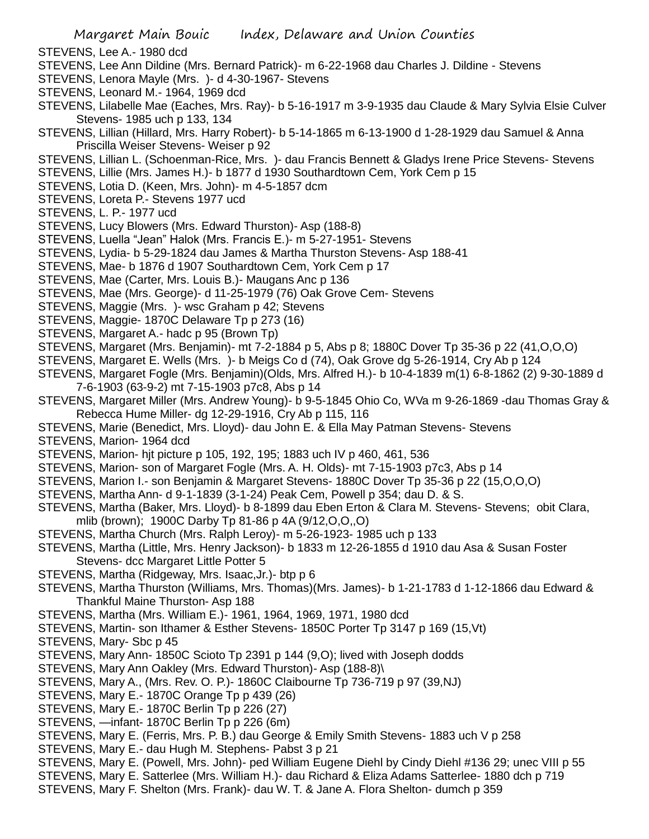- STEVENS, Lee A.- 1980 dcd
- STEVENS, Lee Ann Dildine (Mrs. Bernard Patrick)- m 6-22-1968 dau Charles J. Dildine Stevens
- STEVENS, Lenora Mayle (Mrs. )- d 4-30-1967- Stevens
- STEVENS, Leonard M.- 1964, 1969 dcd
- STEVENS, Lilabelle Mae (Eaches, Mrs. Ray)- b 5-16-1917 m 3-9-1935 dau Claude & Mary Sylvia Elsie Culver Stevens- 1985 uch p 133, 134
- STEVENS, Lillian (Hillard, Mrs. Harry Robert)- b 5-14-1865 m 6-13-1900 d 1-28-1929 dau Samuel & Anna Priscilla Weiser Stevens- Weiser p 92
- STEVENS, Lillian L. (Schoenman-Rice, Mrs. )- dau Francis Bennett & Gladys Irene Price Stevens- Stevens
- STEVENS, Lillie (Mrs. James H.)- b 1877 d 1930 Southardtown Cem, York Cem p 15
- STEVENS, Lotia D. (Keen, Mrs. John)- m 4-5-1857 dcm
- STEVENS, Loreta P.- Stevens 1977 ucd
- STEVENS, L. P.- 1977 ucd
- STEVENS, Lucy Blowers (Mrs. Edward Thurston)- Asp (188-8)
- STEVENS, Luella "Jean" Halok (Mrs. Francis E.)- m 5-27-1951- Stevens
- STEVENS, Lydia- b 5-29-1824 dau James & Martha Thurston Stevens- Asp 188-41
- STEVENS, Mae- b 1876 d 1907 Southardtown Cem, York Cem p 17
- STEVENS, Mae (Carter, Mrs. Louis B.)- Maugans Anc p 136
- STEVENS, Mae (Mrs. George)- d 11-25-1979 (76) Oak Grove Cem- Stevens
- STEVENS, Maggie (Mrs. )- wsc Graham p 42; Stevens
- STEVENS, Maggie- 1870C Delaware Tp p 273 (16)
- STEVENS, Margaret A.- hadc p 95 (Brown Tp)
- STEVENS, Margaret (Mrs. Benjamin)- mt 7-2-1884 p 5, Abs p 8; 1880C Dover Tp 35-36 p 22 (41,O,O,O)
- STEVENS, Margaret E. Wells (Mrs. )- b Meigs Co d (74), Oak Grove dg 5-26-1914, Cry Ab p 124
- STEVENS, Margaret Fogle (Mrs. Benjamin)(Olds, Mrs. Alfred H.)- b 10-4-1839 m(1) 6-8-1862 (2) 9-30-1889 d 7-6-1903 (63-9-2) mt 7-15-1903 p7c8, Abs p 14
- STEVENS, Margaret Miller (Mrs. Andrew Young)- b 9-5-1845 Ohio Co, WVa m 9-26-1869 -dau Thomas Gray & Rebecca Hume Miller- dg 12-29-1916, Cry Ab p 115, 116
- STEVENS, Marie (Benedict, Mrs. Lloyd)- dau John E. & Ella May Patman Stevens- Stevens
- STEVENS, Marion- 1964 dcd
- STEVENS, Marion- hjt picture p 105, 192, 195; 1883 uch IV p 460, 461, 536
- STEVENS, Marion- son of Margaret Fogle (Mrs. A. H. Olds)- mt 7-15-1903 p7c3, Abs p 14
- STEVENS, Marion I.- son Benjamin & Margaret Stevens- 1880C Dover Tp 35-36 p 22 (15,O,O,O)
- STEVENS, Martha Ann- d 9-1-1839 (3-1-24) Peak Cem, Powell p 354; dau D. & S.
- STEVENS, Martha (Baker, Mrs. Lloyd)- b 8-1899 dau Eben Erton & Clara M. Stevens- Stevens; obit Clara, mlib (brown); 1900C Darby Tp 81-86 p 4A (9/12,O,O,,O)
- STEVENS, Martha Church (Mrs. Ralph Leroy)- m 5-26-1923- 1985 uch p 133
- STEVENS, Martha (Little, Mrs. Henry Jackson)- b 1833 m 12-26-1855 d 1910 dau Asa & Susan Foster Stevens- dcc Margaret Little Potter 5
- STEVENS, Martha (Ridgeway, Mrs. Isaac,Jr.)- btp p 6
- STEVENS, Martha Thurston (Williams, Mrs. Thomas)(Mrs. James)- b 1-21-1783 d 1-12-1866 dau Edward & Thankful Maine Thurston- Asp 188
- STEVENS, Martha (Mrs. William E.)- 1961, 1964, 1969, 1971, 1980 dcd
- STEVENS, Martin- son Ithamer & Esther Stevens- 1850C Porter Tp 3147 p 169 (15,Vt)
- STEVENS, Mary- Sbc p 45
- STEVENS, Mary Ann- 1850C Scioto Tp 2391 p 144 (9,O); lived with Joseph dodds
- STEVENS, Mary Ann Oakley (Mrs. Edward Thurston)- Asp (188-8)\
- STEVENS, Mary A., (Mrs. Rev. O. P.)- 1860C Claibourne Tp 736-719 p 97 (39,NJ)
- STEVENS, Mary E.- 1870C Orange Tp p 439 (26)
- STEVENS, Mary E.- 1870C Berlin Tp p 226 (27)
- STEVENS, —infant- 1870C Berlin Tp p 226 (6m)
- STEVENS, Mary E. (Ferris, Mrs. P. B.) dau George & Emily Smith Stevens- 1883 uch V p 258
- STEVENS, Mary E.- dau Hugh M. Stephens- Pabst 3 p 21
- STEVENS, Mary E. (Powell, Mrs. John)- ped William Eugene Diehl by Cindy Diehl #136 29; unec VIII p 55
- STEVENS, Mary E. Satterlee (Mrs. William H.)- dau Richard & Eliza Adams Satterlee- 1880 dch p 719
- STEVENS, Mary F. Shelton (Mrs. Frank)- dau W. T. & Jane A. Flora Shelton- dumch p 359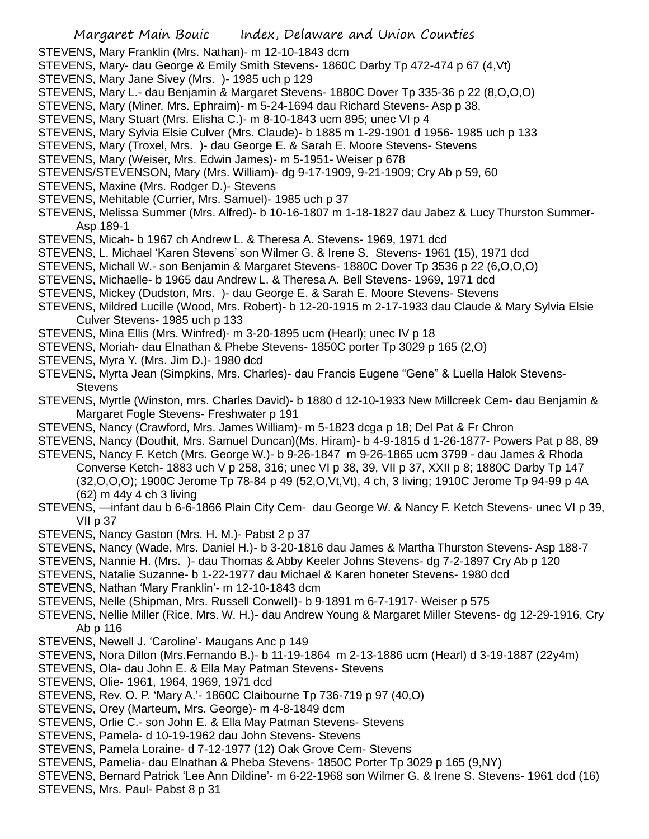- STEVENS, Mary Franklin (Mrs. Nathan)- m 12-10-1843 dcm
- STEVENS, Mary- dau George & Emily Smith Stevens- 1860C Darby Tp 472-474 p 67 (4,Vt)
- STEVENS, Mary Jane Sivey (Mrs. )- 1985 uch p 129
- STEVENS, Mary L.- dau Benjamin & Margaret Stevens- 1880C Dover Tp 335-36 p 22 (8,O,O,O)
- STEVENS, Mary (Miner, Mrs. Ephraim)- m 5-24-1694 dau Richard Stevens- Asp p 38,
- STEVENS, Mary Stuart (Mrs. Elisha C.)- m 8-10-1843 ucm 895; unec VI p 4
- STEVENS, Mary Sylvia Elsie Culver (Mrs. Claude)- b 1885 m 1-29-1901 d 1956- 1985 uch p 133
- STEVENS, Mary (Troxel, Mrs. )- dau George E. & Sarah E. Moore Stevens- Stevens
- STEVENS, Mary (Weiser, Mrs. Edwin James)- m 5-1951- Weiser p 678
- STEVENS/STEVENSON, Mary (Mrs. William)- dg 9-17-1909, 9-21-1909; Cry Ab p 59, 60
- STEVENS, Maxine (Mrs. Rodger D.)- Stevens
- STEVENS, Mehitable (Currier, Mrs. Samuel)- 1985 uch p 37
- STEVENS, Melissa Summer (Mrs. Alfred)- b 10-16-1807 m 1-18-1827 dau Jabez & Lucy Thurston Summer-Asp 189-1
- STEVENS, Micah- b 1967 ch Andrew L. & Theresa A. Stevens- 1969, 1971 dcd
- STEVENS, L. Michael 'Karen Stevens' son Wilmer G. & Irene S. Stevens- 1961 (15), 1971 dcd
- STEVENS, Michall W.- son Benjamin & Margaret Stevens- 1880C Dover Tp 3536 p 22 (6,O,O,O)
- STEVENS, Michaelle- b 1965 dau Andrew L. & Theresa A. Bell Stevens- 1969, 1971 dcd
- STEVENS, Mickey (Dudston, Mrs. )- dau George E. & Sarah E. Moore Stevens- Stevens
- STEVENS, Mildred Lucille (Wood, Mrs. Robert)- b 12-20-1915 m 2-17-1933 dau Claude & Mary Sylvia Elsie Culver Stevens- 1985 uch p 133
- STEVENS, Mina Ellis (Mrs. Winfred)- m 3-20-1895 ucm (Hearl); unec IV p 18
- STEVENS, Moriah- dau Elnathan & Phebe Stevens- 1850C porter Tp 3029 p 165 (2,O)
- STEVENS, Myra Y. (Mrs. Jim D.)- 1980 dcd
- STEVENS, Myrta Jean (Simpkins, Mrs. Charles)- dau Francis Eugene "Gene" & Luella Halok Stevens-**Stevens**
- STEVENS, Myrtle (Winston, mrs. Charles David)- b 1880 d 12-10-1933 New Millcreek Cem- dau Benjamin & Margaret Fogle Stevens- Freshwater p 191
- STEVENS, Nancy (Crawford, Mrs. James William)- m 5-1823 dcga p 18; Del Pat & Fr Chron
- STEVENS, Nancy (Douthit, Mrs. Samuel Duncan)(Ms. Hiram)- b 4-9-1815 d 1-26-1877- Powers Pat p 88, 89
- STEVENS, Nancy F. Ketch (Mrs. George W.)- b 9-26-1847 m 9-26-1865 ucm 3799 dau James & Rhoda Converse Ketch- 1883 uch V p 258, 316; unec VI p 38, 39, VII p 37, XXII p 8; 1880C Darby Tp 147 (32,O,O,O); 1900C Jerome Tp 78-84 p 49 (52,O,Vt,Vt), 4 ch, 3 living; 1910C Jerome Tp 94-99 p 4A (62) m 44y 4 ch 3 living
- STEVENS, —infant dau b 6-6-1866 Plain City Cem- dau George W. & Nancy F. Ketch Stevens- unec VI p 39, VII p 37
- STEVENS, Nancy Gaston (Mrs. H. M.)- Pabst 2 p 37
- STEVENS, Nancy (Wade, Mrs. Daniel H.)- b 3-20-1816 dau James & Martha Thurston Stevens- Asp 188-7
- STEVENS, Nannie H. (Mrs. )- dau Thomas & Abby Keeler Johns Stevens- dg 7-2-1897 Cry Ab p 120
- STEVENS, Natalie Suzanne- b 1-22-1977 dau Michael & Karen honeter Stevens- 1980 dcd
- STEVENS, Nathan 'Mary Franklin'- m 12-10-1843 dcm
- STEVENS, Nelle (Shipman, Mrs. Russell Conwell)- b 9-1891 m 6-7-1917- Weiser p 575
- STEVENS, Nellie Miller (Rice, Mrs. W. H.)- dau Andrew Young & Margaret Miller Stevens- dg 12-29-1916, Cry Ab p 116
- STEVENS, Newell J. 'Caroline'- Maugans Anc p 149
- STEVENS, Nora Dillon (Mrs.Fernando B.)- b 11-19-1864 m 2-13-1886 ucm (Hearl) d 3-19-1887 (22y4m)
- STEVENS, Ola- dau John E. & Ella May Patman Stevens- Stevens
- STEVENS, Olie- 1961, 1964, 1969, 1971 dcd
- STEVENS, Rev. O. P. 'Mary A.'- 1860C Claibourne Tp 736-719 p 97 (40,O)
- STEVENS, Orey (Marteum, Mrs. George)- m 4-8-1849 dcm
- STEVENS, Orlie C.- son John E. & Ella May Patman Stevens- Stevens
- STEVENS, Pamela- d 10-19-1962 dau John Stevens- Stevens
- STEVENS, Pamela Loraine- d 7-12-1977 (12) Oak Grove Cem- Stevens
- STEVENS, Pamelia- dau Elnathan & Pheba Stevens- 1850C Porter Tp 3029 p 165 (9,NY)
- STEVENS, Bernard Patrick 'Lee Ann Dildine'- m 6-22-1968 son Wilmer G. & Irene S. Stevens- 1961 dcd (16)
- STEVENS, Mrs. Paul- Pabst 8 p 31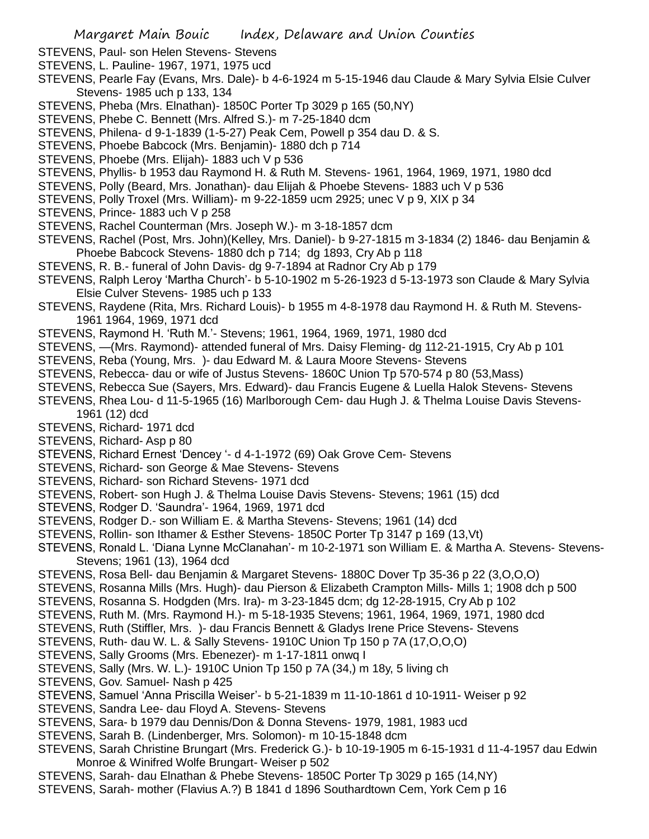- STEVENS, Paul- son Helen Stevens- Stevens
- STEVENS, L. Pauline- 1967, 1971, 1975 ucd
- STEVENS, Pearle Fay (Evans, Mrs. Dale)- b 4-6-1924 m 5-15-1946 dau Claude & Mary Sylvia Elsie Culver Stevens- 1985 uch p 133, 134
- STEVENS, Pheba (Mrs. Elnathan)- 1850C Porter Tp 3029 p 165 (50,NY)
- STEVENS, Phebe C. Bennett (Mrs. Alfred S.)- m 7-25-1840 dcm
- STEVENS, Philena- d 9-1-1839 (1-5-27) Peak Cem, Powell p 354 dau D. & S.
- STEVENS, Phoebe Babcock (Mrs. Benjamin)- 1880 dch p 714
- STEVENS, Phoebe (Mrs. Elijah)- 1883 uch V p 536
- STEVENS, Phyllis- b 1953 dau Raymond H. & Ruth M. Stevens- 1961, 1964, 1969, 1971, 1980 dcd
- STEVENS, Polly (Beard, Mrs. Jonathan)- dau Elijah & Phoebe Stevens- 1883 uch V p 536
- STEVENS, Polly Troxel (Mrs. William)- m 9-22-1859 ucm 2925; unec V p 9, XIX p 34
- STEVENS, Prince- 1883 uch V p 258
- STEVENS, Rachel Counterman (Mrs. Joseph W.)- m 3-18-1857 dcm
- STEVENS, Rachel (Post, Mrs. John)(Kelley, Mrs. Daniel)- b 9-27-1815 m 3-1834 (2) 1846- dau Benjamin & Phoebe Babcock Stevens- 1880 dch p 714; dg 1893, Cry Ab p 118
- STEVENS, R. B.- funeral of John Davis- dg 9-7-1894 at Radnor Cry Ab p 179
- STEVENS, Ralph Leroy 'Martha Church'- b 5-10-1902 m 5-26-1923 d 5-13-1973 son Claude & Mary Sylvia Elsie Culver Stevens- 1985 uch p 133
- STEVENS, Raydene (Rita, Mrs. Richard Louis)- b 1955 m 4-8-1978 dau Raymond H. & Ruth M. Stevens-1961 1964, 1969, 1971 dcd
- STEVENS, Raymond H. 'Ruth M.'- Stevens; 1961, 1964, 1969, 1971, 1980 dcd
- STEVENS, —(Mrs. Raymond)- attended funeral of Mrs. Daisy Fleming- dg 112-21-1915, Cry Ab p 101
- STEVENS, Reba (Young, Mrs. )- dau Edward M. & Laura Moore Stevens- Stevens
- STEVENS, Rebecca- dau or wife of Justus Stevens- 1860C Union Tp 570-574 p 80 (53,Mass)
- STEVENS, Rebecca Sue (Sayers, Mrs. Edward)- dau Francis Eugene & Luella Halok Stevens- Stevens
- STEVENS, Rhea Lou- d 11-5-1965 (16) Marlborough Cem- dau Hugh J. & Thelma Louise Davis Stevens-1961 (12) dcd
- STEVENS, Richard- 1971 dcd
- STEVENS, Richard- Asp p 80
- STEVENS, Richard Ernest 'Dencey '- d 4-1-1972 (69) Oak Grove Cem- Stevens
- STEVENS, Richard- son George & Mae Stevens- Stevens
- STEVENS, Richard- son Richard Stevens- 1971 dcd
- STEVENS, Robert- son Hugh J. & Thelma Louise Davis Stevens- Stevens; 1961 (15) dcd
- STEVENS, Rodger D. 'Saundra'- 1964, 1969, 1971 dcd
- STEVENS, Rodger D.- son William E. & Martha Stevens- Stevens; 1961 (14) dcd
- STEVENS, Rollin- son Ithamer & Esther Stevens- 1850C Porter Tp 3147 p 169 (13,Vt)
- STEVENS, Ronald L. 'Diana Lynne McClanahan'- m 10-2-1971 son William E. & Martha A. Stevens- Stevens-Stevens; 1961 (13), 1964 dcd
- STEVENS, Rosa Bell- dau Benjamin & Margaret Stevens- 1880C Dover Tp 35-36 p 22 (3,O,O,O)
- STEVENS, Rosanna Mills (Mrs. Hugh)- dau Pierson & Elizabeth Crampton Mills- Mills 1; 1908 dch p 500
- STEVENS, Rosanna S. Hodgden (Mrs. Ira)- m 3-23-1845 dcm; dg 12-28-1915, Cry Ab p 102
- STEVENS, Ruth M. (Mrs. Raymond H.)- m 5-18-1935 Stevens; 1961, 1964, 1969, 1971, 1980 dcd
- STEVENS, Ruth (Stiffler, Mrs. )- dau Francis Bennett & Gladys Irene Price Stevens- Stevens
- STEVENS, Ruth- dau W. L. & Sally Stevens- 1910C Union Tp 150 p 7A (17,O,O,O)
- STEVENS, Sally Grooms (Mrs. Ebenezer)- m 1-17-1811 onwq I
- STEVENS, Sally (Mrs. W. L.)- 1910C Union Tp 150 p 7A (34,) m 18y, 5 living ch
- STEVENS, Gov. Samuel- Nash p 425
- STEVENS, Samuel 'Anna Priscilla Weiser'- b 5-21-1839 m 11-10-1861 d 10-1911- Weiser p 92
- STEVENS, Sandra Lee- dau Floyd A. Stevens- Stevens
- STEVENS, Sara- b 1979 dau Dennis/Don & Donna Stevens- 1979, 1981, 1983 ucd
- STEVENS, Sarah B. (Lindenberger, Mrs. Solomon)- m 10-15-1848 dcm
- STEVENS, Sarah Christine Brungart (Mrs. Frederick G.)- b 10-19-1905 m 6-15-1931 d 11-4-1957 dau Edwin Monroe & Winifred Wolfe Brungart- Weiser p 502
- STEVENS, Sarah- dau Elnathan & Phebe Stevens- 1850C Porter Tp 3029 p 165 (14,NY)
- STEVENS, Sarah- mother (Flavius A.?) B 1841 d 1896 Southardtown Cem, York Cem p 16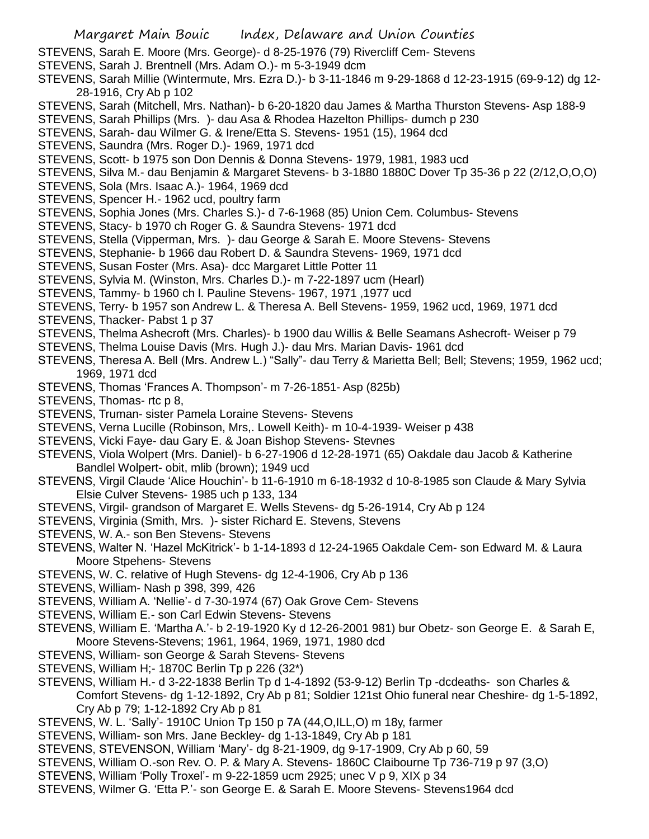STEVENS, Sarah E. Moore (Mrs. George)- d 8-25-1976 (79) Rivercliff Cem- Stevens

- STEVENS, Sarah J. Brentnell (Mrs. Adam O.)- m 5-3-1949 dcm
- STEVENS, Sarah Millie (Wintermute, Mrs. Ezra D.)- b 3-11-1846 m 9-29-1868 d 12-23-1915 (69-9-12) dg 12- 28-1916, Cry Ab p 102
- STEVENS, Sarah (Mitchell, Mrs. Nathan)- b 6-20-1820 dau James & Martha Thurston Stevens- Asp 188-9
- STEVENS, Sarah Phillips (Mrs. )- dau Asa & Rhodea Hazelton Phillips- dumch p 230
- STEVENS, Sarah- dau Wilmer G. & Irene/Etta S. Stevens- 1951 (15), 1964 dcd
- STEVENS, Saundra (Mrs. Roger D.)- 1969, 1971 dcd
- STEVENS, Scott- b 1975 son Don Dennis & Donna Stevens- 1979, 1981, 1983 ucd
- STEVENS, Silva M.- dau Benjamin & Margaret Stevens- b 3-1880 1880C Dover Tp 35-36 p 22 (2/12,O,O,O)
- STEVENS, Sola (Mrs. Isaac A.)- 1964, 1969 dcd
- STEVENS, Spencer H.- 1962 ucd, poultry farm
- STEVENS, Sophia Jones (Mrs. Charles S.)- d 7-6-1968 (85) Union Cem. Columbus- Stevens
- STEVENS, Stacy- b 1970 ch Roger G. & Saundra Stevens- 1971 dcd
- STEVENS, Stella (Vipperman, Mrs. )- dau George & Sarah E. Moore Stevens- Stevens
- STEVENS, Stephanie- b 1966 dau Robert D. & Saundra Stevens- 1969, 1971 dcd
- STEVENS, Susan Foster (Mrs. Asa)- dcc Margaret Little Potter 11
- STEVENS, Sylvia M. (Winston, Mrs. Charles D.)- m 7-22-1897 ucm (Hearl)
- STEVENS, Tammy- b 1960 ch l. Pauline Stevens- 1967, 1971 ,1977 ucd
- STEVENS, Terry- b 1957 son Andrew L. & Theresa A. Bell Stevens- 1959, 1962 ucd, 1969, 1971 dcd
- STEVENS, Thacker- Pabst 1 p 37
- STEVENS, Thelma Ashecroft (Mrs. Charles)- b 1900 dau Willis & Belle Seamans Ashecroft- Weiser p 79
- STEVENS, Thelma Louise Davis (Mrs. Hugh J.)- dau Mrs. Marian Davis- 1961 dcd
- STEVENS, Theresa A. Bell (Mrs. Andrew L.) "Sally"- dau Terry & Marietta Bell; Bell; Stevens; 1959, 1962 ucd; 1969, 1971 dcd
- STEVENS, Thomas 'Frances A. Thompson'- m 7-26-1851- Asp (825b)
- STEVENS, Thomas- rtc p 8,
- STEVENS, Truman- sister Pamela Loraine Stevens- Stevens
- STEVENS, Verna Lucille (Robinson, Mrs,. Lowell Keith)- m 10-4-1939- Weiser p 438
- STEVENS, Vicki Faye- dau Gary E. & Joan Bishop Stevens- Stevnes
- STEVENS, Viola Wolpert (Mrs. Daniel)- b 6-27-1906 d 12-28-1971 (65) Oakdale dau Jacob & Katherine Bandlel Wolpert- obit, mlib (brown); 1949 ucd
- STEVENS, Virgil Claude 'Alice Houchin'- b 11-6-1910 m 6-18-1932 d 10-8-1985 son Claude & Mary Sylvia Elsie Culver Stevens- 1985 uch p 133, 134
- STEVENS, Virgil- grandson of Margaret E. Wells Stevens- dg 5-26-1914, Cry Ab p 124
- STEVENS, Virginia (Smith, Mrs. )- sister Richard E. Stevens, Stevens
- STEVENS, W. A.- son Ben Stevens- Stevens
- STEVENS, Walter N. 'Hazel McKitrick'- b 1-14-1893 d 12-24-1965 Oakdale Cem- son Edward M. & Laura Moore Stpehens- Stevens
- STEVENS, W. C. relative of Hugh Stevens- dg 12-4-1906, Cry Ab p 136
- STEVENS, William- Nash p 398, 399, 426
- STEVENS, William A. 'Nellie'- d 7-30-1974 (67) Oak Grove Cem- Stevens
- STEVENS, William E.- son Carl Edwin Stevens- Stevens
- STEVENS, William E. 'Martha A.'- b 2-19-1920 Ky d 12-26-2001 981) bur Obetz- son George E. & Sarah E, Moore Stevens-Stevens; 1961, 1964, 1969, 1971, 1980 dcd
- STEVENS, William- son George & Sarah Stevens- Stevens
- STEVENS, William H;- 1870C Berlin Tp p 226 (32\*)
- STEVENS, William H.- d 3-22-1838 Berlin Tp d 1-4-1892 (53-9-12) Berlin Tp -dcdeaths- son Charles & Comfort Stevens- dg 1-12-1892, Cry Ab p 81; Soldier 121st Ohio funeral near Cheshire- dg 1-5-1892, Cry Ab p 79; 1-12-1892 Cry Ab p 81
- STEVENS, W. L. 'Sally'- 1910C Union Tp 150 p 7A (44,O,ILL,O) m 18y, farmer
- STEVENS, William- son Mrs. Jane Beckley- dg 1-13-1849, Cry Ab p 181
- STEVENS, STEVENSON, William 'Mary'- dg 8-21-1909, dg 9-17-1909, Cry Ab p 60, 59
- STEVENS, William O.-son Rev. O. P. & Mary A. Stevens- 1860C Claibourne Tp 736-719 p 97 (3,O)
- STEVENS, William 'Polly Troxel'- m 9-22-1859 ucm 2925; unec V p 9, XIX p 34
- STEVENS, Wilmer G. 'Etta P.'- son George E. & Sarah E. Moore Stevens- Stevens1964 dcd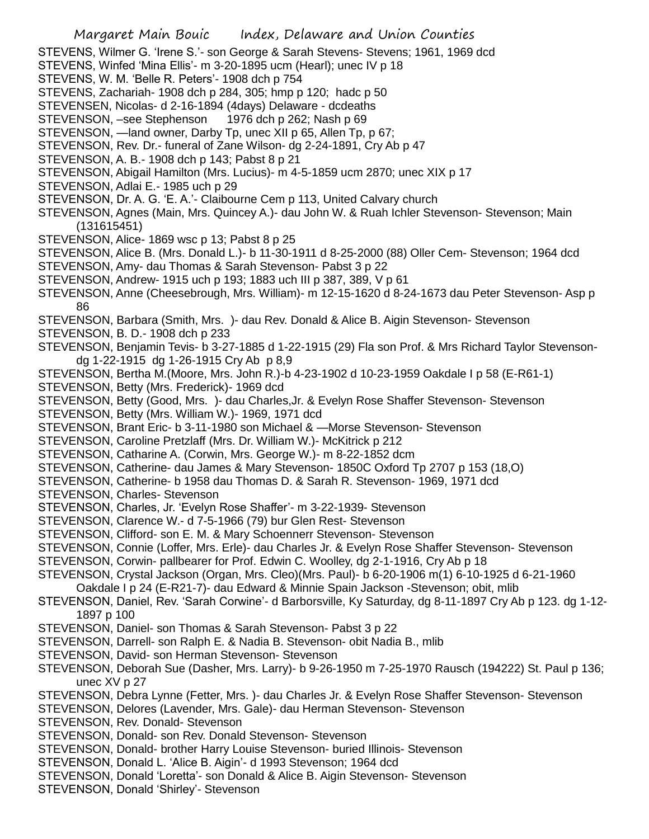- STEVENS, Wilmer G. 'Irene S.'- son George & Sarah Stevens- Stevens; 1961, 1969 dcd
- STEVENS, Winfed 'Mina Ellis'- m 3-20-1895 ucm (Hearl); unec IV p 18
- STEVENS, W. M. 'Belle R. Peters'- 1908 dch p 754
- STEVENS, Zachariah- 1908 dch p 284, 305; hmp p 120; hadc p 50
- STEVENSEN, Nicolas- d 2-16-1894 (4days) Delaware dcdeaths
- STEVENSON, –see Stephenson 1976 dch p 262; Nash p 69
- STEVENSON, —land owner, Darby Tp, unec XII p 65, Allen Tp, p 67;
- STEVENSON, Rev. Dr.- funeral of Zane Wilson- dg 2-24-1891, Cry Ab p 47
- STEVENSON, A. B.- 1908 dch p 143; Pabst 8 p 21
- STEVENSON, Abigail Hamilton (Mrs. Lucius)- m 4-5-1859 ucm 2870; unec XIX p 17
- STEVENSON, Adlai E.- 1985 uch p 29
- STEVENSON, Dr. A. G. 'E. A.'- Claibourne Cem p 113, United Calvary church
- STEVENSON, Agnes (Main, Mrs. Quincey A.)- dau John W. & Ruah Ichler Stevenson- Stevenson; Main (131615451)
- STEVENSON, Alice- 1869 wsc p 13; Pabst 8 p 25
- STEVENSON, Alice B. (Mrs. Donald L.)- b 11-30-1911 d 8-25-2000 (88) Oller Cem- Stevenson; 1964 dcd
- STEVENSON, Amy- dau Thomas & Sarah Stevenson- Pabst 3 p 22
- STEVENSON, Andrew- 1915 uch p 193; 1883 uch III p 387, 389, V p 61
- STEVENSON, Anne (Cheesebrough, Mrs. William)- m 12-15-1620 d 8-24-1673 dau Peter Stevenson- Asp p 86
- STEVENSON, Barbara (Smith, Mrs. )- dau Rev. Donald & Alice B. Aigin Stevenson- Stevenson
- STEVENSON, B. D.- 1908 dch p 233
- STEVENSON, Benjamin Tevis- b 3-27-1885 d 1-22-1915 (29) Fla son Prof. & Mrs Richard Taylor Stevensondg 1-22-1915 dg 1-26-1915 Cry Ab p 8,9
- STEVENSON, Bertha M.(Moore, Mrs. John R.)-b 4-23-1902 d 10-23-1959 Oakdale I p 58 (E-R61-1)
- STEVENSON, Betty (Mrs. Frederick)- 1969 dcd
- STEVENSON, Betty (Good, Mrs. )- dau Charles,Jr. & Evelyn Rose Shaffer Stevenson- Stevenson
- STEVENSON, Betty (Mrs. William W.)- 1969, 1971 dcd
- STEVENSON, Brant Eric- b 3-11-1980 son Michael & —Morse Stevenson- Stevenson
- STEVENSON, Caroline Pretzlaff (Mrs. Dr. William W.)- McKitrick p 212
- STEVENSON, Catharine A. (Corwin, Mrs. George W.)- m 8-22-1852 dcm
- STEVENSON, Catherine- dau James & Mary Stevenson- 1850C Oxford Tp 2707 p 153 (18,O)
- STEVENSON, Catherine- b 1958 dau Thomas D. & Sarah R. Stevenson- 1969, 1971 dcd
- STEVENSON, Charles- Stevenson
- STEVENSON, Charles, Jr. 'Evelyn Rose Shaffer'- m 3-22-1939- Stevenson
- STEVENSON, Clarence W.- d 7-5-1966 (79) bur Glen Rest- Stevenson
- STEVENSON, Clifford- son E. M. & Mary Schoennerr Stevenson- Stevenson
- STEVENSON, Connie (Loffer, Mrs. Erle)- dau Charles Jr. & Evelyn Rose Shaffer Stevenson- Stevenson
- STEVENSON, Corwin- pallbearer for Prof. Edwin C. Woolley, dg 2-1-1916, Cry Ab p 18
- STEVENSON, Crystal Jackson (Organ, Mrs. Cleo)(Mrs. Paul)- b 6-20-1906 m(1) 6-10-1925 d 6-21-1960
- Oakdale I p 24 (E-R21-7)- dau Edward & Minnie Spain Jackson -Stevenson; obit, mlib
- STEVENSON, Daniel, Rev. 'Sarah Corwine'- d Barborsville, Ky Saturday, dg 8-11-1897 Cry Ab p 123. dg 1-12- 1897 p 100
- STEVENSON, Daniel- son Thomas & Sarah Stevenson- Pabst 3 p 22
- STEVENSON, Darrell- son Ralph E. & Nadia B. Stevenson- obit Nadia B., mlib
- STEVENSON, David- son Herman Stevenson- Stevenson
- STEVENSON, Deborah Sue (Dasher, Mrs. Larry)- b 9-26-1950 m 7-25-1970 Rausch (194222) St. Paul p 136; unec XV p 27
- STEVENSON, Debra Lynne (Fetter, Mrs. )- dau Charles Jr. & Evelyn Rose Shaffer Stevenson- Stevenson
- STEVENSON, Delores (Lavender, Mrs. Gale)- dau Herman Stevenson- Stevenson
- STEVENSON, Rev. Donald- Stevenson
- STEVENSON, Donald- son Rev. Donald Stevenson- Stevenson
- STEVENSON, Donald- brother Harry Louise Stevenson- buried Illinois- Stevenson
- STEVENSON, Donald L. 'Alice B. Aigin'- d 1993 Stevenson; 1964 dcd
- STEVENSON, Donald 'Loretta'- son Donald & Alice B. Aigin Stevenson- Stevenson
- STEVENSON, Donald 'Shirley'- Stevenson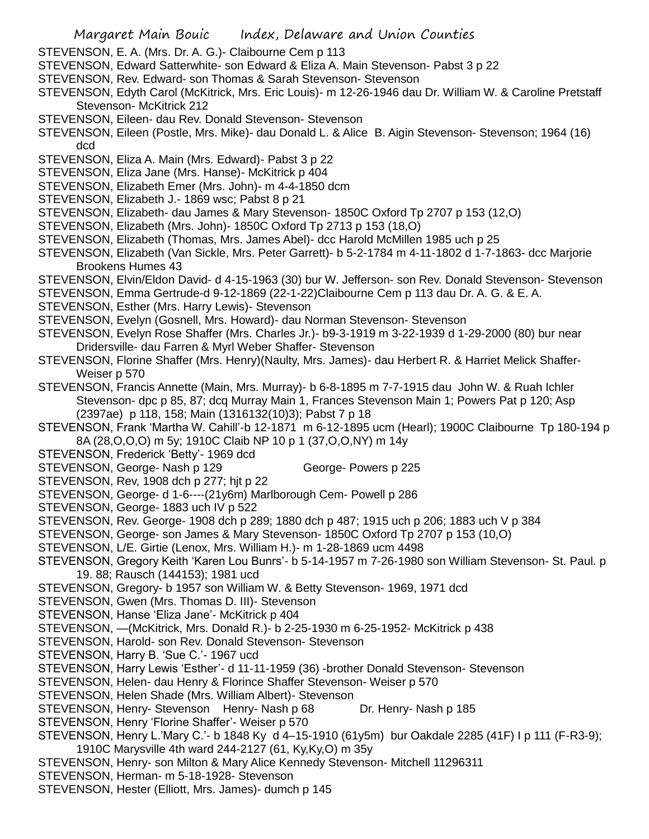- STEVENSON, E. A. (Mrs. Dr. A. G.)- Claibourne Cem p 113
- STEVENSON, Edward Satterwhite- son Edward & Eliza A. Main Stevenson- Pabst 3 p 22
- STEVENSON, Rev. Edward- son Thomas & Sarah Stevenson- Stevenson
- STEVENSON, Edyth Carol (McKitrick, Mrs. Eric Louis)- m 12-26-1946 dau Dr. William W. & Caroline Pretstaff Stevenson- McKitrick 212
- STEVENSON, Eileen- dau Rev. Donald Stevenson- Stevenson
- STEVENSON, Eileen (Postle, Mrs. Mike)- dau Donald L. & Alice B. Aigin Stevenson- Stevenson; 1964 (16) dcd
- STEVENSON, Eliza A. Main (Mrs. Edward)- Pabst 3 p 22
- STEVENSON, Eliza Jane (Mrs. Hanse)- McKitrick p 404
- STEVENSON, Elizabeth Emer (Mrs. John)- m 4-4-1850 dcm
- STEVENSON, Elizabeth J.- 1869 wsc; Pabst 8 p 21
- STEVENSON, Elizabeth- dau James & Mary Stevenson- 1850C Oxford Tp 2707 p 153 (12,O)
- STEVENSON, Elizabeth (Mrs. John)- 1850C Oxford Tp 2713 p 153 (18,O)
- STEVENSON, Elizabeth (Thomas, Mrs. James Abel)- dcc Harold McMillen 1985 uch p 25
- STEVENSON, Elizabeth (Van Sickle, Mrs. Peter Garrett)- b 5-2-1784 m 4-11-1802 d 1-7-1863- dcc Marjorie Brookens Humes 43
- STEVENSON, Elvin/Eldon David- d 4-15-1963 (30) bur W. Jefferson- son Rev. Donald Stevenson- Stevenson
- STEVENSON, Emma Gertrude-d 9-12-1869 (22-1-22)Claibourne Cem p 113 dau Dr. A. G. & E. A.
- STEVENSON, Esther (Mrs. Harry Lewis)- Stevenson
- STEVENSON, Evelyn (Gosnell, Mrs. Howard)- dau Norman Stevenson- Stevenson
- STEVENSON, Evelyn Rose Shaffer (Mrs. Charles Jr.)- b9-3-1919 m 3-22-1939 d 1-29-2000 (80) bur near Dridersville- dau Farren & Myrl Weber Shaffer- Stevenson
- STEVENSON, Florine Shaffer (Mrs. Henry)(Naulty, Mrs. James)- dau Herbert R. & Harriet Melick Shaffer-Weiser p 570
- STEVENSON, Francis Annette (Main, Mrs. Murray)- b 6-8-1895 m 7-7-1915 dau John W. & Ruah Ichler Stevenson- dpc p 85, 87; dcq Murray Main 1, Frances Stevenson Main 1; Powers Pat p 120; Asp (2397ae) p 118, 158; Main (1316132(10)3); Pabst 7 p 18
- STEVENSON, Frank 'Martha W. Cahill'-b 12-1871 m 6-12-1895 ucm (Hearl); 1900C Claibourne Tp 180-194 p 8A (28,O,O,O) m 5y; 1910C Claib NP 10 p 1 (37,O,O,NY) m 14y
- STEVENSON, Frederick 'Betty'- 1969 dcd
- STEVENSON, George- Nash p 129 George- Powers p 225
- STEVENSON, Rev, 1908 dch p 277; hjt p 22
- STEVENSON, George- d 1-6----(21y6m) Marlborough Cem- Powell p 286
- STEVENSON, George- 1883 uch IV p 522
- STEVENSON, Rev. George- 1908 dch p 289; 1880 dch p 487; 1915 uch p 206; 1883 uch V p 384
- STEVENSON, George- son James & Mary Stevenson- 1850C Oxford Tp 2707 p 153 (10,O)
- STEVENSON, L/E. Girtie (Lenox, Mrs. William H.)- m 1-28-1869 ucm 4498
- STEVENSON, Gregory Keith 'Karen Lou Bunrs'- b 5-14-1957 m 7-26-1980 son William Stevenson- St. Paul. p 19. 88; Rausch (144153); 1981 ucd
- STEVENSON, Gregory- b 1957 son William W. & Betty Stevenson- 1969, 1971 dcd
- STEVENSON, Gwen (Mrs. Thomas D. III)- Stevenson
- STEVENSON, Hanse 'Eliza Jane'- McKitrick p 404
- STEVENSON, —(McKitrick, Mrs. Donald R.)- b 2-25-1930 m 6-25-1952- McKitrick p 438
- STEVENSON, Harold- son Rev. Donald Stevenson- Stevenson
- STEVENSON, Harry B. 'Sue C.'- 1967 ucd
- STEVENSON, Harry Lewis 'Esther'- d 11-11-1959 (36) -brother Donald Stevenson- Stevenson
- STEVENSON, Helen- dau Henry & Florince Shaffer Stevenson- Weiser p 570
- STEVENSON, Helen Shade (Mrs. William Albert)- Stevenson
- STEVENSON, Henry- Stevenson Henry- Nash p 68 Dr. Henry- Nash p 185
- STEVENSON, Henry 'Florine Shaffer'- Weiser p 570
- STEVENSON, Henry L.'Mary C.'- b 1848 Ky d 4–15-1910 (61y5m) bur Oakdale 2285 (41F) I p 111 (F-R3-9); 1910C Marysville 4th ward 244-2127 (61, Ky,Ky,O) m 35y
- STEVENSON, Henry- son Milton & Mary Alice Kennedy Stevenson- Mitchell 11296311
- STEVENSON, Herman- m 5-18-1928- Stevenson
- STEVENSON, Hester (Elliott, Mrs. James)- dumch p 145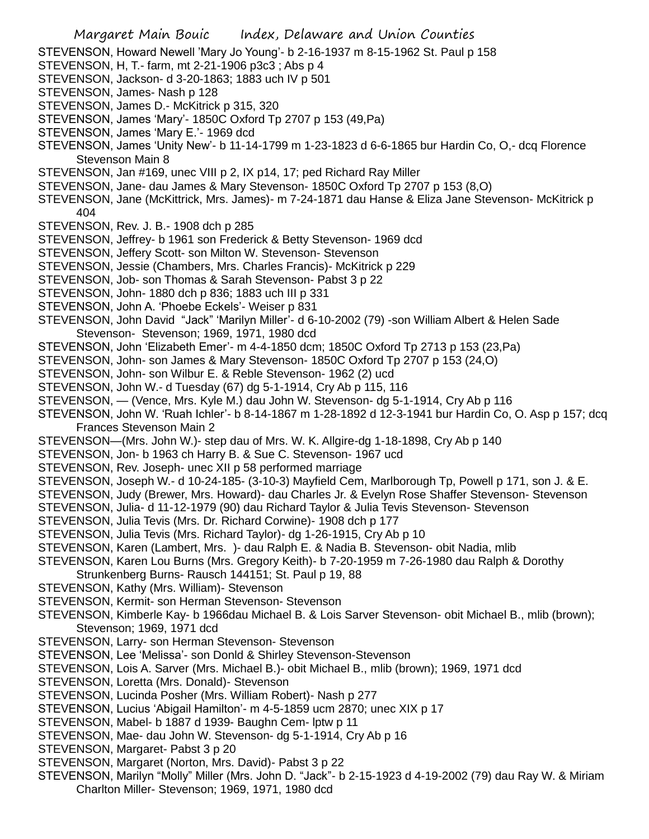- Margaret Main Bouic Index, Delaware and Union Counties STEVENSON, Howard Newell 'Mary Jo Young'- b 2-16-1937 m 8-15-1962 St. Paul p 158 STEVENSON, H, T.- farm, mt 2-21-1906 p3c3 ; Abs p 4 STEVENSON, Jackson- d 3-20-1863; 1883 uch IV p 501 STEVENSON, James- Nash p 128 STEVENSON, James D.- McKitrick p 315, 320 STEVENSON, James 'Mary'- 1850C Oxford Tp 2707 p 153 (49,Pa) STEVENSON, James 'Mary E.'- 1969 dcd STEVENSON, James 'Unity New'- b 11-14-1799 m 1-23-1823 d 6-6-1865 bur Hardin Co, O,- dcq Florence Stevenson Main 8 STEVENSON, Jan #169, unec VIII p 2, IX p14, 17; ped Richard Ray Miller STEVENSON, Jane- dau James & Mary Stevenson- 1850C Oxford Tp 2707 p 153 (8,O) STEVENSON, Jane (McKittrick, Mrs. James)- m 7-24-1871 dau Hanse & Eliza Jane Stevenson- McKitrick p 404 STEVENSON, Rev. J. B.- 1908 dch p 285 STEVENSON, Jeffrey- b 1961 son Frederick & Betty Stevenson- 1969 dcd STEVENSON, Jeffery Scott- son Milton W. Stevenson- Stevenson STEVENSON, Jessie (Chambers, Mrs. Charles Francis)- McKitrick p 229 STEVENSON, Job- son Thomas & Sarah Stevenson- Pabst 3 p 22 STEVENSON, John- 1880 dch p 836; 1883 uch III p 331 STEVENSON, John A. 'Phoebe Eckels'- Weiser p 831 STEVENSON, John David "Jack" 'Marilyn Miller'- d 6-10-2002 (79) -son William Albert & Helen Sade Stevenson- Stevenson; 1969, 1971, 1980 dcd STEVENSON, John 'Elizabeth Emer'- m 4-4-1850 dcm; 1850C Oxford Tp 2713 p 153 (23,Pa) STEVENSON, John- son James & Mary Stevenson- 1850C Oxford Tp 2707 p 153 (24,O) STEVENSON, John- son Wilbur E. & Reble Stevenson- 1962 (2) ucd STEVENSON, John W.- d Tuesday (67) dg 5-1-1914, Cry Ab p 115, 116 STEVENSON, — (Vence, Mrs. Kyle M.) dau John W. Stevenson- dg 5-1-1914, Cry Ab p 116 STEVENSON, John W. 'Ruah Ichler'- b 8-14-1867 m 1-28-1892 d 12-3-1941 bur Hardin Co, O. Asp p 157; dcq Frances Stevenson Main 2 STEVENSON—(Mrs. John W.)- step dau of Mrs. W. K. Allgire-dg 1-18-1898, Cry Ab p 140 STEVENSON, Jon- b 1963 ch Harry B. & Sue C. Stevenson- 1967 ucd STEVENSON, Rev. Joseph- unec XII p 58 performed marriage STEVENSON, Joseph W.- d 10-24-185- (3-10-3) Mayfield Cem, Marlborough Tp, Powell p 171, son J. & E. STEVENSON, Judy (Brewer, Mrs. Howard)- dau Charles Jr. & Evelyn Rose Shaffer Stevenson- Stevenson STEVENSON, Julia- d 11-12-1979 (90) dau Richard Taylor & Julia Tevis Stevenson- Stevenson STEVENSON, Julia Tevis (Mrs. Dr. Richard Corwine)- 1908 dch p 177 STEVENSON, Julia Tevis (Mrs. Richard Taylor)- dg 1-26-1915, Cry Ab p 10 STEVENSON, Karen (Lambert, Mrs. )- dau Ralph E. & Nadia B. Stevenson- obit Nadia, mlib STEVENSON, Karen Lou Burns (Mrs. Gregory Keith)- b 7-20-1959 m 7-26-1980 dau Ralph & Dorothy Strunkenberg Burns- Rausch 144151; St. Paul p 19, 88 STEVENSON, Kathy (Mrs. William)- Stevenson STEVENSON, Kermit- son Herman Stevenson- Stevenson STEVENSON, Kimberle Kay- b 1966dau Michael B. & Lois Sarver Stevenson- obit Michael B., mlib (brown); Stevenson; 1969, 1971 dcd STEVENSON, Larry- son Herman Stevenson- Stevenson STEVENSON, Lee 'Melissa'- son Donld & Shirley Stevenson-Stevenson STEVENSON, Lois A. Sarver (Mrs. Michael B.)- obit Michael B., mlib (brown); 1969, 1971 dcd STEVENSON, Loretta (Mrs. Donald)- Stevenson STEVENSON, Lucinda Posher (Mrs. William Robert)- Nash p 277 STEVENSON, Lucius 'Abigail Hamilton'- m 4-5-1859 ucm 2870; unec XIX p 17 STEVENSON, Mabel- b 1887 d 1939- Baughn Cem- lptw p 11 STEVENSON, Mae- dau John W. Stevenson- dg 5-1-1914, Cry Ab p 16 STEVENSON, Margaret- Pabst 3 p 20
	- STEVENSON, Margaret (Norton, Mrs. David)- Pabst 3 p 22
- STEVENSON, Marilyn "Molly" Miller (Mrs. John D. "Jack"- b 2-15-1923 d 4-19-2002 (79) dau Ray W. & Miriam Charlton Miller- Stevenson; 1969, 1971, 1980 dcd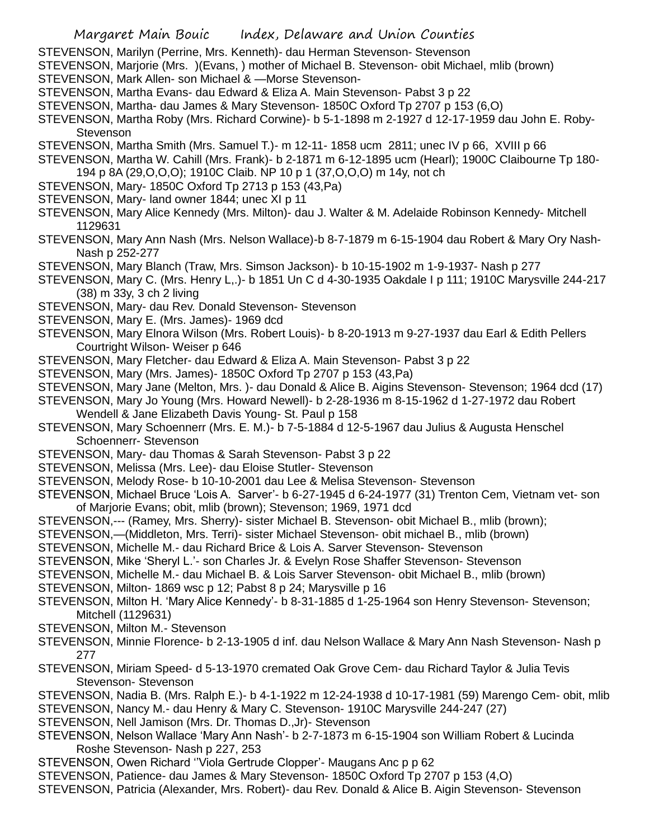- STEVENSON, Marilyn (Perrine, Mrs. Kenneth)- dau Herman Stevenson- Stevenson
- STEVENSON, Marjorie (Mrs. )(Evans, ) mother of Michael B. Stevenson- obit Michael, mlib (brown)
- STEVENSON, Mark Allen- son Michael & —Morse Stevenson-
- STEVENSON, Martha Evans- dau Edward & Eliza A. Main Stevenson- Pabst 3 p 22
- STEVENSON, Martha- dau James & Mary Stevenson- 1850C Oxford Tp 2707 p 153 (6,O)
- STEVENSON, Martha Roby (Mrs. Richard Corwine)- b 5-1-1898 m 2-1927 d 12-17-1959 dau John E. Roby-**Stevenson**
- STEVENSON, Martha Smith (Mrs. Samuel T.)- m 12-11- 1858 ucm 2811; unec IV p 66, XVIII p 66
- STEVENSON, Martha W. Cahill (Mrs. Frank)- b 2-1871 m 6-12-1895 ucm (Hearl); 1900C Claibourne Tp 180- 194 p 8A (29,O,O,O); 1910C Claib. NP 10 p 1 (37,O,O,O) m 14y, not ch
- STEVENSON, Mary- 1850C Oxford Tp 2713 p 153 (43,Pa)
- STEVENSON, Mary- land owner 1844; unec XI p 11
- STEVENSON, Mary Alice Kennedy (Mrs. Milton)- dau J. Walter & M. Adelaide Robinson Kennedy- Mitchell 1129631
- STEVENSON, Mary Ann Nash (Mrs. Nelson Wallace)-b 8-7-1879 m 6-15-1904 dau Robert & Mary Ory Nash-Nash p 252-277
- STEVENSON, Mary Blanch (Traw, Mrs. Simson Jackson)- b 10-15-1902 m 1-9-1937- Nash p 277
- STEVENSON, Mary C. (Mrs. Henry L,.)- b 1851 Un C d 4-30-1935 Oakdale I p 111; 1910C Marysville 244-217 (38) m 33y, 3 ch 2 living
- STEVENSON, Mary- dau Rev. Donald Stevenson- Stevenson
- STEVENSON, Mary E. (Mrs. James)- 1969 dcd
- STEVENSON, Mary Elnora Wilson (Mrs. Robert Louis)- b 8-20-1913 m 9-27-1937 dau Earl & Edith Pellers Courtright Wilson- Weiser p 646
- STEVENSON, Mary Fletcher- dau Edward & Eliza A. Main Stevenson- Pabst 3 p 22
- STEVENSON, Mary (Mrs. James)- 1850C Oxford Tp 2707 p 153 (43,Pa)
- STEVENSON, Mary Jane (Melton, Mrs. )- dau Donald & Alice B. Aigins Stevenson- Stevenson; 1964 dcd (17)
- STEVENSON, Mary Jo Young (Mrs. Howard Newell)- b 2-28-1936 m 8-15-1962 d 1-27-1972 dau Robert
- Wendell & Jane Elizabeth Davis Young- St. Paul p 158
- STEVENSON, Mary Schoennerr (Mrs. E. M.)- b 7-5-1884 d 12-5-1967 dau Julius & Augusta Henschel Schoennerr- Stevenson
- STEVENSON, Mary- dau Thomas & Sarah Stevenson- Pabst 3 p 22
- STEVENSON, Melissa (Mrs. Lee)- dau Eloise Stutler- Stevenson
- STEVENSON, Melody Rose- b 10-10-2001 dau Lee & Melisa Stevenson- Stevenson
- STEVENSON, Michael Bruce 'Lois A. Sarver'- b 6-27-1945 d 6-24-1977 (31) Trenton Cem, Vietnam vet- son of Marjorie Evans; obit, mlib (brown); Stevenson; 1969, 1971 dcd
- STEVENSON,--- (Ramey, Mrs. Sherry)- sister Michael B. Stevenson- obit Michael B., mlib (brown);
- STEVENSON,—(Middleton, Mrs. Terri)- sister Michael Stevenson- obit michael B., mlib (brown)
- STEVENSON, Michelle M.- dau Richard Brice & Lois A. Sarver Stevenson- Stevenson
- STEVENSON, Mike 'Sheryl L.'- son Charles Jr. & Evelyn Rose Shaffer Stevenson- Stevenson
- STEVENSON, Michelle M.- dau Michael B. & Lois Sarver Stevenson- obit Michael B., mlib (brown)
- STEVENSON, Milton- 1869 wsc p 12; Pabst 8 p 24; Marysville p 16
- STEVENSON, Milton H. 'Mary Alice Kennedy'- b 8-31-1885 d 1-25-1964 son Henry Stevenson- Stevenson; Mitchell (1129631)
- STEVENSON, Milton M.- Stevenson
- STEVENSON, Minnie Florence- b 2-13-1905 d inf. dau Nelson Wallace & Mary Ann Nash Stevenson- Nash p 277
- STEVENSON, Miriam Speed- d 5-13-1970 cremated Oak Grove Cem- dau Richard Taylor & Julia Tevis Stevenson- Stevenson
- STEVENSON, Nadia B. (Mrs. Ralph E.)- b 4-1-1922 m 12-24-1938 d 10-17-1981 (59) Marengo Cem- obit, mlib STEVENSON, Nancy M.- dau Henry & Mary C. Stevenson- 1910C Marysville 244-247 (27)
- STEVENSON, Nell Jamison (Mrs. Dr. Thomas D.,Jr)- Stevenson
- STEVENSON, Nelson Wallace 'Mary Ann Nash'- b 2-7-1873 m 6-15-1904 son William Robert & Lucinda Roshe Stevenson- Nash p 227, 253
- STEVENSON, Owen Richard ''Viola Gertrude Clopper'- Maugans Anc p p 62
- STEVENSON, Patience- dau James & Mary Stevenson- 1850C Oxford Tp 2707 p 153 (4,O)
- STEVENSON, Patricia (Alexander, Mrs. Robert)- dau Rev. Donald & Alice B. Aigin Stevenson- Stevenson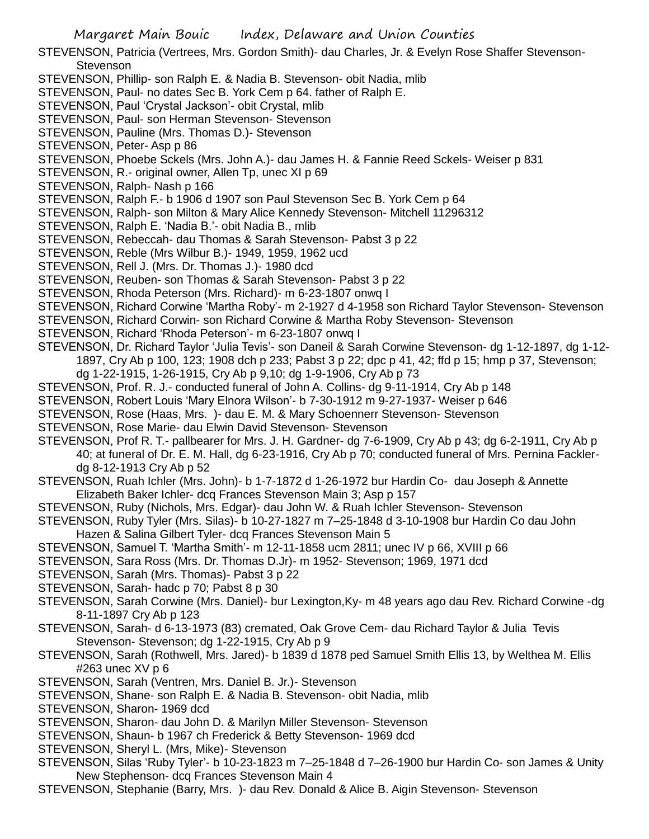- STEVENSON, Patricia (Vertrees, Mrs. Gordon Smith)- dau Charles, Jr. & Evelyn Rose Shaffer Stevenson-**Stevenson**
- STEVENSON, Phillip- son Ralph E. & Nadia B. Stevenson- obit Nadia, mlib
- STEVENSON, Paul- no dates Sec B. York Cem p 64. father of Ralph E.
- STEVENSON, Paul 'Crystal Jackson'- obit Crystal, mlib
- STEVENSON, Paul- son Herman Stevenson- Stevenson
- STEVENSON, Pauline (Mrs. Thomas D.)- Stevenson
- STEVENSON, Peter- Asp p 86
- STEVENSON, Phoebe Sckels (Mrs. John A.)- dau James H. & Fannie Reed Sckels- Weiser p 831
- STEVENSON, R.- original owner, Allen Tp, unec XI p 69
- STEVENSON, Ralph- Nash p 166
- STEVENSON, Ralph F.- b 1906 d 1907 son Paul Stevenson Sec B. York Cem p 64
- STEVENSON, Ralph- son Milton & Mary Alice Kennedy Stevenson- Mitchell 11296312
- STEVENSON, Ralph E. 'Nadia B.'- obit Nadia B., mlib
- STEVENSON, Rebeccah- dau Thomas & Sarah Stevenson- Pabst 3 p 22
- STEVENSON, Reble (Mrs Wilbur B.)- 1949, 1959, 1962 ucd
- STEVENSON, Rell J. (Mrs. Dr. Thomas J.)- 1980 dcd
- STEVENSON, Reuben- son Thomas & Sarah Stevenson- Pabst 3 p 22
- STEVENSON, Rhoda Peterson (Mrs. Richard)- m 6-23-1807 onwq I
- STEVENSON, Richard Corwine 'Martha Roby'- m 2-1927 d 4-1958 son Richard Taylor Stevenson- Stevenson
- STEVENSON, Richard Corwin- son Richard Corwine & Martha Roby Stevenson- Stevenson
- STEVENSON, Richard 'Rhoda Peterson'- m 6-23-1807 onwq I
- STEVENSON, Dr. Richard Taylor 'Julia Tevis'- son Daneil & Sarah Corwine Stevenson- dg 1-12-1897, dg 1-12- 1897, Cry Ab p 100, 123; 1908 dch p 233; Pabst 3 p 22; dpc p 41, 42; ffd p 15; hmp p 37, Stevenson; dg 1-22-1915, 1-26-1915, Cry Ab p 9,10; dg 1-9-1906, Cry Ab p 73
- STEVENSON, Prof. R. J.- conducted funeral of John A. Collins- dg 9-11-1914, Cry Ab p 148
- STEVENSON, Robert Louis 'Mary Elnora Wilson'- b 7-30-1912 m 9-27-1937- Weiser p 646
- STEVENSON, Rose (Haas, Mrs. )- dau E. M. & Mary Schoennerr Stevenson- Stevenson
- STEVENSON, Rose Marie- dau Elwin David Stevenson- Stevenson
- STEVENSON, Prof R. T.- pallbearer for Mrs. J. H. Gardner- dg 7-6-1909, Cry Ab p 43; dg 6-2-1911, Cry Ab p 40; at funeral of Dr. E. M. Hall, dg 6-23-1916, Cry Ab p 70; conducted funeral of Mrs. Pernina Facklerdg 8-12-1913 Cry Ab p 52
- STEVENSON, Ruah Ichler (Mrs. John)- b 1-7-1872 d 1-26-1972 bur Hardin Co- dau Joseph & Annette Elizabeth Baker Ichler- dcq Frances Stevenson Main 3; Asp p 157
- STEVENSON, Ruby (Nichols, Mrs. Edgar)- dau John W. & Ruah Ichler Stevenson- Stevenson
- STEVENSON, Ruby Tyler (Mrs. Silas)- b 10-27-1827 m 7–25-1848 d 3-10-1908 bur Hardin Co dau John Hazen & Salina Gilbert Tyler- dcq Frances Stevenson Main 5
- STEVENSON, Samuel T. 'Martha Smith'- m 12-11-1858 ucm 2811; unec IV p 66, XVIII p 66
- STEVENSON, Sara Ross (Mrs. Dr. Thomas D.Jr)- m 1952- Stevenson; 1969, 1971 dcd
- STEVENSON, Sarah (Mrs. Thomas)- Pabst 3 p 22
- STEVENSON, Sarah- hadc p 70; Pabst 8 p 30
- STEVENSON, Sarah Corwine (Mrs. Daniel)- bur Lexington,Ky- m 48 years ago dau Rev. Richard Corwine -dg 8-11-1897 Cry Ab p 123
- STEVENSON, Sarah- d 6-13-1973 (83) cremated, Oak Grove Cem- dau Richard Taylor & Julia Tevis Stevenson- Stevenson; dg 1-22-1915, Cry Ab p 9
- STEVENSON, Sarah (Rothwell, Mrs. Jared)- b 1839 d 1878 ped Samuel Smith Ellis 13, by Welthea M. Ellis #263 unec XV p 6
- STEVENSON, Sarah (Ventren, Mrs. Daniel B. Jr.)- Stevenson
- STEVENSON, Shane- son Ralph E. & Nadia B. Stevenson- obit Nadia, mlib
- STEVENSON, Sharon- 1969 dcd
- STEVENSON, Sharon- dau John D. & Marilyn Miller Stevenson- Stevenson
- STEVENSON, Shaun- b 1967 ch Frederick & Betty Stevenson- 1969 dcd
- STEVENSON, Sheryl L. (Mrs, Mike)- Stevenson
- STEVENSON, Silas 'Ruby Tyler'- b 10-23-1823 m 7–25-1848 d 7–26-1900 bur Hardin Co- son James & Unity New Stephenson- dcq Frances Stevenson Main 4
- STEVENSON, Stephanie (Barry, Mrs. )- dau Rev. Donald & Alice B. Aigin Stevenson- Stevenson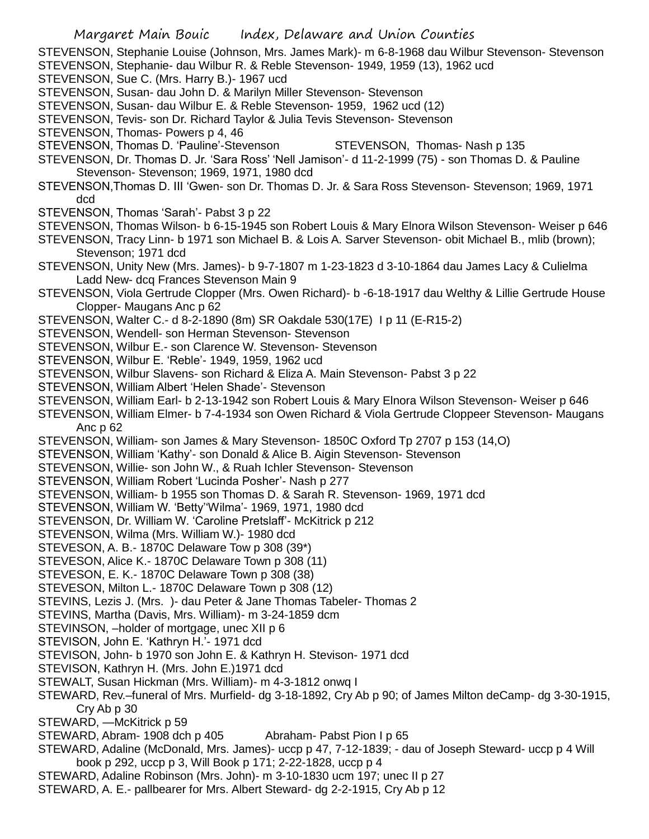- STEVENSON, Stephanie Louise (Johnson, Mrs. James Mark)- m 6-8-1968 dau Wilbur Stevenson- Stevenson
- STEVENSON, Stephanie- dau Wilbur R. & Reble Stevenson- 1949, 1959 (13), 1962 ucd
- STEVENSON, Sue C. (Mrs. Harry B.)- 1967 ucd
- STEVENSON, Susan- dau John D. & Marilyn Miller Stevenson- Stevenson
- STEVENSON, Susan- dau Wilbur E. & Reble Stevenson- 1959, 1962 ucd (12)
- STEVENSON, Tevis- son Dr. Richard Taylor & Julia Tevis Stevenson- Stevenson
- STEVENSON, Thomas- Powers p 4, 46
- STEVENSON, Thomas D. 'Pauline'-Stevenson STEVENSON, Thomas- Nash p 135
- STEVENSON, Dr. Thomas D. Jr. 'Sara Ross' 'Nell Jamison'- d 11-2-1999 (75) son Thomas D. & Pauline Stevenson- Stevenson; 1969, 1971, 1980 dcd
- STEVENSON,Thomas D. III 'Gwen- son Dr. Thomas D. Jr. & Sara Ross Stevenson- Stevenson; 1969, 1971 dcd
- STEVENSON, Thomas 'Sarah'- Pabst 3 p 22
- STEVENSON, Thomas Wilson- b 6-15-1945 son Robert Louis & Mary Elnora Wilson Stevenson- Weiser p 646
- STEVENSON, Tracy Linn- b 1971 son Michael B. & Lois A. Sarver Stevenson- obit Michael B., mlib (brown); Stevenson; 1971 dcd
- STEVENSON, Unity New (Mrs. James)- b 9-7-1807 m 1-23-1823 d 3-10-1864 dau James Lacy & Culielma Ladd New- dcq Frances Stevenson Main 9
- STEVENSON, Viola Gertrude Clopper (Mrs. Owen Richard)- b -6-18-1917 dau Welthy & Lillie Gertrude House Clopper- Maugans Anc p 62
- STEVENSON, Walter C.- d 8-2-1890 (8m) SR Oakdale 530(17E) I p 11 (E-R15-2)
- STEVENSON, Wendell- son Herman Stevenson- Stevenson
- STEVENSON, Wilbur E.- son Clarence W. Stevenson- Stevenson
- STEVENSON, Wilbur E. 'Reble'- 1949, 1959, 1962 ucd
- STEVENSON, Wilbur Slavens- son Richard & Eliza A. Main Stevenson- Pabst 3 p 22
- STEVENSON, William Albert 'Helen Shade'- Stevenson
- STEVENSON, William Earl- b 2-13-1942 son Robert Louis & Mary Elnora Wilson Stevenson- Weiser p 646
- STEVENSON, William Elmer- b 7-4-1934 son Owen Richard & Viola Gertrude Cloppeer Stevenson- Maugans Anc p 62
- STEVENSON, William- son James & Mary Stevenson- 1850C Oxford Tp 2707 p 153 (14,O)
- STEVENSON, William 'Kathy'- son Donald & Alice B. Aigin Stevenson- Stevenson
- STEVENSON, Willie- son John W., & Ruah Ichler Stevenson- Stevenson
- STEVENSON, William Robert 'Lucinda Posher'- Nash p 277
- STEVENSON, William- b 1955 son Thomas D. & Sarah R. Stevenson- 1969, 1971 dcd
- STEVENSON, William W. 'Betty''Wilma'- 1969, 1971, 1980 dcd
- STEVENSON, Dr. William W. 'Caroline Pretslaff'- McKitrick p 212
- STEVENSON, Wilma (Mrs. William W.)- 1980 dcd
- STEVESON, A. B.- 1870C Delaware Tow p 308 (39\*)
- STEVESON, Alice K.- 1870C Delaware Town p 308 (11)
- STEVESON, E. K.- 1870C Delaware Town p 308 (38)
- STEVESON, Milton L.- 1870C Delaware Town p 308 (12)
- STEVINS, Lezis J. (Mrs. )- dau Peter & Jane Thomas Tabeler- Thomas 2
- STEVINS, Martha (Davis, Mrs. William)- m 3-24-1859 dcm
- STEVINSON, –holder of mortgage, unec XII p 6
- STEVISON, John E. 'Kathryn H.'- 1971 dcd
- STEVISON, John- b 1970 son John E. & Kathryn H. Stevison- 1971 dcd
- STEVISON, Kathryn H. (Mrs. John E.)1971 dcd
- STEWALT, Susan Hickman (Mrs. William)- m 4-3-1812 onwq I
- STEWARD, Rev.–funeral of Mrs. Murfield- dg 3-18-1892, Cry Ab p 90; of James Milton deCamp- dg 3-30-1915, Cry Ab p 30
- STEWARD, —McKitrick p 59
- STEWARD, Abram- 1908 dch p 405 Abraham- Pabst Pion I p 65
- STEWARD, Adaline (McDonald, Mrs. James)- uccp p 47, 7-12-1839; dau of Joseph Steward- uccp p 4 Will book p 292, uccp p 3, Will Book p 171; 2-22-1828, uccp p 4
- STEWARD, Adaline Robinson (Mrs. John)- m 3-10-1830 ucm 197; unec II p 27
- STEWARD, A. E.- pallbearer for Mrs. Albert Steward- dg 2-2-1915, Cry Ab p 12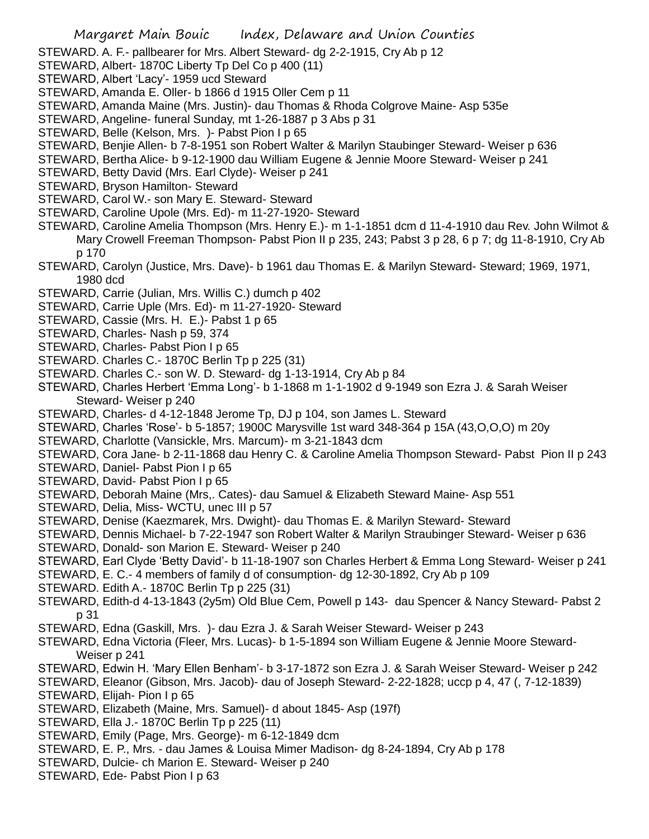STEWARD. A. F.- pallbearer for Mrs. Albert Steward- dg 2-2-1915, Cry Ab p 12

- STEWARD, Albert- 1870C Liberty Tp Del Co p 400 (11)
- STEWARD, Albert 'Lacy'- 1959 ucd Steward
- STEWARD, Amanda E. Oller- b 1866 d 1915 Oller Cem p 11
- STEWARD, Amanda Maine (Mrs. Justin)- dau Thomas & Rhoda Colgrove Maine- Asp 535e
- STEWARD, Angeline- funeral Sunday, mt 1-26-1887 p 3 Abs p 31
- STEWARD, Belle (Kelson, Mrs. )- Pabst Pion I p 65
- STEWARD, Benjie Allen- b 7-8-1951 son Robert Walter & Marilyn Staubinger Steward- Weiser p 636
- STEWARD, Bertha Alice- b 9-12-1900 dau William Eugene & Jennie Moore Steward- Weiser p 241
- STEWARD, Betty David (Mrs. Earl Clyde)- Weiser p 241
- STEWARD, Bryson Hamilton- Steward
- STEWARD, Carol W.- son Mary E. Steward- Steward
- STEWARD, Caroline Upole (Mrs. Ed)- m 11-27-1920- Steward
- STEWARD, Caroline Amelia Thompson (Mrs. Henry E.)- m 1-1-1851 dcm d 11-4-1910 dau Rev. John Wilmot & Mary Crowell Freeman Thompson- Pabst Pion II p 235, 243; Pabst 3 p 28, 6 p 7; dg 11-8-1910, Cry Ab p 170
- STEWARD, Carolyn (Justice, Mrs. Dave)- b 1961 dau Thomas E. & Marilyn Steward- Steward; 1969, 1971, 1980 dcd
- STEWARD, Carrie (Julian, Mrs. Willis C.) dumch p 402
- STEWARD, Carrie Uple (Mrs. Ed)- m 11-27-1920- Steward
- STEWARD, Cassie (Mrs. H. E.)- Pabst 1 p 65
- STEWARD, Charles- Nash p 59, 374
- STEWARD, Charles- Pabst Pion I p 65
- STEWARD. Charles C.- 1870C Berlin Tp p 225 (31)
- STEWARD. Charles C.- son W. D. Steward- dg 1-13-1914, Cry Ab p 84
- STEWARD, Charles Herbert 'Emma Long'- b 1-1868 m 1-1-1902 d 9-1949 son Ezra J. & Sarah Weiser Steward- Weiser p 240
- STEWARD, Charles- d 4-12-1848 Jerome Tp, DJ p 104, son James L. Steward
- STEWARD, Charles 'Rose'- b 5-1857; 1900C Marysville 1st ward 348-364 p 15A (43,O,O,O) m 20y
- STEWARD, Charlotte (Vansickle, Mrs. Marcum)- m 3-21-1843 dcm
- STEWARD, Cora Jane- b 2-11-1868 dau Henry C. & Caroline Amelia Thompson Steward- Pabst Pion II p 243
- STEWARD, Daniel- Pabst Pion I p 65
- STEWARD, David- Pabst Pion I p 65
- STEWARD, Deborah Maine (Mrs,. Cates)- dau Samuel & Elizabeth Steward Maine- Asp 551
- STEWARD, Delia, Miss- WCTU, unec III p 57
- STEWARD, Denise (Kaezmarek, Mrs. Dwight)- dau Thomas E. & Marilyn Steward- Steward
- STEWARD, Dennis Michael- b 7-22-1947 son Robert Walter & Marilyn Straubinger Steward- Weiser p 636
- STEWARD, Donald- son Marion E. Steward- Weiser p 240
- STEWARD, Earl Clyde 'Betty David'- b 11-18-1907 son Charles Herbert & Emma Long Steward- Weiser p 241
- STEWARD, E. C.- 4 members of family d of consumption- dg 12-30-1892, Cry Ab p 109
- STEWARD. Edith A.- 1870C Berlin Tp p 225 (31)
- STEWARD, Edith-d 4-13-1843 (2y5m) Old Blue Cem, Powell p 143- dau Spencer & Nancy Steward- Pabst 2 p 31
- STEWARD, Edna (Gaskill, Mrs. )- dau Ezra J. & Sarah Weiser Steward- Weiser p 243
- STEWARD, Edna Victoria (Fleer, Mrs. Lucas)- b 1-5-1894 son William Eugene & Jennie Moore Steward-Weiser p 241
- STEWARD, Edwin H. 'Mary Ellen Benham'- b 3-17-1872 son Ezra J. & Sarah Weiser Steward- Weiser p 242
- STEWARD, Eleanor (Gibson, Mrs. Jacob)- dau of Joseph Steward- 2-22-1828; uccp p 4, 47 (, 7-12-1839)
- STEWARD, Elijah- Pion I p 65
- STEWARD, Elizabeth (Maine, Mrs. Samuel)- d about 1845- Asp (197f)
- STEWARD, Ella J.- 1870C Berlin Tp p 225 (11)
- STEWARD, Emily (Page, Mrs. George)- m 6-12-1849 dcm
- STEWARD, E. P., Mrs. dau James & Louisa Mimer Madison- dg 8-24-1894, Cry Ab p 178
- STEWARD, Dulcie- ch Marion E. Steward- Weiser p 240
- STEWARD, Ede- Pabst Pion I p 63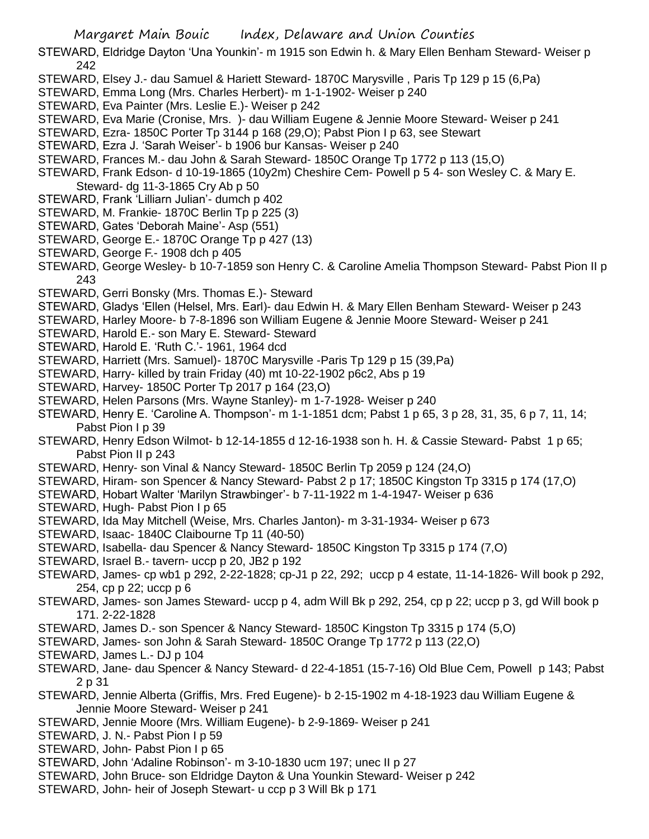STEWARD, Eldridge Dayton 'Una Younkin'- m 1915 son Edwin h. & Mary Ellen Benham Steward- Weiser p 242

- STEWARD, Elsey J.- dau Samuel & Hariett Steward- 1870C Marysville , Paris Tp 129 p 15 (6,Pa)
- STEWARD, Emma Long (Mrs. Charles Herbert)- m 1-1-1902- Weiser p 240
- STEWARD, Eva Painter (Mrs. Leslie E.)- Weiser p 242
- STEWARD, Eva Marie (Cronise, Mrs. )- dau William Eugene & Jennie Moore Steward- Weiser p 241
- STEWARD, Ezra- 1850C Porter Tp 3144 p 168 (29,O); Pabst Pion I p 63, see Stewart
- STEWARD, Ezra J. 'Sarah Weiser'- b 1906 bur Kansas- Weiser p 240
- STEWARD, Frances M.- dau John & Sarah Steward- 1850C Orange Tp 1772 p 113 (15,O)
- STEWARD, Frank Edson- d 10-19-1865 (10y2m) Cheshire Cem- Powell p 5 4- son Wesley C. & Mary E. Steward- dg 11-3-1865 Cry Ab p 50
- STEWARD, Frank 'Lilliarn Julian'- dumch p 402
- STEWARD, M. Frankie- 1870C Berlin Tp p 225 (3)
- STEWARD, Gates 'Deborah Maine'- Asp (551)
- STEWARD, George E.- 1870C Orange Tp p 427 (13)
- STEWARD, George F.- 1908 dch p 405
- STEWARD, George Wesley- b 10-7-1859 son Henry C. & Caroline Amelia Thompson Steward- Pabst Pion II p 243
- STEWARD, Gerri Bonsky (Mrs. Thomas E.)- Steward
- STEWARD, Gladys 'Ellen (Helsel, Mrs. Earl)- dau Edwin H. & Mary Ellen Benham Steward- Weiser p 243
- STEWARD, Harley Moore- b 7-8-1896 son William Eugene & Jennie Moore Steward- Weiser p 241
- STEWARD, Harold E.- son Mary E. Steward- Steward
- STEWARD, Harold E. 'Ruth C.'- 1961, 1964 dcd
- STEWARD, Harriett (Mrs. Samuel)- 1870C Marysville -Paris Tp 129 p 15 (39,Pa)
- STEWARD, Harry- killed by train Friday (40) mt 10-22-1902 p6c2, Abs p 19
- STEWARD, Harvey- 1850C Porter Tp 2017 p 164 (23,O)
- STEWARD, Helen Parsons (Mrs. Wayne Stanley)- m 1-7-1928- Weiser p 240
- STEWARD, Henry E. 'Caroline A. Thompson'- m 1-1-1851 dcm; Pabst 1 p 65, 3 p 28, 31, 35, 6 p 7, 11, 14; Pabst Pion I p 39
- STEWARD, Henry Edson Wilmot- b 12-14-1855 d 12-16-1938 son h. H. & Cassie Steward- Pabst 1 p 65; Pabst Pion II p 243
- STEWARD, Henry- son Vinal & Nancy Steward- 1850C Berlin Tp 2059 p 124 (24,O)
- STEWARD, Hiram- son Spencer & Nancy Steward- Pabst 2 p 17; 1850C Kingston Tp 3315 p 174 (17,O)
- STEWARD, Hobart Walter 'Marilyn Strawbinger'- b 7-11-1922 m 1-4-1947- Weiser p 636
- STEWARD, Hugh- Pabst Pion I p 65
- STEWARD, Ida May Mitchell (Weise, Mrs. Charles Janton)- m 3-31-1934- Weiser p 673
- STEWARD, Isaac- 1840C Claibourne Tp 11 (40-50)
- STEWARD, Isabella- dau Spencer & Nancy Steward- 1850C Kingston Tp 3315 p 174 (7,O)
- STEWARD, Israel B.- tavern- uccp p 20, JB2 p 192
- STEWARD, James- cp wb1 p 292, 2-22-1828; cp-J1 p 22, 292; uccp p 4 estate, 11-14-1826- Will book p 292, 254, cp p 22; uccp p 6
- STEWARD, James- son James Steward- uccp p 4, adm Will Bk p 292, 254, cp p 22; uccp p 3, gd Will book p 171. 2-22-1828
- STEWARD, James D.- son Spencer & Nancy Steward- 1850C Kingston Tp 3315 p 174 (5,O)
- STEWARD, James- son John & Sarah Steward- 1850C Orange Tp 1772 p 113 (22,O)
- STEWARD, James L.- DJ p 104
- STEWARD, Jane- dau Spencer & Nancy Steward- d 22-4-1851 (15-7-16) Old Blue Cem, Powell p 143; Pabst 2 p 31
- STEWARD, Jennie Alberta (Griffis, Mrs. Fred Eugene)- b 2-15-1902 m 4-18-1923 dau William Eugene & Jennie Moore Steward- Weiser p 241
- STEWARD, Jennie Moore (Mrs. William Eugene)- b 2-9-1869- Weiser p 241
- STEWARD, J. N.- Pabst Pion I p 59
- STEWARD, John- Pabst Pion I p 65
- STEWARD, John 'Adaline Robinson'- m 3-10-1830 ucm 197; unec II p 27
- STEWARD, John Bruce- son Eldridge Dayton & Una Younkin Steward- Weiser p 242
- STEWARD, John- heir of Joseph Stewart- u ccp p 3 Will Bk p 171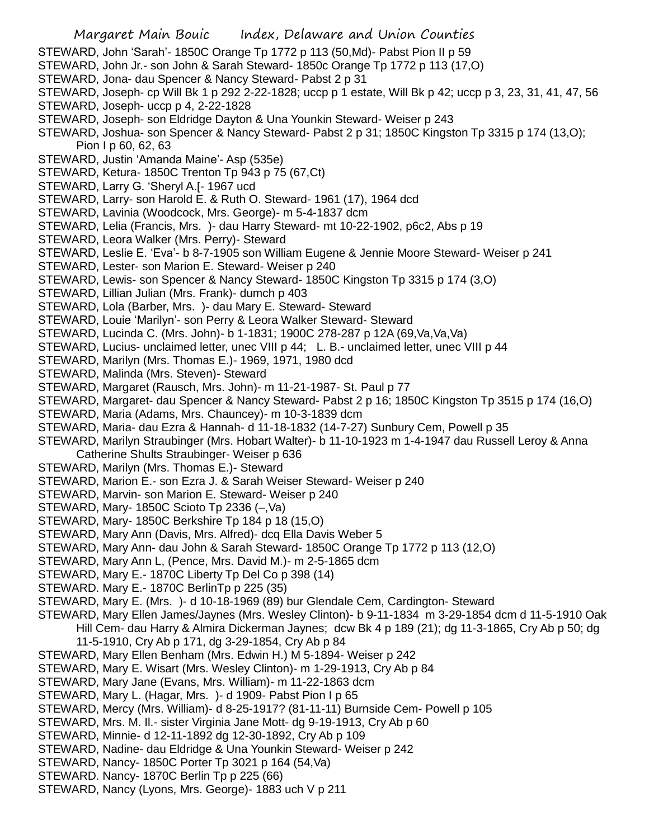- Margaret Main Bouic Index, Delaware and Union Counties STEWARD, John 'Sarah'- 1850C Orange Tp 1772 p 113 (50,Md)- Pabst Pion II p 59 STEWARD, John Jr.- son John & Sarah Steward- 1850c Orange Tp 1772 p 113 (17,O) STEWARD, Jona- dau Spencer & Nancy Steward- Pabst 2 p 31 STEWARD, Joseph- cp Will Bk 1 p 292 2-22-1828; uccp p 1 estate, Will Bk p 42; uccp p 3, 23, 31, 41, 47, 56 STEWARD, Joseph- uccp p 4, 2-22-1828 STEWARD, Joseph- son Eldridge Dayton & Una Younkin Steward- Weiser p 243 STEWARD, Joshua- son Spencer & Nancy Steward- Pabst 2 p 31; 1850C Kingston Tp 3315 p 174 (13,O); Pion I p 60, 62, 63 STEWARD, Justin 'Amanda Maine'- Asp (535e) STEWARD, Ketura- 1850C Trenton Tp 943 p 75 (67,Ct) STEWARD, Larry G. 'Sheryl A.[- 1967 ucd STEWARD, Larry- son Harold E. & Ruth O. Steward- 1961 (17), 1964 dcd STEWARD, Lavinia (Woodcock, Mrs. George)- m 5-4-1837 dcm STEWARD, Lelia (Francis, Mrs. )- dau Harry Steward- mt 10-22-1902, p6c2, Abs p 19 STEWARD, Leora Walker (Mrs. Perry)- Steward STEWARD, Leslie E. 'Eva'- b 8-7-1905 son William Eugene & Jennie Moore Steward- Weiser p 241 STEWARD, Lester- son Marion E. Steward- Weiser p 240 STEWARD, Lewis- son Spencer & Nancy Steward- 1850C Kingston Tp 3315 p 174 (3,O) STEWARD, Lillian Julian (Mrs. Frank)- dumch p 403 STEWARD, Lola (Barber, Mrs. )- dau Mary E. Steward- Steward STEWARD, Louie 'Marilyn'- son Perry & Leora Walker Steward- Steward STEWARD, Lucinda C. (Mrs. John)- b 1-1831; 1900C 278-287 p 12A (69,Va,Va,Va) STEWARD, Lucius- unclaimed letter, unec VIII p 44; L. B.- unclaimed letter, unec VIII p 44 STEWARD, Marilyn (Mrs. Thomas E.)- 1969, 1971, 1980 dcd STEWARD, Malinda (Mrs. Steven)- Steward STEWARD, Margaret (Rausch, Mrs. John)- m 11-21-1987- St. Paul p 77 STEWARD, Margaret- dau Spencer & Nancy Steward- Pabst 2 p 16; 1850C Kingston Tp 3515 p 174 (16,O) STEWARD, Maria (Adams, Mrs. Chauncey)- m 10-3-1839 dcm STEWARD, Maria- dau Ezra & Hannah- d 11-18-1832 (14-7-27) Sunbury Cem, Powell p 35 STEWARD, Marilyn Straubinger (Mrs. Hobart Walter)- b 11-10-1923 m 1-4-1947 dau Russell Leroy & Anna Catherine Shults Straubinger- Weiser p 636 STEWARD, Marilyn (Mrs. Thomas E.)- Steward STEWARD, Marion E.- son Ezra J. & Sarah Weiser Steward- Weiser p 240 STEWARD, Marvin- son Marion E. Steward- Weiser p 240 STEWARD, Mary- 1850C Scioto Tp 2336 (–,Va) STEWARD, Mary- 1850C Berkshire Tp 184 p 18 (15,O) STEWARD, Mary Ann (Davis, Mrs. Alfred)- dcq Ella Davis Weber 5 STEWARD, Mary Ann- dau John & Sarah Steward- 1850C Orange Tp 1772 p 113 (12,O) STEWARD, Mary Ann L, (Pence, Mrs. David M.)- m 2-5-1865 dcm STEWARD, Mary E.- 1870C Liberty Tp Del Co p 398 (14) STEWARD. Mary E.- 1870C BerlinTp p 225 (35) STEWARD, Mary E. (Mrs. )- d 10-18-1969 (89) bur Glendale Cem, Cardington- Steward STEWARD, Mary Ellen James/Jaynes (Mrs. Wesley Clinton)- b 9-11-1834 m 3-29-1854 dcm d 11-5-1910 Oak Hill Cem- dau Harry & Almira Dickerman Jaynes; dcw Bk 4 p 189 (21); dg 11-3-1865, Cry Ab p 50; dg 11-5-1910, Cry Ab p 171, dg 3-29-1854, Cry Ab p 84 STEWARD, Mary Ellen Benham (Mrs. Edwin H.) M 5-1894- Weiser p 242 STEWARD, Mary E. Wisart (Mrs. Wesley Clinton)- m 1-29-1913, Cry Ab p 84 STEWARD, Mary Jane (Evans, Mrs. William)- m 11-22-1863 dcm STEWARD, Mary L. (Hagar, Mrs. )- d 1909- Pabst Pion I p 65 STEWARD, Mercy (Mrs. William)- d 8-25-1917? (81-11-11) Burnside Cem- Powell p 105 STEWARD, Mrs. M. Il.- sister Virginia Jane Mott- dg 9-19-1913, Cry Ab p 60 STEWARD, Minnie- d 12-11-1892 dg 12-30-1892, Cry Ab p 109 STEWARD, Nadine- dau Eldridge & Una Younkin Steward- Weiser p 242 STEWARD, Nancy- 1850C Porter Tp 3021 p 164 (54,Va) STEWARD. Nancy- 1870C Berlin Tp p 225 (66)
- STEWARD, Nancy (Lyons, Mrs. George)- 1883 uch V p 211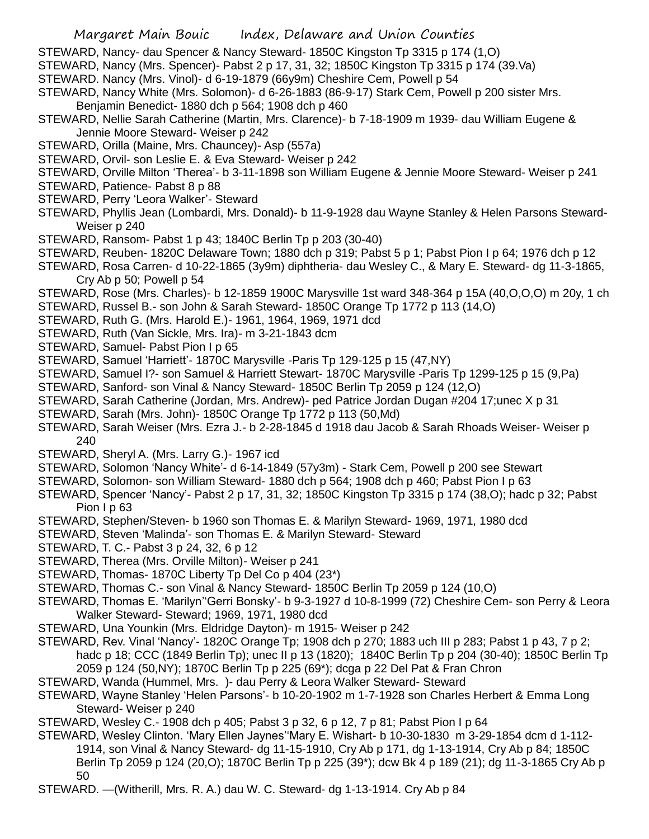STEWARD, Nancy- dau Spencer & Nancy Steward- 1850C Kingston Tp 3315 p 174 (1,O)

STEWARD, Nancy (Mrs. Spencer)- Pabst 2 p 17, 31, 32; 1850C Kingston Tp 3315 p 174 (39.Va)

- STEWARD. Nancy (Mrs. Vinol)- d 6-19-1879 (66y9m) Cheshire Cem, Powell p 54
- STEWARD, Nancy White (Mrs. Solomon)- d 6-26-1883 (86-9-17) Stark Cem, Powell p 200 sister Mrs. Benjamin Benedict- 1880 dch p 564; 1908 dch p 460
- STEWARD, Nellie Sarah Catherine (Martin, Mrs. Clarence)- b 7-18-1909 m 1939- dau William Eugene & Jennie Moore Steward- Weiser p 242
- STEWARD, Orilla (Maine, Mrs. Chauncey)- Asp (557a)
- STEWARD, Orvil- son Leslie E. & Eva Steward- Weiser p 242
- STEWARD, Orville Milton 'Therea'- b 3-11-1898 son William Eugene & Jennie Moore Steward- Weiser p 241
- STEWARD, Patience- Pabst 8 p 88
- STEWARD, Perry 'Leora Walker'- Steward
- STEWARD, Phyllis Jean (Lombardi, Mrs. Donald)- b 11-9-1928 dau Wayne Stanley & Helen Parsons Steward-Weiser p 240
- STEWARD, Ransom- Pabst 1 p 43; 1840C Berlin Tp p 203 (30-40)
- STEWARD, Reuben- 1820C Delaware Town; 1880 dch p 319; Pabst 5 p 1; Pabst Pion I p 64; 1976 dch p 12
- STEWARD, Rosa Carren- d 10-22-1865 (3y9m) diphtheria- dau Wesley C., & Mary E. Steward- dg 11-3-1865, Cry Ab p 50; Powell p 54
- STEWARD, Rose (Mrs. Charles)- b 12-1859 1900C Marysville 1st ward 348-364 p 15A (40,O,O,O) m 20y, 1 ch
- STEWARD, Russel B.- son John & Sarah Steward- 1850C Orange Tp 1772 p 113 (14,O)
- STEWARD, Ruth G. (Mrs. Harold E.)- 1961, 1964, 1969, 1971 dcd
- STEWARD, Ruth (Van Sickle, Mrs. Ira)- m 3-21-1843 dcm
- STEWARD, Samuel- Pabst Pion I p 65
- STEWARD, Samuel 'Harriett'- 1870C Marysville -Paris Tp 129-125 p 15 (47,NY)
- STEWARD, Samuel I?- son Samuel & Harriett Stewart- 1870C Marysville -Paris Tp 1299-125 p 15 (9,Pa)
- STEWARD, Sanford- son Vinal & Nancy Steward- 1850C Berlin Tp 2059 p 124 (12,O)
- STEWARD, Sarah Catherine (Jordan, Mrs. Andrew)- ped Patrice Jordan Dugan #204 17;unec X p 31
- STEWARD, Sarah (Mrs. John)- 1850C Orange Tp 1772 p 113 (50,Md)
- STEWARD, Sarah Weiser (Mrs. Ezra J.- b 2-28-1845 d 1918 dau Jacob & Sarah Rhoads Weiser- Weiser p 240
- STEWARD, Sheryl A. (Mrs. Larry G.)- 1967 icd
- STEWARD, Solomon 'Nancy White'- d 6-14-1849 (57y3m) Stark Cem, Powell p 200 see Stewart
- STEWARD, Solomon- son William Steward- 1880 dch p 564; 1908 dch p 460; Pabst Pion I p 63
- STEWARD, Spencer 'Nancy'- Pabst 2 p 17, 31, 32; 1850C Kingston Tp 3315 p 174 (38,O); hadc p 32; Pabst Pion I p 63
- STEWARD, Stephen/Steven- b 1960 son Thomas E. & Marilyn Steward- 1969, 1971, 1980 dcd
- STEWARD, Steven 'Malinda'- son Thomas E. & Marilyn Steward- Steward
- STEWARD, T. C.- Pabst 3 p 24, 32, 6 p 12
- STEWARD, Therea (Mrs. Orville Milton)- Weiser p 241
- STEWARD, Thomas- 1870C Liberty Tp Del Co p 404 (23\*)
- STEWARD, Thomas C.- son Vinal & Nancy Steward- 1850C Berlin Tp 2059 p 124 (10,O)
- STEWARD, Thomas E. 'Marilyn''Gerri Bonsky'- b 9-3-1927 d 10-8-1999 (72) Cheshire Cem- son Perry & Leora Walker Steward- Steward; 1969, 1971, 1980 dcd
- STEWARD, Una Younkin (Mrs. Eldridge Dayton)- m 1915- Weiser p 242
- STEWARD, Rev. Vinal 'Nancy'- 1820C Orange Tp; 1908 dch p 270; 1883 uch III p 283; Pabst 1 p 43, 7 p 2; hadc p 18; CCC (1849 Berlin Tp); unec II p 13 (1820); 1840C Berlin Tp p 204 (30-40); 1850C Berlin Tp 2059 p 124 (50,NY); 1870C Berlin Tp p 225 (69\*); dcga p 22 Del Pat & Fran Chron
- STEWARD, Wanda (Hummel, Mrs. )- dau Perry & Leora Walker Steward- Steward
- STEWARD, Wayne Stanley 'Helen Parsons'- b 10-20-1902 m 1-7-1928 son Charles Herbert & Emma Long Steward- Weiser p 240
- STEWARD, Wesley C.- 1908 dch p 405; Pabst 3 p 32, 6 p 12, 7 p 81; Pabst Pion I p 64
- STEWARD, Wesley Clinton. 'Mary Ellen Jaynes''Mary E. Wishart- b 10-30-1830 m 3-29-1854 dcm d 1-112- 1914, son Vinal & Nancy Steward- dg 11-15-1910, Cry Ab p 171, dg 1-13-1914, Cry Ab p 84; 1850C Berlin Tp 2059 p 124 (20,O); 1870C Berlin Tp p 225 (39\*); dcw Bk 4 p 189 (21); dg 11-3-1865 Cry Ab p 50
- STEWARD. —(Witherill, Mrs. R. A.) dau W. C. Steward- dg 1-13-1914. Cry Ab p 84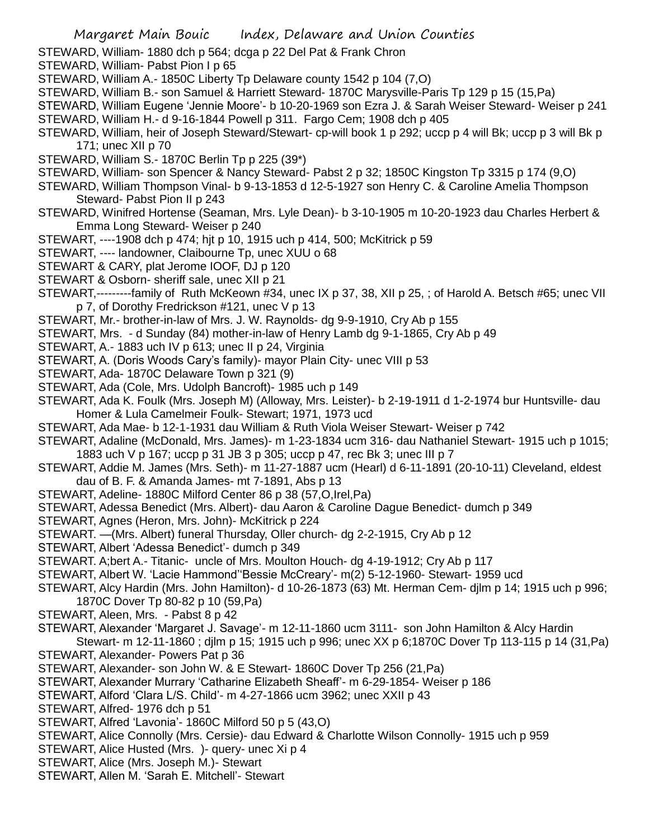- STEWARD, William- 1880 dch p 564; dcga p 22 Del Pat & Frank Chron
- STEWARD, William- Pabst Pion I p 65
- STEWARD, William A.- 1850C Liberty Tp Delaware county 1542 p 104 (7,O)
- STEWARD, William B.- son Samuel & Harriett Steward- 1870C Marysville-Paris Tp 129 p 15 (15,Pa)
- STEWARD, William Eugene 'Jennie Moore'- b 10-20-1969 son Ezra J. & Sarah Weiser Steward- Weiser p 241 STEWARD, William H.- d 9-16-1844 Powell p 311. Fargo Cem; 1908 dch p 405
- STEWARD, William, heir of Joseph Steward/Stewart- cp-will book 1 p 292; uccp p 4 will Bk; uccp p 3 will Bk p 171; unec XII p 70
- STEWARD, William S.- 1870C Berlin Tp p 225 (39\*)
- STEWARD, William- son Spencer & Nancy Steward- Pabst 2 p 32; 1850C Kingston Tp 3315 p 174 (9,O)
- STEWARD, William Thompson Vinal- b 9-13-1853 d 12-5-1927 son Henry C. & Caroline Amelia Thompson Steward- Pabst Pion II p 243
- STEWARD, Winifred Hortense (Seaman, Mrs. Lyle Dean)- b 3-10-1905 m 10-20-1923 dau Charles Herbert & Emma Long Steward- Weiser p 240
- STEWART, ----1908 dch p 474; hjt p 10, 1915 uch p 414, 500; McKitrick p 59
- STEWART, ---- landowner, Claibourne Tp, unec XUU o 68
- STEWART & CARY, plat Jerome IOOF, DJ p 120
- STEWART & Osborn- sheriff sale, unec XII p 21
- STEWART,---------family of Ruth McKeown #34, unec IX p 37, 38, XII p 25, ; of Harold A. Betsch #65; unec VII p 7, of Dorothy Fredrickson #121, unec V p 13
- STEWART, Mr.- brother-in-law of Mrs. J. W. Raynolds- dg 9-9-1910, Cry Ab p 155
- STEWART, Mrs. d Sunday (84) mother-in-law of Henry Lamb dg 9-1-1865, Cry Ab p 49
- STEWART, A.- 1883 uch IV p 613; unec II p 24, Virginia
- STEWART, A. (Doris Woods Cary's family)- mayor Plain City- unec VIII p 53
- STEWART, Ada- 1870C Delaware Town p 321 (9)
- STEWART, Ada (Cole, Mrs. Udolph Bancroft)- 1985 uch p 149
- STEWART, Ada K. Foulk (Mrs. Joseph M) (Alloway, Mrs. Leister)- b 2-19-1911 d 1-2-1974 bur Huntsville- dau Homer & Lula Camelmeir Foulk- Stewart; 1971, 1973 ucd
- STEWART, Ada Mae- b 12-1-1931 dau William & Ruth Viola Weiser Stewart- Weiser p 742
- STEWART, Adaline (McDonald, Mrs. James)- m 1-23-1834 ucm 316- dau Nathaniel Stewart- 1915 uch p 1015; 1883 uch V p 167; uccp p 31 JB 3 p 305; uccp p 47, rec Bk 3; unec III p 7
- STEWART, Addie M. James (Mrs. Seth)- m 11-27-1887 ucm (Hearl) d 6-11-1891 (20-10-11) Cleveland, eldest dau of B. F. & Amanda James- mt 7-1891, Abs p 13
- STEWART, Adeline- 1880C Milford Center 86 p 38 (57,O,Irel,Pa)
- STEWART, Adessa Benedict (Mrs. Albert)- dau Aaron & Caroline Dague Benedict- dumch p 349
- STEWART, Agnes (Heron, Mrs. John)- McKitrick p 224
- STEWART. —(Mrs. Albert) funeral Thursday, Oller church- dg 2-2-1915, Cry Ab p 12
- STEWART, Albert 'Adessa Benedict'- dumch p 349
- STEWART. A;bert A.- Titanic- uncle of Mrs. Moulton Houch- dg 4-19-1912; Cry Ab p 117
- STEWART, Albert W. 'Lacie Hammond''Bessie McCreary'- m(2) 5-12-1960- Stewart- 1959 ucd
- STEWART, Alcy Hardin (Mrs. John Hamilton)- d 10-26-1873 (63) Mt. Herman Cem- djlm p 14; 1915 uch p 996; 1870C Dover Tp 80-82 p 10 (59,Pa)
- STEWART, Aleen, Mrs. Pabst 8 p 42
- STEWART, Alexander 'Margaret J. Savage'- m 12-11-1860 ucm 3111- son John Hamilton & Alcy Hardin Stewart- m 12-11-1860 ; djlm p 15; 1915 uch p 996; unec XX p 6;1870C Dover Tp 113-115 p 14 (31,Pa)
- STEWART, Alexander- Powers Pat p 36
- STEWART, Alexander- son John W. & E Stewart- 1860C Dover Tp 256 (21,Pa)
- STEWART, Alexander Murrary 'Catharine Elizabeth Sheaff'- m 6-29-1854- Weiser p 186
- STEWART, Alford 'Clara L/S. Child'- m 4-27-1866 ucm 3962; unec XXII p 43
- STEWART, Alfred- 1976 dch p 51
- STEWART, Alfred 'Lavonia'- 1860C Milford 50 p 5 (43,O)
- STEWART, Alice Connolly (Mrs. Cersie)- dau Edward & Charlotte Wilson Connolly- 1915 uch p 959
- STEWART, Alice Husted (Mrs. )- query- unec Xi p 4
- STEWART, Alice (Mrs. Joseph M.)- Stewart
- STEWART, Allen M. 'Sarah E. Mitchell'- Stewart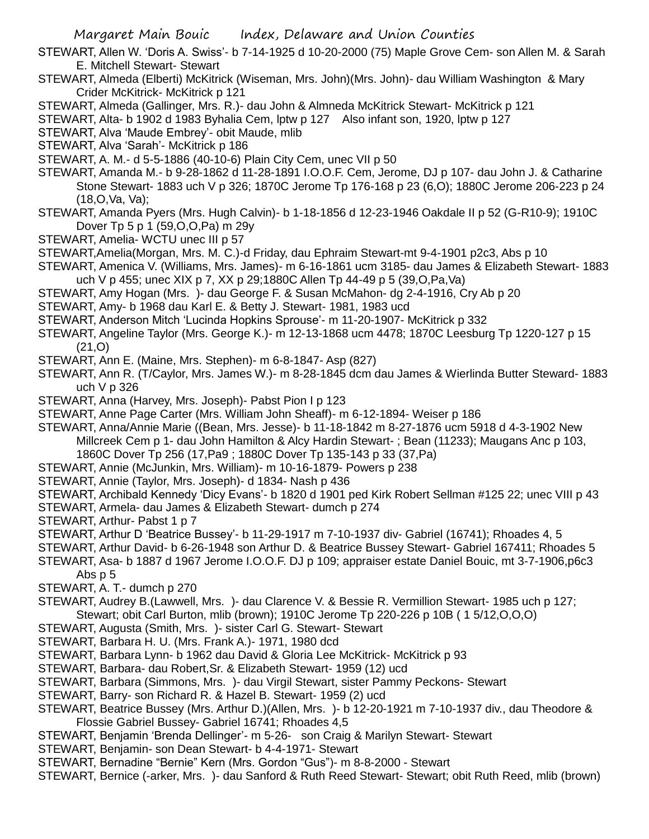- STEWART, Allen W. 'Doris A. Swiss'- b 7-14-1925 d 10-20-2000 (75) Maple Grove Cem- son Allen M. & Sarah E. Mitchell Stewart- Stewart
- STEWART, Almeda (Elberti) McKitrick (Wiseman, Mrs. John)(Mrs. John)- dau William Washington & Mary Crider McKitrick- McKitrick p 121
- STEWART, Almeda (Gallinger, Mrs. R.)- dau John & Almneda McKitrick Stewart- McKitrick p 121
- STEWART, Alta- b 1902 d 1983 Byhalia Cem, lptw p 127 Also infant son, 1920, lptw p 127
- STEWART, Alva 'Maude Embrey'- obit Maude, mlib
- STEWART, Alva 'Sarah'- McKitrick p 186
- STEWART, A. M.- d 5-5-1886 (40-10-6) Plain City Cem, unec VII p 50
- STEWART, Amanda M.- b 9-28-1862 d 11-28-1891 I.O.O.F. Cem, Jerome, DJ p 107- dau John J. & Catharine Stone Stewart- 1883 uch V p 326; 1870C Jerome Tp 176-168 p 23 (6,O); 1880C Jerome 206-223 p 24 (18,O,Va, Va);
- STEWART, Amanda Pyers (Mrs. Hugh Calvin)- b 1-18-1856 d 12-23-1946 Oakdale II p 52 (G-R10-9); 1910C Dover Tp 5 p 1 (59,O,O,Pa) m 29y
- STEWART, Amelia- WCTU unec III p 57
- STEWART,Amelia(Morgan, Mrs. M. C.)-d Friday, dau Ephraim Stewart-mt 9-4-1901 p2c3, Abs p 10
- STEWART, Amenica V. (Williams, Mrs. James)- m 6-16-1861 ucm 3185- dau James & Elizabeth Stewart- 1883 uch V p 455; unec XIX p 7, XX p 29;1880C Allen Tp 44-49 p 5 (39,O,Pa,Va)
- STEWART, Amy Hogan (Mrs. )- dau George F. & Susan McMahon- dg 2-4-1916, Cry Ab p 20
- STEWART, Amy- b 1968 dau Karl E. & Betty J. Stewart- 1981, 1983 ucd
- STEWART, Anderson Mitch 'Lucinda Hopkins Sprouse'- m 11-20-1907- McKitrick p 332
- STEWART, Angeline Taylor (Mrs. George K.)- m 12-13-1868 ucm 4478; 1870C Leesburg Tp 1220-127 p 15 (21,O)
- STEWART, Ann E. (Maine, Mrs. Stephen)- m 6-8-1847- Asp (827)
- STEWART, Ann R. (T/Caylor, Mrs. James W.)- m 8-28-1845 dcm dau James & Wierlinda Butter Steward- 1883 uch V p 326
- STEWART, Anna (Harvey, Mrs. Joseph)- Pabst Pion I p 123
- STEWART, Anne Page Carter (Mrs. William John Sheaff)- m 6-12-1894- Weiser p 186
- STEWART, Anna/Annie Marie ((Bean, Mrs. Jesse)- b 11-18-1842 m 8-27-1876 ucm 5918 d 4-3-1902 New Millcreek Cem p 1- dau John Hamilton & Alcy Hardin Stewart- ; Bean (11233); Maugans Anc p 103, 1860C Dover Tp 256 (17,Pa9 ; 1880C Dover Tp 135-143 p 33 (37,Pa)
- STEWART, Annie (McJunkin, Mrs. William)- m 10-16-1879- Powers p 238
- STEWART, Annie (Taylor, Mrs. Joseph)- d 1834- Nash p 436
- STEWART, Archibald Kennedy 'Dicy Evans'- b 1820 d 1901 ped Kirk Robert Sellman #125 22; unec VIII p 43
- STEWART, Armela- dau James & Elizabeth Stewart- dumch p 274
- STEWART, Arthur- Pabst 1 p 7
- STEWART, Arthur D 'Beatrice Bussey'- b 11-29-1917 m 7-10-1937 div- Gabriel (16741); Rhoades 4, 5
- STEWART, Arthur David- b 6-26-1948 son Arthur D. & Beatrice Bussey Stewart- Gabriel 167411; Rhoades 5
- STEWART, Asa- b 1887 d 1967 Jerome I.O.O.F. DJ p 109; appraiser estate Daniel Bouic, mt 3-7-1906,p6c3 Abs p 5
- STEWART, A. T.- dumch p 270
- STEWART, Audrey B.(Lawwell, Mrs. )- dau Clarence V. & Bessie R. Vermillion Stewart- 1985 uch p 127; Stewart; obit Carl Burton, mlib (brown); 1910C Jerome Tp 220-226 p 10B ( 1 5/12,O,O,O)
- STEWART, Augusta (Smith, Mrs. )- sister Carl G. Stewart- Stewart
- STEWART, Barbara H. U. (Mrs. Frank A.)- 1971, 1980 dcd
- STEWART, Barbara Lynn- b 1962 dau David & Gloria Lee McKitrick- McKitrick p 93
- STEWART, Barbara- dau Robert,Sr. & Elizabeth Stewart- 1959 (12) ucd
- STEWART, Barbara (Simmons, Mrs. )- dau Virgil Stewart, sister Pammy Peckons- Stewart
- STEWART, Barry- son Richard R. & Hazel B. Stewart- 1959 (2) ucd
- STEWART, Beatrice Bussey (Mrs. Arthur D.)(Allen, Mrs. )- b 12-20-1921 m 7-10-1937 div., dau Theodore & Flossie Gabriel Bussey- Gabriel 16741; Rhoades 4,5
- STEWART, Benjamin 'Brenda Dellinger'- m 5-26- son Craig & Marilyn Stewart- Stewart
- STEWART, Benjamin- son Dean Stewart- b 4-4-1971- Stewart
- STEWART, Bernadine "Bernie" Kern (Mrs. Gordon "Gus")- m 8-8-2000 Stewart
- STEWART, Bernice (-arker, Mrs. )- dau Sanford & Ruth Reed Stewart- Stewart; obit Ruth Reed, mlib (brown)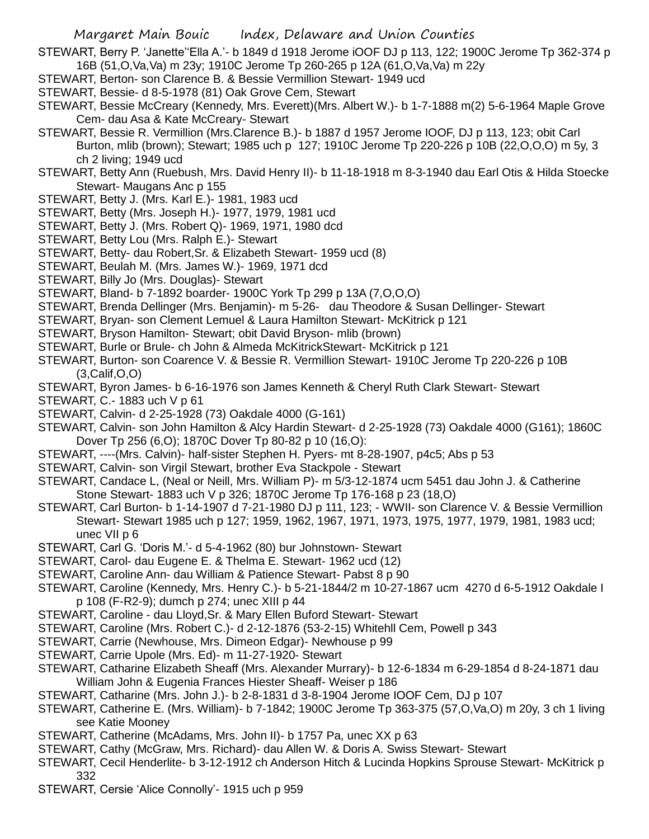STEWART, Berry P. 'Janette''Ella A.'- b 1849 d 1918 Jerome iOOF DJ p 113, 122; 1900C Jerome Tp 362-374 p 16B (51,O,Va,Va) m 23y; 1910C Jerome Tp 260-265 p 12A (61,O,Va,Va) m 22y

- STEWART, Berton- son Clarence B. & Bessie Vermillion Stewart- 1949 ucd
- STEWART, Bessie- d 8-5-1978 (81) Oak Grove Cem, Stewart
- STEWART, Bessie McCreary (Kennedy, Mrs. Everett)(Mrs. Albert W.)- b 1-7-1888 m(2) 5-6-1964 Maple Grove Cem- dau Asa & Kate McCreary- Stewart
- STEWART, Bessie R. Vermillion (Mrs.Clarence B.)- b 1887 d 1957 Jerome IOOF, DJ p 113, 123; obit Carl Burton, mlib (brown); Stewart; 1985 uch p 127; 1910C Jerome Tp 220-226 p 10B (22,O,O,O) m 5y, 3 ch 2 living; 1949 ucd
- STEWART, Betty Ann (Ruebush, Mrs. David Henry II)- b 11-18-1918 m 8-3-1940 dau Earl Otis & Hilda Stoecke Stewart- Maugans Anc p 155
- STEWART, Betty J. (Mrs. Karl E.)- 1981, 1983 ucd
- STEWART, Betty (Mrs. Joseph H.)- 1977, 1979, 1981 ucd
- STEWART, Betty J. (Mrs. Robert Q)- 1969, 1971, 1980 dcd
- STEWART, Betty Lou (Mrs. Ralph E.)- Stewart
- STEWART, Betty- dau Robert,Sr. & Elizabeth Stewart- 1959 ucd (8)
- STEWART, Beulah M. (Mrs. James W.)- 1969, 1971 dcd
- STEWART, Billy Jo (Mrs. Douglas)- Stewart
- STEWART, Bland- b 7-1892 boarder- 1900C York Tp 299 p 13A (7,O,O,O)
- STEWART, Brenda Dellinger (Mrs. Benjamin)- m 5-26- dau Theodore & Susan Dellinger- Stewart
- STEWART, Bryan- son Clement Lemuel & Laura Hamilton Stewart- McKitrick p 121
- STEWART, Bryson Hamilton- Stewart; obit David Bryson- mlib (brown)
- STEWART, Burle or Brule- ch John & Almeda McKitrickStewart- McKitrick p 121
- STEWART, Burton- son Coarence V. & Bessie R. Vermillion Stewart- 1910C Jerome Tp 220-226 p 10B (3,Calif,O,O)
- STEWART, Byron James- b 6-16-1976 son James Kenneth & Cheryl Ruth Clark Stewart- Stewart
- STEWART, C.- 1883 uch V p 61
- STEWART, Calvin- d 2-25-1928 (73) Oakdale 4000 (G-161)
- STEWART, Calvin- son John Hamilton & Alcy Hardin Stewart- d 2-25-1928 (73) Oakdale 4000 (G161); 1860C Dover Tp 256 (6,O); 1870C Dover Tp 80-82 p 10 (16,O):
- STEWART, ----(Mrs. Calvin)- half-sister Stephen H. Pyers- mt 8-28-1907, p4c5; Abs p 53
- STEWART, Calvin- son Virgil Stewart, brother Eva Stackpole Stewart
- STEWART, Candace L, (Neal or Neill, Mrs. William P)- m 5/3-12-1874 ucm 5451 dau John J. & Catherine Stone Stewart- 1883 uch V p 326; 1870C Jerome Tp 176-168 p 23 (18,O)
- STEWART, Carl Burton- b 1-14-1907 d 7-21-1980 DJ p 111, 123; WWII- son Clarence V. & Bessie Vermillion Stewart- Stewart 1985 uch p 127; 1959, 1962, 1967, 1971, 1973, 1975, 1977, 1979, 1981, 1983 ucd; unec VII p 6
- STEWART, Carl G. 'Doris M.'- d 5-4-1962 (80) bur Johnstown- Stewart
- STEWART, Carol- dau Eugene E. & Thelma E. Stewart- 1962 ucd (12)
- STEWART, Caroline Ann- dau William & Patience Stewart- Pabst 8 p 90
- STEWART, Caroline (Kennedy, Mrs. Henry C.)- b 5-21-1844/2 m 10-27-1867 ucm 4270 d 6-5-1912 Oakdale I p 108 (F-R2-9); dumch p 274; unec XIII p 44
- STEWART, Caroline dau Lloyd,Sr. & Mary Ellen Buford Stewart- Stewart
- STEWART, Caroline (Mrs. Robert C.)- d 2-12-1876 (53-2-15) Whitehll Cem, Powell p 343
- STEWART, Carrie (Newhouse, Mrs. Dimeon Edgar)- Newhouse p 99
- STEWART, Carrie Upole (Mrs. Ed)- m 11-27-1920- Stewart
- STEWART, Catharine Elizabeth Sheaff (Mrs. Alexander Murrary)- b 12-6-1834 m 6-29-1854 d 8-24-1871 dau William John & Eugenia Frances Hiester Sheaff- Weiser p 186
- STEWART, Catharine (Mrs. John J.)- b 2-8-1831 d 3-8-1904 Jerome IOOF Cem, DJ p 107
- STEWART, Catherine E. (Mrs. William)- b 7-1842; 1900C Jerome Tp 363-375 (57,O,Va,O) m 20y, 3 ch 1 living see Katie Mooney
- STEWART, Catherine (McAdams, Mrs. John II)- b 1757 Pa, unec XX p 63
- STEWART, Cathy (McGraw, Mrs. Richard)- dau Allen W. & Doris A. Swiss Stewart- Stewart
- STEWART, Cecil Henderlite- b 3-12-1912 ch Anderson Hitch & Lucinda Hopkins Sprouse Stewart- McKitrick p 332
- STEWART, Cersie 'Alice Connolly'- 1915 uch p 959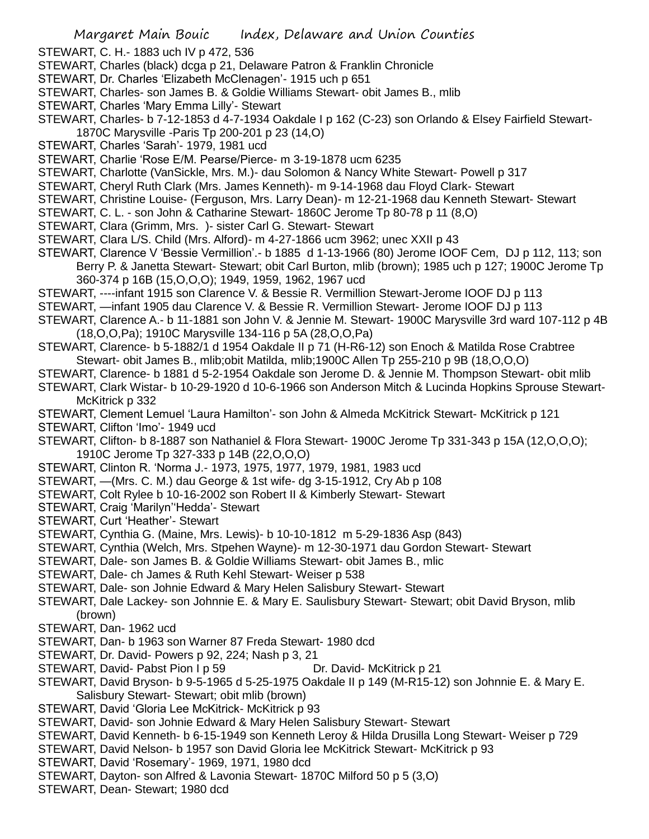- STEWART, C. H.- 1883 uch IV p 472, 536
- STEWART, Charles (black) dcga p 21, Delaware Patron & Franklin Chronicle
- STEWART, Dr. Charles 'Elizabeth McClenagen'- 1915 uch p 651
- STEWART, Charles- son James B. & Goldie Williams Stewart- obit James B., mlib
- STEWART, Charles 'Mary Emma Lilly'- Stewart
- STEWART, Charles- b 7-12-1853 d 4-7-1934 Oakdale I p 162 (C-23) son Orlando & Elsey Fairfield Stewart-1870C Marysville -Paris Tp 200-201 p 23 (14,O)
- STEWART, Charles 'Sarah'- 1979, 1981 ucd
- STEWART, Charlie 'Rose E/M. Pearse/Pierce- m 3-19-1878 ucm 6235
- STEWART, Charlotte (VanSickle, Mrs. M.)- dau Solomon & Nancy White Stewart- Powell p 317
- STEWART, Cheryl Ruth Clark (Mrs. James Kenneth)- m 9-14-1968 dau Floyd Clark- Stewart
- STEWART, Christine Louise- (Ferguson, Mrs. Larry Dean)- m 12-21-1968 dau Kenneth Stewart- Stewart
- STEWART, C. L. son John & Catharine Stewart- 1860C Jerome Tp 80-78 p 11 (8,O)
- STEWART, Clara (Grimm, Mrs. )- sister Carl G. Stewart- Stewart
- STEWART, Clara L/S. Child (Mrs. Alford)- m 4-27-1866 ucm 3962; unec XXII p 43
- STEWART, Clarence V 'Bessie Vermillion'.- b 1885 d 1-13-1966 (80) Jerome IOOF Cem, DJ p 112, 113; son Berry P. & Janetta Stewart- Stewart; obit Carl Burton, mlib (brown); 1985 uch p 127; 1900C Jerome Tp 360-374 p 16B (15,O,O,O); 1949, 1959, 1962, 1967 ucd
- STEWART, ----infant 1915 son Clarence V. & Bessie R. Vermillion Stewart-Jerome IOOF DJ p 113
- STEWART, —infant 1905 dau Clarence V. & Bessie R. Vermillion Stewart- Jerome IOOF DJ p 113
- STEWART, Clarence A.- b 11-1881 son John V. & Jennie M. Stewart- 1900C Marysville 3rd ward 107-112 p 4B (18,O,O,Pa); 1910C Marysville 134-116 p 5A (28,O,O,Pa)
- STEWART, Clarence- b 5-1882/1 d 1954 Oakdale II p 71 (H-R6-12) son Enoch & Matilda Rose Crabtree Stewart- obit James B., mlib;obit Matilda, mlib;1900C Allen Tp 255-210 p 9B (18,O,O,O)
- STEWART, Clarence- b 1881 d 5-2-1954 Oakdale son Jerome D. & Jennie M. Thompson Stewart- obit mlib
- STEWART, Clark Wistar- b 10-29-1920 d 10-6-1966 son Anderson Mitch & Lucinda Hopkins Sprouse Stewart-McKitrick p 332
- STEWART, Clement Lemuel 'Laura Hamilton'- son John & Almeda McKitrick Stewart- McKitrick p 121
- STEWART, Clifton 'Imo'- 1949 ucd
- STEWART, Clifton- b 8-1887 son Nathaniel & Flora Stewart- 1900C Jerome Tp 331-343 p 15A (12,O,O,O); 1910C Jerome Tp 327-333 p 14B (22,O,O,O)
- STEWART, Clinton R. 'Norma J.- 1973, 1975, 1977, 1979, 1981, 1983 ucd
- STEWART, —(Mrs. C. M.) dau George & 1st wife- dg 3-15-1912, Cry Ab p 108
- STEWART, Colt Rylee b 10-16-2002 son Robert II & Kimberly Stewart- Stewart
- STEWART, Craig 'Marilyn''Hedda'- Stewart
- STEWART, Curt 'Heather'- Stewart
- STEWART, Cynthia G. (Maine, Mrs. Lewis)- b 10-10-1812 m 5-29-1836 Asp (843)
- STEWART, Cynthia (Welch, Mrs. Stpehen Wayne)- m 12-30-1971 dau Gordon Stewart- Stewart
- STEWART, Dale- son James B. & Goldie Williams Stewart- obit James B., mlic
- STEWART, Dale- ch James & Ruth Kehl Stewart- Weiser p 538
- STEWART, Dale- son Johnie Edward & Mary Helen Salisbury Stewart- Stewart
- STEWART, Dale Lackey- son Johnnie E. & Mary E. Saulisbury Stewart- Stewart; obit David Bryson, mlib (brown)
- STEWART, Dan- 1962 ucd
- STEWART, Dan- b 1963 son Warner 87 Freda Stewart- 1980 dcd
- STEWART, Dr. David- Powers p 92, 224; Nash p 3, 21
- STEWART, David- Pabst Pion I p 59 Dr. David- McKitrick p 21
- STEWART, David Bryson- b 9-5-1965 d 5-25-1975 Oakdale II p 149 (M-R15-12) son Johnnie E. & Mary E. Salisbury Stewart- Stewart; obit mlib (brown)
- STEWART, David 'Gloria Lee McKitrick- McKitrick p 93
- STEWART, David- son Johnie Edward & Mary Helen Salisbury Stewart- Stewart
- STEWART, David Kenneth- b 6-15-1949 son Kenneth Leroy & Hilda Drusilla Long Stewart- Weiser p 729
- STEWART, David Nelson- b 1957 son David Gloria lee McKitrick Stewart- McKitrick p 93
- STEWART, David 'Rosemary'- 1969, 1971, 1980 dcd
- STEWART, Dayton- son Alfred & Lavonia Stewart- 1870C Milford 50 p 5 (3,O)
- STEWART, Dean- Stewart; 1980 dcd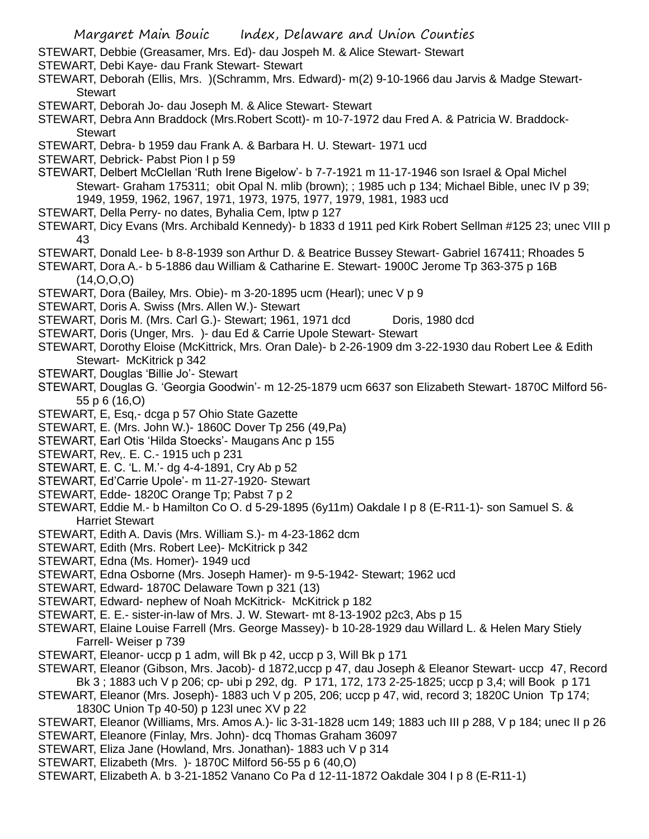- STEWART, Debbie (Greasamer, Mrs. Ed)- dau Jospeh M. & Alice Stewart- Stewart
- STEWART, Debi Kaye- dau Frank Stewart- Stewart
- STEWART, Deborah (Ellis, Mrs. )(Schramm, Mrs. Edward)- m(2) 9-10-1966 dau Jarvis & Madge Stewart-**Stewart**
- STEWART, Deborah Jo- dau Joseph M. & Alice Stewart- Stewart
- STEWART, Debra Ann Braddock (Mrs.Robert Scott)- m 10-7-1972 dau Fred A. & Patricia W. Braddock-**Stewart**
- STEWART, Debra- b 1959 dau Frank A. & Barbara H. U. Stewart- 1971 ucd
- STEWART, Debrick- Pabst Pion I p 59
- STEWART, Delbert McClellan 'Ruth Irene Bigelow'- b 7-7-1921 m 11-17-1946 son Israel & Opal Michel Stewart- Graham 175311; obit Opal N. mlib (brown); ; 1985 uch p 134; Michael Bible, unec IV p 39; 1949, 1959, 1962, 1967, 1971, 1973, 1975, 1977, 1979, 1981, 1983 ucd
- STEWART, Della Perry- no dates, Byhalia Cem, lptw p 127
- STEWART, Dicy Evans (Mrs. Archibald Kennedy)- b 1833 d 1911 ped Kirk Robert Sellman #125 23; unec VIII p 43
- STEWART, Donald Lee- b 8-8-1939 son Arthur D. & Beatrice Bussey Stewart- Gabriel 167411; Rhoades 5
- STEWART, Dora A.- b 5-1886 dau William & Catharine E. Stewart- 1900C Jerome Tp 363-375 p 16B (14,O,O,O)
- STEWART, Dora (Bailey, Mrs. Obie)- m 3-20-1895 ucm (Hearl); unec V p 9
- STEWART, Doris A. Swiss (Mrs. Allen W.)- Stewart
- STEWART, Doris M. (Mrs. Carl G.)- Stewart; 1961, 1971 dcd Doris, 1980 dcd
- STEWART, Doris (Unger, Mrs. )- dau Ed & Carrie Upole Stewart- Stewart
- STEWART, Dorothy Eloise (McKittrick, Mrs. Oran Dale)- b 2-26-1909 dm 3-22-1930 dau Robert Lee & Edith Stewart- McKitrick p 342
- STEWART, Douglas 'Billie Jo'- Stewart
- STEWART, Douglas G. 'Georgia Goodwin'- m 12-25-1879 ucm 6637 son Elizabeth Stewart- 1870C Milford 56- 55 p 6 (16,O)
- STEWART, E, Esq,- dcga p 57 Ohio State Gazette
- STEWART, E. (Mrs. John W.)- 1860C Dover Tp 256 (49,Pa)
- STEWART, Earl Otis 'Hilda Stoecks'- Maugans Anc p 155
- STEWART, Rev,. E. C.- 1915 uch p 231
- STEWART, E. C. 'L. M.'- dg 4-4-1891, Cry Ab p 52
- STEWART, Ed'Carrie Upole'- m 11-27-1920- Stewart
- STEWART, Edde- 1820C Orange Tp; Pabst 7 p 2
- STEWART, Eddie M.- b Hamilton Co O. d 5-29-1895 (6y11m) Oakdale I p 8 (E-R11-1)- son Samuel S. & Harriet Stewart
- STEWART, Edith A. Davis (Mrs. William S.)- m 4-23-1862 dcm
- STEWART, Edith (Mrs. Robert Lee)- McKitrick p 342
- STEWART, Edna (Ms. Homer)- 1949 ucd
- STEWART, Edna Osborne (Mrs. Joseph Hamer)- m 9-5-1942- Stewart; 1962 ucd
- STEWART, Edward- 1870C Delaware Town p 321 (13)
- STEWART, Edward- nephew of Noah McKitrick- McKitrick p 182
- STEWART, E. E.- sister-in-law of Mrs. J. W. Stewart- mt 8-13-1902 p2c3, Abs p 15
- STEWART, Elaine Louise Farrell (Mrs. George Massey)- b 10-28-1929 dau Willard L. & Helen Mary Stiely Farrell- Weiser p 739
- STEWART, Eleanor- uccp p 1 adm, will Bk p 42, uccp p 3, Will Bk p 171
- STEWART, Eleanor (Gibson, Mrs. Jacob)- d 1872,uccp p 47, dau Joseph & Eleanor Stewart- uccp 47, Record Bk 3; 1883 uch V p 206; cp- ubi p 292, dg. P 171, 172, 173 2-25-1825; uccp p 3.4; will Book p 171
- STEWART, Eleanor (Mrs. Joseph)- 1883 uch V p 205, 206; uccp p 47, wid, record 3; 1820C Union Tp 174; 1830C Union Tp 40-50) p 123l unec XV p 22
- STEWART, Eleanor (Williams, Mrs. Amos A.)- lic 3-31-1828 ucm 149; 1883 uch III p 288, V p 184; unec II p 26
- STEWART, Eleanore (Finlay, Mrs. John)- dcq Thomas Graham 36097
- STEWART, Eliza Jane (Howland, Mrs. Jonathan)- 1883 uch V p 314
- STEWART, Elizabeth (Mrs. )- 1870C Milford 56-55 p 6 (40,O)
- STEWART, Elizabeth A. b 3-21-1852 Vanano Co Pa d 12-11-1872 Oakdale 304 I p 8 (E-R11-1)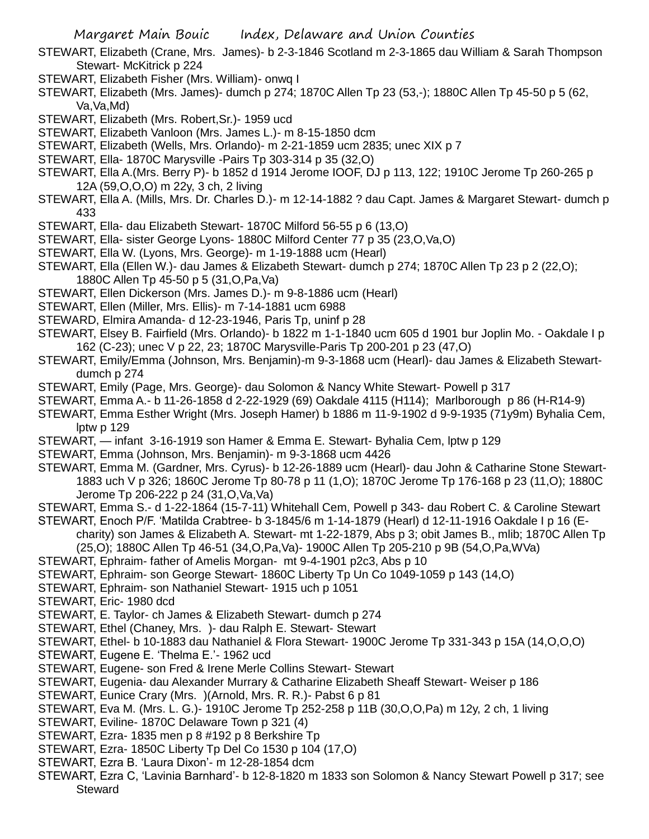- STEWART, Elizabeth (Crane, Mrs. James)- b 2-3-1846 Scotland m 2-3-1865 dau William & Sarah Thompson Stewart- McKitrick p 224
- STEWART, Elizabeth Fisher (Mrs. William)- onwq I
- STEWART, Elizabeth (Mrs. James)- dumch p 274; 1870C Allen Tp 23 (53,-); 1880C Allen Tp 45-50 p 5 (62, Va,Va,Md)
- STEWART, Elizabeth (Mrs. Robert,Sr.)- 1959 ucd
- STEWART, Elizabeth Vanloon (Mrs. James L.)- m 8-15-1850 dcm
- STEWART, Elizabeth (Wells, Mrs. Orlando)- m 2-21-1859 ucm 2835; unec XIX p 7
- STEWART, Ella- 1870C Marysville -Pairs Tp 303-314 p 35 (32,O)
- STEWART, Ella A.(Mrs. Berry P)- b 1852 d 1914 Jerome IOOF, DJ p 113, 122; 1910C Jerome Tp 260-265 p 12A (59,O,O,O) m 22y, 3 ch, 2 living
- STEWART, Ella A. (Mills, Mrs. Dr. Charles D.)- m 12-14-1882 ? dau Capt. James & Margaret Stewart- dumch p 433
- STEWART, Ella- dau Elizabeth Stewart- 1870C Milford 56-55 p 6 (13,O)
- STEWART, Ella- sister George Lyons- 1880C Milford Center 77 p 35 (23,O,Va,O)
- STEWART, Ella W. (Lyons, Mrs. George)- m 1-19-1888 ucm (Hearl)
- STEWART, Ella (Ellen W.)- dau James & Elizabeth Stewart- dumch p 274; 1870C Allen Tp 23 p 2 (22,O); 1880C Allen Tp 45-50 p 5 (31,O,Pa,Va)
- STEWART, Ellen Dickerson (Mrs. James D.)- m 9-8-1886 ucm (Hearl)
- STEWART, Ellen (Miller, Mrs. Ellis)- m 7-14-1881 ucm 6988
- STEWARD, Elmira Amanda- d 12-23-1946, Paris Tp, uninf p 28
- STEWART, Elsey B. Fairfield (Mrs. Orlando)- b 1822 m 1-1-1840 ucm 605 d 1901 bur Joplin Mo. Oakdale I p 162 (C-23); unec V p 22, 23; 1870C Marysville-Paris Tp 200-201 p 23 (47,O)
- STEWART, Emily/Emma (Johnson, Mrs. Benjamin)-m 9-3-1868 ucm (Hearl)- dau James & Elizabeth Stewartdumch p 274
- STEWART, Emily (Page, Mrs. George)- dau Solomon & Nancy White Stewart- Powell p 317
- STEWART, Emma A.- b 11-26-1858 d 2-22-1929 (69) Oakdale 4115 (H114); Marlborough p 86 (H-R14-9)
- STEWART, Emma Esther Wright (Mrs. Joseph Hamer) b 1886 m 11-9-1902 d 9-9-1935 (71y9m) Byhalia Cem, lptw p 129
- STEWART, infant 3-16-1919 son Hamer & Emma E. Stewart- Byhalia Cem, lptw p 129
- STEWART, Emma (Johnson, Mrs. Benjamin)- m 9-3-1868 ucm 4426
- STEWART, Emma M. (Gardner, Mrs. Cyrus)- b 12-26-1889 ucm (Hearl)- dau John & Catharine Stone Stewart-1883 uch V p 326; 1860C Jerome Tp 80-78 p 11 (1,O); 1870C Jerome Tp 176-168 p 23 (11,O); 1880C Jerome Tp 206-222 p 24 (31,O,Va,Va)
- STEWART, Emma S.- d 1-22-1864 (15-7-11) Whitehall Cem, Powell p 343- dau Robert C. & Caroline Stewart
- STEWART, Enoch P/F. 'Matilda Crabtree- b 3-1845/6 m 1-14-1879 (Hearl) d 12-11-1916 Oakdale I p 16 (Echarity) son James & Elizabeth A. Stewart- mt 1-22-1879, Abs p 3; obit James B., mlib; 1870C Allen Tp (25,O); 1880C Allen Tp 46-51 (34,O,Pa,Va)- 1900C Allen Tp 205-210 p 9B (54,O,Pa,WVa)
- STEWART, Ephraim- father of Amelis Morgan- mt 9-4-1901 p2c3, Abs p 10
- STEWART, Ephraim- son George Stewart- 1860C Liberty Tp Un Co 1049-1059 p 143 (14,O)
- STEWART, Ephraim- son Nathaniel Stewart- 1915 uch p 1051
- STEWART, Eric- 1980 dcd
- STEWART, E. Taylor- ch James & Elizabeth Stewart- dumch p 274
- STEWART, Ethel (Chaney, Mrs. )- dau Ralph E. Stewart- Stewart
- STEWART, Ethel- b 10-1883 dau Nathaniel & Flora Stewart- 1900C Jerome Tp 331-343 p 15A (14,O,O,O)
- STEWART, Eugene E. 'Thelma E.'- 1962 ucd
- STEWART, Eugene- son Fred & Irene Merle Collins Stewart- Stewart
- STEWART, Eugenia- dau Alexander Murrary & Catharine Elizabeth Sheaff Stewart- Weiser p 186
- STEWART, Eunice Crary (Mrs. )(Arnold, Mrs. R. R.)- Pabst 6 p 81
- STEWART, Eva M. (Mrs. L. G.)- 1910C Jerome Tp 252-258 p 11B (30,O,O,Pa) m 12y, 2 ch, 1 living
- STEWART, Eviline- 1870C Delaware Town p 321 (4)
- STEWART, Ezra- 1835 men p 8 #192 p 8 Berkshire Tp
- STEWART, Ezra- 1850C Liberty Tp Del Co 1530 p 104 (17,O)
- STEWART, Ezra B. 'Laura Dixon'- m 12-28-1854 dcm
- STEWART, Ezra C, 'Lavinia Barnhard'- b 12-8-1820 m 1833 son Solomon & Nancy Stewart Powell p 317; see **Steward**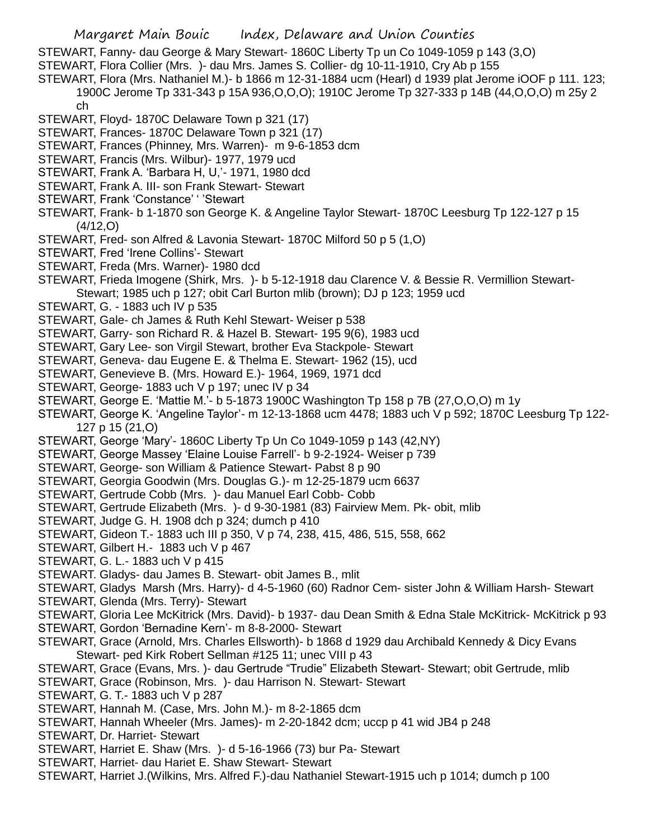STEWART, Fanny- dau George & Mary Stewart- 1860C Liberty Tp un Co 1049-1059 p 143 (3,O)

- STEWART, Flora Collier (Mrs. )- dau Mrs. James S. Collier- dg 10-11-1910, Cry Ab p 155
- STEWART, Flora (Mrs. Nathaniel M.)- b 1866 m 12-31-1884 ucm (Hearl) d 1939 plat Jerome iOOF p 111. 123; 1900C Jerome Tp 331-343 p 15A 936,O,O,O); 1910C Jerome Tp 327-333 p 14B (44,O,O,O) m 25y 2 ch
- STEWART, Floyd- 1870C Delaware Town p 321 (17)
- STEWART, Frances- 1870C Delaware Town p 321 (17)
- STEWART, Frances (Phinney, Mrs. Warren)- m 9-6-1853 dcm
- STEWART, Francis (Mrs. Wilbur)- 1977, 1979 ucd
- STEWART, Frank A. 'Barbara H, U,'- 1971, 1980 dcd
- STEWART, Frank A. III- son Frank Stewart- Stewart
- STEWART, Frank 'Constance' ' 'Stewart
- STEWART, Frank- b 1-1870 son George K. & Angeline Taylor Stewart- 1870C Leesburg Tp 122-127 p 15 (4/12,O)
- STEWART, Fred- son Alfred & Lavonia Stewart- 1870C Milford 50 p 5 (1,O)
- STEWART, Fred 'Irene Collins'- Stewart
- STEWART, Freda (Mrs. Warner)- 1980 dcd
- STEWART, Frieda Imogene (Shirk, Mrs. )- b 5-12-1918 dau Clarence V. & Bessie R. Vermillion Stewart-Stewart; 1985 uch p 127; obit Carl Burton mlib (brown); DJ p 123; 1959 ucd
- STEWART, G. 1883 uch IV p 535
- STEWART, Gale- ch James & Ruth Kehl Stewart- Weiser p 538
- STEWART, Garry- son Richard R. & Hazel B. Stewart- 195 9(6), 1983 ucd
- STEWART, Gary Lee- son Virgil Stewart, brother Eva Stackpole- Stewart
- STEWART, Geneva- dau Eugene E. & Thelma E. Stewart- 1962 (15), ucd
- STEWART, Genevieve B. (Mrs. Howard E.)- 1964, 1969, 1971 dcd
- STEWART, George- 1883 uch V p 197; unec IV p 34
- STEWART, George E. 'Mattie M.'- b 5-1873 1900C Washington Tp 158 p 7B (27,O,O,O) m 1y
- STEWART, George K. 'Angeline Taylor'- m 12-13-1868 ucm 4478; 1883 uch V p 592; 1870C Leesburg Tp 122- 127 p 15 (21,O)
- STEWART, George 'Mary'- 1860C Liberty Tp Un Co 1049-1059 p 143 (42,NY)
- STEWART, George Massey 'Elaine Louise Farrell'- b 9-2-1924- Weiser p 739
- STEWART, George- son William & Patience Stewart- Pabst 8 p 90
- STEWART, Georgia Goodwin (Mrs. Douglas G.)- m 12-25-1879 ucm 6637
- STEWART, Gertrude Cobb (Mrs. )- dau Manuel Earl Cobb- Cobb
- STEWART, Gertrude Elizabeth (Mrs. )- d 9-30-1981 (83) Fairview Mem. Pk- obit, mlib
- STEWART, Judge G. H. 1908 dch p 324; dumch p 410
- STEWART, Gideon T.- 1883 uch III p 350, V p 74, 238, 415, 486, 515, 558, 662
- STEWART, Gilbert H.- 1883 uch V p 467
- STEWART, G. L.- 1883 uch V p 415
- STEWART. Gladys- dau James B. Stewart- obit James B., mlit
- STEWART, Gladys Marsh (Mrs. Harry)- d 4-5-1960 (60) Radnor Cem- sister John & William Harsh- Stewart
- STEWART, Glenda (Mrs. Terry)- Stewart
- STEWART, Gloria Lee McKitrick (Mrs. David)- b 1937- dau Dean Smith & Edna Stale McKitrick- McKitrick p 93
- STEWART, Gordon 'Bernadine Kern'- m 8-8-2000- Stewart
- STEWART, Grace (Arnold, Mrs. Charles Ellsworth)- b 1868 d 1929 dau Archibald Kennedy & Dicy Evans Stewart- ped Kirk Robert Sellman #125 11; unec VIII p 43
- STEWART, Grace (Evans, Mrs. )- dau Gertrude "Trudie" Elizabeth Stewart- Stewart; obit Gertrude, mlib
- STEWART, Grace (Robinson, Mrs. )- dau Harrison N. Stewart- Stewart
- STEWART, G. T.- 1883 uch V p 287
- STEWART, Hannah M. (Case, Mrs. John M.)- m 8-2-1865 dcm
- STEWART, Hannah Wheeler (Mrs. James)- m 2-20-1842 dcm; uccp p 41 wid JB4 p 248
- STEWART, Dr. Harriet- Stewart
- STEWART, Harriet E. Shaw (Mrs. )- d 5-16-1966 (73) bur Pa- Stewart
- STEWART, Harriet- dau Hariet E. Shaw Stewart- Stewart
- STEWART, Harriet J.(Wilkins, Mrs. Alfred F.)-dau Nathaniel Stewart-1915 uch p 1014; dumch p 100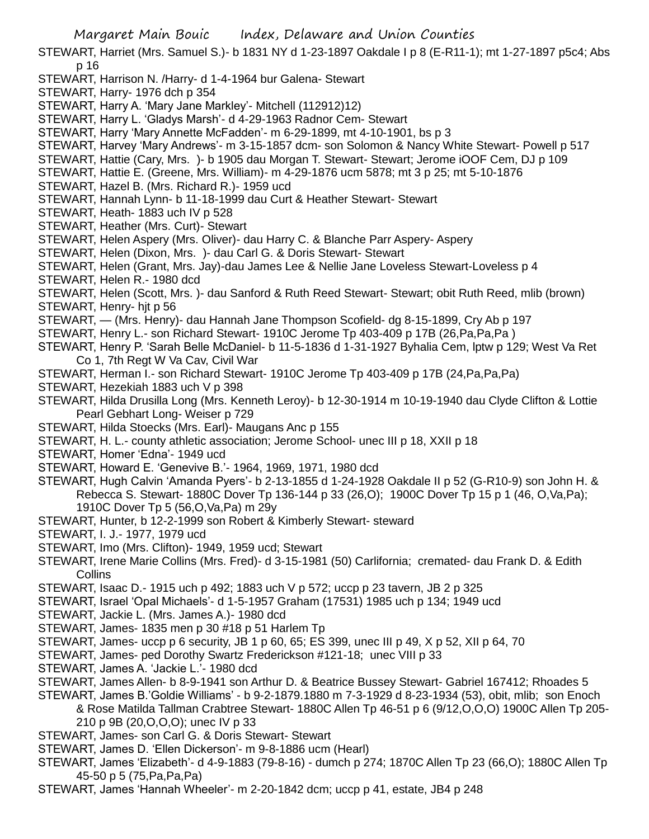- Margaret Main Bouic Index, Delaware and Union Counties STEWART, Harriet (Mrs. Samuel S.)- b 1831 NY d 1-23-1897 Oakdale I p 8 (E-R11-1); mt 1-27-1897 p5c4; Abs p 16 STEWART, Harrison N. /Harry- d 1-4-1964 bur Galena- Stewart STEWART, Harry- 1976 dch p 354 STEWART, Harry A. 'Mary Jane Markley'- Mitchell (112912)12) STEWART, Harry L. 'Gladys Marsh'- d 4-29-1963 Radnor Cem- Stewart STEWART, Harry 'Mary Annette McFadden'- m 6-29-1899, mt 4-10-1901, bs p 3 STEWART, Harvey 'Mary Andrews'- m 3-15-1857 dcm- son Solomon & Nancy White Stewart- Powell p 517 STEWART, Hattie (Cary, Mrs. )- b 1905 dau Morgan T. Stewart- Stewart; Jerome iOOF Cem, DJ p 109 STEWART, Hattie E. (Greene, Mrs. William)- m 4-29-1876 ucm 5878; mt 3 p 25; mt 5-10-1876 STEWART, Hazel B. (Mrs. Richard R.)- 1959 ucd STEWART, Hannah Lynn- b 11-18-1999 dau Curt & Heather Stewart- Stewart STEWART, Heath- 1883 uch IV p 528 STEWART, Heather (Mrs. Curt)- Stewart STEWART, Helen Aspery (Mrs. Oliver)- dau Harry C. & Blanche Parr Aspery- Aspery STEWART, Helen (Dixon, Mrs. )- dau Carl G. & Doris Stewart- Stewart STEWART, Helen (Grant, Mrs. Jay)-dau James Lee & Nellie Jane Loveless Stewart-Loveless p 4 STEWART, Helen R.- 1980 dcd STEWART, Helen (Scott, Mrs. )- dau Sanford & Ruth Reed Stewart- Stewart; obit Ruth Reed, mlib (brown) STEWART, Henry- hjt p 56 STEWART, — (Mrs. Henry)- dau Hannah Jane Thompson Scofield- dg 8-15-1899, Cry Ab p 197 STEWART, Henry L.- son Richard Stewart- 1910C Jerome Tp 403-409 p 17B (26,Pa,Pa,Pa ) STEWART, Henry P. 'Sarah Belle McDaniel- b 11-5-1836 d 1-31-1927 Byhalia Cem, lptw p 129; West Va Ret Co 1, 7th Regt W Va Cav, Civil War STEWART, Herman I.- son Richard Stewart- 1910C Jerome Tp 403-409 p 17B (24,Pa,Pa,Pa) STEWART, Hezekiah 1883 uch V p 398 STEWART, Hilda Drusilla Long (Mrs. Kenneth Leroy)- b 12-30-1914 m 10-19-1940 dau Clyde Clifton & Lottie Pearl Gebhart Long- Weiser p 729 STEWART, Hilda Stoecks (Mrs. Earl)- Maugans Anc p 155 STEWART, H. L.- county athletic association; Jerome School- unec III p 18, XXII p 18 STEWART, Homer 'Edna'- 1949 ucd STEWART, Howard E. 'Genevive B.'- 1964, 1969, 1971, 1980 dcd STEWART, Hugh Calvin 'Amanda Pyers'- b 2-13-1855 d 1-24-1928 Oakdale II p 52 (G-R10-9) son John H. & Rebecca S. Stewart- 1880C Dover Tp 136-144 p 33 (26,O); 1900C Dover Tp 15 p 1 (46, O,Va,Pa); 1910C Dover Tp 5 (56,O,Va,Pa) m 29y STEWART, Hunter, b 12-2-1999 son Robert & Kimberly Stewart- steward STEWART, I. J.- 1977, 1979 ucd STEWART, Imo (Mrs. Clifton)- 1949, 1959 ucd; Stewart STEWART, Irene Marie Collins (Mrs. Fred)- d 3-15-1981 (50) Carlifornia; cremated- dau Frank D. & Edith **Collins** STEWART, Isaac D.- 1915 uch p 492; 1883 uch V p 572; uccp p 23 tavern, JB 2 p 325 STEWART, Israel 'Opal Michaels'- d 1-5-1957 Graham (17531) 1985 uch p 134; 1949 ucd STEWART, Jackie L. (Mrs. James A.)- 1980 dcd STEWART, James- 1835 men p 30 #18 p 51 Harlem Tp STEWART, James- uccp p 6 security, JB 1 p 60, 65; ES 399, unec III p 49, X p 52, XII p 64, 70 STEWART, James- ped Dorothy Swartz Frederickson #121-18; unec VIII p 33 STEWART, James A. 'Jackie L.'- 1980 dcd STEWART, James Allen- b 8-9-1941 son Arthur D. & Beatrice Bussey Stewart- Gabriel 167412; Rhoades 5 STEWART, James B.'Goldie Williams' - b 9-2-1879.1880 m 7-3-1929 d 8-23-1934 (53), obit, mlib; son Enoch & Rose Matilda Tallman Crabtree Stewart- 1880C Allen Tp 46-51 p 6 (9/12,O,O,O) 1900C Allen Tp 205- 210 p 9B (20,O,O,O); unec IV p 33 STEWART, James- son Carl G. & Doris Stewart- Stewart STEWART, James D. 'Ellen Dickerson'- m 9-8-1886 ucm (Hearl) STEWART, James 'Elizabeth'- d 4-9-1883 (79-8-16) - dumch p 274; 1870C Allen Tp 23 (66,O); 1880C Allen Tp
- 45-50 p 5 (75,Pa,Pa,Pa)
- STEWART, James 'Hannah Wheeler'- m 2-20-1842 dcm; uccp p 41, estate, JB4 p 248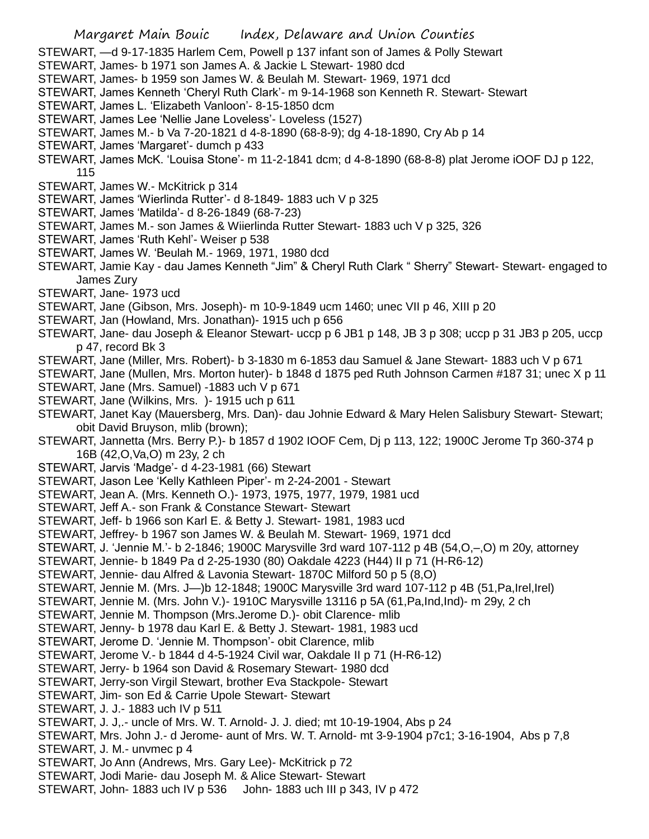STEWART, —d 9-17-1835 Harlem Cem, Powell p 137 infant son of James & Polly Stewart STEWART, James- b 1971 son James A. & Jackie L Stewart- 1980 dcd STEWART, James- b 1959 son James W. & Beulah M. Stewart- 1969, 1971 dcd STEWART, James Kenneth 'Cheryl Ruth Clark'- m 9-14-1968 son Kenneth R. Stewart- Stewart STEWART, James L. 'Elizabeth Vanloon'- 8-15-1850 dcm STEWART, James Lee 'Nellie Jane Loveless'- Loveless (1527) STEWART, James M.- b Va 7-20-1821 d 4-8-1890 (68-8-9); dg 4-18-1890, Cry Ab p 14 STEWART, James 'Margaret'- dumch p 433 STEWART, James McK. 'Louisa Stone'- m 11-2-1841 dcm; d 4-8-1890 (68-8-8) plat Jerome iOOF DJ p 122, 115 STEWART, James W.- McKitrick p 314 STEWART, James 'Wierlinda Rutter'- d 8-1849- 1883 uch V p 325 STEWART, James 'Matilda'- d 8-26-1849 (68-7-23) STEWART, James M.- son James & Wiierlinda Rutter Stewart- 1883 uch V p 325, 326 STEWART, James 'Ruth Kehl'- Weiser p 538 STEWART, James W. 'Beulah M.- 1969, 1971, 1980 dcd STEWART, Jamie Kay - dau James Kenneth "Jim" & Cheryl Ruth Clark " Sherry" Stewart- Stewart- engaged to James Zury STEWART, Jane- 1973 ucd STEWART, Jane (Gibson, Mrs. Joseph)- m 10-9-1849 ucm 1460; unec VII p 46, XIII p 20 STEWART, Jan (Howland, Mrs. Jonathan)- 1915 uch p 656 STEWART, Jane- dau Joseph & Eleanor Stewart- uccp p 6 JB1 p 148, JB 3 p 308; uccp p 31 JB3 p 205, uccp p 47, record Bk 3 STEWART, Jane (Miller, Mrs. Robert)- b 3-1830 m 6-1853 dau Samuel & Jane Stewart- 1883 uch V p 671 STEWART, Jane (Mullen, Mrs. Morton huter)- b 1848 d 1875 ped Ruth Johnson Carmen #187 31; unec X p 11 STEWART, Jane (Mrs. Samuel) -1883 uch V p 671 STEWART, Jane (Wilkins, Mrs. )- 1915 uch p 611 STEWART, Janet Kay (Mauersberg, Mrs. Dan)- dau Johnie Edward & Mary Helen Salisbury Stewart- Stewart; obit David Bruyson, mlib (brown); STEWART, Jannetta (Mrs. Berry P.)- b 1857 d 1902 IOOF Cem, Dj p 113, 122; 1900C Jerome Tp 360-374 p 16B (42,O,Va,O) m 23y, 2 ch STEWART, Jarvis 'Madge'- d 4-23-1981 (66) Stewart STEWART, Jason Lee 'Kelly Kathleen Piper'- m 2-24-2001 - Stewart STEWART, Jean A. (Mrs. Kenneth O.)- 1973, 1975, 1977, 1979, 1981 ucd STEWART, Jeff A.- son Frank & Constance Stewart- Stewart STEWART, Jeff- b 1966 son Karl E. & Betty J. Stewart- 1981, 1983 ucd STEWART, Jeffrey- b 1967 son James W. & Beulah M. Stewart- 1969, 1971 dcd STEWART, J. 'Jennie M.'- b 2-1846; 1900C Marysville 3rd ward 107-112 p 4B (54,O,–,O) m 20y, attorney STEWART, Jennie- b 1849 Pa d 2-25-1930 (80) Oakdale 4223 (H44) II p 71 (H-R6-12) STEWART, Jennie- dau Alfred & Lavonia Stewart- 1870C Milford 50 p 5 (8,O) STEWART, Jennie M. (Mrs. J—)b 12-1848; 1900C Marysville 3rd ward 107-112 p 4B (51,Pa,Irel,Irel) STEWART, Jennie M. (Mrs. John V.)- 1910C Marysville 13116 p 5A (61,Pa,Ind,Ind)- m 29y, 2 ch STEWART, Jennie M. Thompson (Mrs.Jerome D.)- obit Clarence- mlib STEWART, Jenny- b 1978 dau Karl E. & Betty J. Stewart- 1981, 1983 ucd STEWART, Jerome D. 'Jennie M. Thompson'- obit Clarence, mlib STEWART, Jerome V.- b 1844 d 4-5-1924 Civil war, Oakdale II p 71 (H-R6-12) STEWART, Jerry- b 1964 son David & Rosemary Stewart- 1980 dcd STEWART, Jerry-son Virgil Stewart, brother Eva Stackpole- Stewart STEWART, Jim- son Ed & Carrie Upole Stewart- Stewart STEWART, J. J.- 1883 uch IV p 511 STEWART, J. J,.- uncle of Mrs. W. T. Arnold- J. J. died; mt 10-19-1904, Abs p 24 STEWART, Mrs. John J.- d Jerome- aunt of Mrs. W. T. Arnold- mt 3-9-1904 p7c1; 3-16-1904, Abs p 7,8 STEWART, J. M.- unvmec p 4 STEWART, Jo Ann (Andrews, Mrs. Gary Lee)- McKitrick p 72 STEWART, Jodi Marie- dau Joseph M. & Alice Stewart- Stewart STEWART, John- 1883 uch IV p 536 John- 1883 uch III p 343, IV p 472

Margaret Main Bouic Index, Delaware and Union Counties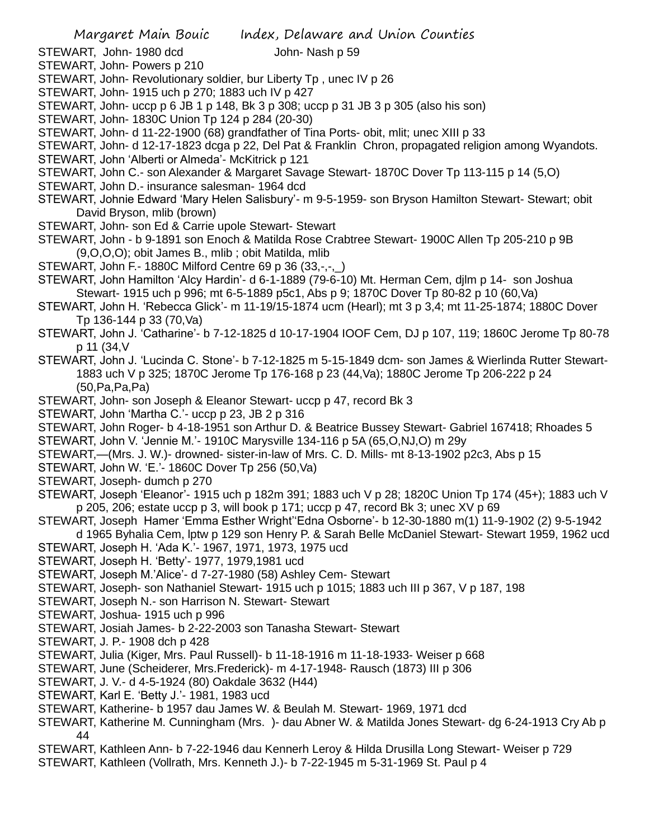STEWART, John- 1980 dcd John- Nash p 59

STEWART, John- Powers p 210

- STEWART, John- Revolutionary soldier, bur Liberty Tp, unec IV p 26
- STEWART, John- 1915 uch p 270; 1883 uch IV p 427
- STEWART, John- uccp p 6 JB 1 p 148, Bk 3 p 308; uccp p 31 JB 3 p 305 (also his son)
- STEWART, John- 1830C Union Tp 124 p 284 (20-30)
- STEWART, John- d 11-22-1900 (68) grandfather of Tina Ports- obit, mlit; unec XIII p 33
- STEWART, John- d 12-17-1823 dcga p 22, Del Pat & Franklin Chron, propagated religion among Wyandots.
- STEWART, John 'Alberti or Almeda'- McKitrick p 121
- STEWART, John C.- son Alexander & Margaret Savage Stewart- 1870C Dover Tp 113-115 p 14 (5,O)
- STEWART, John D.- insurance salesman- 1964 dcd
- STEWART, Johnie Edward 'Mary Helen Salisbury'- m 9-5-1959- son Bryson Hamilton Stewart- Stewart; obit David Bryson, mlib (brown)
- STEWART, John- son Ed & Carrie upole Stewart- Stewart
- STEWART, John b 9-1891 son Enoch & Matilda Rose Crabtree Stewart- 1900C Allen Tp 205-210 p 9B (9,O,O,O); obit James B., mlib ; obit Matilda, mlib
- STEWART, John F.- 1880C Milford Centre 69 p 36 (33,-,-,\_)
- STEWART, John Hamilton 'Alcy Hardin'- d 6-1-1889 (79-6-10) Mt. Herman Cem, djlm p 14- son Joshua Stewart- 1915 uch p 996; mt 6-5-1889 p5c1, Abs p 9; 1870C Dover Tp 80-82 p 10 (60,Va)
- STEWART, John H. 'Rebecca Glick'- m 11-19/15-1874 ucm (Hearl); mt 3 p 3,4; mt 11-25-1874; 1880C Dover Tp 136-144 p 33 (70,Va)
- STEWART, John J. 'Catharine'- b 7-12-1825 d 10-17-1904 IOOF Cem, DJ p 107, 119; 1860C Jerome Tp 80-78 p 11 (34,V
- STEWART, John J. 'Lucinda C. Stone'- b 7-12-1825 m 5-15-1849 dcm- son James & Wierlinda Rutter Stewart-1883 uch V p 325; 1870C Jerome Tp 176-168 p 23 (44,Va); 1880C Jerome Tp 206-222 p 24 (50,Pa,Pa,Pa)
- STEWART, John- son Joseph & Eleanor Stewart- uccp p 47, record Bk 3
- STEWART, John 'Martha C.'- uccp p 23, JB 2 p 316
- STEWART, John Roger- b 4-18-1951 son Arthur D. & Beatrice Bussey Stewart- Gabriel 167418; Rhoades 5 STEWART, John V. 'Jennie M.'- 1910C Marysville 134-116 p 5A (65,O,NJ,O) m 29y
- STEWART,—(Mrs. J. W.)- drowned- sister-in-law of Mrs. C. D. Mills- mt 8-13-1902 p2c3, Abs p 15
- STEWART, John W. 'E.'- 1860C Dover Tp 256 (50,Va)
- STEWART, Joseph- dumch p 270
- STEWART, Joseph 'Eleanor'- 1915 uch p 182m 391; 1883 uch V p 28; 1820C Union Tp 174 (45+); 1883 uch V p 205, 206; estate uccp p 3, will book p 171; uccp p 47, record Bk 3; unec XV p 69
- STEWART, Joseph Hamer 'Emma Esther Wright''Edna Osborne'- b 12-30-1880 m(1) 11-9-1902 (2) 9-5-1942
- d 1965 Byhalia Cem, lptw p 129 son Henry P. & Sarah Belle McDaniel Stewart- Stewart 1959, 1962 ucd STEWART, Joseph H. 'Ada K.'- 1967, 1971, 1973, 1975 ucd
- STEWART, Joseph H. 'Betty'- 1977, 1979,1981 ucd
- STEWART, Joseph M.'Alice'- d 7-27-1980 (58) Ashley Cem- Stewart
- STEWART, Joseph- son Nathaniel Stewart- 1915 uch p 1015; 1883 uch III p 367, V p 187, 198
- STEWART, Joseph N.- son Harrison N. Stewart- Stewart
- STEWART, Joshua- 1915 uch p 996
- STEWART, Josiah James- b 2-22-2003 son Tanasha Stewart- Stewart
- STEWART, J. P.- 1908 dch p 428
- STEWART, Julia (Kiger, Mrs. Paul Russell)- b 11-18-1916 m 11-18-1933- Weiser p 668
- STEWART, June (Scheiderer, Mrs.Frederick)- m 4-17-1948- Rausch (1873) III p 306
- STEWART, J. V.- d 4-5-1924 (80) Oakdale 3632 (H44)
- STEWART, Karl E. 'Betty J.'- 1981, 1983 ucd
- STEWART, Katherine- b 1957 dau James W. & Beulah M. Stewart- 1969, 1971 dcd
- STEWART, Katherine M. Cunningham (Mrs. )- dau Abner W. & Matilda Jones Stewart- dg 6-24-1913 Cry Ab p 44
- STEWART, Kathleen Ann- b 7-22-1946 dau Kennerh Leroy & Hilda Drusilla Long Stewart- Weiser p 729
- STEWART, Kathleen (Vollrath, Mrs. Kenneth J.)- b 7-22-1945 m 5-31-1969 St. Paul p 4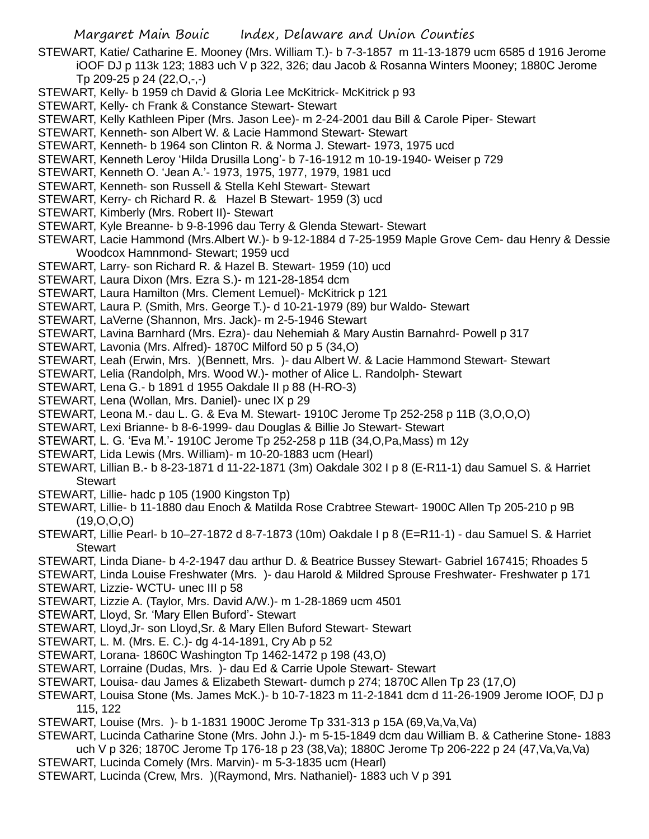- STEWART, Katie/ Catharine E. Mooney (Mrs. William T.)- b 7-3-1857 m 11-13-1879 ucm 6585 d 1916 Jerome iOOF DJ p 113k 123; 1883 uch V p 322, 326; dau Jacob & Rosanna Winters Mooney; 1880C Jerome Tp 209-25 p 24 (22,O,-,-)
- STEWART, Kelly- b 1959 ch David & Gloria Lee McKitrick- McKitrick p 93
- STEWART, Kelly- ch Frank & Constance Stewart- Stewart
- STEWART, Kelly Kathleen Piper (Mrs. Jason Lee)- m 2-24-2001 dau Bill & Carole Piper- Stewart
- STEWART, Kenneth- son Albert W. & Lacie Hammond Stewart- Stewart
- STEWART, Kenneth- b 1964 son Clinton R. & Norma J. Stewart- 1973, 1975 ucd
- STEWART, Kenneth Leroy 'Hilda Drusilla Long'- b 7-16-1912 m 10-19-1940- Weiser p 729
- STEWART, Kenneth O. 'Jean A.'- 1973, 1975, 1977, 1979, 1981 ucd
- STEWART, Kenneth- son Russell & Stella Kehl Stewart- Stewart
- STEWART, Kerry- ch Richard R. & Hazel B Stewart- 1959 (3) ucd
- STEWART, Kimberly (Mrs. Robert II)- Stewart
- STEWART, Kyle Breanne- b 9-8-1996 dau Terry & Glenda Stewart- Stewart
- STEWART, Lacie Hammond (Mrs.Albert W.)- b 9-12-1884 d 7-25-1959 Maple Grove Cem- dau Henry & Dessie Woodcox Hamnmond- Stewart; 1959 ucd
- STEWART, Larry- son Richard R. & Hazel B. Stewart- 1959 (10) ucd
- STEWART, Laura Dixon (Mrs. Ezra S.)- m 121-28-1854 dcm
- STEWART, Laura Hamilton (Mrs. Clement Lemuel)- McKitrick p 121
- STEWART, Laura P. (Smith, Mrs. George T.)- d 10-21-1979 (89) bur Waldo- Stewart
- STEWART, LaVerne (Shannon, Mrs. Jack)- m 2-5-1946 Stewart
- STEWART, Lavina Barnhard (Mrs. Ezra)- dau Nehemiah & Mary Austin Barnahrd- Powell p 317
- STEWART, Lavonia (Mrs. Alfred)- 1870C Milford 50 p 5 (34,O)
- STEWART, Leah (Erwin, Mrs. )(Bennett, Mrs. )- dau Albert W. & Lacie Hammond Stewart- Stewart
- STEWART, Lelia (Randolph, Mrs. Wood W.)- mother of Alice L. Randolph- Stewart
- STEWART, Lena G.- b 1891 d 1955 Oakdale II p 88 (H-RO-3)
- STEWART, Lena (Wollan, Mrs. Daniel)- unec IX p 29
- STEWART, Leona M.- dau L. G. & Eva M. Stewart- 1910C Jerome Tp 252-258 p 11B (3,O,O,O)
- STEWART, Lexi Brianne- b 8-6-1999- dau Douglas & Billie Jo Stewart- Stewart
- STEWART, L. G. 'Eva M.'- 1910C Jerome Tp 252-258 p 11B (34,O,Pa,Mass) m 12y
- STEWART, Lida Lewis (Mrs. William)- m 10-20-1883 ucm (Hearl)
- STEWART, Lillian B.- b 8-23-1871 d 11-22-1871 (3m) Oakdale 302 I p 8 (E-R11-1) dau Samuel S. & Harriet **Stewart**
- STEWART, Lillie- hadc p 105 (1900 Kingston Tp)
- STEWART, Lillie- b 11-1880 dau Enoch & Matilda Rose Crabtree Stewart- 1900C Allen Tp 205-210 p 9B (19,O,O,O)
- STEWART, Lillie Pearl- b 10–27-1872 d 8-7-1873 (10m) Oakdale I p 8 (E=R11-1) dau Samuel S. & Harriet **Stewart**
- STEWART, Linda Diane- b 4-2-1947 dau arthur D. & Beatrice Bussey Stewart- Gabriel 167415; Rhoades 5
- STEWART, Linda Louise Freshwater (Mrs. )- dau Harold & Mildred Sprouse Freshwater- Freshwater p 171 STEWART, Lizzie- WCTU- unec III p 58
- STEWART, Lizzie A. (Taylor, Mrs. David A/W.)- m 1-28-1869 ucm 4501
- STEWART, Lloyd, Sr. 'Mary Ellen Buford'- Stewart
- STEWART, Lloyd,Jr- son Lloyd,Sr. & Mary Ellen Buford Stewart- Stewart
- STEWART, L. M. (Mrs. E. C.)- dg 4-14-1891, Cry Ab p 52
- STEWART, Lorana- 1860C Washington Tp 1462-1472 p 198 (43,O)
- STEWART, Lorraine (Dudas, Mrs. )- dau Ed & Carrie Upole Stewart- Stewart
- STEWART, Louisa- dau James & Elizabeth Stewart- dumch p 274; 1870C Allen Tp 23 (17,O)
- STEWART, Louisa Stone (Ms. James McK.)- b 10-7-1823 m 11-2-1841 dcm d 11-26-1909 Jerome IOOF, DJ p 115, 122
- STEWART, Louise (Mrs. )- b 1-1831 1900C Jerome Tp 331-313 p 15A (69,Va,Va,Va)
- STEWART, Lucinda Catharine Stone (Mrs. John J.)- m 5-15-1849 dcm dau William B. & Catherine Stone- 1883 uch V p 326; 1870C Jerome Tp 176-18 p 23 (38,Va); 1880C Jerome Tp 206-222 p 24 (47,Va,Va,Va)
- STEWART, Lucinda Comely (Mrs. Marvin)- m 5-3-1835 ucm (Hearl)
- STEWART, Lucinda (Crew, Mrs. )(Raymond, Mrs. Nathaniel)- 1883 uch V p 391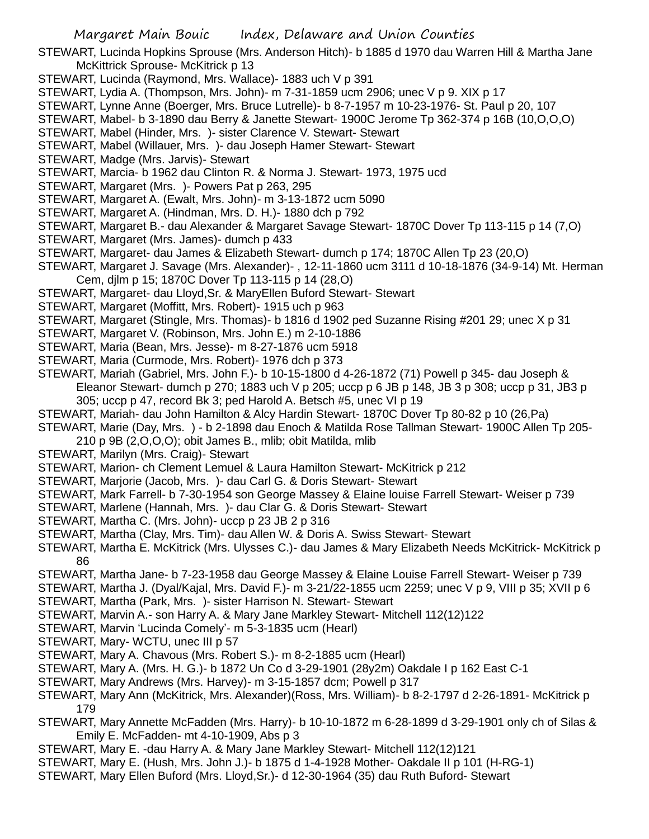- STEWART, Lucinda Hopkins Sprouse (Mrs. Anderson Hitch)- b 1885 d 1970 dau Warren Hill & Martha Jane McKittrick Sprouse- McKitrick p 13
- STEWART, Lucinda (Raymond, Mrs. Wallace)- 1883 uch V p 391
- STEWART, Lydia A. (Thompson, Mrs. John)- m 7-31-1859 ucm 2906; unec V p 9. XIX p 17
- STEWART, Lynne Anne (Boerger, Mrs. Bruce Lutrelle)- b 8-7-1957 m 10-23-1976- St. Paul p 20, 107
- STEWART, Mabel- b 3-1890 dau Berry & Janette Stewart- 1900C Jerome Tp 362-374 p 16B (10,O,O,O)
- STEWART, Mabel (Hinder, Mrs. )- sister Clarence V. Stewart- Stewart
- STEWART, Mabel (Willauer, Mrs. )- dau Joseph Hamer Stewart- Stewart
- STEWART, Madge (Mrs. Jarvis)- Stewart
- STEWART, Marcia- b 1962 dau Clinton R. & Norma J. Stewart- 1973, 1975 ucd
- STEWART, Margaret (Mrs. )- Powers Pat p 263, 295
- STEWART, Margaret A. (Ewalt, Mrs. John)- m 3-13-1872 ucm 5090
- STEWART, Margaret A. (Hindman, Mrs. D. H.)- 1880 dch p 792
- STEWART, Margaret B.- dau Alexander & Margaret Savage Stewart- 1870C Dover Tp 113-115 p 14 (7,O)
- STEWART, Margaret (Mrs. James)- dumch p 433
- STEWART, Margaret- dau James & Elizabeth Stewart- dumch p 174; 1870C Allen Tp 23 (20,O)
- STEWART, Margaret J. Savage (Mrs. Alexander)- , 12-11-1860 ucm 3111 d 10-18-1876 (34-9-14) Mt. Herman Cem, djlm p 15; 1870C Dover Tp 113-115 p 14 (28,O)
- STEWART, Margaret- dau Lloyd,Sr. & MaryEllen Buford Stewart- Stewart
- STEWART, Margaret (Moffitt, Mrs. Robert)- 1915 uch p 963
- STEWART, Margaret (Stingle, Mrs. Thomas)- b 1816 d 1902 ped Suzanne Rising #201 29; unec X p 31
- STEWART, Margaret V. (Robinson, Mrs. John E.) m 2-10-1886
- STEWART, Maria (Bean, Mrs. Jesse)- m 8-27-1876 ucm 5918
- STEWART, Maria (Curmode, Mrs. Robert)- 1976 dch p 373
- STEWART, Mariah (Gabriel, Mrs. John F.)- b 10-15-1800 d 4-26-1872 (71) Powell p 345- dau Joseph & Eleanor Stewart- dumch p 270; 1883 uch V p 205; uccp p 6 JB p 148, JB 3 p 308; uccp p 31, JB3 p 305; uccp p 47, record Bk 3; ped Harold A. Betsch #5, unec VI p 19
- STEWART, Mariah- dau John Hamilton & Alcy Hardin Stewart- 1870C Dover Tp 80-82 p 10 (26,Pa)
- STEWART, Marie (Day, Mrs. ) b 2-1898 dau Enoch & Matilda Rose Tallman Stewart- 1900C Allen Tp 205- 210 p 9B (2,O,O,O); obit James B., mlib; obit Matilda, mlib
- STEWART, Marilyn (Mrs. Craig)- Stewart
- STEWART, Marion- ch Clement Lemuel & Laura Hamilton Stewart- McKitrick p 212
- STEWART, Marjorie (Jacob, Mrs. )- dau Carl G. & Doris Stewart- Stewart
- STEWART, Mark Farrell- b 7-30-1954 son George Massey & Elaine louise Farrell Stewart- Weiser p 739
- STEWART, Marlene (Hannah, Mrs. )- dau Clar G. & Doris Stewart- Stewart
- STEWART, Martha C. (Mrs. John)- uccp p 23 JB 2 p 316
- STEWART, Martha (Clay, Mrs. Tim)- dau Allen W. & Doris A. Swiss Stewart- Stewart
- STEWART, Martha E. McKitrick (Mrs. Ulysses C.)- dau James & Mary Elizabeth Needs McKitrick- McKitrick p 86
- STEWART, Martha Jane- b 7-23-1958 dau George Massey & Elaine Louise Farrell Stewart- Weiser p 739
- STEWART, Martha J. (Dyal/Kajal, Mrs. David F.)- m 3-21/22-1855 ucm 2259; unec V p 9, VIII p 35; XVII p 6 STEWART, Martha (Park, Mrs. )- sister Harrison N. Stewart- Stewart
- STEWART, Marvin A.- son Harry A. & Mary Jane Markley Stewart- Mitchell 112(12)122
- STEWART, Marvin 'Lucinda Comely'- m 5-3-1835 ucm (Hearl)
- STEWART, Mary- WCTU, unec III p 57
- STEWART, Mary A. Chavous (Mrs. Robert S.)- m 8-2-1885 ucm (Hearl)
- STEWART, Mary A. (Mrs. H. G.)- b 1872 Un Co d 3-29-1901 (28y2m) Oakdale I p 162 East C-1
- STEWART, Mary Andrews (Mrs. Harvey)- m 3-15-1857 dcm; Powell p 317
- STEWART, Mary Ann (McKitrick, Mrs. Alexander)(Ross, Mrs. William)- b 8-2-1797 d 2-26-1891- McKitrick p 179
- STEWART, Mary Annette McFadden (Mrs. Harry)- b 10-10-1872 m 6-28-1899 d 3-29-1901 only ch of Silas & Emily E. McFadden- mt 4-10-1909, Abs p 3
- STEWART, Mary E. -dau Harry A. & Mary Jane Markley Stewart- Mitchell 112(12)121
- STEWART, Mary E. (Hush, Mrs. John J.)- b 1875 d 1-4-1928 Mother- Oakdale II p 101 (H-RG-1)
- STEWART, Mary Ellen Buford (Mrs. Lloyd,Sr.)- d 12-30-1964 (35) dau Ruth Buford- Stewart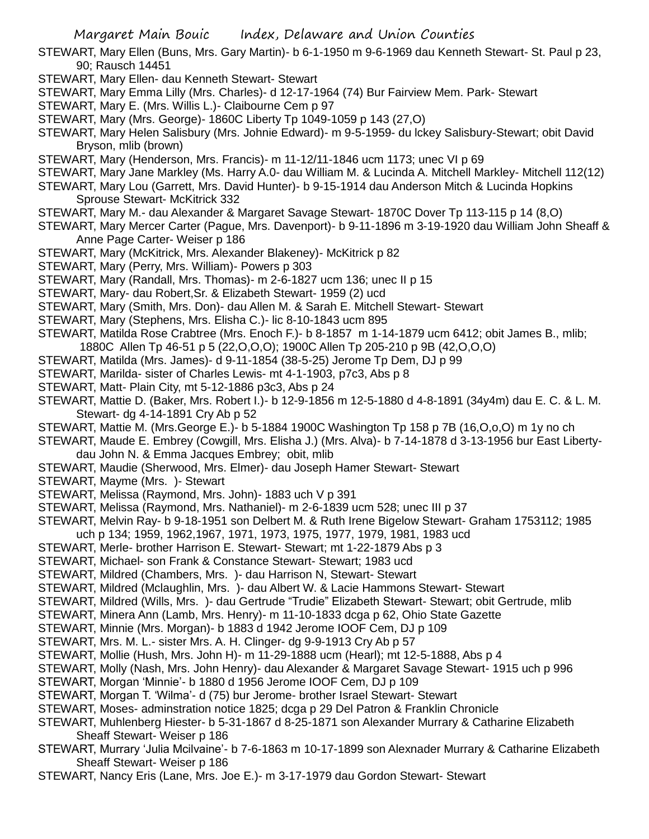- STEWART, Mary Ellen (Buns, Mrs. Gary Martin)- b 6-1-1950 m 9-6-1969 dau Kenneth Stewart- St. Paul p 23, 90; Rausch 14451
- STEWART, Mary Ellen- dau Kenneth Stewart- Stewart
- STEWART, Mary Emma Lilly (Mrs. Charles)- d 12-17-1964 (74) Bur Fairview Mem. Park- Stewart
- STEWART, Mary E. (Mrs. Willis L.)- Claibourne Cem p 97
- STEWART, Mary (Mrs. George)- 1860C Liberty Tp 1049-1059 p 143 (27,O)
- STEWART, Mary Helen Salisbury (Mrs. Johnie Edward)- m 9-5-1959- du lckey Salisbury-Stewart; obit David Bryson, mlib (brown)
- STEWART, Mary (Henderson, Mrs. Francis)- m 11-12/11-1846 ucm 1173; unec VI p 69
- STEWART, Mary Jane Markley (Ms. Harry A.0- dau William M. & Lucinda A. Mitchell Markley- Mitchell 112(12)
- STEWART, Mary Lou (Garrett, Mrs. David Hunter)- b 9-15-1914 dau Anderson Mitch & Lucinda Hopkins Sprouse Stewart- McKitrick 332
- STEWART, Mary M.- dau Alexander & Margaret Savage Stewart- 1870C Dover Tp 113-115 p 14 (8,O)
- STEWART, Mary Mercer Carter (Pague, Mrs. Davenport)- b 9-11-1896 m 3-19-1920 dau William John Sheaff & Anne Page Carter- Weiser p 186
- STEWART, Mary (McKitrick, Mrs. Alexander Blakeney)- McKitrick p 82
- STEWART, Mary (Perry, Mrs. William)- Powers p 303
- STEWART, Mary (Randall, Mrs. Thomas)- m 2-6-1827 ucm 136; unec II p 15
- STEWART, Mary- dau Robert,Sr. & Elizabeth Stewart- 1959 (2) ucd
- STEWART, Mary (Smith, Mrs. Don)- dau Allen M. & Sarah E. Mitchell Stewart- Stewart
- STEWART, Mary (Stephens, Mrs. Elisha C.)- lic 8-10-1843 ucm 895
- STEWART, Matilda Rose Crabtree (Mrs. Enoch F.)- b 8-1857 m 1-14-1879 ucm 6412; obit James B., mlib;
- 1880C Allen Tp 46-51 p 5 (22,O,O,O); 1900C Allen Tp 205-210 p 9B (42,O,O,O)
- STEWART, Matilda (Mrs. James)- d 9-11-1854 (38-5-25) Jerome Tp Dem, DJ p 99
- STEWART, Marilda- sister of Charles Lewis- mt 4-1-1903, p7c3, Abs p 8
- STEWART, Matt- Plain City, mt 5-12-1886 p3c3, Abs p 24
- STEWART, Mattie D. (Baker, Mrs. Robert I.)- b 12-9-1856 m 12-5-1880 d 4-8-1891 (34y4m) dau E. C. & L. M. Stewart- dg 4-14-1891 Cry Ab p 52
- STEWART, Mattie M. (Mrs.George E.)- b 5-1884 1900C Washington Tp 158 p 7B (16,O,o,O) m 1y no ch
- STEWART, Maude E. Embrey (Cowgill, Mrs. Elisha J.) (Mrs. Alva)- b 7-14-1878 d 3-13-1956 bur East Libertydau John N. & Emma Jacques Embrey; obit, mlib
- STEWART, Maudie (Sherwood, Mrs. Elmer)- dau Joseph Hamer Stewart- Stewart
- STEWART, Mayme (Mrs. )- Stewart
- STEWART, Melissa (Raymond, Mrs. John)- 1883 uch V p 391
- STEWART, Melissa (Raymond, Mrs. Nathaniel)- m 2-6-1839 ucm 528; unec III p 37
- STEWART, Melvin Ray- b 9-18-1951 son Delbert M. & Ruth Irene Bigelow Stewart- Graham 1753112; 1985 uch p 134; 1959, 1962,1967, 1971, 1973, 1975, 1977, 1979, 1981, 1983 ucd
- STEWART, Merle- brother Harrison E. Stewart- Stewart; mt 1-22-1879 Abs p 3
- STEWART, Michael- son Frank & Constance Stewart- Stewart; 1983 ucd
- 
- STEWART, Mildred (Chambers, Mrs. )- dau Harrison N, Stewart- Stewart
- STEWART, Mildred (Mclaughlin, Mrs. )- dau Albert W. & Lacie Hammons Stewart- Stewart
- STEWART, Mildred (Wills, Mrs. )- dau Gertrude "Trudie" Elizabeth Stewart- Stewart; obit Gertrude, mlib
- STEWART, Minera Ann (Lamb, Mrs. Henry)- m 11-10-1833 dcga p 62, Ohio State Gazette
- STEWART, Minnie (Mrs. Morgan)- b 1883 d 1942 Jerome IOOF Cem, DJ p 109
- STEWART, Mrs. M. L.- sister Mrs. A. H. Clinger- dg 9-9-1913 Cry Ab p 57
- STEWART, Mollie (Hush, Mrs. John H)- m 11-29-1888 ucm (Hearl); mt 12-5-1888, Abs p 4
- STEWART, Molly (Nash, Mrs. John Henry)- dau Alexander & Margaret Savage Stewart- 1915 uch p 996
- STEWART, Morgan 'Minnie'- b 1880 d 1956 Jerome IOOF Cem, DJ p 109
- STEWART, Morgan T. 'Wilma'- d (75) bur Jerome- brother Israel Stewart- Stewart
- STEWART, Moses- adminstration notice 1825; dcga p 29 Del Patron & Franklin Chronicle
- STEWART, Muhlenberg Hiester- b 5-31-1867 d 8-25-1871 son Alexander Murrary & Catharine Elizabeth Sheaff Stewart- Weiser p 186
- STEWART, Murrary 'Julia Mcilvaine'- b 7-6-1863 m 10-17-1899 son Alexnader Murrary & Catharine Elizabeth Sheaff Stewart- Weiser p 186
- STEWART, Nancy Eris (Lane, Mrs. Joe E.)- m 3-17-1979 dau Gordon Stewart- Stewart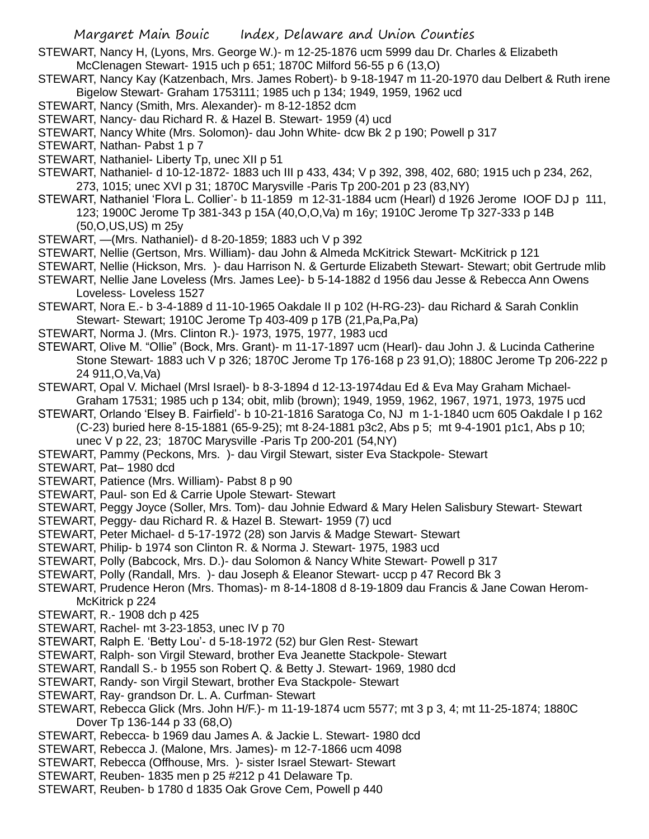STEWART, Nancy H, (Lyons, Mrs. George W.)- m 12-25-1876 ucm 5999 dau Dr. Charles & Elizabeth McClenagen Stewart- 1915 uch p 651; 1870C Milford 56-55 p 6 (13,O)

- STEWART, Nancy Kay (Katzenbach, Mrs. James Robert)- b 9-18-1947 m 11-20-1970 dau Delbert & Ruth irene Bigelow Stewart- Graham 1753111; 1985 uch p 134; 1949, 1959, 1962 ucd
- STEWART, Nancy (Smith, Mrs. Alexander)- m 8-12-1852 dcm
- STEWART, Nancy- dau Richard R. & Hazel B. Stewart- 1959 (4) ucd
- STEWART, Nancy White (Mrs. Solomon)- dau John White- dcw Bk 2 p 190; Powell p 317
- STEWART, Nathan- Pabst 1 p 7
- STEWART, Nathaniel- Liberty Tp, unec XII p 51
- STEWART, Nathaniel- d 10-12-1872- 1883 uch III p 433, 434; V p 392, 398, 402, 680; 1915 uch p 234, 262, 273, 1015; unec XVI p 31; 1870C Marysville -Paris Tp 200-201 p 23 (83,NY)
- STEWART, Nathaniel 'Flora L. Collier'- b 11-1859 m 12-31-1884 ucm (Hearl) d 1926 Jerome IOOF DJ p 111, 123; 1900C Jerome Tp 381-343 p 15A (40,O,O,Va) m 16y; 1910C Jerome Tp 327-333 p 14B (50,O,US,US) m 25y
- STEWART, —(Mrs. Nathaniel)- d 8-20-1859; 1883 uch V p 392
- STEWART, Nellie (Gertson, Mrs. William)- dau John & Almeda McKitrick Stewart- McKitrick p 121
- STEWART, Nellie (Hickson, Mrs. )- dau Harrison N. & Gerturde Elizabeth Stewart- Stewart; obit Gertrude mlib
- STEWART, Nellie Jane Loveless (Mrs. James Lee)- b 5-14-1882 d 1956 dau Jesse & Rebecca Ann Owens Loveless- Loveless 1527
- STEWART, Nora E.- b 3-4-1889 d 11-10-1965 Oakdale II p 102 (H-RG-23)- dau Richard & Sarah Conklin Stewart- Stewart; 1910C Jerome Tp 403-409 p 17B (21,Pa,Pa,Pa)
- STEWART, Norma J. (Mrs. Clinton R.)- 1973, 1975, 1977, 1983 ucd
- STEWART, Olive M. "Ollie" (Bock, Mrs. Grant)- m 11-17-1897 ucm (Hearl)- dau John J. & Lucinda Catherine Stone Stewart- 1883 uch V p 326; 1870C Jerome Tp 176-168 p 23 91,O); 1880C Jerome Tp 206-222 p 24 911,O,Va,Va)
- STEWART, Opal V. Michael (Mrsl Israel)- b 8-3-1894 d 12-13-1974dau Ed & Eva May Graham Michael-Graham 17531; 1985 uch p 134; obit, mlib (brown); 1949, 1959, 1962, 1967, 1971, 1973, 1975 ucd
- STEWART, Orlando 'Elsey B. Fairfield'- b 10-21-1816 Saratoga Co, NJ m 1-1-1840 ucm 605 Oakdale I p 162 (C-23) buried here 8-15-1881 (65-9-25); mt 8-24-1881 p3c2, Abs p 5; mt 9-4-1901 p1c1, Abs p 10; unec V p 22, 23; 1870C Marysville -Paris Tp 200-201 (54,NY)
- STEWART, Pammy (Peckons, Mrs. )- dau Virgil Stewart, sister Eva Stackpole- Stewart
- STEWART, Pat– 1980 dcd
- STEWART, Patience (Mrs. William)- Pabst 8 p 90
- STEWART, Paul- son Ed & Carrie Upole Stewart- Stewart
- STEWART, Peggy Joyce (Soller, Mrs. Tom)- dau Johnie Edward & Mary Helen Salisbury Stewart- Stewart
- STEWART, Peggy- dau Richard R. & Hazel B. Stewart- 1959 (7) ucd
- STEWART, Peter Michael- d 5-17-1972 (28) son Jarvis & Madge Stewart- Stewart
- STEWART, Philip- b 1974 son Clinton R. & Norma J. Stewart- 1975, 1983 ucd
- STEWART, Polly (Babcock, Mrs. D.)- dau Solomon & Nancy White Stewart- Powell p 317
- STEWART, Polly (Randall, Mrs. )- dau Joseph & Eleanor Stewart- uccp p 47 Record Bk 3
- STEWART, Prudence Heron (Mrs. Thomas)- m 8-14-1808 d 8-19-1809 dau Francis & Jane Cowan Herom-McKitrick p 224
- STEWART, R.- 1908 dch p 425
- STEWART, Rachel- mt 3-23-1853, unec IV p 70
- STEWART, Ralph E. 'Betty Lou'- d 5-18-1972 (52) bur Glen Rest- Stewart
- STEWART, Ralph- son Virgil Steward, brother Eva Jeanette Stackpole- Stewart
- STEWART, Randall S.- b 1955 son Robert Q. & Betty J. Stewart- 1969, 1980 dcd
- STEWART, Randy- son Virgil Stewart, brother Eva Stackpole- Stewart
- STEWART, Ray- grandson Dr. L. A. Curfman- Stewart
- STEWART, Rebecca Glick (Mrs. John H/F.)- m 11-19-1874 ucm 5577; mt 3 p 3, 4; mt 11-25-1874; 1880C Dover Tp 136-144 p 33 (68,O)
- STEWART, Rebecca- b 1969 dau James A. & Jackie L. Stewart- 1980 dcd
- STEWART, Rebecca J. (Malone, Mrs. James)- m 12-7-1866 ucm 4098
- STEWART, Rebecca (Offhouse, Mrs. )- sister Israel Stewart- Stewart
- STEWART, Reuben- 1835 men p 25 #212 p 41 Delaware Tp.
- STEWART, Reuben- b 1780 d 1835 Oak Grove Cem, Powell p 440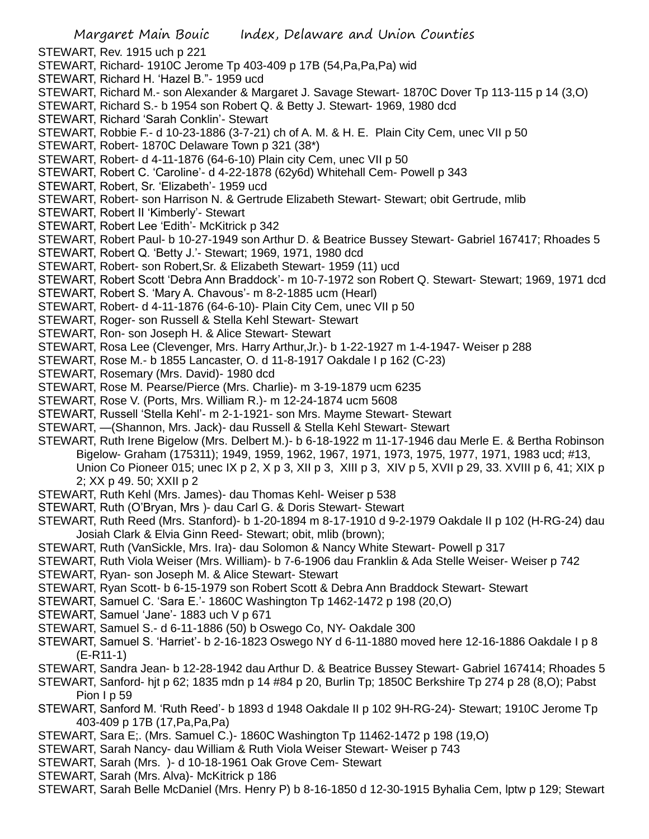STEWART, Rev. 1915 uch p 221

- STEWART, Richard- 1910C Jerome Tp 403-409 p 17B (54,Pa,Pa,Pa) wid
- STEWART, Richard H. 'Hazel B."- 1959 ucd
- STEWART, Richard M.- son Alexander & Margaret J. Savage Stewart- 1870C Dover Tp 113-115 p 14 (3,O)
- STEWART, Richard S.- b 1954 son Robert Q. & Betty J. Stewart- 1969, 1980 dcd
- STEWART, Richard 'Sarah Conklin'- Stewart
- STEWART, Robbie F.- d 10-23-1886 (3-7-21) ch of A. M. & H. E. Plain City Cem, unec VII p 50
- STEWART, Robert- 1870C Delaware Town p 321 (38\*)
- STEWART, Robert- d 4-11-1876 (64-6-10) Plain city Cem, unec VII p 50
- STEWART, Robert C. 'Caroline'- d 4-22-1878 (62y6d) Whitehall Cem- Powell p 343
- STEWART, Robert, Sr. 'Elizabeth'- 1959 ucd
- STEWART, Robert- son Harrison N. & Gertrude Elizabeth Stewart- Stewart; obit Gertrude, mlib
- STEWART, Robert II 'Kimberly'- Stewart
- STEWART, Robert Lee 'Edith'- McKitrick p 342
- STEWART, Robert Paul- b 10-27-1949 son Arthur D. & Beatrice Bussey Stewart- Gabriel 167417; Rhoades 5
- STEWART, Robert Q. 'Betty J.'- Stewart; 1969, 1971, 1980 dcd
- STEWART, Robert- son Robert,Sr. & Elizabeth Stewart- 1959 (11) ucd
- STEWART, Robert Scott 'Debra Ann Braddock'- m 10-7-1972 son Robert Q. Stewart- Stewart; 1969, 1971 dcd
- STEWART, Robert S. 'Mary A. Chavous'- m 8-2-1885 ucm (Hearl)
- STEWART, Robert- d 4-11-1876 (64-6-10)- Plain City Cem, unec VII p 50
- STEWART, Roger- son Russell & Stella Kehl Stewart- Stewart
- STEWART, Ron- son Joseph H. & Alice Stewart- Stewart
- STEWART, Rosa Lee (Clevenger, Mrs. Harry Arthur,Jr.)- b 1-22-1927 m 1-4-1947- Weiser p 288
- STEWART, Rose M.- b 1855 Lancaster, O. d 11-8-1917 Oakdale I p 162 (C-23)
- STEWART, Rosemary (Mrs. David)- 1980 dcd
- STEWART, Rose M. Pearse/Pierce (Mrs. Charlie)- m 3-19-1879 ucm 6235
- STEWART, Rose V. (Ports, Mrs. William R.)- m 12-24-1874 ucm 5608
- STEWART, Russell 'Stella Kehl'- m 2-1-1921- son Mrs. Mayme Stewart- Stewart
- STEWART, —(Shannon, Mrs. Jack)- dau Russell & Stella Kehl Stewart- Stewart
- STEWART, Ruth Irene Bigelow (Mrs. Delbert M.)- b 6-18-1922 m 11-17-1946 dau Merle E. & Bertha Robinson Bigelow- Graham (175311); 1949, 1959, 1962, 1967, 1971, 1973, 1975, 1977, 1971, 1983 ucd; #13, Union Co Pioneer 015; unec IX p 2, X p 3, XII p 3, XIII p 3, XIV p 5, XVII p 29, 33. XVIII p 6, 41; XIX p 2; XX p 49. 50; XXII p 2
- STEWART, Ruth Kehl (Mrs. James)- dau Thomas Kehl- Weiser p 538
- STEWART, Ruth (O'Bryan, Mrs )- dau Carl G. & Doris Stewart- Stewart
- STEWART, Ruth Reed (Mrs. Stanford)- b 1-20-1894 m 8-17-1910 d 9-2-1979 Oakdale II p 102 (H-RG-24) dau Josiah Clark & Elvia Ginn Reed- Stewart; obit, mlib (brown);
- STEWART, Ruth (VanSickle, Mrs. Ira)- dau Solomon & Nancy White Stewart- Powell p 317
- STEWART, Ruth Viola Weiser (Mrs. William)- b 7-6-1906 dau Franklin & Ada Stelle Weiser- Weiser p 742
- STEWART, Ryan- son Joseph M. & Alice Stewart- Stewart
- STEWART, Ryan Scott- b 6-15-1979 son Robert Scott & Debra Ann Braddock Stewart- Stewart
- STEWART, Samuel C. 'Sara E.'- 1860C Washington Tp 1462-1472 p 198 (20,O)
- STEWART, Samuel 'Jane'- 1883 uch V p 671
- STEWART, Samuel S.- d 6-11-1886 (50) b Oswego Co, NY- Oakdale 300
- STEWART, Samuel S. 'Harriet'- b 2-16-1823 Oswego NY d 6-11-1880 moved here 12-16-1886 Oakdale I p 8 (E-R11-1)
- STEWART, Sandra Jean- b 12-28-1942 dau Arthur D. & Beatrice Bussey Stewart- Gabriel 167414; Rhoades 5
- STEWART, Sanford- hjt p 62; 1835 mdn p 14 #84 p 20, Burlin Tp; 1850C Berkshire Tp 274 p 28 (8,O); Pabst Pion I p 59
- STEWART, Sanford M. 'Ruth Reed'- b 1893 d 1948 Oakdale II p 102 9H-RG-24)- Stewart; 1910C Jerome Tp 403-409 p 17B (17,Pa,Pa,Pa)
- STEWART, Sara E;. (Mrs. Samuel C.)- 1860C Washington Tp 11462-1472 p 198 (19,O)
- STEWART, Sarah Nancy- dau William & Ruth Viola Weiser Stewart- Weiser p 743
- STEWART, Sarah (Mrs. )- d 10-18-1961 Oak Grove Cem- Stewart
- STEWART, Sarah (Mrs. Alva)- McKitrick p 186
- STEWART, Sarah Belle McDaniel (Mrs. Henry P) b 8-16-1850 d 12-30-1915 Byhalia Cem, lptw p 129; Stewart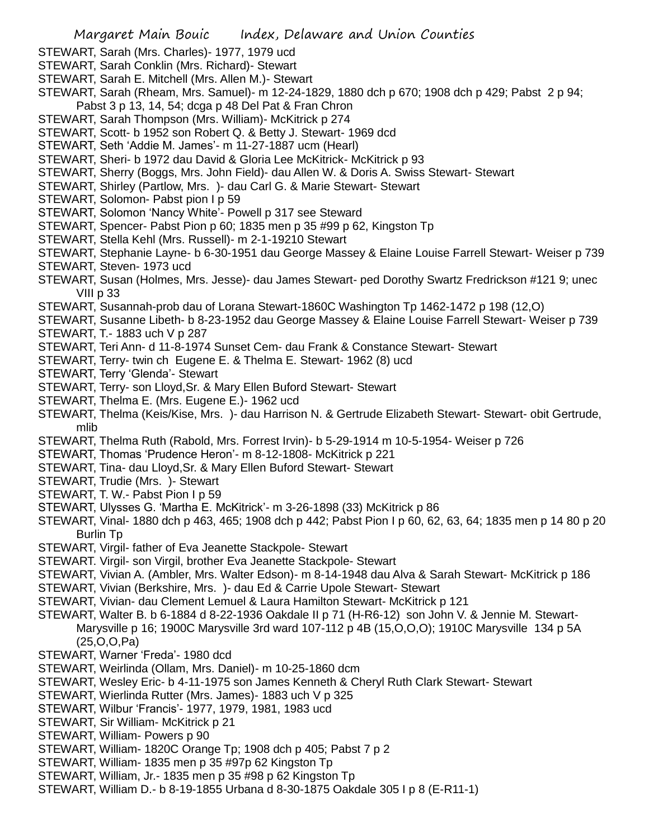- STEWART, Sarah (Mrs. Charles)- 1977, 1979 ucd
- STEWART, Sarah Conklin (Mrs. Richard)- Stewart
- STEWART, Sarah E. Mitchell (Mrs. Allen M.)- Stewart
- STEWART, Sarah (Rheam, Mrs. Samuel)- m 12-24-1829, 1880 dch p 670; 1908 dch p 429; Pabst 2 p 94; Pabst 3 p 13, 14, 54; dcga p 48 Del Pat & Fran Chron
- STEWART, Sarah Thompson (Mrs. William)- McKitrick p 274
- STEWART, Scott- b 1952 son Robert Q. & Betty J. Stewart- 1969 dcd
- STEWART, Seth 'Addie M. James'- m 11-27-1887 ucm (Hearl)
- STEWART, Sheri- b 1972 dau David & Gloria Lee McKitrick- McKitrick p 93
- STEWART, Sherry (Boggs, Mrs. John Field)- dau Allen W. & Doris A. Swiss Stewart- Stewart
- STEWART, Shirley (Partlow, Mrs. )- dau Carl G. & Marie Stewart- Stewart
- STEWART, Solomon- Pabst pion I p 59
- STEWART, Solomon 'Nancy White'- Powell p 317 see Steward
- STEWART, Spencer- Pabst Pion p 60; 1835 men p 35 #99 p 62, Kingston Tp
- STEWART, Stella Kehl (Mrs. Russell)- m 2-1-19210 Stewart
- STEWART, Stephanie Layne- b 6-30-1951 dau George Massey & Elaine Louise Farrell Stewart- Weiser p 739 STEWART, Steven- 1973 ucd
- STEWART, Susan (Holmes, Mrs. Jesse)- dau James Stewart- ped Dorothy Swartz Fredrickson #121 9; unec VIII p 33
- STEWART, Susannah-prob dau of Lorana Stewart-1860C Washington Tp 1462-1472 p 198 (12,O)
- STEWART, Susanne Libeth- b 8-23-1952 dau George Massey & Elaine Louise Farrell Stewart- Weiser p 739 STEWART, T.- 1883 uch V p 287
- STEWART, Teri Ann- d 11-8-1974 Sunset Cem- dau Frank & Constance Stewart- Stewart
- STEWART, Terry- twin ch Eugene E. & Thelma E. Stewart- 1962 (8) ucd
- STEWART, Terry 'Glenda'- Stewart
- STEWART, Terry- son Lloyd,Sr. & Mary Ellen Buford Stewart- Stewart
- STEWART, Thelma E. (Mrs. Eugene E.)- 1962 ucd
- STEWART, Thelma (Keis/Kise, Mrs. )- dau Harrison N. & Gertrude Elizabeth Stewart- Stewart- obit Gertrude, mlib
- STEWART, Thelma Ruth (Rabold, Mrs. Forrest Irvin)- b 5-29-1914 m 10-5-1954- Weiser p 726
- STEWART, Thomas 'Prudence Heron'- m 8-12-1808- McKitrick p 221
- STEWART, Tina- dau Lloyd,Sr. & Mary Ellen Buford Stewart- Stewart
- STEWART, Trudie (Mrs. )- Stewart
- STEWART, T. W.- Pabst Pion I p 59
- STEWART, Ulysses G. 'Martha E. McKitrick'- m 3-26-1898 (33) McKitrick p 86
- STEWART, Vinal- 1880 dch p 463, 465; 1908 dch p 442; Pabst Pion I p 60, 62, 63, 64; 1835 men p 14 80 p 20 Burlin Tp
- STEWART, Virgil- father of Eva Jeanette Stackpole- Stewart
- STEWART. Virgil- son Virgil, brother Eva Jeanette Stackpole- Stewart
- STEWART, Vivian A. (Ambler, Mrs. Walter Edson)- m 8-14-1948 dau Alva & Sarah Stewart- McKitrick p 186
- STEWART, Vivian (Berkshire, Mrs. )- dau Ed & Carrie Upole Stewart- Stewart
- STEWART, Vivian- dau Clement Lemuel & Laura Hamilton Stewart- McKitrick p 121
- STEWART, Walter B. b 6-1884 d 8-22-1936 Oakdale II p 71 (H-R6-12) son John V. & Jennie M. Stewart-Marysville p 16; 1900C Marysville 3rd ward 107-112 p 4B (15,O,O,O); 1910C Marysville 134 p 5A (25,O,O,Pa)
- STEWART, Warner 'Freda'- 1980 dcd
- STEWART, Weirlinda (Ollam, Mrs. Daniel)- m 10-25-1860 dcm
- STEWART, Wesley Eric- b 4-11-1975 son James Kenneth & Cheryl Ruth Clark Stewart- Stewart
- STEWART, Wierlinda Rutter (Mrs. James)- 1883 uch V p 325
- STEWART, Wilbur 'Francis'- 1977, 1979, 1981, 1983 ucd
- STEWART, Sir William- McKitrick p 21
- STEWART, William- Powers p 90
- STEWART, William- 1820C Orange Tp; 1908 dch p 405; Pabst 7 p 2
- STEWART, William- 1835 men p 35 #97p 62 Kingston Tp
- STEWART, William, Jr.- 1835 men p 35 #98 p 62 Kingston Tp
- STEWART, William D.- b 8-19-1855 Urbana d 8-30-1875 Oakdale 305 I p 8 (E-R11-1)